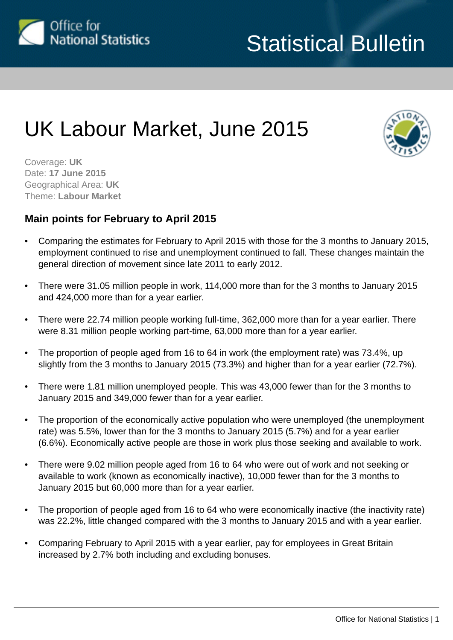

# UK Labour Market, June 2015



Coverage: **UK** Date: **17 June 2015** Geographical Area: **UK** Theme: **Labour Market**

# **Main points for February to April 2015**

- Comparing the estimates for February to April 2015 with those for the 3 months to January 2015, employment continued to rise and unemployment continued to fall. These changes maintain the general direction of movement since late 2011 to early 2012.
- There were 31.05 million people in work, 114,000 more than for the 3 months to January 2015 and 424,000 more than for a year earlier.
- There were 22.74 million people working full-time, 362,000 more than for a year earlier. There were 8.31 million people working part-time, 63,000 more than for a year earlier.
- The proportion of people aged from 16 to 64 in work (the employment rate) was 73.4%, up slightly from the 3 months to January 2015 (73.3%) and higher than for a year earlier (72.7%).
- There were 1.81 million unemployed people. This was 43,000 fewer than for the 3 months to January 2015 and 349,000 fewer than for a year earlier.
- The proportion of the economically active population who were unemployed (the unemployment rate) was 5.5%, lower than for the 3 months to January 2015 (5.7%) and for a year earlier (6.6%). Economically active people are those in work plus those seeking and available to work.
- There were 9.02 million people aged from 16 to 64 who were out of work and not seeking or available to work (known as economically inactive), 10,000 fewer than for the 3 months to January 2015 but 60,000 more than for a year earlier.
- The proportion of people aged from 16 to 64 who were economically inactive (the inactivity rate) was 22.2%, little changed compared with the 3 months to January 2015 and with a year earlier.
- Comparing February to April 2015 with a year earlier, pay for employees in Great Britain increased by 2.7% both including and excluding bonuses.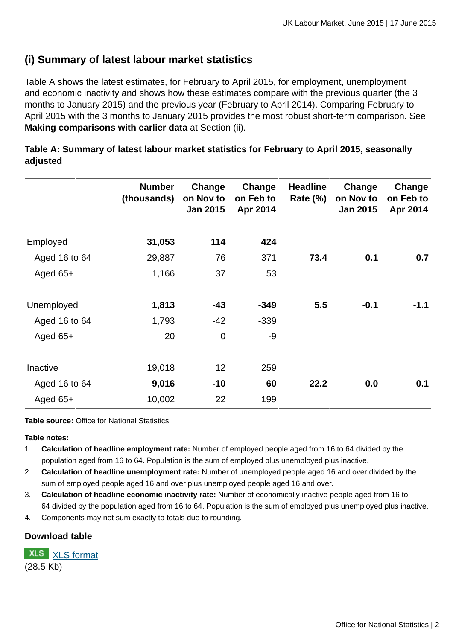# **(i) Summary of latest labour market statistics**

Table A shows the latest estimates, for February to April 2015, for employment, unemployment and economic inactivity and shows how these estimates compare with the previous quarter (the 3 months to January 2015) and the previous year (February to April 2014). Comparing February to April 2015 with the 3 months to January 2015 provides the most robust short-term comparison. See **Making comparisons with earlier data** at Section (ii).

|               | <b>Number</b><br>(thousands) | Change<br>on Nov to<br>Jan 2015 | Change<br>on Feb to<br>Apr 2014 | <b>Headline</b><br><b>Rate (%)</b> | Change<br>on Nov to<br>Jan 2015 | Change<br>on Feb to<br>Apr 2014 |
|---------------|------------------------------|---------------------------------|---------------------------------|------------------------------------|---------------------------------|---------------------------------|
|               |                              |                                 |                                 |                                    |                                 |                                 |
| Employed      | 31,053                       | 114                             | 424                             |                                    |                                 |                                 |
| Aged 16 to 64 | 29,887                       | 76                              | 371                             | 73.4                               | 0.1                             | 0.7                             |
| Aged $65+$    | 1,166                        | 37                              | 53                              |                                    |                                 |                                 |
| Unemployed    | 1,813                        | -43                             | $-349$                          | 5.5                                | $-0.1$                          | $-1.1$                          |
| Aged 16 to 64 | 1,793                        | $-42$                           | $-339$                          |                                    |                                 |                                 |
| Aged $65+$    | 20                           | $\mathbf 0$                     | $-9$                            |                                    |                                 |                                 |
| Inactive      | 19,018                       | 12                              | 259                             |                                    |                                 |                                 |
| Aged 16 to 64 | 9,016                        | $-10$                           | 60                              | 22.2                               | 0.0                             | 0.1                             |
| Aged $65+$    | 10,002                       | 22                              | 199                             |                                    |                                 |                                 |

**Table A: Summary of latest labour market statistics for February to April 2015, seasonally adjusted**

**Table source:** Office for National Statistics

#### **Table notes:**

- 1. **Calculation of headline employment rate:** Number of employed people aged from 16 to 64 divided by the population aged from 16 to 64. Population is the sum of employed plus unemployed plus inactive.
- 2. **Calculation of headline unemployment rate:** Number of unemployed people aged 16 and over divided by the sum of employed people aged 16 and over plus unemployed people aged 16 and over.
- 3. **Calculation of headline economic inactivity rate:** Number of economically inactive people aged from 16 to 64 divided by the population aged from 16 to 64. Population is the sum of employed plus unemployed plus inactive.
- 4. Components may not sum exactly to totals due to rounding.

#### **Download table**

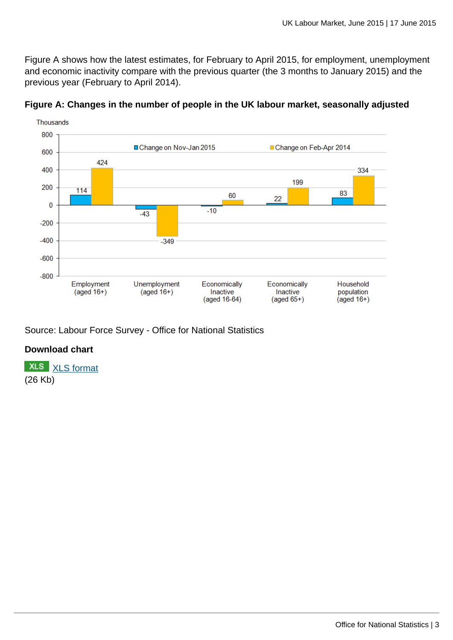Figure A shows how the latest estimates, for February to April 2015, for employment, unemployment and economic inactivity compare with the previous quarter (the 3 months to January 2015) and the previous year (February to April 2014).



# **Figure A: Changes in the number of people in the UK labour market, seasonally adjusted**

Source: Labour Force Survey - Office for National Statistics

## **Download chart**

**XLS** [XLS format](http://www.ons.gov.uk:80/ons/rel/lms/labour-market-statistics/june-2015/chd-figure-a.xls) (26 Kb)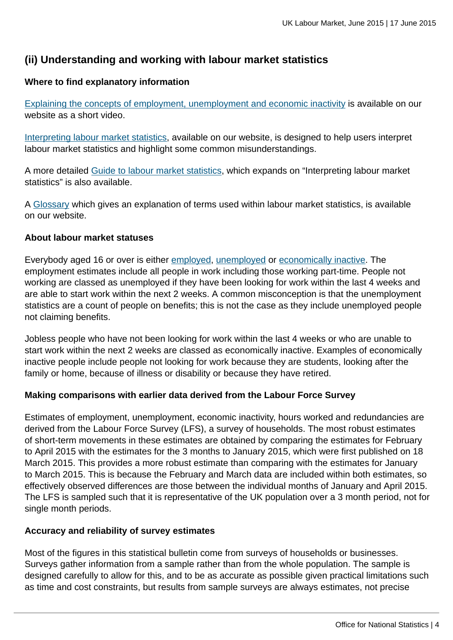# **(ii) Understanding and working with labour market statistics**

## **Where to find explanatory information**

[Explaining the concepts of employment, unemployment and economic inactivity](http://www.ons.gov.uk:80/ons/rel/lms/labour-market-guidance/interpreting-labour-market-statistics/explaining-employment--unemployment-and-inactivity.html) is available on our website as a short video.

[Interpreting labour market statistics](http://www.ons.gov.uk:80/ons/rel/lms/labour-market-guidance/interpreting-labour-market-statistics/interpreting-lm-statistics.html), available on our website, is designed to help users interpret labour market statistics and highlight some common misunderstandings.

A more detailed [Guide to labour market statistics,](http://www.ons.gov.uk:80/ons/rel/lms/labour-market-guidance/guide-to-labour-market-statistics/guide-to-lm-statistics.html) which expands on "Interpreting labour market statistics" is also available.

A [Glossary](http://www.ons.gov.uk:80/ons/guide-method/method-quality/specific/labour-market/glossary-of-labour-market-terms/index.html) which gives an explanation of terms used within labour market statistics, is available on our website.

#### **About labour market statuses**

Everybody aged 16 or over is either [employed](http://www.ons.gov.uk:80/ons/rel/lms/labour-market-guidance/guide-to-labour-market-statistics/guide-to-employment.html), [unemployed](http://www.ons.gov.uk:80/ons/rel/lms/labour-market-guidance/guide-to-labour-market-statistics/guide-to-unemployment.html) or [economically inactive.](http://www.ons.gov.uk:80/ons/rel/lms/labour-market-guidance/guide-to-labour-market-statistics/guide-to-economic-inactivity.html) The employment estimates include all people in work including those working part-time. People not working are classed as unemployed if they have been looking for work within the last 4 weeks and are able to start work within the next 2 weeks. A common misconception is that the unemployment statistics are a count of people on benefits; this is not the case as they include unemployed people not claiming benefits.

Jobless people who have not been looking for work within the last 4 weeks or who are unable to start work within the next 2 weeks are classed as economically inactive. Examples of economically inactive people include people not looking for work because they are students, looking after the family or home, because of illness or disability or because they have retired.

## **Making comparisons with earlier data derived from the Labour Force Survey**

Estimates of employment, unemployment, economic inactivity, hours worked and redundancies are derived from the Labour Force Survey (LFS), a survey of households. The most robust estimates of short-term movements in these estimates are obtained by comparing the estimates for February to April 2015 with the estimates for the 3 months to January 2015, which were first published on 18 March 2015. This provides a more robust estimate than comparing with the estimates for January to March 2015. This is because the February and March data are included within both estimates, so effectively observed differences are those between the individual months of January and April 2015. The LFS is sampled such that it is representative of the UK population over a 3 month period, not for single month periods.

#### **Accuracy and reliability of survey estimates**

Most of the figures in this statistical bulletin come from surveys of households or businesses. Surveys gather information from a sample rather than from the whole population. The sample is designed carefully to allow for this, and to be as accurate as possible given practical limitations such as time and cost constraints, but results from sample surveys are always estimates, not precise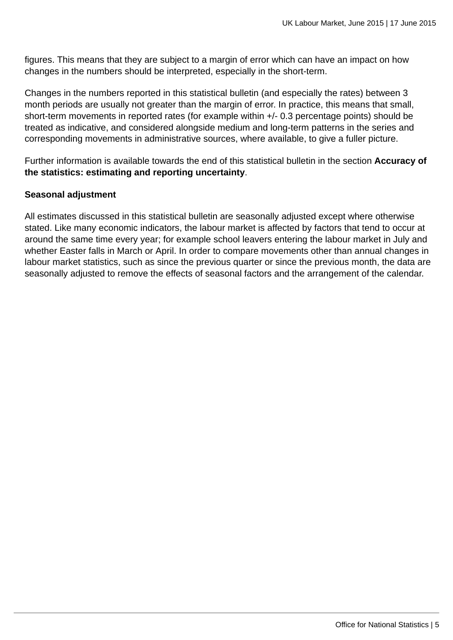figures. This means that they are subject to a margin of error which can have an impact on how changes in the numbers should be interpreted, especially in the short-term.

Changes in the numbers reported in this statistical bulletin (and especially the rates) between 3 month periods are usually not greater than the margin of error. In practice, this means that small, short-term movements in reported rates (for example within +/- 0.3 percentage points) should be treated as indicative, and considered alongside medium and long-term patterns in the series and corresponding movements in administrative sources, where available, to give a fuller picture.

Further information is available towards the end of this statistical bulletin in the section **Accuracy of the statistics: estimating and reporting uncertainty**.

#### **Seasonal adjustment**

All estimates discussed in this statistical bulletin are seasonally adjusted except where otherwise stated. Like many economic indicators, the labour market is affected by factors that tend to occur at around the same time every year; for example school leavers entering the labour market in July and whether Easter falls in March or April. In order to compare movements other than annual changes in labour market statistics, such as since the previous quarter or since the previous month, the data are seasonally adjusted to remove the effects of seasonal factors and the arrangement of the calendar.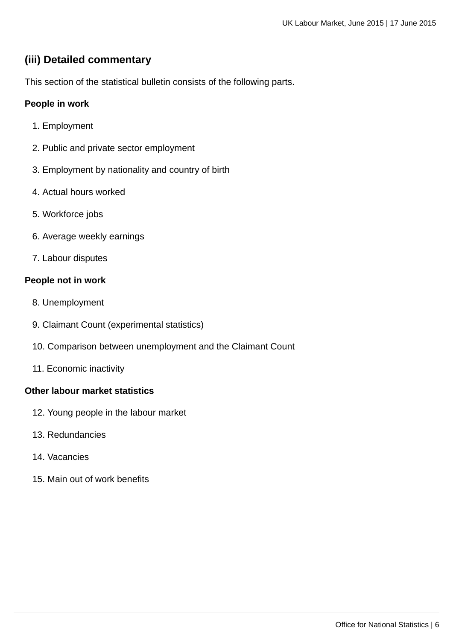# **(iii) Detailed commentary**

This section of the statistical bulletin consists of the following parts.

## **People in work**

- 1. Employment
- 2. Public and private sector employment
- 3. Employment by nationality and country of birth
- 4. Actual hours worked
- 5. Workforce jobs
- 6. Average weekly earnings
- 7. Labour disputes

#### **People not in work**

- 8. Unemployment
- 9. Claimant Count (experimental statistics)
- 10. Comparison between unemployment and the Claimant Count
- 11. Economic inactivity

#### **Other labour market statistics**

- 12. Young people in the labour market
- 13. Redundancies
- 14. Vacancies
- 15. Main out of work benefits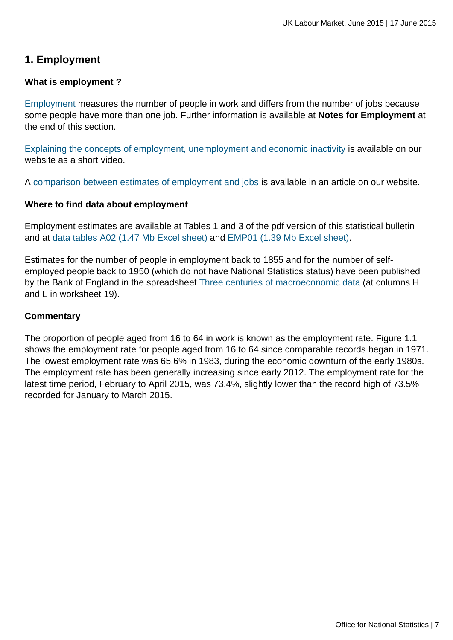# **1. Employment**

#### **What is employment ?**

[Employment](http://www.ons.gov.uk:80/ons/rel/lms/labour-market-guidance/guide-to-labour-market-statistics/guide-to-employment.html) measures the number of people in work and differs from the number of jobs because some people have more than one job. Further information is available at **Notes for Employment** at the end of this section.

[Explaining the concepts of employment, unemployment and economic inactivity](http://www.ons.gov.uk:80/ons/rel/lms/labour-market-guidance/interpreting-labour-market-statistics/explaining-employment--unemployment-and-inactivity.html) is available on our website as a short video.

A [comparison between estimates of employment and jobs](http://www.ons.gov.uk:80/ons/rel/lms/labour-market-statistics/june-2015/reconciliation-of-estimates-of-jobs--june-2015.html) is available in an article on our website.

#### **Where to find data about employment**

Employment estimates are available at Tables 1 and 3 of the pdf version of this statistical bulletin and at [data tables A02 \(1.47 Mb Excel sheet\)](http://www.ons.gov.uk:80/ons/rel/lms/labour-market-statistics/june-2015/table-a02.xls) and [EMP01 \(1.39 Mb Excel sheet\)](http://www.ons.gov.uk:80/ons/rel/lms/labour-market-statistics/june-2015/table-emp01.xls).

Estimates for the number of people in employment back to 1855 and for the number of selfemployed people back to 1950 (which do not have National Statistics status) have been published by the Bank of England in the spreadsheet [Three centuries of macroeconomic data](http://www.ons.gov.uk:80/ons/external-links/other/bank-of-england/bank-of-england---datasets.html) (at columns H and L in worksheet 19).

#### **Commentary**

The proportion of people aged from 16 to 64 in work is known as the employment rate. Figure 1.1 shows the employment rate for people aged from 16 to 64 since comparable records began in 1971. The lowest employment rate was 65.6% in 1983, during the economic downturn of the early 1980s. The employment rate has been generally increasing since early 2012. The employment rate for the latest time period, February to April 2015, was 73.4%, slightly lower than the record high of 73.5% recorded for January to March 2015.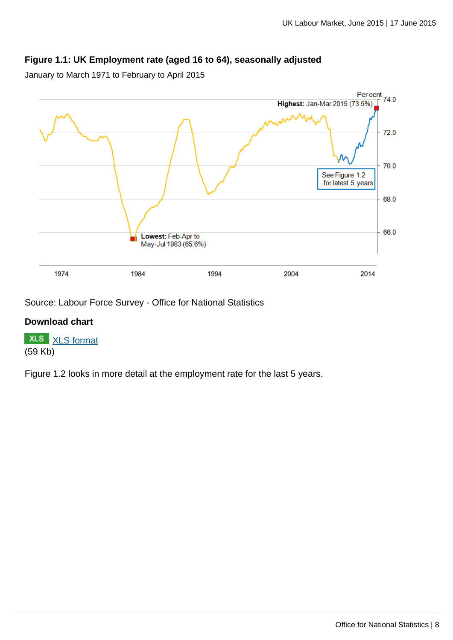## **Figure 1.1: UK Employment rate (aged 16 to 64), seasonally adjusted**

January to March 1971 to February to April 2015



Source: Labour Force Survey - Office for National Statistics

#### **Download chart**

**XLS** [XLS format](http://www.ons.gov.uk:80/ons/rel/lms/labour-market-statistics/june-2015/chd-figure-1-1.xls) (59 Kb)

Figure 1.2 looks in more detail at the employment rate for the last 5 years.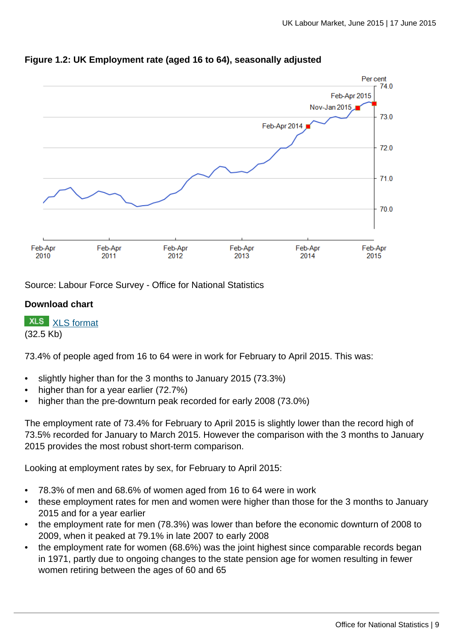

## **Figure 1.2: UK Employment rate (aged 16 to 64), seasonally adjusted**

Source: Labour Force Survey - Office for National Statistics

#### **Download chart**

**XLS** [XLS format](http://www.ons.gov.uk:80/ons/rel/lms/labour-market-statistics/june-2015/chd-figure-1-2.xls)

(32.5 Kb)

73.4% of people aged from 16 to 64 were in work for February to April 2015. This was:

- slightly higher than for the 3 months to January 2015 (73.3%)
- higher than for a year earlier (72.7%)
- higher than the pre-downturn peak recorded for early 2008 (73.0%)

The employment rate of 73.4% for February to April 2015 is slightly lower than the record high of 73.5% recorded for January to March 2015. However the comparison with the 3 months to January 2015 provides the most robust short-term comparison.

Looking at employment rates by sex, for February to April 2015:

- 78.3% of men and 68.6% of women aged from 16 to 64 were in work
- these employment rates for men and women were higher than those for the 3 months to January 2015 and for a year earlier
- the employment rate for men (78.3%) was lower than before the economic downturn of 2008 to 2009, when it peaked at 79.1% in late 2007 to early 2008
- the employment rate for women (68.6%) was the joint highest since comparable records began in 1971, partly due to ongoing changes to the state pension age for women resulting in fewer women retiring between the ages of 60 and 65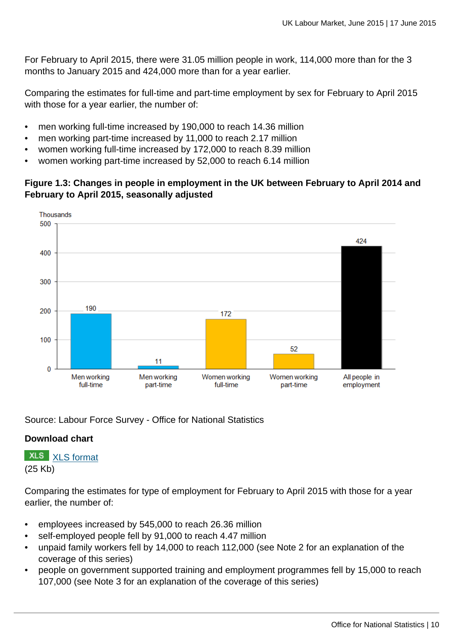For February to April 2015, there were 31.05 million people in work, 114,000 more than for the 3 months to January 2015 and 424,000 more than for a year earlier.

Comparing the estimates for full-time and part-time employment by sex for February to April 2015 with those for a year earlier, the number of:

- men working full-time increased by 190,000 to reach 14.36 million
- men working part-time increased by 11,000 to reach 2.17 million
- women working full-time increased by 172,000 to reach 8.39 million
- women working part-time increased by 52,000 to reach 6.14 million

#### **Figure 1.3: Changes in people in employment in the UK between February to April 2014 and February to April 2015, seasonally adjusted**



Source: Labour Force Survey - Office for National Statistics

#### **Download chart**

**XLS** [XLS format](http://www.ons.gov.uk:80/ons/rel/lms/labour-market-statistics/june-2015/chd-figure-1-3.xls)

(25 Kb)

Comparing the estimates for type of employment for February to April 2015 with those for a year earlier, the number of:

- employees increased by 545,000 to reach 26.36 million
- self-employed people fell by 91,000 to reach 4.47 million
- unpaid family workers fell by 14,000 to reach 112,000 (see Note 2 for an explanation of the coverage of this series)
- people on government supported training and employment programmes fell by 15,000 to reach 107,000 (see Note 3 for an explanation of the coverage of this series)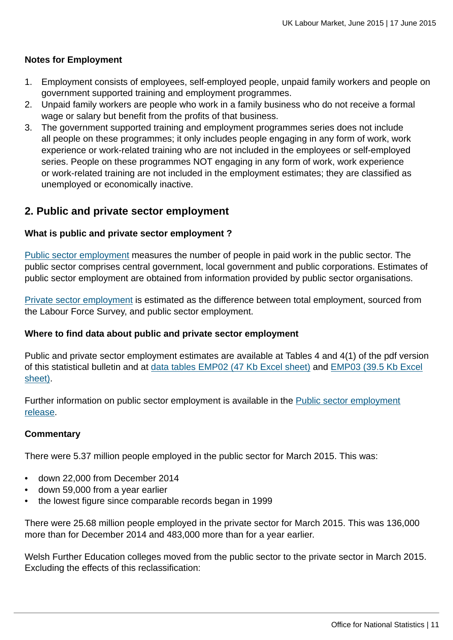#### **Notes for Employment**

- 1. Employment consists of employees, self-employed people, unpaid family workers and people on government supported training and employment programmes.
- 2. Unpaid family workers are people who work in a family business who do not receive a formal wage or salary but benefit from the profits of that business.
- 3. The government supported training and employment programmes series does not include all people on these programmes; it only includes people engaging in any form of work, work experience or work-related training who are not included in the employees or self-employed series. People on these programmes NOT engaging in any form of work, work experience or work-related training are not included in the employment estimates; they are classified as unemployed or economically inactive.

# **2. Public and private sector employment**

#### **What is public and private sector employment ?**

[Public sector employment](http://www.ons.gov.uk:80/ons/rel/lms/labour-market-guidance/guide-to-labour-market-statistics/guide-to-public-and-private-sector-employment.html) measures the number of people in paid work in the public sector. The public sector comprises central government, local government and public corporations. Estimates of public sector employment are obtained from information provided by public sector organisations.

[Private sector employment](http://www.ons.gov.uk:80/ons/rel/lms/labour-market-guidance/guide-to-labour-market-statistics/guide-to-public-and-private-sector-employment.html) is estimated as the difference between total employment, sourced from the Labour Force Survey, and public sector employment.

#### **Where to find data about public and private sector employment**

Public and private sector employment estimates are available at Tables 4 and 4(1) of the pdf version of this statistical bulletin and at [data tables EMP02 \(47 Kb Excel sheet\)](http://www.ons.gov.uk:80/ons/rel/lms/labour-market-statistics/june-2015/table-emp02.xls) and [EMP03 \(39.5 Kb Excel](http://www.ons.gov.uk:80/ons/rel/lms/labour-market-statistics/june-2015/table-emp03.xls) [sheet\).](http://www.ons.gov.uk:80/ons/rel/lms/labour-market-statistics/june-2015/table-emp03.xls)

Further information on public sector employment is available in the [Public sector employment](http://www.ons.gov.uk:80/ons/rel/pse/public-sector-employment/index.html) [release.](http://www.ons.gov.uk:80/ons/rel/pse/public-sector-employment/index.html)

#### **Commentary**

There were 5.37 million people employed in the public sector for March 2015. This was:

- down 22,000 from December 2014
- down 59,000 from a year earlier
- the lowest figure since comparable records began in 1999

There were 25.68 million people employed in the private sector for March 2015. This was 136,000 more than for December 2014 and 483,000 more than for a year earlier.

Welsh Further Education colleges moved from the public sector to the private sector in March 2015. Excluding the effects of this reclassification: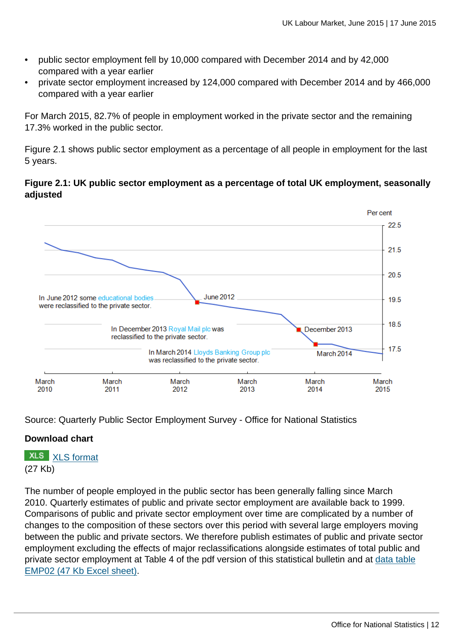- public sector employment fell by 10,000 compared with December 2014 and by 42,000 compared with a year earlier
- private sector employment increased by 124,000 compared with December 2014 and by 466,000 compared with a year earlier

For March 2015, 82.7% of people in employment worked in the private sector and the remaining 17.3% worked in the public sector.

Figure 2.1 shows public sector employment as a percentage of all people in employment for the last 5 years.

#### **Figure 2.1: UK public sector employment as a percentage of total UK employment, seasonally adjusted**



Source: Quarterly Public Sector Employment Survey - Office for National Statistics

## **Download chart**

**XLS** [XLS format](http://www.ons.gov.uk:80/ons/rel/lms/labour-market-statistics/june-2015/chd-figure-2-1.xls)

(27 Kb)

The number of people employed in the public sector has been generally falling since March 2010. Quarterly estimates of public and private sector employment are available back to 1999. Comparisons of public and private sector employment over time are complicated by a number of changes to the composition of these sectors over this period with several large employers moving between the public and private sectors. We therefore publish estimates of public and private sector employment excluding the effects of major reclassifications alongside estimates of total public and private sector employment at Table 4 of the pdf version of this statistical bulletin and at [data table](http://www.ons.gov.uk:80/ons/rel/lms/labour-market-statistics/june-2015/table-emp02.xls) [EMP02 \(47 Kb Excel sheet\).](http://www.ons.gov.uk:80/ons/rel/lms/labour-market-statistics/june-2015/table-emp02.xls)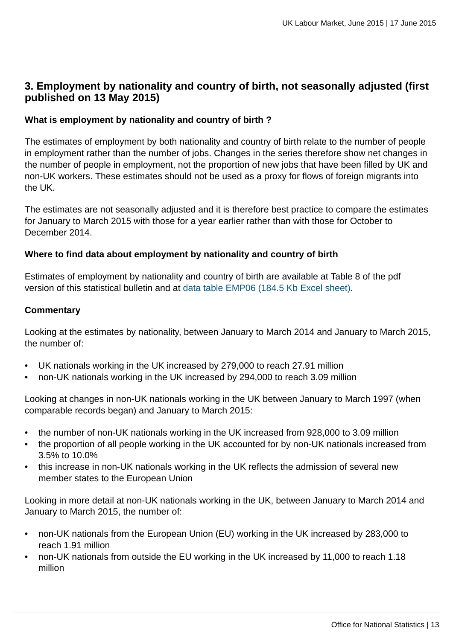# **3. Employment by nationality and country of birth, not seasonally adjusted (first published on 13 May 2015)**

#### **What is employment by nationality and country of birth ?**

The estimates of employment by both nationality and country of birth relate to the number of people in employment rather than the number of jobs. Changes in the series therefore show net changes in the number of people in employment, not the proportion of new jobs that have been filled by UK and non-UK workers. These estimates should not be used as a proxy for flows of foreign migrants into the UK.

The estimates are not seasonally adjusted and it is therefore best practice to compare the estimates for January to March 2015 with those for a year earlier rather than with those for October to December 2014.

#### **Where to find data about employment by nationality and country of birth**

Estimates of employment by nationality and country of birth are available at Table 8 of the pdf version of this statistical bulletin and at [data table EMP06 \(184.5 Kb Excel sheet\)](http://www.ons.gov.uk:80/ons/rel/lms/labour-market-statistics/june-2015/table-emp06.xls).

#### **Commentary**

Looking at the estimates by nationality, between January to March 2014 and January to March 2015, the number of:

- UK nationals working in the UK increased by 279,000 to reach 27.91 million
- non-UK nationals working in the UK increased by 294,000 to reach 3.09 million

Looking at changes in non-UK nationals working in the UK between January to March 1997 (when comparable records began) and January to March 2015:

- the number of non-UK nationals working in the UK increased from 928,000 to 3.09 million
- the proportion of all people working in the UK accounted for by non-UK nationals increased from 3.5% to 10.0%
- this increase in non-UK nationals working in the UK reflects the admission of several new member states to the European Union

Looking in more detail at non-UK nationals working in the UK, between January to March 2014 and January to March 2015, the number of:

- non-UK nationals from the European Union (EU) working in the UK increased by 283,000 to reach 1.91 million
- non-UK nationals from outside the EU working in the UK increased by 11,000 to reach 1.18 million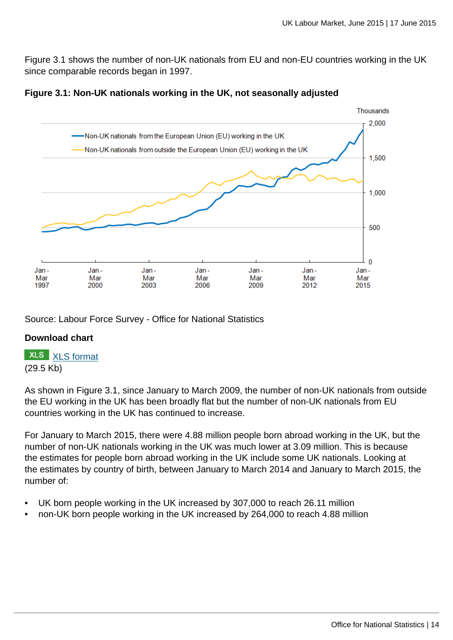Figure 3.1 shows the number of non-UK nationals from EU and non-EU countries working in the UK since comparable records began in 1997.





Source: Labour Force Survey - Office for National Statistics

#### **Download chart**



As shown in Figure 3.1, since January to March 2009, the number of non-UK nationals from outside the EU working in the UK has been broadly flat but the number of non-UK nationals from EU countries working in the UK has continued to increase.

For January to March 2015, there were 4.88 million people born abroad working in the UK, but the number of non-UK nationals working in the UK was much lower at 3.09 million. This is because the estimates for people born abroad working in the UK include some UK nationals. Looking at the estimates by country of birth, between January to March 2014 and January to March 2015, the number of:

- UK born people working in the UK increased by 307,000 to reach 26.11 million
- non-UK born people working in the UK increased by 264,000 to reach 4.88 million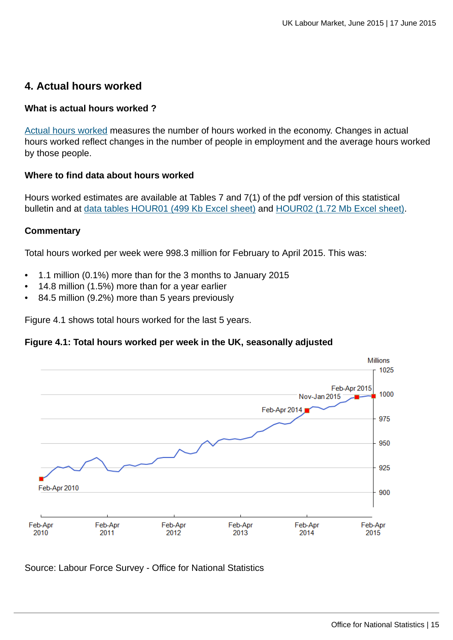# **4. Actual hours worked**

#### **What is actual hours worked ?**

[Actual hours worked](http://www.ons.gov.uk:80/ons/rel/lms/labour-market-guidance/guide-to-labour-market-statistics/guide-to-hours-worked.html) measures the number of hours worked in the economy. Changes in actual hours worked reflect changes in the number of people in employment and the average hours worked by those people.

#### **Where to find data about hours worked**

Hours worked estimates are available at Tables 7 and 7(1) of the pdf version of this statistical bulletin and at [data tables HOUR01 \(499 Kb Excel sheet\)](http://www.ons.gov.uk:80/ons/rel/lms/labour-market-statistics/june-2015/table-hour01.xls) and [HOUR02 \(1.72 Mb Excel sheet\).](http://www.ons.gov.uk:80/ons/rel/lms/labour-market-statistics/june-2015/table-hour02.xls)

#### **Commentary**

Total hours worked per week were 998.3 million for February to April 2015. This was:

- 1.1 million (0.1%) more than for the 3 months to January 2015
- 14.8 million (1.5%) more than for a year earlier
- 84.5 million (9.2%) more than 5 years previously

Figure 4.1 shows total hours worked for the last 5 years.

#### **Figure 4.1: Total hours worked per week in the UK, seasonally adjusted**



Source: Labour Force Survey - Office for National Statistics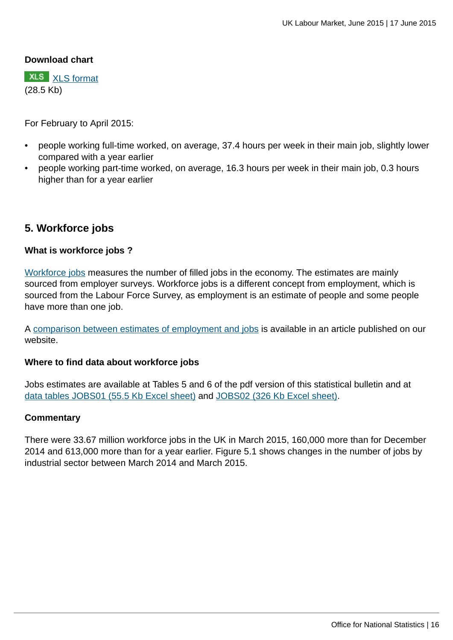#### **Download chart**

**XLS** [XLS format](http://www.ons.gov.uk:80/ons/rel/lms/labour-market-statistics/june-2015/chd-figure-4-1.xls) (28.5 Kb)

For February to April 2015:

- people working full-time worked, on average, 37.4 hours per week in their main job, slightly lower compared with a year earlier
- people working part-time worked, on average, 16.3 hours per week in their main job, 0.3 hours higher than for a year earlier

## **5. Workforce jobs**

#### **What is workforce jobs ?**

[Workforce jobs](http://www.ons.gov.uk:80/ons/rel/lms/labour-market-guidance/guide-to-labour-market-statistics/guide-to-jobs.html) measures the number of filled jobs in the economy. The estimates are mainly sourced from employer surveys. Workforce jobs is a different concept from employment, which is sourced from the Labour Force Survey, as employment is an estimate of people and some people have more than one job.

A [comparison between estimates of employment and jobs](http://www.ons.gov.uk:80/ons/rel/lms/labour-market-statistics/june-2015/reconciliation-of-estimates-of-jobs--june-2015.html) is available in an article published on our website.

#### **Where to find data about workforce jobs**

Jobs estimates are available at Tables 5 and 6 of the pdf version of this statistical bulletin and at [data tables JOBS01 \(55.5 Kb Excel sheet\)](http://www.ons.gov.uk:80/ons/rel/lms/labour-market-statistics/june-2015/table-jobs01.xls) and [JOBS02 \(326 Kb Excel sheet\).](http://www.ons.gov.uk:80/ons/rel/lms/labour-market-statistics/june-2015/table-jobs02.xls)

#### **Commentary**

There were 33.67 million workforce jobs in the UK in March 2015, 160,000 more than for December 2014 and 613,000 more than for a year earlier. Figure 5.1 shows changes in the number of jobs by industrial sector between March 2014 and March 2015.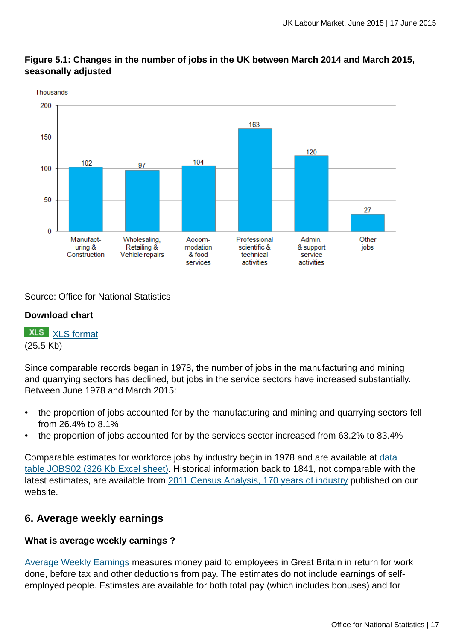

## **Figure 5.1: Changes in the number of jobs in the UK between March 2014 and March 2015, seasonally adjusted**

Source: Office for National Statistics

# **Download chart**

**XLS** [XLS format](http://www.ons.gov.uk:80/ons/rel/lms/labour-market-statistics/june-2015/chd-figure-5-1.xls) (25.5 Kb)

Since comparable records began in 1978, the number of jobs in the manufacturing and mining and quarrying sectors has declined, but jobs in the service sectors have increased substantially. Between June 1978 and March 2015:

- the proportion of jobs accounted for by the manufacturing and mining and quarrying sectors fell from 26.4% to 8.1%
- the proportion of jobs accounted for by the services sector increased from 63.2% to 83.4%

Comparable estimates for workforce jobs by industry begin in 1978 and are available at [data](http://www.ons.gov.uk:80/ons/rel/lms/labour-market-statistics/june-2015/table-jobs02.xls) [table JOBS02 \(326 Kb Excel sheet\)](http://www.ons.gov.uk:80/ons/rel/lms/labour-market-statistics/june-2015/table-jobs02.xls). Historical information back to 1841, not comparable with the latest estimates, are available from [2011 Census Analysis, 170 years of industry](http://www.ons.gov.uk:80/ons/rel/census/2011-census-analysis/170-years-of-industry/index.html) published on our website.

# **6. Average weekly earnings**

# **What is average weekly earnings ?**

[Average Weekly Earnings](http://www.ons.gov.uk:80/ons/rel/lms/labour-market-guidance/guide-to-labour-market-statistics/guide-to-earnings.html) measures money paid to employees in Great Britain in return for work done, before tax and other deductions from pay. The estimates do not include earnings of selfemployed people. Estimates are available for both total pay (which includes bonuses) and for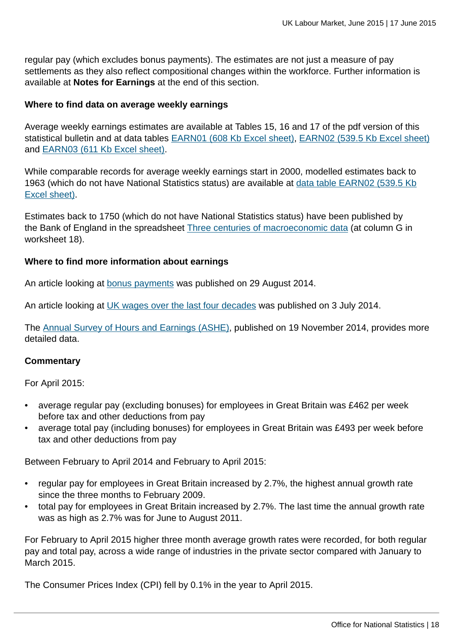regular pay (which excludes bonus payments). The estimates are not just a measure of pay settlements as they also reflect compositional changes within the workforce. Further information is available at **Notes for Earnings** at the end of this section.

#### **Where to find data on average weekly earnings**

Average weekly earnings estimates are available at Tables 15, 16 and 17 of the pdf version of this statistical bulletin and at data tables [EARN01 \(608 Kb Excel sheet\)](http://www.ons.gov.uk:80/ons/rel/lms/labour-market-statistics/june-2015/table-earn01.xls), [EARN02 \(539.5 Kb Excel sheet\)](http://www.ons.gov.uk:80/ons/rel/lms/labour-market-statistics/june-2015/table-earn02.xls) and [EARN03 \(611 Kb Excel sheet\)](http://www.ons.gov.uk:80/ons/rel/lms/labour-market-statistics/june-2015/table-earn03.xls).

While comparable records for average weekly earnings start in 2000, modelled estimates back to 1963 (which do not have National Statistics status) are available at [data table EARN02 \(539.5 Kb](http://www.ons.gov.uk:80/ons/rel/lms/labour-market-statistics/june-2015/table-earn02.xls) [Excel sheet\)](http://www.ons.gov.uk:80/ons/rel/lms/labour-market-statistics/june-2015/table-earn02.xls).

Estimates back to 1750 (which do not have National Statistics status) have been published by the Bank of England in the spreadsheet [Three centuries of macroeconomic data](http://www.ons.gov.uk:80/ons/external-links/other/bank-of-england/bank-of-england---datasets.html) (at column G in worksheet 18).

#### **Where to find more information about earnings**

An article looking at [bonus payments](http://www.ons.gov.uk:80/ons/rel/awe/average-weekly-earnings/bonus-payents-in-great-britain--2013-2014/index.html) was published on 29 August 2014.

An article looking at [UK wages over the last four decades](http://www.ons.gov.uk:80/ons/rel/lmac/uk-wages-over-the-past-four-decades/2014/index.html) was published on 3 July 2014.

The [Annual Survey of Hours and Earnings \(ASHE\),](http://www.ons.gov.uk:80/ons/rel/ashe/annual-survey-of-hours-and-earnings/index.html) published on 19 November 2014, provides more detailed data.

#### **Commentary**

For April 2015:

- average regular pay (excluding bonuses) for employees in Great Britain was £462 per week before tax and other deductions from pay
- average total pay (including bonuses) for employees in Great Britain was £493 per week before tax and other deductions from pay

Between February to April 2014 and February to April 2015:

- regular pay for employees in Great Britain increased by 2.7%, the highest annual growth rate since the three months to February 2009.
- total pay for employees in Great Britain increased by 2.7%. The last time the annual growth rate was as high as 2.7% was for June to August 2011.

For February to April 2015 higher three month average growth rates were recorded, for both regular pay and total pay, across a wide range of industries in the private sector compared with January to March 2015.

The Consumer Prices Index (CPI) fell by 0.1% in the year to April 2015.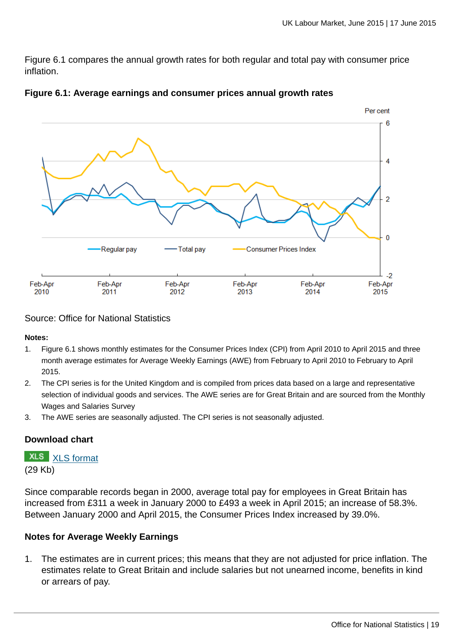Figure 6.1 compares the annual growth rates for both regular and total pay with consumer price inflation.





Source: Office for National Statistics

**Notes:**

- 1. Figure 6.1 shows monthly estimates for the Consumer Prices Index (CPI) from April 2010 to April 2015 and three month average estimates for Average Weekly Earnings (AWE) from February to April 2010 to February to April 2015.
- 2. The CPI series is for the United Kingdom and is compiled from prices data based on a large and representative selection of individual goods and services. The AWE series are for Great Britain and are sourced from the Monthly Wages and Salaries Survey
- 3. The AWE series are seasonally adjusted. The CPI series is not seasonally adjusted.

#### **Download chart**

**XLS** [XLS format](http://www.ons.gov.uk:80/ons/rel/lms/labour-market-statistics/june-2015/chd-figure-6-1.xls)

(29 Kb)

Since comparable records began in 2000, average total pay for employees in Great Britain has increased from £311 a week in January 2000 to £493 a week in April 2015; an increase of 58.3%. Between January 2000 and April 2015, the Consumer Prices Index increased by 39.0%.

## **Notes for Average Weekly Earnings**

1. The estimates are in current prices; this means that they are not adjusted for price inflation. The estimates relate to Great Britain and include salaries but not unearned income, benefits in kind or arrears of pay.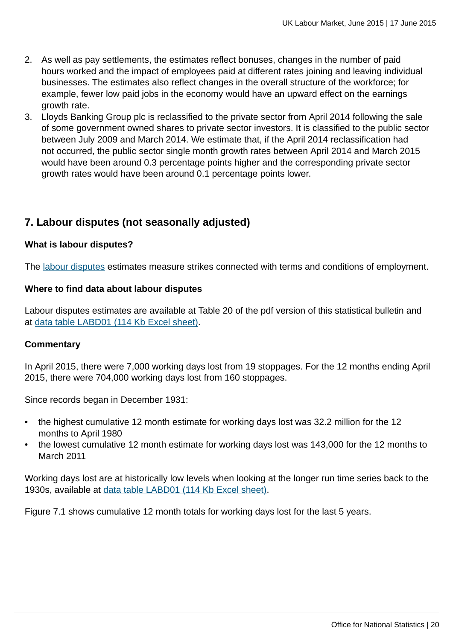- 2. As well as pay settlements, the estimates reflect bonuses, changes in the number of paid hours worked and the impact of employees paid at different rates joining and leaving individual businesses. The estimates also reflect changes in the overall structure of the workforce; for example, fewer low paid jobs in the economy would have an upward effect on the earnings growth rate.
- 3. Lloyds Banking Group plc is reclassified to the private sector from April 2014 following the sale of some government owned shares to private sector investors. It is classified to the public sector between July 2009 and March 2014. We estimate that, if the April 2014 reclassification had not occurred, the public sector single month growth rates between April 2014 and March 2015 would have been around 0.3 percentage points higher and the corresponding private sector growth rates would have been around 0.1 percentage points lower.

# **7. Labour disputes (not seasonally adjusted)**

#### **What is labour disputes?**

The [labour disputes](http://www.ons.gov.uk:80/ons/rel/lms/labour-market-guidance/guide-to-labour-market-statistics/guide-to-labour-disputes.html) estimates measure strikes connected with terms and conditions of employment.

#### **Where to find data about labour disputes**

Labour disputes estimates are available at Table 20 of the pdf version of this statistical bulletin and at [data table LABD01 \(114 Kb Excel sheet\)](http://www.ons.gov.uk:80/ons/rel/lms/labour-market-statistics/june-2015/table-labd01.xls).

#### **Commentary**

In April 2015, there were 7,000 working days lost from 19 stoppages. For the 12 months ending April 2015, there were 704,000 working days lost from 160 stoppages.

Since records began in December 1931:

- the highest cumulative 12 month estimate for working days lost was 32.2 million for the 12 months to April 1980
- the lowest cumulative 12 month estimate for working days lost was 143,000 for the 12 months to March 2011

Working days lost are at historically low levels when looking at the longer run time series back to the 1930s, available at [data table LABD01 \(114 Kb Excel sheet\)](http://www.ons.gov.uk:80/ons/rel/lms/labour-market-statistics/june-2015/table-labd01.xls).

Figure 7.1 shows cumulative 12 month totals for working days lost for the last 5 years.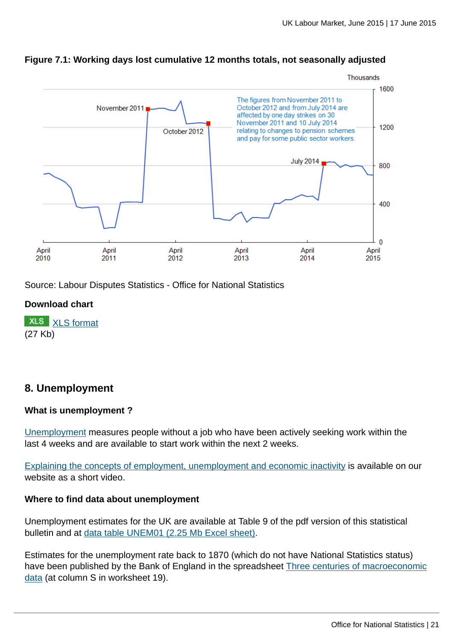

#### **Figure 7.1: Working days lost cumulative 12 months totals, not seasonally adjusted**

Source: Labour Disputes Statistics - Office for National Statistics

#### **Download chart**

**XLS** [XLS format](http://www.ons.gov.uk:80/ons/rel/lms/labour-market-statistics/june-2015/chd-figure-7-1.xls) (27 Kb)

# **8. Unemployment**

#### **What is unemployment ?**

[Unemployment](http://www.ons.gov.uk:80/ons/rel/lms/labour-market-guidance/guide-to-labour-market-statistics/guide-to-unemployment.html) measures people without a job who have been actively seeking work within the last 4 weeks and are available to start work within the next 2 weeks.

[Explaining the concepts of employment, unemployment and economic inactivity](http://www.ons.gov.uk:80/ons/rel/lms/labour-market-guidance/interpreting-labour-market-statistics/explaining-employment--unemployment-and-inactivity.html) is available on our website as a short video.

#### **Where to find data about unemployment**

Unemployment estimates for the UK are available at Table 9 of the pdf version of this statistical bulletin and at [data table UNEM01 \(2.25 Mb Excel sheet\)](http://www.ons.gov.uk:80/ons/rel/lms/labour-market-statistics/june-2015/table-unem01.xls).

Estimates for the unemployment rate back to 1870 (which do not have National Statistics status) have been published by the Bank of England in the spreadsheet [Three centuries of macroeconomic](http://www.ons.gov.uk:80/ons/external-links/other/bank-of-england/bank-of-england---datasets.html) [data](http://www.ons.gov.uk:80/ons/external-links/other/bank-of-england/bank-of-england---datasets.html) (at column S in worksheet 19).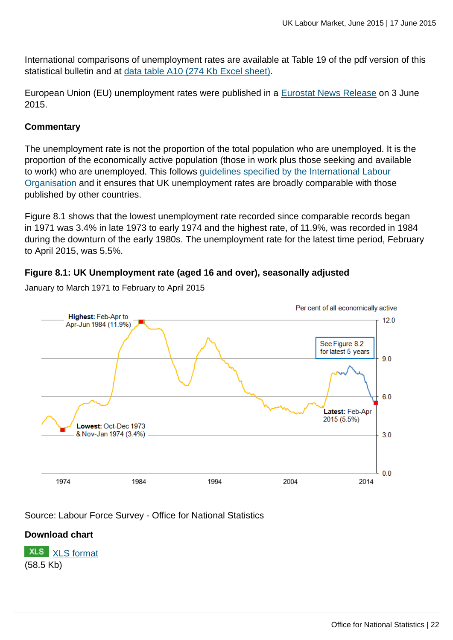International comparisons of unemployment rates are available at Table 19 of the pdf version of this statistical bulletin and at [data table A10 \(274 Kb Excel sheet\).](http://www.ons.gov.uk:80/ons/rel/lms/labour-market-statistics/june-2015/table-a10.xls)

European Union (EU) unemployment rates were published in a [Eurostat News Release](http://ec.europa.eu/eurostat/documents/2995521/6862104/3-03062015-BP-EN.pdf/efc97561-fad1-4e10-b6c1-e1c80e2bb582) on 3 June 2015.

#### **Commentary**

The unemployment rate is not the proportion of the total population who are unemployed. It is the proportion of the economically active population (those in work plus those seeking and available to work) who are unemployed. This follows [guidelines specified by the International Labour](http://www.ons.gov.uk:80/ons/external-links/international/international-labour-organisation-guidelines.html) [Organisation](http://www.ons.gov.uk:80/ons/external-links/international/international-labour-organisation-guidelines.html) and it ensures that UK unemployment rates are broadly comparable with those published by other countries.

Figure 8.1 shows that the lowest unemployment rate recorded since comparable records began in 1971 was 3.4% in late 1973 to early 1974 and the highest rate, of 11.9%, was recorded in 1984 during the downturn of the early 1980s. The unemployment rate for the latest time period, February to April 2015, was 5.5%.

#### **Figure 8.1: UK Unemployment rate (aged 16 and over), seasonally adjusted**



January to March 1971 to February to April 2015

Source: Labour Force Survey - Office for National Statistics

#### **Download chart**

**XLS** [XLS format](http://www.ons.gov.uk:80/ons/rel/lms/labour-market-statistics/june-2015/chd-figure-8-1.xls) (58.5 Kb)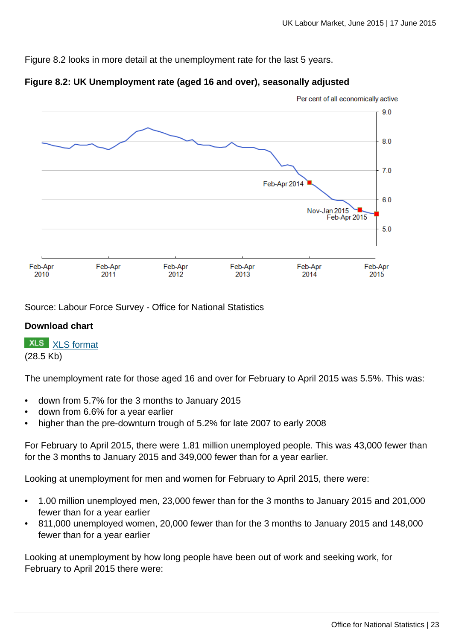Figure 8.2 looks in more detail at the unemployment rate for the last 5 years.





Source: Labour Force Survey - Office for National Statistics

## **Download chart**

**XLS** [XLS format](http://www.ons.gov.uk:80/ons/rel/lms/labour-market-statistics/june-2015/chd-figure-8-2.xls) (28.5 Kb)

The unemployment rate for those aged 16 and over for February to April 2015 was 5.5%. This was:

- down from 5.7% for the 3 months to January 2015
- down from 6.6% for a year earlier
- higher than the pre-downturn trough of 5.2% for late 2007 to early 2008

For February to April 2015, there were 1.81 million unemployed people. This was 43,000 fewer than for the 3 months to January 2015 and 349,000 fewer than for a year earlier.

Looking at unemployment for men and women for February to April 2015, there were:

- 1.00 million unemployed men, 23,000 fewer than for the 3 months to January 2015 and 201,000 fewer than for a year earlier
- 811,000 unemployed women, 20,000 fewer than for the 3 months to January 2015 and 148,000 fewer than for a year earlier

Looking at unemployment by how long people have been out of work and seeking work, for February to April 2015 there were: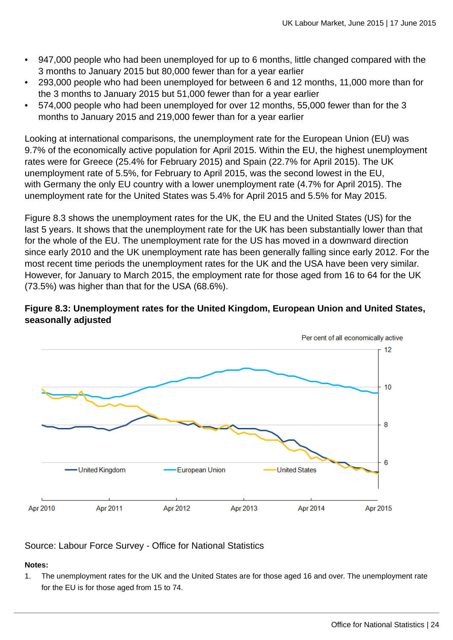- 947,000 people who had been unemployed for up to 6 months, little changed compared with the 3 months to January 2015 but 80,000 fewer than for a year earlier
- 293,000 people who had been unemployed for between 6 and 12 months, 11,000 more than for the 3 months to January 2015 but 51,000 fewer than for a year earlier
- 574,000 people who had been unemployed for over 12 months, 55,000 fewer than for the 3 months to January 2015 and 219,000 fewer than for a year earlier

Looking at international comparisons, the unemployment rate for the European Union (EU) was 9.7% of the economically active population for April 2015. Within the EU, the highest unemployment rates were for Greece (25.4% for February 2015) and Spain (22.7% for April 2015). The UK unemployment rate of 5.5%, for February to April 2015, was the second lowest in the EU, with Germany the only EU country with a lower unemployment rate (4.7% for April 2015). The unemployment rate for the United States was 5.4% for April 2015 and 5.5% for May 2015.

Figure 8.3 shows the unemployment rates for the UK, the EU and the United States (US) for the last 5 years. It shows that the unemployment rate for the UK has been substantially lower than that for the whole of the EU. The unemployment rate for the US has moved in a downward direction since early 2010 and the UK unemployment rate has been generally falling since early 2012. For the most recent time periods the unemployment rates for the UK and the USA have been very similar. However, for January to March 2015, the employment rate for those aged from 16 to 64 for the UK (73.5%) was higher than that for the USA (68.6%).

## **Figure 8.3: Unemployment rates for the United Kingdom, European Union and United States, seasonally adjusted**



## Source: Labour Force Survey - Office for National Statistics

#### **Notes:**

1. The unemployment rates for the UK and the United States are for those aged 16 and over. The unemployment rate for the EU is for those aged from 15 to 74.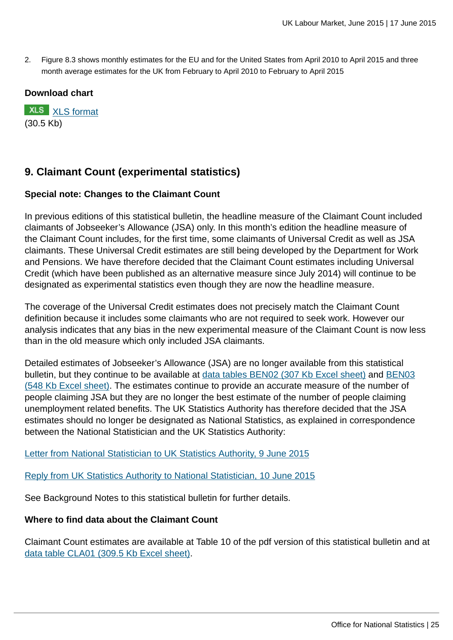2. Figure 8.3 shows monthly estimates for the EU and for the United States from April 2010 to April 2015 and three month average estimates for the UK from February to April 2010 to February to April 2015

#### **Download chart**

**XLS** [XLS format](http://www.ons.gov.uk:80/ons/rel/lms/labour-market-statistics/june-2015/chd-figure-8-3.xls) (30.5 Kb)

# **9. Claimant Count (experimental statistics)**

#### **Special note: Changes to the Claimant Count**

In previous editions of this statistical bulletin, the headline measure of the Claimant Count included claimants of Jobseeker's Allowance (JSA) only. In this month's edition the headline measure of the Claimant Count includes, for the first time, some claimants of Universal Credit as well as JSA claimants. These Universal Credit estimates are still being developed by the Department for Work and Pensions. We have therefore decided that the Claimant Count estimates including Universal Credit (which have been published as an alternative measure since July 2014) will continue to be designated as experimental statistics even though they are now the headline measure.

The coverage of the Universal Credit estimates does not precisely match the Claimant Count definition because it includes some claimants who are not required to seek work. However our analysis indicates that any bias in the new experimental measure of the Claimant Count is now less than in the old measure which only included JSA claimants.

Detailed estimates of Jobseeker's Allowance (JSA) are no longer available from this statistical bulletin, but they continue to be available at [data tables BEN02 \(307 Kb Excel sheet\)](http://www.ons.gov.uk:80/ons/rel/lms/labour-market-statistics/june-2015/table-ben02.xls) and [BEN03](http://www.ons.gov.uk:80/ons/rel/lms/labour-market-statistics/june-2015/table-ben03.xls) [\(548 Kb Excel sheet\).](http://www.ons.gov.uk:80/ons/rel/lms/labour-market-statistics/june-2015/table-ben03.xls) The estimates continue to provide an accurate measure of the number of people claiming JSA but they are no longer the best estimate of the number of people claiming unemployment related benefits. The UK Statistics Authority has therefore decided that the JSA estimates should no longer be designated as National Statistics, as explained in correspondence between the National Statistician and the UK Statistics Authority:

[Letter from National Statistician to UK Statistics Authority, 9 June 2015](http://www.statisticsauthority.gov.uk/reports---correspondence/correspondence/letter-from-john-pullinger-to-ed-humpherson-090615.pdf)

[Reply from UK Statistics Authority to National Statistician, 10 June 2015](http://www.statisticsauthority.gov.uk/reports---correspondence/correspondence/letter-from-ed-humpherson-to-john-pullinger-100615.pdf)

See Background Notes to this statistical bulletin for further details.

#### **Where to find data about the Claimant Count**

Claimant Count estimates are available at Table 10 of the pdf version of this statistical bulletin and at [data table CLA01 \(309.5 Kb Excel sheet\).](http://www.ons.gov.uk:80/ons/rel/lms/labour-market-statistics/june-2015/table-cla01.xls)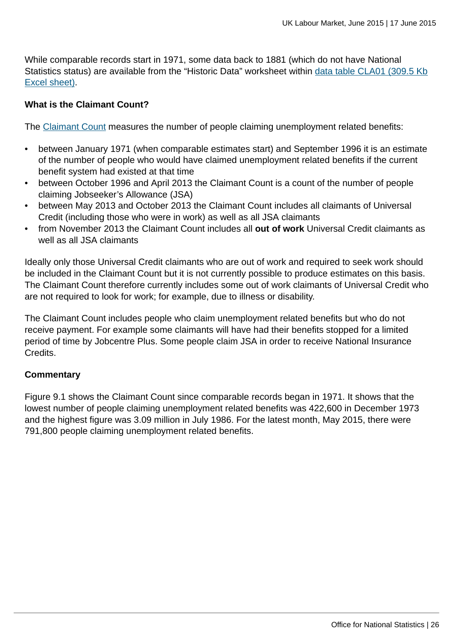While comparable records start in 1971, some data back to 1881 (which do not have National Statistics status) are available from the "Historic Data" worksheet within [data table CLA01 \(309.5 Kb](http://www.ons.gov.uk:80/ons/rel/lms/labour-market-statistics/june-2015/table-cla01.xls) [Excel sheet\)](http://www.ons.gov.uk:80/ons/rel/lms/labour-market-statistics/june-2015/table-cla01.xls).

#### **What is the Claimant Count?**

The [Claimant Count](http://www.ons.gov.uk:80/ons/rel/lms/labour-market-guidance/guide-to-labour-market-statistics/guide-to-claimant-count.html) measures the number of people claiming unemployment related benefits:

- between January 1971 (when comparable estimates start) and September 1996 it is an estimate of the number of people who would have claimed unemployment related benefits if the current benefit system had existed at that time
- between October 1996 and April 2013 the Claimant Count is a count of the number of people claiming Jobseeker's Allowance (JSA)
- between May 2013 and October 2013 the Claimant Count includes all claimants of Universal Credit (including those who were in work) as well as all JSA claimants
- from November 2013 the Claimant Count includes all **out of work** Universal Credit claimants as well as all JSA claimants

Ideally only those Universal Credit claimants who are out of work and required to seek work should be included in the Claimant Count but it is not currently possible to produce estimates on this basis. The Claimant Count therefore currently includes some out of work claimants of Universal Credit who are not required to look for work; for example, due to illness or disability.

The Claimant Count includes people who claim unemployment related benefits but who do not receive payment. For example some claimants will have had their benefits stopped for a limited period of time by Jobcentre Plus. Some people claim JSA in order to receive National Insurance Credits.

#### **Commentary**

Figure 9.1 shows the Claimant Count since comparable records began in 1971. It shows that the lowest number of people claiming unemployment related benefits was 422,600 in December 1973 and the highest figure was 3.09 million in July 1986. For the latest month, May 2015, there were 791,800 people claiming unemployment related benefits.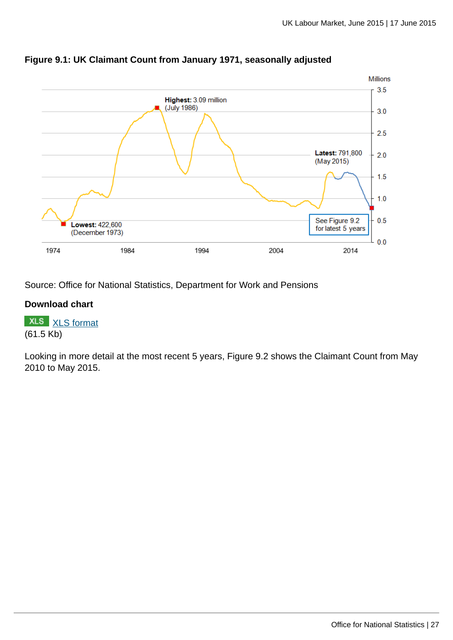

#### **Figure 9.1: UK Claimant Count from January 1971, seasonally adjusted**

Source: Office for National Statistics, Department for Work and Pensions

#### **Download chart**

**XLS** [XLS format](http://www.ons.gov.uk:80/ons/rel/lms/labour-market-statistics/june-2015/chd-figure-9-1.xls) (61.5 Kb)

Looking in more detail at the most recent 5 years, Figure 9.2 shows the Claimant Count from May 2010 to May 2015.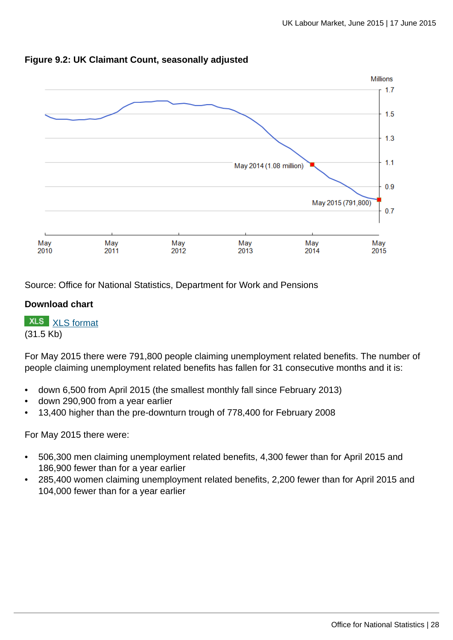

#### **Figure 9.2: UK Claimant Count, seasonally adjusted**

Source: Office for National Statistics, Department for Work and Pensions

#### **Download chart**

**XLS** [XLS format](http://www.ons.gov.uk:80/ons/rel/lms/labour-market-statistics/june-2015/chd-figure-9-2.xls)

(31.5 Kb)

For May 2015 there were 791,800 people claiming unemployment related benefits. The number of people claiming unemployment related benefits has fallen for 31 consecutive months and it is:

- down 6,500 from April 2015 (the smallest monthly fall since February 2013)
- down 290,900 from a year earlier
- 13,400 higher than the pre-downturn trough of 778,400 for February 2008

For May 2015 there were:

- 506,300 men claiming unemployment related benefits, 4,300 fewer than for April 2015 and 186,900 fewer than for a year earlier
- 285,400 women claiming unemployment related benefits, 2,200 fewer than for April 2015 and 104,000 fewer than for a year earlier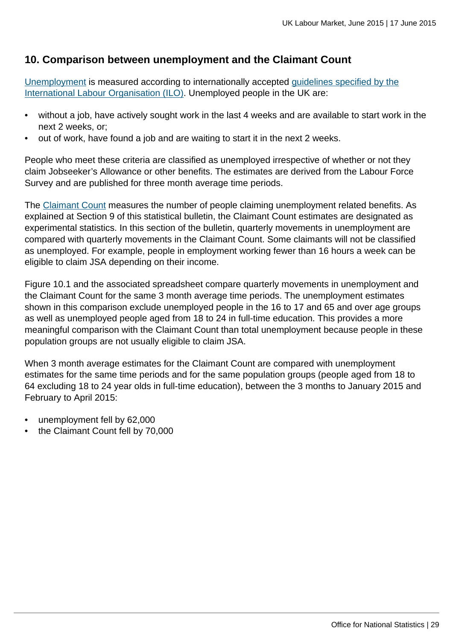# **10. Comparison between unemployment and the Claimant Count**

[Unemployment](http://www.ons.gov.uk:80/ons/rel/lms/labour-market-guidance/guide-to-labour-market-statistics/guide-to-unemployment.html) is measured according to internationally accepted [guidelines specified by the](http://www.ons.gov.uk:80/ons/external-links/international/international-labour-organisation-guidelines.html) [International Labour Organisation \(ILO\)](http://www.ons.gov.uk:80/ons/external-links/international/international-labour-organisation-guidelines.html). Unemployed people in the UK are:

- without a job, have actively sought work in the last 4 weeks and are available to start work in the next 2 weeks, or;
- out of work, have found a job and are waiting to start it in the next 2 weeks.

People who meet these criteria are classified as unemployed irrespective of whether or not they claim Jobseeker's Allowance or other benefits. The estimates are derived from the Labour Force Survey and are published for three month average time periods.

The [Claimant Count](http://www.ons.gov.uk:80/ons/rel/lms/labour-market-guidance/guide-to-labour-market-statistics/guide-to-claimant-count.html) measures the number of people claiming unemployment related benefits. As explained at Section 9 of this statistical bulletin, the Claimant Count estimates are designated as experimental statistics. In this section of the bulletin, quarterly movements in unemployment are compared with quarterly movements in the Claimant Count. Some claimants will not be classified as unemployed. For example, people in employment working fewer than 16 hours a week can be eligible to claim JSA depending on their income.

Figure 10.1 and the associated spreadsheet compare quarterly movements in unemployment and the Claimant Count for the same 3 month average time periods. The unemployment estimates shown in this comparison exclude unemployed people in the 16 to 17 and 65 and over age groups as well as unemployed people aged from 18 to 24 in full-time education. This provides a more meaningful comparison with the Claimant Count than total unemployment because people in these population groups are not usually eligible to claim JSA.

When 3 month average estimates for the Claimant Count are compared with unemployment estimates for the same time periods and for the same population groups (people aged from 18 to 64 excluding 18 to 24 year olds in full-time education), between the 3 months to January 2015 and February to April 2015:

- unemployment fell by 62,000
- the Claimant Count fell by 70,000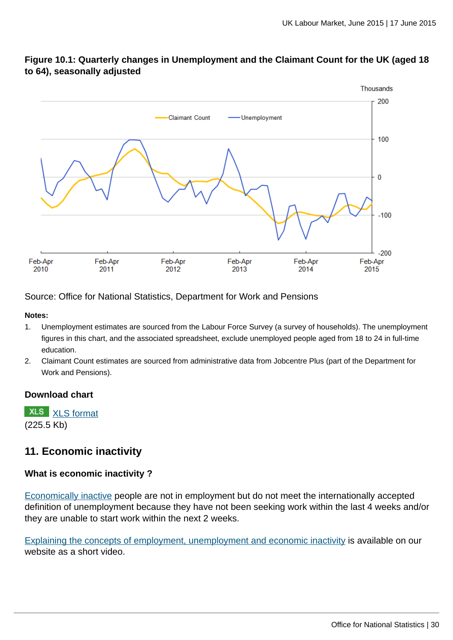

## **Figure 10.1: Quarterly changes in Unemployment and the Claimant Count for the UK (aged 18 to 64), seasonally adjusted**

Source: Office for National Statistics, Department for Work and Pensions

#### **Notes:**

- 1. Unemployment estimates are sourced from the Labour Force Survey (a survey of households). The unemployment figures in this chart, and the associated spreadsheet, exclude unemployed people aged from 18 to 24 in full-time education.
- 2. Claimant Count estimates are sourced from administrative data from Jobcentre Plus (part of the Department for Work and Pensions).

#### **Download chart**

**XLS** [XLS format](http://www.ons.gov.uk:80/ons/rel/lms/labour-market-statistics/june-2015/chd-figure-10-1.xls) (225.5 Kb)

# **11. Economic inactivity**

#### **What is economic inactivity ?**

[Economically inactive](http://www.ons.gov.uk:80/ons/rel/lms/labour-market-guidance/guide-to-labour-market-statistics/guide-to-economic-inactivity.html) people are not in employment but do not meet the internationally accepted definition of unemployment because they have not been seeking work within the last 4 weeks and/or they are unable to start work within the next 2 weeks.

[Explaining the concepts of employment, unemployment and economic inactivity](http://www.ons.gov.uk:80/ons/rel/lms/labour-market-guidance/interpreting-labour-market-statistics/explaining-employment--unemployment-and-inactivity.html) is available on our website as a short video.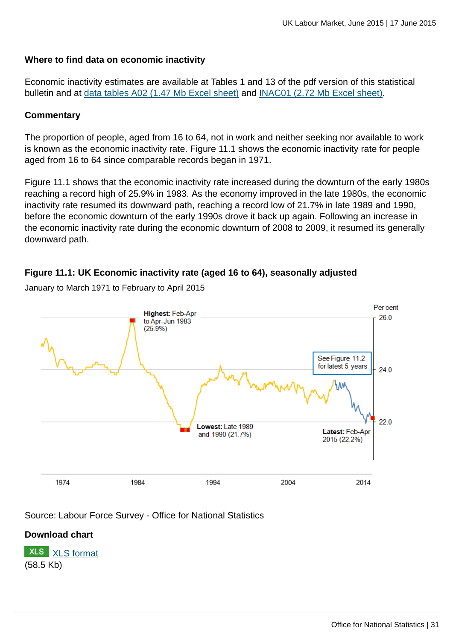#### **Where to find data on economic inactivity**

Economic inactivity estimates are available at Tables 1 and 13 of the pdf version of this statistical bulletin and at [data tables A02 \(1.47 Mb Excel sheet\)](http://www.ons.gov.uk:80/ons/rel/lms/labour-market-statistics/june-2015/table-a02.xls) and [INAC01 \(2.72 Mb Excel sheet\)](http://www.ons.gov.uk:80/ons/rel/lms/labour-market-statistics/june-2015/table-inac01.xls).

#### **Commentary**

The proportion of people, aged from 16 to 64, not in work and neither seeking nor available to work is known as the economic inactivity rate. Figure 11.1 shows the economic inactivity rate for people aged from 16 to 64 since comparable records began in 1971.

Figure 11.1 shows that the economic inactivity rate increased during the downturn of the early 1980s reaching a record high of 25.9% in 1983. As the economy improved in the late 1980s, the economic inactivity rate resumed its downward path, reaching a record low of 21.7% in late 1989 and 1990, before the economic downturn of the early 1990s drove it back up again. Following an increase in the economic inactivity rate during the economic downturn of 2008 to 2009, it resumed its generally downward path.

## **Figure 11.1: UK Economic inactivity rate (aged 16 to 64), seasonally adjusted**

Per cent Highest: Feb-Apr 26.0 to Apr-Jun 1983  $(25.9\%)$ See Figure 11.2 for latest 5 years  $240$  $22.0$ Lowest: Late 1989 Latest: Feb-Apr and 1990 (21.7%) 2015 (22.2%) 1974 2004 2014 1984 1994

January to March 1971 to February to April 2015

Source: Labour Force Survey - Office for National Statistics

## **Download chart**

**XLS** [XLS format](http://www.ons.gov.uk:80/ons/rel/lms/labour-market-statistics/june-2015/chd-figure-11-1.xls) (58.5 Kb)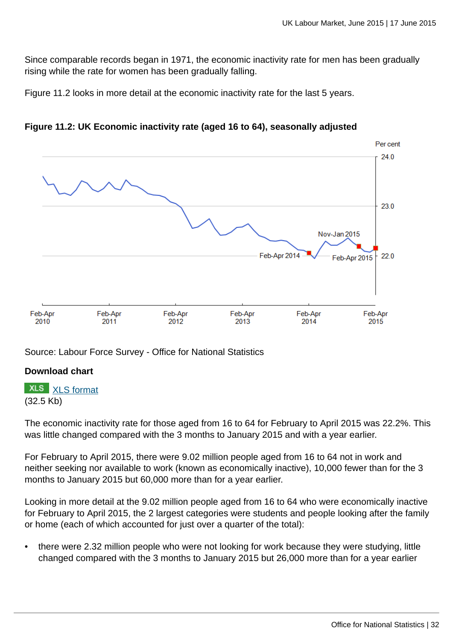Since comparable records began in 1971, the economic inactivity rate for men has been gradually rising while the rate for women has been gradually falling.

Figure 11.2 looks in more detail at the economic inactivity rate for the last 5 years.



**Figure 11.2: UK Economic inactivity rate (aged 16 to 64), seasonally adjusted**

Source: Labour Force Survey - Office for National Statistics

## **Download chart**

**XLS** [XLS format](http://www.ons.gov.uk:80/ons/rel/lms/labour-market-statistics/june-2015/chd-figure-11-2.xls)

#### (32.5 Kb)

The economic inactivity rate for those aged from 16 to 64 for February to April 2015 was 22.2%. This was little changed compared with the 3 months to January 2015 and with a year earlier.

For February to April 2015, there were 9.02 million people aged from 16 to 64 not in work and neither seeking nor available to work (known as economically inactive), 10,000 fewer than for the 3 months to January 2015 but 60,000 more than for a year earlier.

Looking in more detail at the 9.02 million people aged from 16 to 64 who were economically inactive for February to April 2015, the 2 largest categories were students and people looking after the family or home (each of which accounted for just over a quarter of the total):

• there were 2.32 million people who were not looking for work because they were studying, little changed compared with the 3 months to January 2015 but 26,000 more than for a year earlier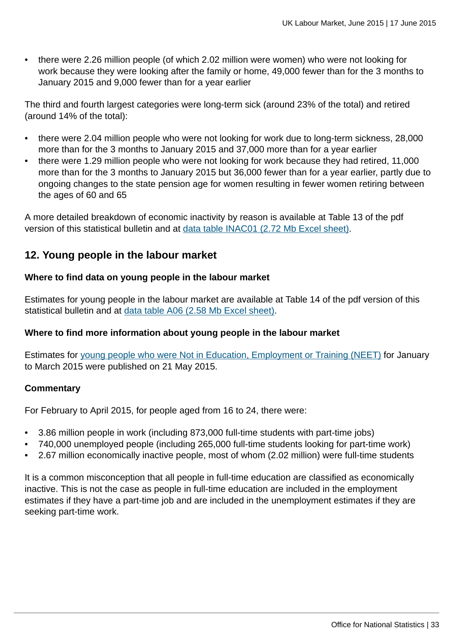• there were 2.26 million people (of which 2.02 million were women) who were not looking for work because they were looking after the family or home, 49,000 fewer than for the 3 months to January 2015 and 9,000 fewer than for a year earlier

The third and fourth largest categories were long-term sick (around 23% of the total) and retired (around 14% of the total):

- there were 2.04 million people who were not looking for work due to long-term sickness, 28,000 more than for the 3 months to January 2015 and 37,000 more than for a year earlier
- there were 1.29 million people who were not looking for work because they had retired, 11,000 more than for the 3 months to January 2015 but 36,000 fewer than for a year earlier, partly due to ongoing changes to the state pension age for women resulting in fewer women retiring between the ages of 60 and 65

A more detailed breakdown of economic inactivity by reason is available at Table 13 of the pdf version of this statistical bulletin and at [data table INAC01 \(2.72 Mb Excel sheet\)](http://www.ons.gov.uk:80/ons/rel/lms/labour-market-statistics/june-2015/table-inac01.xls).

# **12. Young people in the labour market**

#### **Where to find data on young people in the labour market**

Estimates for young people in the labour market are available at Table 14 of the pdf version of this statistical bulletin and at [data table A06 \(2.58 Mb Excel sheet\)](http://www.ons.gov.uk:80/ons/rel/lms/labour-market-statistics/june-2015/table-a06.xls).

## **Where to find more information about young people in the labour market**

Estimates for [young people who were Not in Education, Employment or Training \(NEET\)](http://www.ons.gov.uk:80/ons/rel/lms/young-people-not-in-education--employment-or-training--neets-/may-2015/index.html) for January to March 2015 were published on 21 May 2015.

#### **Commentary**

For February to April 2015, for people aged from 16 to 24, there were:

- 3.86 million people in work (including 873,000 full-time students with part-time jobs)
- 740,000 unemployed people (including 265,000 full-time students looking for part-time work)
- 2.67 million economically inactive people, most of whom (2.02 million) were full-time students

It is a common misconception that all people in full-time education are classified as economically inactive. This is not the case as people in full-time education are included in the employment estimates if they have a part-time job and are included in the unemployment estimates if they are seeking part-time work.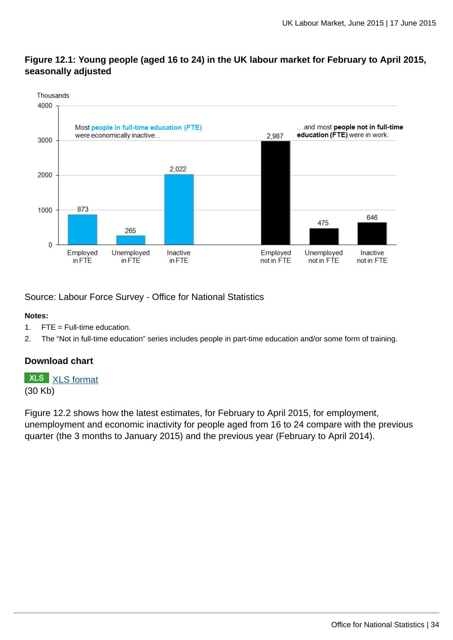## **Figure 12.1: Young people (aged 16 to 24) in the UK labour market for February to April 2015, seasonally adjusted**



Source: Labour Force Survey - Office for National Statistics

#### **Notes:**

- 1. FTE = Full-time education.
- 2. The "Not in full-time education" series includes people in part-time education and/or some form of training.

## **Download chart**

**XLS** [XLS format](http://www.ons.gov.uk:80/ons/rel/lms/labour-market-statistics/june-2015/chd-figure-12-1.xls) (30 Kb)

Figure 12.2 shows how the latest estimates, for February to April 2015, for employment, unemployment and economic inactivity for people aged from 16 to 24 compare with the previous quarter (the 3 months to January 2015) and the previous year (February to April 2014).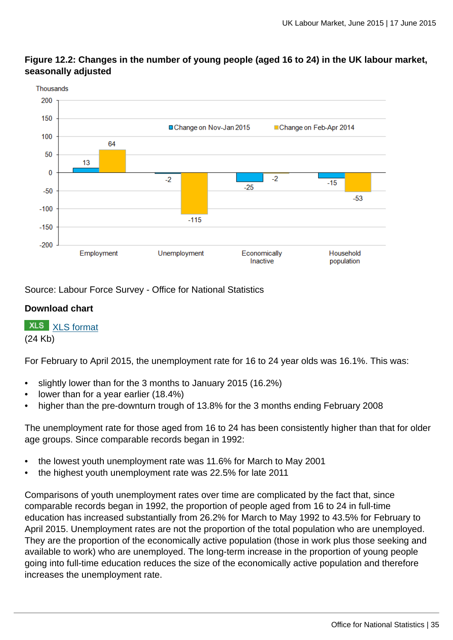

**Figure 12.2: Changes in the number of young people (aged 16 to 24) in the UK labour market, seasonally adjusted**

Source: Labour Force Survey - Office for National Statistics

## **Download chart**

**XLS** [XLS format](http://www.ons.gov.uk:80/ons/rel/lms/labour-market-statistics/june-2015/chd-figure-12-2.xls)

(24 Kb)

For February to April 2015, the unemployment rate for 16 to 24 year olds was 16.1%. This was:

- slightly lower than for the 3 months to January 2015 (16.2%)
- lower than for a year earlier (18.4%)
- higher than the pre-downturn trough of 13.8% for the 3 months ending February 2008

The unemployment rate for those aged from 16 to 24 has been consistently higher than that for older age groups. Since comparable records began in 1992:

- the lowest youth unemployment rate was 11.6% for March to May 2001
- the highest youth unemployment rate was 22.5% for late 2011

Comparisons of youth unemployment rates over time are complicated by the fact that, since comparable records began in 1992, the proportion of people aged from 16 to 24 in full-time education has increased substantially from 26.2% for March to May 1992 to 43.5% for February to April 2015. Unemployment rates are not the proportion of the total population who are unemployed. They are the proportion of the economically active population (those in work plus those seeking and available to work) who are unemployed. The long-term increase in the proportion of young people going into full-time education reduces the size of the economically active population and therefore increases the unemployment rate.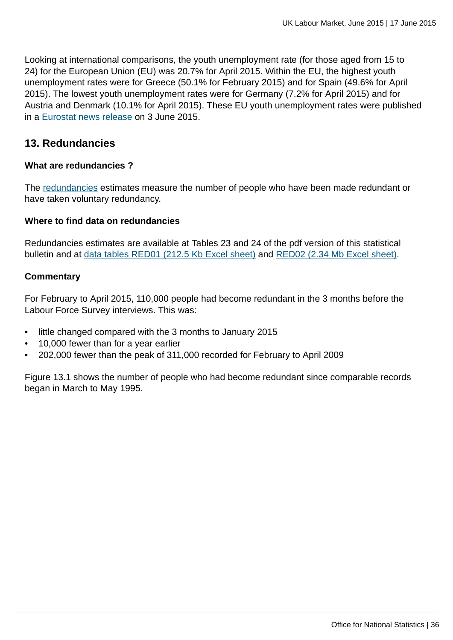Looking at international comparisons, the youth unemployment rate (for those aged from 15 to 24) for the European Union (EU) was 20.7% for April 2015. Within the EU, the highest youth unemployment rates were for Greece (50.1% for February 2015) and for Spain (49.6% for April 2015). The lowest youth unemployment rates were for Germany (7.2% for April 2015) and for Austria and Denmark (10.1% for April 2015). These EU youth unemployment rates were published in a [Eurostat news release](http://ec.europa.eu/eurostat/documents/2995521/6862104/3-03062015-BP-EN.pdf/efc97561-fad1-4e10-b6c1-e1c80e2bb582) on 3 June 2015.

## **13. Redundancies**

#### **What are redundancies ?**

The [redundancies](http://www.ons.gov.uk:80/ons/rel/lms/labour-market-guidance/guide-to-labour-market-statistics/guide-to-redundancies.html) estimates measure the number of people who have been made redundant or have taken voluntary redundancy.

#### **Where to find data on redundancies**

Redundancies estimates are available at Tables 23 and 24 of the pdf version of this statistical bulletin and at [data tables RED01 \(212.5 Kb Excel sheet\)](http://www.ons.gov.uk:80/ons/rel/lms/labour-market-statistics/june-2015/table-red01.xls) and [RED02 \(2.34 Mb Excel sheet\).](http://www.ons.gov.uk:80/ons/rel/lms/labour-market-statistics/june-2015/table-red02.xls)

#### **Commentary**

For February to April 2015, 110,000 people had become redundant in the 3 months before the Labour Force Survey interviews. This was:

- little changed compared with the 3 months to January 2015
- 10,000 fewer than for a year earlier
- 202,000 fewer than the peak of 311,000 recorded for February to April 2009

Figure 13.1 shows the number of people who had become redundant since comparable records began in March to May 1995.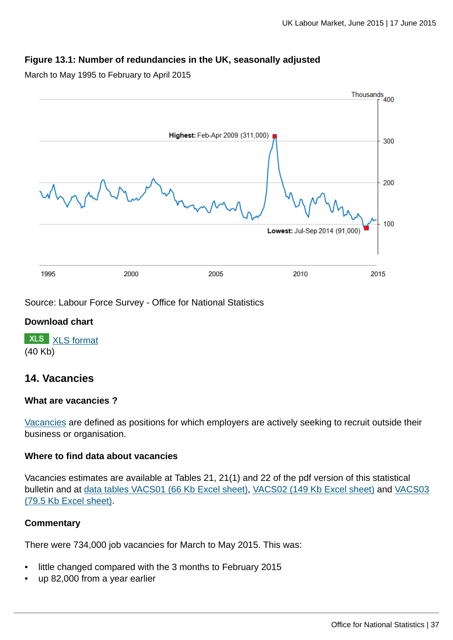### **Figure 13.1: Number of redundancies in the UK, seasonally adjusted**

March to May 1995 to February to April 2015



Source: Labour Force Survey - Office for National Statistics

### **Download chart**

**XLS** [XLS format](http://www.ons.gov.uk:80/ons/rel/lms/labour-market-statistics/june-2015/chd-figure-13-1.xls) (40 Kb)

### **14. Vacancies**

### **What are vacancies ?**

[Vacancies](http://www.ons.gov.uk:80/ons/rel/lms/labour-market-guidance/guide-to-labour-market-statistics/guide-to-vacancies.html) are defined as positions for which employers are actively seeking to recruit outside their business or organisation.

### **Where to find data about vacancies**

Vacancies estimates are available at Tables 21, 21(1) and 22 of the pdf version of this statistical bulletin and at [data tables VACS01 \(66 Kb Excel sheet\)](http://www.ons.gov.uk:80/ons/rel/lms/labour-market-statistics/june-2015/table-vacs01.xls), [VACS02 \(149 Kb Excel sheet\)](http://www.ons.gov.uk:80/ons/rel/lms/labour-market-statistics/june-2015/table-vacs02.xls) and [VACS03](http://www.ons.gov.uk:80/ons/rel/lms/labour-market-statistics/june-2015/table-vacs03.xls) [\(79.5 Kb Excel sheet\)](http://www.ons.gov.uk:80/ons/rel/lms/labour-market-statistics/june-2015/table-vacs03.xls).

### **Commentary**

There were 734,000 job vacancies for March to May 2015. This was:

- little changed compared with the 3 months to February 2015
- up 82,000 from a year earlier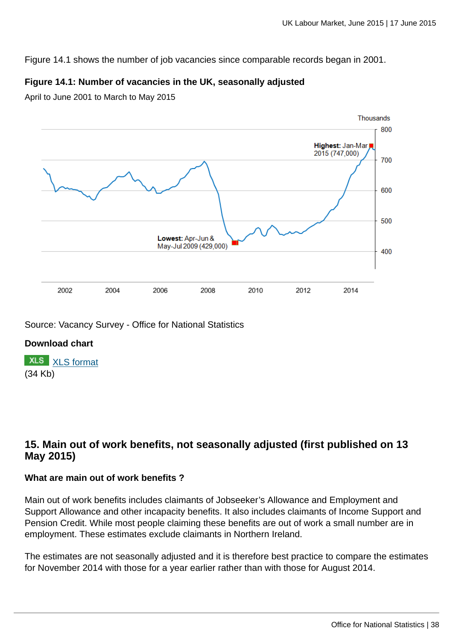Figure 14.1 shows the number of job vacancies since comparable records began in 2001.

### **Figure 14.1: Number of vacancies in the UK, seasonally adjusted**

April to June 2001 to March to May 2015



### Source: Vacancy Survey - Office for National Statistics

### **Download chart**

**XLS** [XLS format](http://www.ons.gov.uk:80/ons/rel/lms/labour-market-statistics/june-2015/chd-figure-14-1.xls) (34 Kb)

### **15. Main out of work benefits, not seasonally adjusted (first published on 13 May 2015)**

### **What are main out of work benefits ?**

Main out of work benefits includes claimants of Jobseeker's Allowance and Employment and Support Allowance and other incapacity benefits. It also includes claimants of Income Support and Pension Credit. While most people claiming these benefits are out of work a small number are in employment. These estimates exclude claimants in Northern Ireland.

The estimates are not seasonally adjusted and it is therefore best practice to compare the estimates for November 2014 with those for a year earlier rather than with those for August 2014.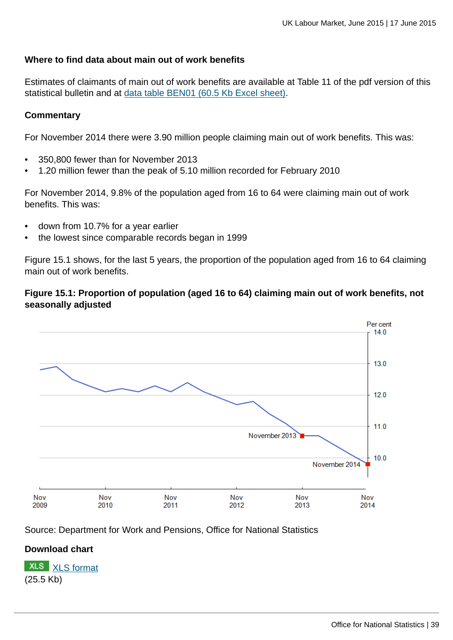### **Where to find data about main out of work benefits**

Estimates of claimants of main out of work benefits are available at Table 11 of the pdf version of this statistical bulletin and at [data table BEN01 \(60.5 Kb Excel sheet\).](http://www.ons.gov.uk:80/ons/rel/lms/labour-market-statistics/june-2015/table-ben01.xls)

#### **Commentary**

For November 2014 there were 3.90 million people claiming main out of work benefits. This was:

- 350,800 fewer than for November 2013
- 1.20 million fewer than the peak of 5.10 million recorded for February 2010

For November 2014, 9.8% of the population aged from 16 to 64 were claiming main out of work benefits. This was:

- down from 10.7% for a year earlier
- the lowest since comparable records began in 1999

Figure 15.1 shows, for the last 5 years, the proportion of the population aged from 16 to 64 claiming main out of work benefits.

### **Figure 15.1: Proportion of population (aged 16 to 64) claiming main out of work benefits, not seasonally adjusted**



Source: Department for Work and Pensions, Office for National Statistics

### **Download chart**

**XLS** [XLS format](http://www.ons.gov.uk:80/ons/rel/lms/labour-market-statistics/may-2015/chd-figure-15-1.xls) (25.5 Kb)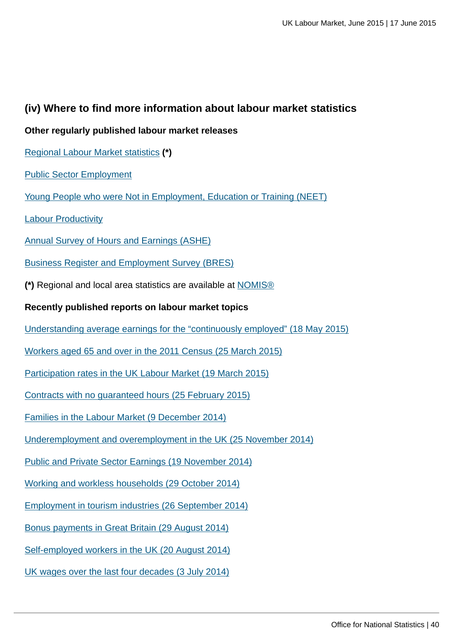### **(iv) Where to find more information about labour market statistics**

### **Other regularly published labour market releases**

- [Regional Labour Market statistics](http://www.ons.gov.uk:80/ons/rel/subnational-labour/regional-labour-market-statistics/index.html) **(\*)**
- [Public Sector Employment](http://www.ons.gov.uk:80/ons/rel/pse/public-sector-employment/index.html)
- [Young People who were Not in Employment, Education or Training \(NEET\)](http://www.ons.gov.uk:80/ons/rel/lms/young-people-not-in-education--employment-or-training--neets-/index.html)
- [Labour Productivity](http://www.ons.gov.uk:80/ons/rel/productivity/labour-productivity/index.html)
- [Annual Survey of Hours and Earnings \(ASHE\)](http://www.ons.gov.uk:80/ons/rel/ashe/annual-survey-of-hours-and-earnings/index.html)
- [Business Register and Employment Survey \(BRES\)](http://www.ons.gov.uk:80/ons/rel/bus-register/business-register-employment-survey/index.html)
- **(\*)** Regional and local area statistics are available at [NOMIS®](http://www.ons.gov.uk:80/ons/external-links/nomis.html)
- **Recently published reports on labour market topics**
- [Understanding average earnings for the "continuously employed" \(18 May 2015\)](http://www.ons.gov.uk:80/ons/rel/lmac/understanding-average-earnings-for-the--continuously-employed-/using-the-annual-survey-of-hours-and-earnings---2014/index.html)
- [Workers aged 65 and over in the 2011 Census \(25 March 2015\)](http://www.ons.gov.uk:80/ons/rel/census/2011-census-analysis/workers-aged-65-and-over-in-the-2011-census/index.html)
- [Participation rates in the UK Labour Market \(19 March 2015\)](http://www.ons.gov.uk:80/ons/rel/lmac/participation-rates-in-the-uk-labour-market/2014/index.html)
- [Contracts with no guaranteed hours \(25 February 2015\)](http://www.ons.gov.uk:80/ons/rel/lmac/contracts-with-no-guaranteed-hours/zero-hour-contracts--2014/index.html)
- [Families in the Labour Market \(9 December 2014\)](http://www.ons.gov.uk:80/ons/rel/lmac/families-in-the-labour-market/2014/index.html)
- [Underemployment and overemployment in the UK \(25 November 2014\)](http://www.ons.gov.uk:80/ons/rel/lmac/underemployed-workers-in-the-uk/2014/index.html)
- [Public and Private Sector Earnings \(19 November 2014\)](http://www.ons.gov.uk:80/ons/rel/lmac/public-and-private-sector-earnings/november-2014/index.html)
- [Working and workless households \(29 October 2014\)](http://www.ons.gov.uk:80/ons/rel/lmac/working-and-workless-households/2014/index.html)
- [Employment in tourism industries \(26 September 2014\)](http://www.ons.gov.uk:80/ons/rel/tourism/tourism-employment-summaries/employment-in-tourism-industries--2009-2013.html)
- [Bonus payments in Great Britain \(29 August 2014\)](http://www.ons.gov.uk:80/ons/rel/awe/average-weekly-earnings/bonus-payents-in-great-britain--2013-2014/index.html)
- [Self-employed workers in the UK \(20 August 2014\)](http://www.ons.gov.uk:80/ons/rel/lmac/self-employed-workers-in-the-uk/2014/index.html)
- [UK wages over the last four decades \(3 July 2014\)](http://www.ons.gov.uk:80/ons/rel/lmac/uk-wages-over-the-past-four-decades/2014/index.html)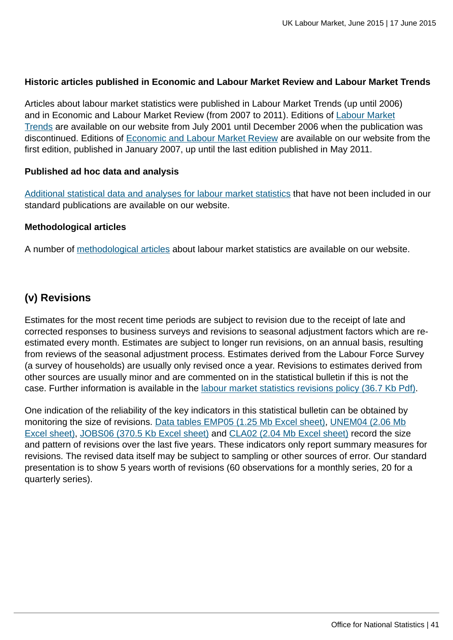### **Historic articles published in Economic and Labour Market Review and Labour Market Trends**

Articles about labour market statistics were published in Labour Market Trends (up until 2006) and in Economic and Labour Market Review (from 2007 to 2011). Editions of [Labour Market](http://www.ons.gov.uk/ons/rel/lms/labour-market-trends--discontinued-/index.html) [Trends](http://www.ons.gov.uk/ons/rel/lms/labour-market-trends--discontinued-/index.html) are available on our website from July 2001 until December 2006 when the publication was discontinued. Editions of [Economic and Labour Market Review](http://www.ons.gov.uk/ons/rel/elmr/economic-and-labour-market-review/index.html) are available on our website from the first edition, published in January 2007, up until the last edition published in May 2011.

#### **Published ad hoc data and analysis**

[Additional statistical data and analyses for labour market statistics](http://www.ons.gov.uk:80/ons/about-ons/business-transparency/freedom-of-information/what-can-i-request/published-ad-hoc-data/labour/index.html) that have not been included in our standard publications are available on our website.

#### **Methodological articles**

A number of [methodological articles](http://www.ons.gov.uk:80/ons/guide-method/method-quality/specific/labour-market/articles-and-reports/index.html) about labour market statistics are available on our website.

### **(v) Revisions**

Estimates for the most recent time periods are subject to revision due to the receipt of late and corrected responses to business surveys and revisions to seasonal adjustment factors which are reestimated every month. Estimates are subject to longer run revisions, on an annual basis, resulting from reviews of the seasonal adjustment process. Estimates derived from the Labour Force Survey (a survey of households) are usually only revised once a year. Revisions to estimates derived from other sources are usually minor and are commented on in the statistical bulletin if this is not the case. Further information is available in the [labour market statistics revisions policy \(36.7 Kb Pdf\).](http://www.ons.gov.uk:80/ons/guide-method/revisions/revisions-policies-by-theme/labour-market/labour-market-statistics-revisions-policy.pdf)

One indication of the reliability of the key indicators in this statistical bulletin can be obtained by monitoring the size of revisions. [Data tables EMP05 \(1.25 Mb Excel sheet\),](http://www.ons.gov.uk:80/ons/rel/lms/labour-market-statistics/june-2015/table-emp05.xls) [UNEM04 \(2.06 Mb](http://www.ons.gov.uk:80/ons/rel/lms/labour-market-statistics/june-2015/table-unem04.xls) [Excel sheet\)](http://www.ons.gov.uk:80/ons/rel/lms/labour-market-statistics/june-2015/table-unem04.xls), [JOBS06 \(370.5 Kb Excel sheet\)](http://www.ons.gov.uk:80/ons/rel/lms/labour-market-statistics/june-2015/table-jobs06.xls) and [CLA02 \(2.04 Mb Excel sheet\)](http://www.ons.gov.uk:80/ons/rel/lms/labour-market-statistics/june-2015/table-cla02.xls) record the size and pattern of revisions over the last five years. These indicators only report summary measures for revisions. The revised data itself may be subject to sampling or other sources of error. Our standard presentation is to show 5 years worth of revisions (60 observations for a monthly series, 20 for a quarterly series).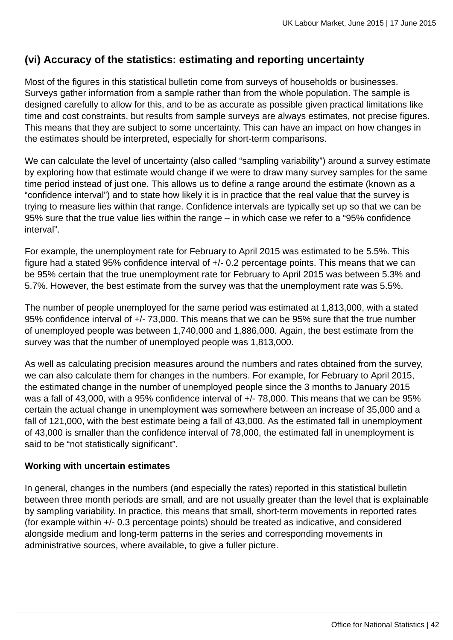### **(vi) Accuracy of the statistics: estimating and reporting uncertainty**

Most of the figures in this statistical bulletin come from surveys of households or businesses. Surveys gather information from a sample rather than from the whole population. The sample is designed carefully to allow for this, and to be as accurate as possible given practical limitations like time and cost constraints, but results from sample surveys are always estimates, not precise figures. This means that they are subject to some uncertainty. This can have an impact on how changes in the estimates should be interpreted, especially for short-term comparisons.

We can calculate the level of uncertainty (also called "sampling variability") around a survey estimate by exploring how that estimate would change if we were to draw many survey samples for the same time period instead of just one. This allows us to define a range around the estimate (known as a "confidence interval") and to state how likely it is in practice that the real value that the survey is trying to measure lies within that range. Confidence intervals are typically set up so that we can be 95% sure that the true value lies within the range – in which case we refer to a "95% confidence interval".

For example, the unemployment rate for February to April 2015 was estimated to be 5.5%. This figure had a stated 95% confidence interval of +/- 0.2 percentage points. This means that we can be 95% certain that the true unemployment rate for February to April 2015 was between 5.3% and 5.7%. However, the best estimate from the survey was that the unemployment rate was 5.5%.

The number of people unemployed for the same period was estimated at 1,813,000, with a stated 95% confidence interval of +/- 73,000. This means that we can be 95% sure that the true number of unemployed people was between 1,740,000 and 1,886,000. Again, the best estimate from the survey was that the number of unemployed people was 1,813,000.

As well as calculating precision measures around the numbers and rates obtained from the survey, we can also calculate them for changes in the numbers. For example, for February to April 2015, the estimated change in the number of unemployed people since the 3 months to January 2015 was a fall of 43,000, with a 95% confidence interval of +/- 78,000. This means that we can be 95% certain the actual change in unemployment was somewhere between an increase of 35,000 and a fall of 121,000, with the best estimate being a fall of 43,000. As the estimated fall in unemployment of 43,000 is smaller than the confidence interval of 78,000, the estimated fall in unemployment is said to be "not statistically significant".

### **Working with uncertain estimates**

In general, changes in the numbers (and especially the rates) reported in this statistical bulletin between three month periods are small, and are not usually greater than the level that is explainable by sampling variability. In practice, this means that small, short-term movements in reported rates (for example within +/- 0.3 percentage points) should be treated as indicative, and considered alongside medium and long-term patterns in the series and corresponding movements in administrative sources, where available, to give a fuller picture.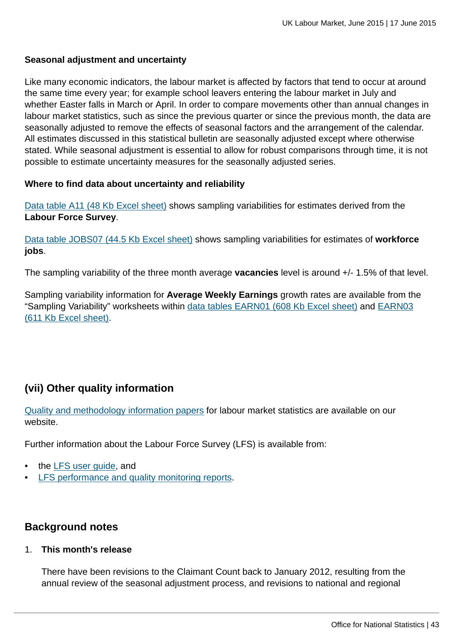### **Seasonal adjustment and uncertainty**

Like many economic indicators, the labour market is affected by factors that tend to occur at around the same time every year; for example school leavers entering the labour market in July and whether Easter falls in March or April. In order to compare movements other than annual changes in labour market statistics, such as since the previous quarter or since the previous month, the data are seasonally adjusted to remove the effects of seasonal factors and the arrangement of the calendar. All estimates discussed in this statistical bulletin are seasonally adjusted except where otherwise stated. While seasonal adjustment is essential to allow for robust comparisons through time, it is not possible to estimate uncertainty measures for the seasonally adjusted series.

### **Where to find data about uncertainty and reliability**

[Data table A11 \(48 Kb Excel sheet\)](http://www.ons.gov.uk:80/ons/rel/lms/labour-market-statistics/june-2015/table-a11.xls) shows sampling variabilities for estimates derived from the **Labour Force Survey**.

[Data table JOBS07 \(44.5 Kb Excel sheet\)](http://www.ons.gov.uk:80/ons/rel/lms/labour-market-statistics/june-2015/table-jobs07.xls) shows sampling variabilities for estimates of **workforce jobs**.

The sampling variability of the three month average **vacancies** level is around +/- 1.5% of that level.

Sampling variability information for **Average Weekly Earnings** growth rates are available from the "Sampling Variability" worksheets within [data tables EARN01 \(608 Kb Excel sheet\)](http://www.ons.gov.uk:80/ons/rel/lms/labour-market-statistics/june-2015/table-earn01.xls) and [EARN03](http://www.ons.gov.uk:80/ons/rel/lms/labour-market-statistics/june-2015/table-earn03.xls) [\(611 Kb Excel sheet\).](http://www.ons.gov.uk:80/ons/rel/lms/labour-market-statistics/june-2015/table-earn03.xls)

### **(vii) Other quality information**

[Quality and methodology information papers](http://www.ons.gov.uk:80/ons/guide-method/method-quality/quality/quality-information/labour-market/index.html) for labour market statistics are available on our website.

Further information about the Labour Force Survey (LFS) is available from:

- the [LFS user guide,](http://www.ons.gov.uk:80/ons/guide-method/method-quality/specific/labour-market/labour-market-statistics/index.html) and
- **[LFS performance and quality monitoring reports](http://www.ons.gov.uk:80/ons/guide-method/method-quality/specific/labour-market/labour-force-survey/index.html).**

### **Background notes**

1. **This month's release**

There have been revisions to the Claimant Count back to January 2012, resulting from the annual review of the seasonal adjustment process, and revisions to national and regional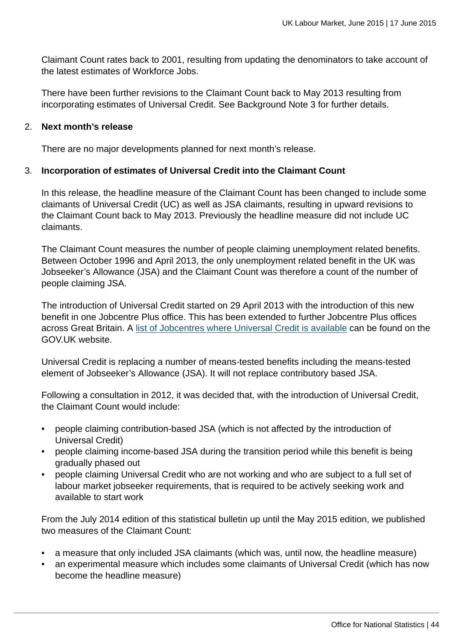Claimant Count rates back to 2001, resulting from updating the denominators to take account of the latest estimates of Workforce Jobs.

There have been further revisions to the Claimant Count back to May 2013 resulting from incorporating estimates of Universal Credit. See Background Note 3 for further details.

#### 2. **Next month's release**

There are no major developments planned for next month's release.

### 3. **Incorporation of estimates of Universal Credit into the Claimant Count**

In this release, the headline measure of the Claimant Count has been changed to include some claimants of Universal Credit (UC) as well as JSA claimants, resulting in upward revisions to the Claimant Count back to May 2013. Previously the headline measure did not include UC claimants.

The Claimant Count measures the number of people claiming unemployment related benefits. Between October 1996 and April 2013, the only unemployment related benefit in the UK was Jobseeker's Allowance (JSA) and the Claimant Count was therefore a count of the number of people claiming JSA.

The introduction of Universal Credit started on 29 April 2013 with the introduction of this new benefit in one Jobcentre Plus office. This has been extended to further Jobcentre Plus offices across Great Britain. A [list of Jobcentres where Universal Credit is available](https://www.gov.uk/jobcentres-where-you-can-claim-universal-credit) can be found on the GOV.UK website.

Universal Credit is replacing a number of means-tested benefits including the means-tested element of Jobseeker's Allowance (JSA). It will not replace contributory based JSA.

Following a consultation in 2012, it was decided that, with the introduction of Universal Credit, the Claimant Count would include:

- people claiming contribution-based JSA (which is not affected by the introduction of Universal Credit)
- people claiming income-based JSA during the transition period while this benefit is being gradually phased out
- people claiming Universal Credit who are not working and who are subject to a full set of labour market jobseeker requirements, that is required to be actively seeking work and available to start work

From the July 2014 edition of this statistical bulletin up until the May 2015 edition, we published two measures of the Claimant Count:

- a measure that only included JSA claimants (which was, until now, the headline measure)
- an experimental measure which includes some claimants of Universal Credit (which has now become the headline measure)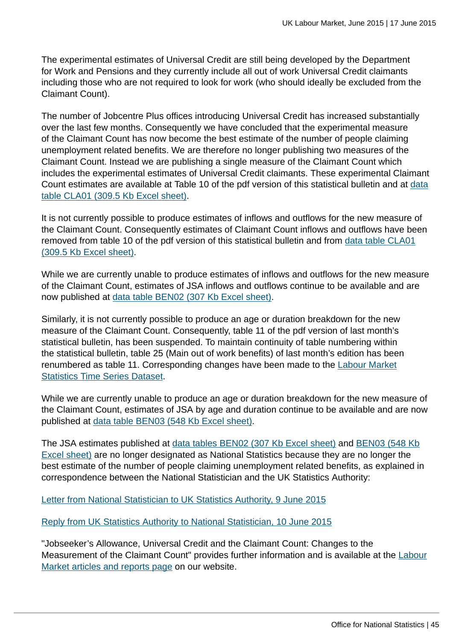The experimental estimates of Universal Credit are still being developed by the Department for Work and Pensions and they currently include all out of work Universal Credit claimants including those who are not required to look for work (who should ideally be excluded from the Claimant Count).

The number of Jobcentre Plus offices introducing Universal Credit has increased substantially over the last few months. Consequently we have concluded that the experimental measure of the Claimant Count has now become the best estimate of the number of people claiming unemployment related benefits. We are therefore no longer publishing two measures of the Claimant Count. Instead we are publishing a single measure of the Claimant Count which includes the experimental estimates of Universal Credit claimants. These experimental Claimant Count estimates are available at Table 10 of the pdf version of this statistical bulletin and at [data](http://www.ons.gov.uk:80/ons/rel/lms/labour-market-statistics/june-2015/table-cla01.xls) [table CLA01 \(309.5 Kb Excel sheet\)](http://www.ons.gov.uk:80/ons/rel/lms/labour-market-statistics/june-2015/table-cla01.xls).

It is not currently possible to produce estimates of inflows and outflows for the new measure of the Claimant Count. Consequently estimates of Claimant Count inflows and outflows have been removed from table 10 of the pdf version of this statistical bulletin and from [data table CLA01](http://www.ons.gov.uk:80/ons/rel/lms/labour-market-statistics/june-2015/table-cla01.xls) [\(309.5 Kb Excel sheet\).](http://www.ons.gov.uk:80/ons/rel/lms/labour-market-statistics/june-2015/table-cla01.xls)

While we are currently unable to produce estimates of inflows and outflows for the new measure of the Claimant Count, estimates of JSA inflows and outflows continue to be available and are now published at [data table BEN02 \(307 Kb Excel sheet\)](http://www.ons.gov.uk:80/ons/rel/lms/labour-market-statistics/june-2015/table-ben02.xls).

Similarly, it is not currently possible to produce an age or duration breakdown for the new measure of the Claimant Count. Consequently, table 11 of the pdf version of last month's statistical bulletin, has been suspended. To maintain continuity of table numbering within the statistical bulletin, table 25 (Main out of work benefits) of last month's edition has been renumbered as table 11. Corresponding changes have been made to the [Labour Market](http://www.ons.gov.uk:80/ons/dcp29820_404970.xml) [Statistics Time Series Dataset.](http://www.ons.gov.uk:80/ons/dcp29820_404970.xml)

While we are currently unable to produce an age or duration breakdown for the new measure of the Claimant Count, estimates of JSA by age and duration continue to be available and are now published at [data table BEN03 \(548 Kb Excel sheet\)](http://www.ons.gov.uk:80/ons/rel/lms/labour-market-statistics/june-2015/table-ben03.xls).

The JSA estimates published at [data tables BEN02 \(307 Kb Excel sheet\)](http://www.ons.gov.uk:80/ons/rel/lms/labour-market-statistics/june-2015/table-ben02.xls) and [BEN03 \(548 Kb](http://www.ons.gov.uk:80/ons/rel/lms/labour-market-statistics/june-2015/table-ben03.xls) [Excel sheet\)](http://www.ons.gov.uk:80/ons/rel/lms/labour-market-statistics/june-2015/table-ben03.xls) are no longer designated as National Statistics because they are no longer the best estimate of the number of people claiming unemployment related benefits, as explained in correspondence between the National Statistician and the UK Statistics Authority:

[Letter from National Statistician to UK Statistics Authority, 9 June 2015](http://www.statisticsauthority.gov.uk/reports---correspondence/correspondence/letter-from-john-pullinger-to-ed-humpherson-090615.pdf)

[Reply from UK Statistics Authority to National Statistician, 10 June 2015](http://www.statisticsauthority.gov.uk/reports---correspondence/correspondence/letter-from-ed-humpherson-to-john-pullinger-100615.pdf)

"Jobseeker's Allowance, Universal Credit and the Claimant Count: Changes to the Measurement of the Claimant Count" provides further information and is available at the [Labour](http://www.ons.gov.uk:80/ons/guide-method/method-quality/specific/labour-market/articles-and-reports/index.html) [Market articles and reports page](http://www.ons.gov.uk:80/ons/guide-method/method-quality/specific/labour-market/articles-and-reports/index.html) on our website.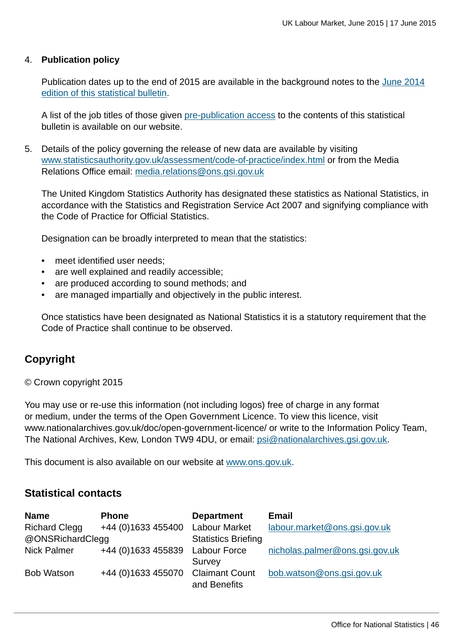#### 4. **Publication policy**

Publication dates up to the end of 2015 are available in the background notes to the [June 2014](http://www.ons.gov.uk:80/ons/rel/lms/labour-market-statistics/june-2014/statistical-bulletin.html) [edition of this statistical bulletin](http://www.ons.gov.uk:80/ons/rel/lms/labour-market-statistics/june-2014/statistical-bulletin.html).

A list of the job titles of those given [pre-publication access](http://www.ons.gov.uk:80/ons/rel/lms/labour-market-statistics/june-2015/pre-release-list.html) to the contents of this statistical bulletin is available on our website.

5. Details of the policy governing the release of new data are available by visiting [www.statisticsauthority.gov.uk/assessment/code-of-practice/index.html](http://www.statisticsauthority.gov.uk/assessment/code-of-practice/index.html) or from the Media Relations Office email: [media.relations@ons.gsi.gov.uk](mailto:media.relations@ons.gsi.gov.uk)

The United Kingdom Statistics Authority has designated these statistics as National Statistics, in accordance with the Statistics and Registration Service Act 2007 and signifying compliance with the Code of Practice for Official Statistics.

Designation can be broadly interpreted to mean that the statistics:

- meet identified user needs:
- are well explained and readily accessible;
- are produced according to sound methods; and
- are managed impartially and objectively in the public interest.

Once statistics have been designated as National Statistics it is a statutory requirement that the Code of Practice shall continue to be observed.

### **Copyright**

© Crown copyright 2015

You may use or re-use this information (not including logos) free of charge in any format or medium, under the terms of the Open Government Licence. To view this licence, visit www.nationalarchives.gov.uk/doc/open-government-licence/ or write to the Information Policy Team, The National Archives, Kew, London TW9 4DU, or email: [psi@nationalarchives.gsi.gov.uk](mailto:psi@nationalarchives.gsi.gov.uk).

This document is also available on our website at [www.ons.gov.uk.](http://www.ons.gov.uk/)

### **Statistical contacts**

| <b>Name</b>          | <b>Phone</b>                      | <b>Department</b>          | <b>Email</b>                   |
|----------------------|-----------------------------------|----------------------------|--------------------------------|
| <b>Richard Clegg</b> | +44 (0)1633 455400                | <b>Labour Market</b>       | labour.market@ons.gsi.gov.uk   |
| @ONSRichardClegg     |                                   | <b>Statistics Briefing</b> |                                |
| <b>Nick Palmer</b>   | +44 (0)1633 455839 Labour Force   |                            | nicholas.palmer@ons.gsi.gov.uk |
|                      |                                   | Survey                     |                                |
| <b>Bob Watson</b>    | +44 (0)1633 455070 Claimant Count |                            | bob.watson@ons.gsi.gov.uk      |
|                      |                                   | and Benefits               |                                |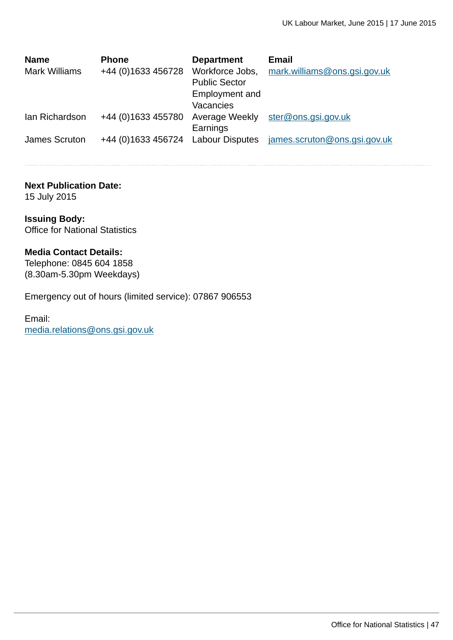| <b>Name</b><br><b>Mark Williams</b> | <b>Phone</b><br>+44 (0)1633 456728 | <b>Department</b><br>Workforce Jobs,<br><b>Public Sector</b><br>Employment and<br>Vacancies | <b>Email</b><br>mark.williams@ons.gsi.gov.uk |
|-------------------------------------|------------------------------------|---------------------------------------------------------------------------------------------|----------------------------------------------|
| Ian Richardson                      | +44 (0)1633 455780                 | Average Weekly<br>Earnings                                                                  | ster@ons.gsi.gov.uk                          |
| James Scruton                       |                                    |                                                                                             | james.scruton@ons.gsi.gov.uk                 |

#### **Next Publication Date:**

15 July 2015

### **Issuing Body:** Office for National Statistics

#### **Media Contact Details:**

Telephone: 0845 604 1858 (8.30am-5.30pm Weekdays)

Emergency out of hours (limited service): 07867 906553

Email: [media.relations@ons.gsi.gov.uk](mailto:media.relations@ons.gsi.gov.uk)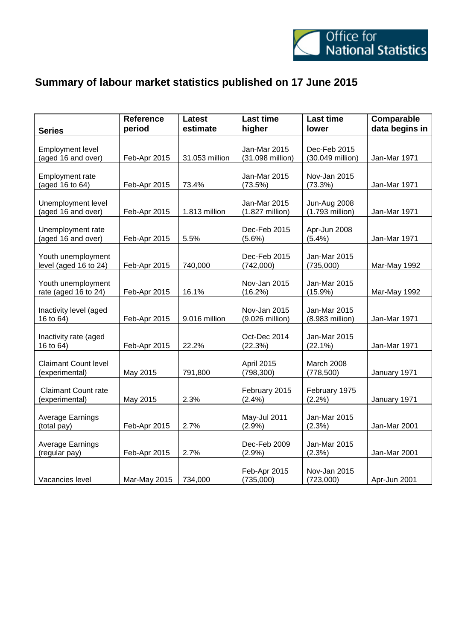

## **Summary of labour market statistics published on 17 June 2015**

| <b>Series</b>                                 | Reference<br>period | <b>Latest</b><br>estimate | <b>Last time</b><br>higher       | <b>Last time</b><br>lower        | Comparable<br>data begins in |
|-----------------------------------------------|---------------------|---------------------------|----------------------------------|----------------------------------|------------------------------|
| <b>Employment level</b><br>(aged 16 and over) | Feb-Apr 2015        | 31.053 million            | Jan-Mar 2015<br>(31.098 million) | Dec-Feb 2015<br>(30.049 million) | Jan-Mar 1971                 |
| <b>Employment rate</b><br>(aged 16 to 64)     | Feb-Apr 2015        | 73.4%                     | Jan-Mar 2015<br>(73.5%)          | Nov-Jan 2015<br>(73.3%)          | Jan-Mar 1971                 |
| Unemployment level<br>(aged 16 and over)      | Feb-Apr 2015        | 1.813 million             | Jan-Mar 2015<br>(1.827 million)  | Jun-Aug 2008<br>(1.793 million)  | Jan-Mar 1971                 |
| Unemployment rate<br>(aged 16 and over)       | Feb-Apr 2015        | 5.5%                      | Dec-Feb 2015<br>$(5.6\%)$        | Apr-Jun 2008<br>(5.4%)           | Jan-Mar 1971                 |
| Youth unemployment<br>level (aged 16 to 24)   | Feb-Apr 2015        | 740,000                   | Dec-Feb 2015<br>(742,000)        | Jan-Mar 2015<br>(735,000)        | Mar-May 1992                 |
| Youth unemployment<br>rate (aged 16 to 24)    | Feb-Apr 2015        | 16.1%                     | Nov-Jan 2015<br>(16.2%)          | Jan-Mar 2015<br>$(15.9\%)$       | Mar-May 1992                 |
| Inactivity level (aged<br>16 to 64)           | Feb-Apr 2015        | 9.016 million             | Nov-Jan 2015<br>(9.026 million)  | Jan-Mar 2015<br>(8.983 million)  | Jan-Mar 1971                 |
| Inactivity rate (aged<br>16 to 64)            | Feb-Apr 2015        | 22.2%                     | Oct-Dec 2014<br>(22.3%)          | Jan-Mar 2015<br>$(22.1\%)$       | Jan-Mar 1971                 |
| <b>Claimant Count level</b><br>(experimental) | May 2015            | 791,800                   | April 2015<br>(798, 300)         | March 2008<br>(778, 500)         | January 1971                 |
| <b>Claimant Count rate</b><br>(experimental)  | May 2015            | 2.3%                      | February 2015<br>(2.4% )         | February 1975<br>(2.2%)          | January 1971                 |
| Average Earnings<br>(total pay)               | Feb-Apr 2015        | 2.7%                      | May-Jul 2011<br>(2.9%)           | Jan-Mar 2015<br>(2.3%)           | Jan-Mar 2001                 |
| Average Earnings<br>(regular pay)             | Feb-Apr 2015        | 2.7%                      | Dec-Feb 2009<br>(2.9%)           | Jan-Mar 2015<br>(2.3%)           | Jan-Mar 2001                 |
| Vacancies level                               | Mar-May 2015        | 734,000                   | Feb-Apr 2015<br>(735,000)        | Nov-Jan 2015<br>(723,000)        | Apr-Jun 2001                 |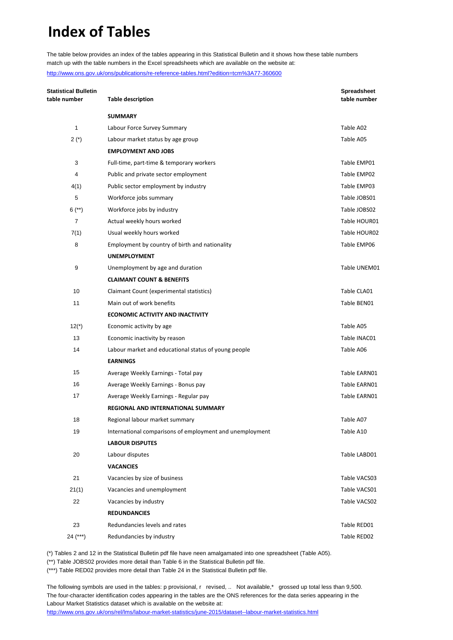# **Index of Tables**

The table below provides an index of the tables appearing in this Statistical Bulletin and it shows how these table numbers match up with the table numbers in the Excel spreadsheets which are available on the website at: <http://www.ons.gov.uk/ons/publications/re-reference-tables.html?edition=tcm%3A77-360600>

**Statistical Bulletin Spreadsheet table number Table description table number SUMMARY** 1 Labour Force Survey Summary Table A02 2 (\*) Labour market status by age group Table A05 **EMPLOYMENT AND JOBS** 3 Full-time, part-time & temporary workers Table EMP01 4 Public and private sector employment **Table EMP02 Table EMP02** 4(1) Public sector employment by industry Table EMP03 5 Workforce jobs summary Table JOBS01 6 (\*\*) Workforce jobs by industry Table JOBS02 7 Actual weekly hours worked **Table HOUR01** Actual weekly hours worked Table HOUR01 7(1) Usual weekly hours worked Table HOUR02 8 Employment by country of birth and nationality Table EMP06 Fable EMP06 **UNEMPLOYMENT** 9 Unemployment by age and duration The Communication Table UNEM01 **CLAIMANT COUNT & BENEFITS** 10 Claimant Count (experimental statistics) Table CLA01 11 Main out of work benefits Table BEN01 **ECONOMIC ACTIVITY AND INACTIVITY** 12(\*) Economic activity by age example and the set of the Table A05 13 **Economic inactivity by reason** Table INAC01 14 Labour market and educational status of young people Table A06 **EARNINGS** 15 Average Weekly Earnings - Total pay Table EARN01 16 Average Weekly Earnings - Bonus pay Table EARN01 17 **Subset Average Weekly Earnings - Regular pay School Communist Construction Cable EARN01 REGIONAL AND INTERNATIONAL SUMMARY** 18 Regional labour market summary Table A07 19 International comparisons of employment and unemployment Table A10 **LABOUR DISPUTES** 20 Labour disputes Table LABD01 **VACANCIES** 21 Vacancies by size of business Table VACS03 21(1) Vacancies and unemployment Cases and the VACS01 22 Vacancies by industry **Table VACS02** Vacancies by industry **REDUNDANCIES** 23 Redundancies levels and rates Table RED01 24 (\*\*\*) Redundancies by industry Table RED02

(\*) Tables 2 and 12 in the Statistical Bulletin pdf file have neen amalgamated into one spreadsheet (Table A05).

(\*\*) Table JOBS02 provides more detail than Table 6 in the Statistical Bulletin pdf file.

(\*\*\*) Table RED02 provides more detail than Table 24 in the Statistical Bulletin pdf file.

The following symbols are used in the tables: p provisional, r revised, .. Not available,\* grossed up total less than 9,500. The four-character identification codes appearing in the tables are the ONS references for the data series appearing in the Labour Market Statistics dataset which is available on the website at: <http://www.ons.gov.uk/ons/rel/lms/labour-market-statistics/june-2015/dataset--labour-market-statistics.html>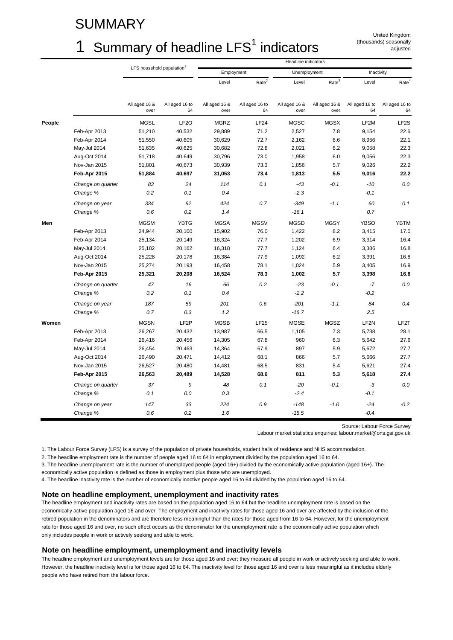### SUMMARY

# 1 Summary of headline  $LFS<sup>1</sup>$  indicators

United Kingdom (thousands) seasonally adjusted

|        |                               | Headline indicators<br>LFS household population <sup>1</sup> |                      |                       |                      |                       |                       |                      |                      |
|--------|-------------------------------|--------------------------------------------------------------|----------------------|-----------------------|----------------------|-----------------------|-----------------------|----------------------|----------------------|
|        |                               |                                                              |                      | Employment            |                      | Unemployment          |                       | Inactivity           |                      |
|        |                               |                                                              |                      | Level                 | Rate <sup>2</sup>    | Level                 | Rate <sup>3</sup>     | Level                | Rate <sup>4</sup>    |
|        |                               | All aged 16 &<br>over                                        | All aged 16 to<br>64 | All aged 16 &<br>over | All aged 16 to<br>64 | All aged 16 &<br>over | All aged 16 &<br>over | All aged 16 to<br>64 | All aged 16 to<br>64 |
| People |                               | <b>MGSL</b>                                                  | LF <sub>20</sub>     | <b>MGRZ</b>           | LF24                 | <b>MGSC</b>           | <b>MGSX</b>           | LF2M                 | LF <sub>2</sub> S    |
|        | Feb-Apr 2013                  | 51,210                                                       | 40,532               | 29,889                | 71.2                 | 2,527                 | 7.8                   | 9,154                | 22.6                 |
|        | Feb-Apr 2014                  | 51,550                                                       | 40,605               | 30,629                | 72.7                 | 2,162                 | 6.6                   | 8,956                | 22.1                 |
|        | May-Jul 2014                  | 51,635                                                       | 40,625               | 30,682                | 72.8                 | 2,021                 | 6.2                   | 9,058                | 22.3                 |
|        | Aug-Oct 2014                  | 51,718                                                       | 40,649               | 30,796                | 73.0                 | 1,958                 | 6.0                   | 9,056                | 22.3                 |
|        | Nov-Jan 2015                  | 51,801                                                       | 40,673               | 30,939                | 73.3                 | 1,856                 | 5.7                   | 9,026                | 22.2                 |
|        | Feb-Apr 2015                  | 51,884                                                       | 40,697               | 31,053                | 73.4                 | 1,813                 | 5.5                   | 9,016                | 22.2                 |
|        | Change on quarter<br>Change % | 83<br>0.2                                                    | 24<br>0.1            | 114<br>0.4            | 0.1                  | $-43$<br>$-2.3$       | $-0.1$                | $-10$<br>$-0.1$      | 0.0                  |
|        | Change on year                | 334                                                          | 92                   | 424                   | 0.7                  | $-349$                | $-1.1$                | 60                   | 0.1                  |
|        | Change %                      | 0.6                                                          | 0.2                  | 1.4                   |                      | $-16.1$               |                       | 0.7                  |                      |
| Men    |                               | <b>MGSM</b>                                                  | <b>YBTG</b>          | <b>MGSA</b>           | <b>MGSV</b>          | <b>MGSD</b>           | <b>MGSY</b>           | <b>YBSO</b>          | <b>YBTM</b>          |
|        | Feb-Apr 2013                  | 24,944                                                       | 20,100               | 15,902                | 76.0                 | 1,422                 | 8.2                   | 3,415                | 17.0                 |
|        | Feb-Apr 2014                  | 25,134                                                       | 20,149               | 16,324                | 77.7                 | 1,202                 | 6.9                   | 3,314                | 16.4                 |
|        | May-Jul 2014                  | 25,182                                                       | 20,162               | 16,318                | 77.7                 | 1,124                 | 6.4                   | 3,386                | 16.8                 |
|        | Aug-Oct 2014                  | 25,228                                                       | 20,178               | 16,384                | 77.9                 | 1,092                 | 6.2                   | 3,391                | 16.8                 |
|        | Nov-Jan 2015                  | 25,274                                                       | 20,193               | 16,458                | 78.1                 | 1,024                 | 5.9                   | 3,405                | 16.9                 |
|        | Feb-Apr 2015                  | 25,321                                                       | 20,208               | 16,524                | 78.3                 | 1,002                 | 5.7                   | 3,398                | 16.8                 |
|        | Change on quarter             | 47                                                           | 16                   | 66                    | 0.2                  | $-23$                 | $-0.1$                | $-7$                 | 0.0                  |
|        | Change %                      | 0.2                                                          | 0.1                  | 0.4                   |                      | $-2.2$                |                       | $-0.2$               |                      |
|        | Change on year                | 187                                                          | 59                   | 201                   | 0.6                  | $-201$                | $-1.1$                | 84                   | 0.4                  |
|        | Change %                      | 0.7                                                          | 0.3                  | 1.2                   |                      | $-16.7$               |                       | 2.5                  |                      |
| Women  |                               | <b>MGSN</b>                                                  | LF <sub>2</sub> P    | <b>MGSB</b>           | <b>LF25</b>          | <b>MGSE</b>           | MGSZ                  | LF <sub>2N</sub>     | LF2T                 |
|        | Feb-Apr 2013                  | 26,267                                                       | 20,432               | 13,987                | 66.5                 | 1,105                 | 7.3                   | 5,738                | 28.1                 |
|        | Feb-Apr 2014                  | 26,416                                                       | 20,456               | 14,305                | 67.8                 | 960                   | 6.3                   | 5,642                | 27.6                 |
|        | May-Jul 2014                  | 26,454                                                       | 20,463               | 14,364                | 67.9                 | 897                   | 5.9                   | 5,672                | 27.7                 |
|        | Aug-Oct 2014                  | 26,490                                                       | 20,471               | 14,412                | 68.1                 | 866                   | 5.7                   | 5,666                | 27.7                 |
|        | Nov-Jan 2015                  | 26,527                                                       | 20,480               | 14,481                | 68.5                 | 831                   | 5.4                   | 5,621                | 27.4                 |
|        | Feb-Apr 2015                  | 26,563                                                       | 20,489               | 14,528                | 68.6                 | 811                   | 5.3                   | 5,618                | 27.4                 |
|        | Change on quarter             | 37                                                           | 9                    | 48                    | 0.1                  | -20                   | $-0.1$                | -3                   | 0.0                  |
|        | Change %                      | 0.1                                                          | 0.0                  | 0.3                   |                      | $-2.4$                |                       | $-0.1$               |                      |
|        | Change on year                | 147                                                          | 33                   | 224                   | 0.9                  | $-148$                | $-1.0$                | $-24$                | $-0.2$               |
|        | Change %                      | 0.6                                                          | 0.2                  | 1.6                   |                      | $-15.5$               |                       | $-0.4$               |                      |

Source: Labour Force Survey

Labour market statistics enquiries: labour.market@ons.gsi.gov.uk

1. The Labour Force Survey (LFS) is a survey of the population of private households, student halls of residence and NHS accommodation.

2. The headline employment rate is the number of people aged 16 to 64 in employment divided by the population aged 16 to 64.

3. The headline unemployment rate is the number of unemployed people (aged 16+) divided by the economically active population (aged 16+). The economically active population is defined as those in employment plus those who are unemployed.

4. The headline inactivity rate is the number of economically inactive people aged 16 to 64 divided by the population aged 16 to 64.

#### **Note on headline employment, unemployment and inactivity rates**

The headline employment and inactivity rates are based on the population aged 16 to 64 but the headline unemployment rate is based on the economically active population aged 16 and over. The employment and inactivity rates for those aged 16 and over are affected by the inclusion of the retired population in the denominators and are therefore less meaningful than the rates for those aged from 16 to 64. However, for the unemployment rate for those aged 16 and over, no such effect occurs as the denominator for the unemployment rate is the economically active population which only includes people in work or actively seeking and able to work.

#### **Note on headline employment, unemployment and inactivity levels**

The headline employment and unemployment levels are for those aged 16 and over; they measure all people in work or actively seeking and able to work. However, the headline inactivity level is for those aged 16 to 64. The inactivity level for those aged 16 and over is less meaningful as it includes elderly people who have retired from the labour force.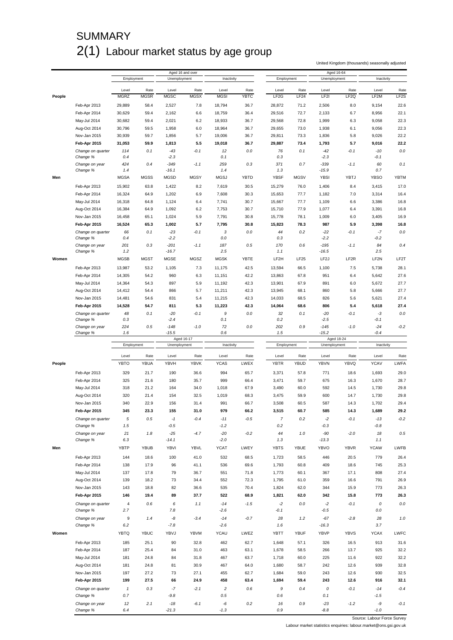## SUMMARY 2(1) Labour market status by age group

United Kingdom (thousands) seasonally adjusted

|        |                               |                      |                     |                      | Aged 16 and over    |                      |                     |                            |                          | Aged 16-64        |                          |               |                           |
|--------|-------------------------------|----------------------|---------------------|----------------------|---------------------|----------------------|---------------------|----------------------------|--------------------------|-------------------|--------------------------|---------------|---------------------------|
|        |                               | Employment           |                     | Unemployment         |                     | Inactivity           |                     | Employment                 |                          | Unemployment      |                          | Inactivity    |                           |
|        |                               |                      |                     |                      |                     |                      |                     |                            |                          |                   |                          |               |                           |
| People |                               | Level<br><b>MGRZ</b> | Rate<br><b>MGSR</b> | Level<br><b>MGSC</b> | Rate<br><b>MGSX</b> | Level<br><b>MGSI</b> | Rate<br><b>YBTC</b> | Level<br>LF <sub>2</sub> G | Rate<br>LF <sub>24</sub> | Level<br>LF2I     | Rate<br>LF <sub>2Q</sub> | Level<br>LF2M | Rate<br>LF <sub>2</sub> S |
|        |                               |                      |                     |                      |                     |                      |                     |                            |                          |                   |                          |               |                           |
|        | Feb-Apr 2013                  | 29,889               | 58.4                | 2,527                | 7.8                 | 18,794               | 36.7                | 28,872                     | 71.2                     | 2,506             | 8.0                      | 9,154         | 22.6                      |
|        | Feb-Apr 2014                  | 30,629               | 59.4                | 2,162                | 6.6                 | 18,759               | 36.4                | 29,516                     | 72.7                     | 2,133             | 6.7                      | 8,956         | 22.1                      |
|        | May-Jul 2014                  | 30,682               | 59.4                | 2,021                | 6.2                 | 18,933               | 36.7                | 29,568                     | 72.8                     | 1,999             | 6.3                      | 9,058         | 22.3                      |
|        | Aug-Oct 2014                  | 30,796               | 59.5                | 1,958                | 6.0                 | 18,964               | 36.7                | 29,655                     | 73.0                     | 1,938             | 6.1                      | 9,056         | 22.3                      |
|        | Nov-Jan 2015                  | 30,939               | 59.7                | 1,856                | 5.7                 | 19,006               | 36.7                | 29,811                     | 73.3                     | 1,836             | 5.8                      | 9,026         | 22.2                      |
|        | Feb-Apr 2015                  | 31,053               | 59.9                | 1,813                | 5.5                 | 19,018               | 36.7                | 29,887                     | 73.4                     | 1,793             | 5.7                      | 9,016         | 22.2                      |
|        | Change on quarter             | 114                  | 0.1                 | $-43$                | $-0.1$              | 12                   | 0.0                 | 76                         | 0.1                      | $-42$             | $-0.1$                   | $-10$         | $0.0$                     |
|        | Change %                      | 0.4                  |                     | $-2.3$               |                     | 0.1                  |                     | 0.3                        |                          | $-2.3$            |                          | -0.1          |                           |
|        | Change on year                | 424                  | 0.4                 | $-349$               | $-1.1$              | 259                  | 0.3                 | 371                        | 0.7                      | $-339$            | $-1.1$                   | 60            | 0.1                       |
|        | Change %                      | 1.4                  |                     | $-16.1$              |                     | 1.4                  |                     | 1.3                        |                          | $-15.9$           |                          | 0.7           |                           |
| Men    |                               | <b>MGSA</b>          | <b>MGSS</b>         | <b>MGSD</b>          | <b>MGSY</b>         | <b>MGSJ</b>          | <b>YBTD</b>         | <b>YBSF</b>                | <b>MGSV</b>              | <b>YBSI</b>       | <b>YBTJ</b>              | <b>YBSO</b>   | <b>YBTM</b>               |
|        | Feb-Apr 2013                  | 15,902               | 63.8                | 1,422                | 8.2                 | 7,619                | 30.5                | 15,279                     | 76.0                     | 1,406             | 8.4                      | 3,415         | 17.0                      |
|        | Feb-Apr 2014                  | 16,324               | 64.9                | 1,202                | 6.9                 | 7,608                | 30.3                | 15,653                     | 77.7                     | 1,182             | 7.0                      | 3,314         | 16.4                      |
|        | May-Jul 2014                  | 16,318               | 64.8                | 1,124                | 6.4                 | 7,741                | 30.7                | 15,667                     | 77.7                     | 1,109             | 6.6                      | 3,386         | 16.8                      |
|        | Aug-Oct 2014                  | 16,384               | 64.9                | 1,092                | 6.2                 | 7,753                | 30.7                | 15,710                     | 77.9                     | 1,077             | 6.4                      | 3,391         | 16.8                      |
|        |                               |                      |                     |                      |                     |                      |                     |                            |                          |                   |                          |               |                           |
|        | Nov-Jan 2015                  | 16,458               | 65.1                | 1,024                | 5.9                 | 7,791                | 30.8                | 15,778                     | 78.1                     | 1,009             | 6.0                      | 3,405         | 16.9                      |
|        | Feb-Apr 2015                  | 16,524               | 65.3                | 1,002                | 5.7                 | 7,795                | 30.8                | 15,823                     | 78.3                     | 987               | 5.9                      | 3,398         | 16.8                      |
|        | Change on quarter             | 66                   | 0.1                 | $-23$                | $-0.1$              | 3                    | 0.0                 | 44                         | 0.2                      | $-22$             | $-0.1$                   | $-7$          | 0.0                       |
|        | Change %                      | 0.4                  |                     | $-2.2$               |                     | 0.0                  |                     | 0.3                        |                          | $-2.2$            |                          | -0.2          |                           |
|        | Change on year                | 201                  | 0.3                 | $-201$               | $-1.1$              | 187                  | 0.5                 | 170                        | 0.6                      | $-195$            | $-1.1$                   | 84            | 0.4                       |
|        | Change %                      | 1.2                  |                     | $-16.7$              |                     | 2.5                  |                     | 1.1                        |                          | $-16.5$           |                          | 2.5           |                           |
| Women  |                               | <b>MGSB</b>          | <b>MGST</b>         | <b>MGSE</b>          | MGSZ                | <b>MGSK</b>          | YBTE                | LF2H                       | <b>LF25</b>              | LF <sub>2</sub> J | LF <sub>2R</sub>         | LF2N          | LF2T                      |
|        | Feb-Apr 2013                  | 13,987               | 53.2                | 1,105                | 7.3                 | 11,175               | 42.5                | 13,594                     | 66.5                     | 1,100             | 7.5                      | 5,738         | 28.1                      |
|        | Feb-Apr 2014                  | 14,305               | 54.2                | 960                  | 6.3                 | 11,151               | 42.2                | 13,863                     | 67.8                     | 951               | 6.4                      | 5,642         | 27.6                      |
|        | May-Jul 2014                  | 14,364               | 54.3                | 897                  | 5.9                 | 11,192               | 42.3                | 13,901                     | 67.9                     | 891               | 6.0                      | 5,672         | 27.7                      |
|        | Aug-Oct 2014                  | 14,412               | 54.4                | 866                  | 5.7                 | 11,211               | 42.3                | 13,945                     | 68.1                     | 860               | 5.8                      | 5,666         | 27.7                      |
|        | Nov-Jan 2015                  | 14,481               | 54.6                | 831                  | 5.4                 | 11,215               | 42.3                | 14,033                     | 68.5                     | 826               | 5.6                      | 5,621         | 27.4                      |
|        | Feb-Apr 2015                  | 14,528               | 54.7                | 811                  | 5.3                 | 11,223               | 42.3                | 14,064                     | 68.6                     | 806               | 5.4                      | 5,618         | 27.4                      |
|        |                               |                      | 0.1                 | $-20$                |                     | 9                    |                     | 32                         | 0.1                      |                   |                          |               | 0.0                       |
|        | Change on quarter<br>Change % | 48<br>0.3            |                     | $-2.4$               | $-0.1$              | 0.1                  | 0.0                 | 0.2                        |                          | $-20$<br>$-2.5$   | $-0.1$                   | -3<br>$-0.1$  |                           |
|        | Change on year                | 224                  | 0.5                 | $-148$               | $-1.0$              | $72\,$               | 0.0                 | 202                        | 0.9                      | $-145$            | $-1.0$                   | $-24$         | $-0.2$                    |
|        | Change %                      | 1.6                  |                     | $-15.5$              |                     | 0.6                  |                     | 1.5                        |                          | $-15.2$           |                          | $-0.4$        |                           |
|        |                               |                      |                     |                      | Aged 16-17          |                      |                     |                            |                          | Aged 18-24        |                          |               |                           |
|        |                               |                      |                     |                      |                     |                      |                     |                            |                          |                   |                          |               |                           |
|        |                               | Employment           |                     | Unemployment         |                     | Inactivity           |                     | Employment                 |                          | Unemployment      |                          | Inactivity    |                           |
|        |                               |                      |                     |                      |                     |                      |                     |                            |                          |                   |                          |               |                           |
|        |                               | Level                | Rate                | Level                | Rate                | Level                | Rate                | Level                      | Rate                     | Level             | Rate                     | Level         | Rate                      |
| People |                               | <b>YBTO</b>          | YBUA                | YBVH                 | <b>YBVK</b>         | <b>YCAS</b>          | LWEX                | <b>YBTR</b>                | YBUD                     | YBVN              | YBVQ                     | <b>YCAV</b>   | LWFA                      |
|        | Feb-Apr 2013                  | 329                  | 21.7                | 190                  | 36.6                | 994                  | 65.7                | 3,371                      | 57.8                     | 771               | 18.6                     | 1,693         | 29.0                      |
|        | Feb-Apr 2014                  | 325                  | 21.6                | 180                  | 35.7                | 999                  | 66.4                | 3,471                      | 59.7                     | 675               | 16.3                     | 1,670         | 28.7                      |
|        | May-Jul 2014                  | 318                  | 21.2                | 164                  | 34.0                | 1,018                | 67.9                | 3,490                      | 60.0                     | 592               | 14.5                     | 1,730         | 29.8                      |
|        | Aug-Oct 2014                  | 320                  | 21.4                | 154                  | 32.5                | 1,019                | 68.3                | 3,475                      | 59.9                     | 600               | 14.7                     | 1,730         | 29.8                      |
|        |                               |                      |                     |                      |                     |                      |                     |                            |                          |                   |                          |               |                           |
|        | Nov-Jan 2015                  | 340                  | 22.9                | 156                  | 31.4                | 991                  | 66.7                | 3,508                      | 60.5                     | 587               | 14.3                     | 1,702         | 29.4                      |
|        | Feb-Apr 2015                  | 345                  | 23.3                | 155                  | 31.0                | 979                  | 66.2                | 3.515                      | 60.7                     | 585               | 14.3                     | 1,689         | 29.2                      |
|        | Change on quarter             | 5                    | 0.5                 | $-1$                 | $-0.4$              | $-11$                | $-0.5$              | $\overline{7}$             | 0.2                      | $-2$              | $-0.1$                   | $-13$         | $-0.2$                    |
|        | Change %                      | 1.5                  |                     | $-0.5$               |                     | $-1.2$               |                     | $0.2\,$                    |                          | $-0.3$            |                          | $-0.8$        |                           |
|        | Change on year                | 21                   | 1.8                 | $-25$                | $-4.7$              | $-20$                | $-0.2$              | 44                         | 1.0                      | -90               | $-2.0$                   | 18            | 0.5                       |
|        | Change %                      | 6.3                  |                     | $-14.1$              |                     | $-2.0$               |                     | 1.3                        |                          | $-13.3$           |                          | 1.1           |                           |
| Men    |                               | YBTP                 | YBUB                | YBVI                 | YBVL                | <b>YCAT</b>          | LWEY                | <b>YBTS</b>                | YBUE                     | YBVO              | <b>YBVR</b>              | <b>YCAW</b>   | LWFB                      |
|        | Feb-Apr 2013                  | 144                  | 18.6                | 100                  | 41.0                | 532                  | 68.5                | 1,723                      | 58.5                     | 446               | 20.5                     | 779           | 26.4                      |
|        |                               |                      |                     |                      |                     |                      |                     |                            |                          |                   |                          |               |                           |
|        | Feb-Apr 2014                  | 138                  | 17.9                | 96                   | 41.1                | 536                  | 69.6                | 1,793                      | 60.8                     | 409               | 18.6                     | 745           | 25.3                      |
|        | May-Jul 2014                  | 137                  | 17.8                | 79                   | 36.7                | 551                  | 71.8                | 1,773                      | 60.1                     | 367               | 17.1                     | 808           | 27.4                      |
|        | Aug-Oct 2014                  | 139                  | 18.2                | 73                   | 34.4                | 552                  | 72.3                | 1,795                      | 61.0                     | 359               | 16.6                     | 791           | 26.9                      |
|        | Nov-Jan 2015                  | 143                  | 18.8                | 82                   | 36.6                | 535                  | 70.4                | 1,824                      | 62.0                     | 344               | 15.9                     | 773           | 26.3                      |
|        | Feb-Apr 2015                  | 146                  | 19.4                | 89                   | 37.7                | 522                  | 68.9                | 1,821                      | 62.0                     | 342               | 15.8                     | 773           | 26.3                      |
|        | Change on quarter             | 4                    | 0.6                 | 6                    | 1.1                 | $-14$                | $-1.5$              | -2                         | $0.0\,$                  | $-2$              | $-0.1$                   | 0             | $0.0\,$                   |
|        | Change %                      | 2.7                  |                     | 7.8                  |                     | $-2.6$               |                     | $-0.1$                     |                          | $-0.5$            |                          | 0.0           |                           |
|        | Change on year                | 9                    | 1.4                 | -8                   | $-3.4$              | $-14$                | $-0.7$              | 28                         | 1.2                      | $-67$             | $-2.8$                   | 28            | 1.0                       |
|        | Change %                      | 6.2                  |                     | $-7.8$               |                     | $-2.6$               |                     | 1.6                        |                          | $-16.3$           |                          | 3.7           |                           |
| Women  |                               | <b>YBTQ</b>          | <b>YBUC</b>         | YBVJ                 | YBVM                | <b>YCAU</b>          | LWEZ                | <b>YBTT</b>                | <b>YBUF</b>              | YBVP              | <b>YBVS</b>              | <b>YCAX</b>   | LWFC                      |
|        |                               |                      |                     |                      |                     |                      |                     |                            |                          |                   |                          |               |                           |
|        | Feb-Apr 2013                  | 185                  | 25.1                | 90                   | 32.8                | 462                  | 62.7                | 1,648                      | 57.1                     | 326               | 16.5                     | 913           | 31.6                      |
|        | Feb-Apr 2014                  | 187                  | 25.4                | 84                   | 31.0                | 463                  | 63.1                | 1,678                      | 58.5                     | 266               | 13.7                     | 925           | 32.2                      |
|        | May-Jul 2014                  | 181                  | 24.8                | 84                   | 31.8                | 467                  | 63.7                | 1,718                      | 60.0                     | 225               | 11.6                     | 922           | 32.2                      |
|        | Aug-Oct 2014                  | 181                  | 24.8                | 81                   | 30.9                | 467                  | 64.0                | 1,680                      | 58.7                     | 242               | 12.6                     | 939           | 32.8                      |
|        | Nov-Jan 2015                  | 197                  | 27.2                | 73                   | 27.1                | 455                  | 62.7                | 1,684                      | 59.0                     | 243               | 12.6                     | 930           | 32.5                      |
|        | Feb-Apr 2015                  | 199                  | 27.5                | 66                   | 24.9                | 458                  | 63.4                | 1,694                      | 59.4                     | 243               | 12.6                     | 916           | 32.1                      |
|        | Change on quarter             | $\mathbf{1}$         | 0.3                 | $-7$                 | $-2.1$              | $\sqrt{2}$           | 0.6                 | 9                          | 0.4                      | 0                 | $-0.1$                   | $-14$         | $-0.4$                    |
|        | Change %                      | 0.7                  |                     | $-9.8$               |                     | 0.5                  |                     | 0.6                        |                          | 0.1               |                          | $-1.5$        |                           |
|        | Change on year                | 12                   | 2.1                 | $-18$                | $-6.1$              | -6                   | $0.2\,$             | 16                         | 0.9                      | $-23$             | $-1.2$                   | -9            | $-0.1$                    |

Source: Labour Force Survey

Labour market statistics enquiries: labour.market@ons.gsi.gov.uk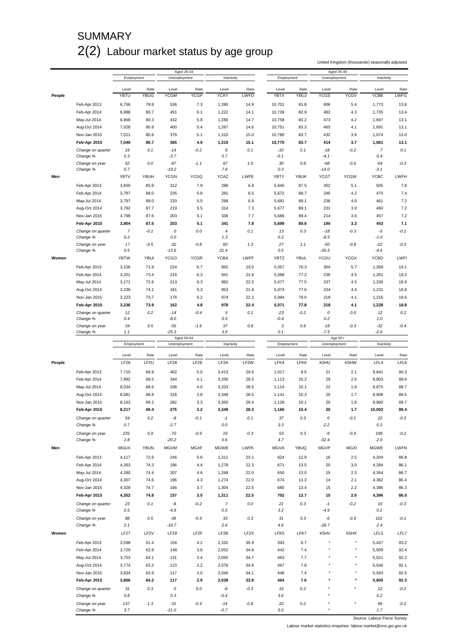## **SUMMARY** 2(2) Labour market status by age group

United Kingdom (thousands) seasonally adjusted

|        |                               |             |                  |                  | Aged 25-34        |                   |                   |                 |             | Aged 35-49      |             |                |             |
|--------|-------------------------------|-------------|------------------|------------------|-------------------|-------------------|-------------------|-----------------|-------------|-----------------|-------------|----------------|-------------|
|        |                               | Employment  |                  | Unemployment     |                   | Inactivity        |                   | Employment      |             | Unemployment    |             | Inactivity     |             |
|        |                               | Level       | Rate             | Level            | Rate              | Level             | Rate              | Level           | Rate        | Level           | Rate        | Level          | Rate        |
| People |                               | YBTU        | <b>YBUG</b>      | <b>YCGM</b>      | <b>YCGP</b>       | YCAY              | LWFD              | <b>YBTX</b>     | YBUJ        | <b>YCGS</b>     | <b>YCGV</b> | <b>YCBB</b>    | <b>LWFG</b> |
|        |                               |             |                  |                  |                   |                   |                   |                 |             |                 |             |                |             |
|        | Feb-Apr 2013                  | 6,756       | 78.8             | 536              | 7.3               | 1,280             | 14.9              | 10,701          | 81.8        | 606             | 5.4         | 1,773          | 13.6        |
|        | Feb-Apr 2014                  | 6,988       | 80.7             | 451              | 6.1               | 1,222             | 14.1              | 10,739          | 82.9        | 482             | 4.3         | 1,735          | 13.4        |
|        | May-Jul 2014                  | 6,968       | 80.3             | 432              | 5.8               | 1,280             | 14.7              | 10,758          | 83.2        | 473             | 4.2         | 1,697          | 13.1        |
|        | Aug-Oct 2014                  | 7,028       | 80.8             | 400              | 5.4               | 1,267             | 14.6              | 10,751          | 83.3        | 465             | 4.1         | 1,691          | 13.1        |
|        | Nov-Jan 2015                  | 7,021       | 80.6             | 379              | 5.1               | 1,310             | 15.0              | 10,780          | 83.7        | 432             | 3.9         | 1,674          | 13.0        |
|        | Feb-Apr 2015                  | 7,040       | 80.7             | 365              | 4.9               | 1,319             | 15.1              | 10,770          | 83.7        | 414             | 3.7         | 1,681          | 13.1        |
|        | Change on quarter             | 19          | 0.1              | $-14$            | $-0.2$            | $\boldsymbol{9}$  | 0.1               | $-10$           | 0.1         | $-18$           | $-0.2$      | $\overline{7}$ | 0.1         |
|        | Change %                      | 0.3         |                  | $-3.7$           |                   | 0.7               |                   | $-0.1$          |             | -4.1            |             | 0.4            |             |
|        | Change on year                | 52          | 0.0              | $-87$            | $-1.1$            | 97                | 1.0               | 30              | 0.8         | $-68$           | $-0.6$      | $-54$          | $-0.3$      |
|        | Change %                      | 0.7         |                  | $-19.2$          |                   | 7.9               |                   | 0.3             |             | $-14.0$         |             | $-3.1$         |             |
| Men    |                               | YBTV        | YBUH             | <b>YCGN</b>      | <b>YCGQ</b>       | <b>YCAZ</b>       | LWFE              | YBTY            | <b>YBUK</b> | <b>YCGT</b>     | <b>YCGW</b> | <b>YCBC</b>    | LWFH        |
|        | Feb-Apr 2013                  | 3,650       | 85.9             | 312              | 7.9               | 288               | 6.8               | 5,645           | 87.5        | 302             | 5.1         | 505            | 7.8         |
|        | Feb-Apr 2014                  | 3,787       | 88.0             | 235              | 5.8               | 281               | 6.5               | 5,672           | 88.7        | 246             | 4.2         | 475            | 7.4         |
|        | May-Jul 2014                  | 3,797       | 88.0             | 220              | 5.5               | 298               | 6.9               | 5,681           | 89.1        | 236             | 4.0         | 461            | 7.2         |
|        | Aug-Oct 2014                  | 3,792       | 87.7             | 219              | 5.5               | 314               | 7.3               | 5,677           | 89.1        | 231             | 3.9         | 460            | 7.2         |
|        |                               |             |                  |                  |                   |                   |                   |                 |             |                 |             |                |             |
|        | Nov-Jan 2015                  | 3,798       | 87.6             | 203              | 5.1               | 336               | 7.7               | 5,686           | 89.4        | 214             | 3.6         | 457            | 7.2         |
|        | Feb-Apr 2015                  | 3,804       | 87.5             | 203              | 5.1               | 341               | 7.8               | 5,699           | 89.8        | 196             | 3.3         | 453            | 7.1         |
|        | Change on quarter             | 7           | $-0.1$           | 0                | 0.0               | $\sqrt{4}$        | 0.1               | 13              | 0.3         | $-18$           | $-0.3$      | -5             | $-0.1$      |
|        | Change %                      | 0.2         |                  | 0.0              |                   | 1.3               |                   | 0.2             |             | -8.5            |             | $-1.0$         |             |
|        | Change on year                | 17          | $-0.5$           | $-32$            | $-0.8$            | 60                | 1.3               | 27              | 1.1         | $-50$           | $-0.8$      | $-22$          | $-0.3$      |
|        | Change %                      | 0.5         |                  | $-13.6$          |                   | 21.4              |                   | 0.5             |             | $-20.3$         |             | $-4.6$         |             |
| Women  |                               | <b>YBTW</b> | <b>YBUI</b>      | <b>YCGO</b>      | <b>YCGR</b>       | <b>YCBA</b>       | <b>LWFF</b>       | YBTZ            | <b>YBUL</b> | YCGU            | <b>YCGX</b> | <b>YCBD</b>    | LWFI        |
|        | Feb-Apr 2013                  | 3,106       | 71.9             | 224              | 6.7               | 992               | 23.0              | 5,057           | 76.3        | 304             | 5.7         | 1,268          | 19.1        |
|        | Feb-Apr 2014                  | 3,201       | 73.4             | 216              | 6.3               | 941               | 21.6              | 5,068           | 77.2        | 236             | 4.5         | 1,261          | 19.2        |
|        | May-Jul 2014                  | 3,171       | 72.6             | 213              | 6.3               | 982               | 22.5              | 5,077           | 77.5        | 237             | 4.5         | 1,236          | 18.9        |
|        | Aug-Oct 2014                  | 3,236       | 74.1             | 181              | 5.3               | 953               | 21.8              | 5,074           | 77.6        | 234             | 4.4         | 1,231          | 18.8        |
|        | Nov-Jan 2015                  | 3,223       | 73.7             | 176              | 5.2               | 974               | 22.3              | 5,094           | 78.0        | 218             | 4.1         | 1,216          | 18.6        |
|        | Feb-Apr 2015                  | 3,236       | 73.9             | 162              | 4.8               | 978               | 22.4              | 5,071           | 77.8        | 218             | 4.1         | 1,228          | 18.8        |
|        |                               |             |                  |                  |                   |                   |                   |                 |             |                 |             |                |             |
|        | Change on quarter<br>Change % | 12<br>0.4   | 0.2              | $-14$<br>$-8.0$  | $-0.4$            | 5<br>0.5          | 0.1               | $-23$<br>$-0.4$ | $-0.2$      | 0<br>0.2        | 0.0         | 12<br>1.0      | 0.2         |
|        |                               |             |                  |                  |                   | 37                |                   |                 | 0.6         |                 |             | $-32$          | $-0.4$      |
|        | Change on year<br>Change %    | 34<br>1.1   | 0.5              | -55<br>$-25.3$   | $-1.6$            | 3.9               | 0.8               | 3<br>0.1        |             | $-18$<br>$-7.5$ | $-0.3$      | $-2.6$         |             |
|        |                               |             |                  |                  | Aged 50-64        |                   |                   |                 |             | Age 65+         |             |                |             |
|        |                               |             |                  |                  |                   |                   |                   |                 |             |                 |             |                |             |
|        |                               | Employment  |                  | Unemployment     |                   | Inactivity        |                   | Employment      |             | Unemployment    |             | Inactivity     |             |
|        |                               |             |                  |                  |                   |                   |                   |                 |             |                 |             |                |             |
|        |                               | Level       | Rate             | Level            | Rate              | Level             | Rate              | Level           | Rate        | Level           | Rate        | Level          | Rate        |
| People |                               | LF26        | LF <sub>2U</sub> | LF28             | LF2E              | LF <sub>2</sub> A | LF <sub>2</sub> W | LFK4            | LFK6        | K5HU            | K5HW        | LFL4           | LFL6        |
|        | Feb-Apr 2013                  | 7,715       | 66.9             | 402              | 5.0               | 3,413             | 29.6              | 1,017           | 9.5         | 21              | 2.1         | 9,641          | 90.3        |
|        | Feb-Apr 2014                  | 7,992       | 68.5             | 344              | 4.1               | 3,330             | 28.5              | 1,113           | 10.2        | 29              | 2.6         | 9,803          | 89.6        |
|        | May-Jul 2014                  | 8,034       | 68.6             | 338              | 4.0               | 3,333             | 28.5              | 1,114           | 10.1        | 22              | 1.9         | 9,875          | 89.7        |
|        |                               |             |                  | 318              | 3.8               |                   |                   |                 |             |                 | 1.7         |                |             |
|        | Aug-Oct 2014                  | 8,081       | 68.8             |                  |                   | 3,349             | 28.5              | 1,141           | 10.3        | 20              |             | 9,908          | 89.5        |
|        | Nov-Jan 2015                  | 8,163       | 69.2             | 282              | 3.3               | 3,350             | 28.4              | 1,128           | 10.1        | 20              | 1.8         | 9,980          | 89.7        |
|        | Feb-Apr 2015                  | 8,217       | 69.4             | 275              | 3.2               | 3.349             | 28.3              | 1.166           | 10.4        | 20              | 1.7         | 10.002         | 89.4        |
|        | Change on quarter             | 54          | 0.2              | -8               | $-0.1$            | $-1$              | $-0.1$            | 37              | 0.3         | 0               | $-0.1$      | 22             | $-0.3$      |
|        | Change %                      | 0.7         |                  | $-2.7$           |                   | $0.0\,$           |                   | 3.3             |             | $-2.2$          |             | 0.2            |             |
|        | Change on year                | 225         | 0.9              | $-70$            | $-0.9$            | 19                | $-0.3$            | 53              | 0.3         | -9              | $-0.9$      | 199            | $-0.2$      |
|        | Change %                      | 2.8         |                  | $-20.2$          |                   | 0.6               |                   | 4.7             |             | $-32.4$         |             | 2.0            |             |
| Men    |                               | <b>MGUX</b> | <b>YBUN</b>      | <b>MGVM</b>      | <b>MGXF</b>       | <b>MGWB</b>       | <b>LWFK</b>       | <b>MGVA</b>     | <b>YBUQ</b> | <b>MGVP</b>     | <b>MGXI</b> | <b>MGWE</b>    | LWFN        |
|        |                               |             |                  |                  |                   |                   |                   |                 |             |                 |             |                |             |
|        | Feb-Apr 2013                  | 4,117       | 72.6             | 246              | 5.6               | 1,311             | 23.1              | 624             | 12.9        | 16              | 2.5         | 4,204          | 86.8        |
|        | Feb-Apr 2014                  | 4,263       | 74.3             | 196              | 4.4               | 1,278             | 22.3              | 671             | 13.5        | 20              | 3.0         | 4,294          | 86.1        |
|        | May-Jul 2014                  | 4,280       | 74.4             | 207              | 4.6               | 1,268             | 22.0              | 650             | 13.0        | 15              | 2.3         | 4,354          | 86.7        |
|        | Aug-Oct 2014                  | 4,307       | 74.6             | 196              | 4.3               | 1,274             | 22.0              | 674             | 13.3        | 14              | 2.1         | 4,362          | 86.4        |
|        | Nov-Jan 2015                  | 4,328       | 74.7             | 166              | 3.7               | 1,304             | 22.5              | 680             | 13.4        | 15              | 2.2         | 4,386          | 86.3        |
|        | Feb-Apr 2015                  | 4,352       | 74.8             | 157              | 3.5               | 1,311             | 22.5              | 702             | 13.7        | 15              | 2.0         | 4,396          | 86.0        |
|        | Change on quarter             | 23          | 0.1              | -8               | $-0.2$            | $\boldsymbol{7}$  | 0.0               | 21              | 0.3         | $-1$            | $-0.2$      | 10             | $-0.3$      |
|        | Change %                      | 0.5         |                  | $-4.9$           |                   | 0.5               |                   | 3.2             |             | $-4.9$          |             | 0.2            |             |
|        | Change on year                | 88          | 0.5              | $-39$            | $-0.9$            | 33                | 0.3               | 31              | 0.3         | -6              | $-0.9$      | 102            | $-0.1$      |
|        | Change %                      | 2.1         |                  | $-19.7$          |                   | 2.6               |                   | 4.6             |             | $-28.7$         |             | 2.4            |             |
|        |                               |             |                  |                  |                   |                   |                   |                 |             |                 |             |                |             |
| Women  |                               | LF27        | LF <sub>2V</sub> | <b>LF29</b>      | LF <sub>2</sub> F | LF2B              | LF2X              | LFK5            | LFK7        | K5HV            | K5HX        | LFL5           | LFL7        |
|        | Feb-Apr 2013                  | 3,598       | 61.4             | 156              | 4.2               | 2,102             | 35.9              | 393             | 6.7         |                 |             | 5,437          | 93.2        |
|        | Feb-Apr 2014                  | 3,729       | 62.9             | 148              | 3.8               | 2,052             | 34.6              | 442             | 7.4         |                 |             | 5,509          | 92.4        |
|        | May-Jul 2014                  | 3,753       | 63.1             | 131              | 3.4               | 2,065             | 34.7              | 463             | 7.7         |                 |             | 5,521          | 92.2        |
|        | Aug-Oct 2014                  | 3,774       | 63.2             | 123              | 3.2               | 2,076             | 34.8              | 467             | 7.8         |                 | ×           | 5,546          | 92.1        |
|        | Nov-Jan 2015                  | 3,834       | 63.9             | 117              | 3.0               | 2,046             | 34.1              | 448             | 7.4         |                 |             | 5,593          | 92.5        |
|        | Feb-Apr 2015                  | 3,866       | 64.2             | 117              | 2.9               | 2,038             | 33.9              | 464             | 7.6         |                 | ×           | 5,605          | 92.3        |
|        |                               |             |                  |                  |                   |                   |                   |                 |             |                 |             |                |             |
|        | Change on quarter             | 31          | 0.3              | 0                | $0.0\,$           | -8                | $-0.3$            | 16              | 0.2         |                 |             | 12             | $-0.2$      |
|        | Change %                      | 0.8         |                  | 0.3              |                   | $-0.4$            |                   | 3.6             |             |                 |             | 0.2            |             |
|        | Change on year<br>Change %    | 137<br>3.7  | 1.3              | $-31$<br>$-21.0$ | $-0.9$            | $-14$<br>$-0.7$   | $-0.8$            | 22<br>5.0       | 0.2         | $\star$         |             | 96<br>1.7      | $-0.2$      |

Source: Labour Force Survey

Labour market statistics enquiries: labour.market@ons.gsi.gov.uk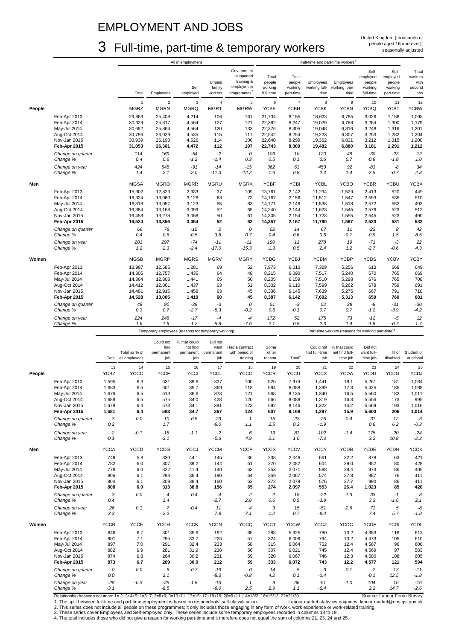### EMPLOYMENT AND JOBS

## 3 Full-time, part-time & temporary workers

|        |                               |                 |                  |                  | All in employment                                   |                   |                                       |                         |                      |                       | Full-time and part-time workers <sup>1</sup>                   |                      |                      |                 |
|--------|-------------------------------|-----------------|------------------|------------------|-----------------------------------------------------|-------------------|---------------------------------------|-------------------------|----------------------|-----------------------|----------------------------------------------------------------|----------------------|----------------------|-----------------|
|        |                               |                 |                  |                  |                                                     |                   | Government                            |                         |                      |                       |                                                                | Self-                | Self-                | Total           |
|        |                               |                 |                  |                  |                                                     |                   | supported                             | Total                   | Total                |                       |                                                                | employed             | employed             | workers         |
|        |                               |                 |                  |                  |                                                     | Unpaid            | training &                            | people                  | people               | Employees             | Employees                                                      | people               | people               | with            |
|        |                               |                 | Total            | Employees        | Self<br>employed                                    | family<br>workers | employment<br>programmes <sup>2</sup> | working<br>full-time    | working<br>part-time | working full-<br>time | working part-<br>time                                          | working<br>full-time | working<br>part-time | second<br>jobs  |
|        |                               |                 |                  |                  |                                                     |                   |                                       |                         |                      |                       |                                                                |                      |                      |                 |
|        |                               |                 | $\mathbf{1}$     | $\sqrt{2}$       | 3                                                   | $\sqrt{4}$        | $\sqrt{5}$                            | 6                       | $\overline{7}$       | 8                     | $\boldsymbol{9}$                                               | 10                   | 11                   | 12              |
| People |                               |                 | <b>MGRZ</b>      | <b>MGRN</b>      | <b>MGRQ</b>                                         | <b>MGRT</b>       | <b>MGRW</b>                           | <b>YCBE</b>             | <b>YCBH</b>          | <b>ACBK</b>           | <b>YCBN</b>                                                    | <b>YCBQ</b>          | <b>YCBT</b>          | <b>YCBW</b>     |
|        | Feb-Apr 2013                  |                 | 29,889           | 25,408           | 4,214                                               | 106               | 161                                   | 21,734                  | 8,155                | 18,623                | 6,785                                                          | 3,026                | 1,188                | 1,098           |
|        | Feb-Apr 2014                  |                 | 30,629           | 25,817           | 4,564                                               | 127               | 121                                   | 22,382                  | 8,247                | 19,029                | 6,788                                                          | 3,264                | 1,300                | 1,179           |
|        | May-Jul 2014                  |                 | 30,682           | 25,864           | 4,564                                               | 120               | 133                                   | 22,376                  | 8,305                | 19,048                | 6,816                                                          | 3,248                | 1,316                | 1,201           |
|        | Aug-Oct 2014<br>Nov-Jan 2015  |                 | 30,796<br>30,939 | 26,029<br>26,193 | 4,535<br>4,526                                      | 115<br>114        | 117<br>106                            | 22,542<br>22,640        | 8,254<br>8,299       | 19,223<br>19,362      | 6,807<br>6,831                                                 | 3,253<br>3,212       | 1,282<br>1,315       | 1,204<br>1,200  |
|        | Feb-Apr 2015                  |                 | 31,053           | 26,361           | 4,472                                               | 112               | 107                                   | 22,743                  | 8,309                | 19,482                | 6,880                                                          | 3,181                | 1,291                | 1,212           |
|        |                               |                 |                  |                  |                                                     |                   |                                       |                         |                      |                       |                                                                |                      |                      |                 |
|        | Change on quarter<br>Change % |                 | 114<br>0.4       | 169<br>0.6       | $-54$<br>$-1.2$                                     | $-2$<br>$-1.4$    | 0<br>0.3                              | 103<br>0.5              | 10<br>0.1            | 120<br>0.6            | 49<br>0.7                                                      | $-30$<br>-0.9        | $-23$<br>$-1.8$      | 12<br>1.0       |
|        |                               |                 |                  |                  |                                                     |                   |                                       |                         |                      |                       |                                                                |                      |                      |                 |
|        | Change on year<br>Change %    |                 | 424<br>1.4       | 545<br>2.1       | $-91$<br>$-2.0$                                     | $-14$<br>$-11.3$  | $-15$<br>$-12.2$                      | 362<br>1.6              | 63<br>0.8            | 453<br>2.4            | 92<br>1.4                                                      | $-83$<br>$-2.5$      | -8<br>$-0.7$         | 34<br>2.8       |
|        |                               |                 |                  |                  |                                                     |                   |                                       |                         |                      |                       |                                                                |                      |                      |                 |
| Men    |                               |                 | MGSA             | <b>MGRO</b>      | <b>MGRR</b>                                         | <b>MGRU</b>       | <b>MGRX</b>                           | <b>YCBF</b>             | <b>YCBI</b>          | <b>YCBL</b>           | <b>YCBO</b>                                                    | <b>YCBR</b>          | <b>YCBU</b>          | <b>YCBX</b>     |
|        | Feb-Apr 2013                  |                 | 15,902           | 12,823           | 2,933                                               | 37                | 109                                   | 13,761                  | 2,142                | 11,294                | 1,529                                                          | 2,413                | 520                  | 449             |
|        | Feb-Apr 2014                  |                 | 16,324           | 13,060           | 3,128                                               | 63                | 73                                    | 14,167                  | 2,156                | 11,512                | 1,547                                                          | 2,593                | 535                  | 510             |
|        | May-Jul 2014                  |                 | 16,318           | 13,057           | 3,123                                               | 55                | 83                                    | 14,171                  | 2,146                | 11,538                | 1,518                                                          | 2,572                | 552                  | 493             |
|        | Aug-Oct 2014                  |                 | 16,384           | 13,168           | 3,099                                               | 52                | 65                                    | 14,240                  | 2,144                | 11,623                | 1,545                                                          | 2,576                | 523                  | 512             |
|        | Nov-Jan 2015                  |                 | 16,458           | 13,278           | 3,068                                               | 50                | 61                                    | 14,305                  | 2,154                | 11,723                | 1,555                                                          | 2,545                | 523                  | 490             |
|        | Feb-Apr 2015                  |                 | 16,524           | 13,356           | 3,054                                               | 52                | 62                                    | 14,357                  | 2,167                | 11,790                | 1,567                                                          | 2,523                | 531                  | 532             |
|        | Change on quarter             |                 | 66               | 78               | $-15$                                               | $\overline{c}$    | 0                                     | 52                      | 14                   | 67                    | 11                                                             | $-22$                | 8                    | 42              |
|        | Change %                      |                 | 0.4              | 0.6              | $-0.5$                                              | 3.6               | 0.7                                   | 0.4                     | 0.6                  | 0.6                   | 0.7                                                            | -0.9                 | 1.5                  | 8.5             |
|        | Change on year                |                 | 201              | 297              | $-74$                                               | $-11$             | $-11$                                 | 190                     | 11                   | 278                   | 19                                                             | $-71$                | $-3$                 | 22              |
|        | Change %                      |                 | 1.2              | 2.3              | $-2.4$                                              | $-17.0$           | $-15.3$                               | 1.3                     | 0.5                  | 2.4                   | 1.2                                                            | $-2.7$               | -0.6                 | 4.3             |
| Women  |                               |                 | <b>MGSB</b>      | <b>MGRP</b>      | <b>MGRS</b>                                         | <b>MGRV</b>       | <b>MGRY</b>                           | <b>YCBG</b>             | <b>YCBJ</b>          | <b>YCBM</b>           | <b>YCBP</b>                                                    | <b>YCBS</b>          | <b>YCBV</b>          | <b>YCBY</b>     |
|        |                               |                 |                  |                  |                                                     |                   |                                       |                         |                      |                       |                                                                |                      |                      |                 |
|        | Feb-Apr 2013                  |                 | 13,987           | 12,585           | 1,281                                               | 69                | 52                                    | 7,973                   | 6,013                | 7,329                 | 5,256                                                          | 613                  | 668                  | 649             |
|        | Feb-Apr 2014                  |                 | 14,305           | 12,757           | 1,435                                               | 64                | 48                                    | 8,215                   | 6,090                | 7,517                 | 5,240                                                          | 670                  | 765                  | 669             |
|        | May-Jul 2014                  |                 | 14,364           | 12,808           | 1,441                                               | 65                | 50<br>51                              | 8,205                   | 6,159                | 7,510                 | 5,298                                                          | 676<br>678           | 765<br>759           | 708             |
|        | Aug-Oct 2014<br>Nov-Jan 2015  |                 | 14,412<br>14,481 | 12,861<br>12,915 | 1,437<br>1,458                                      | 63<br>63          | 45                                    | 8,302<br>8,336          | 6,110<br>6,145       | 7,599<br>7,639        | 5,262<br>5,275                                                 | 667                  | 791                  | 691<br>710      |
|        | Feb-Apr 2015                  |                 | 14,528           | 13,005           | 1,419                                               | 60                | 45                                    | 8,387                   | 6,142                | 7,692                 | 5,313                                                          | 659                  | 760                  | 681             |
|        | Change on quarter             |                 | 48               | 90               | $-39$                                               | -3                | 0                                     | 51                      | $-3$                 | 52                    | 38                                                             | -8                   | $-31$                | $-30$           |
|        | Change %                      |                 | 0.3              | 0.7              | $-2.7$                                              | $-5.3$            | $-0.2$                                | 0.6                     | $-0.1$               | 0.7                   | 0.7                                                            | $-1.2$               | $-3.9$               | $-4.2$          |
|        |                               |                 | 224              | 248              | $-17$                                               | $-4$              | $-4$                                  |                         | 52                   |                       | 73                                                             | $-12$                |                      |                 |
|        | Change on year                |                 |                  |                  |                                                     |                   |                                       | 172                     |                      | 175                   |                                                                | $-1.8$               | $-5$<br>$-0.7$       | 12              |
|        |                               |                 |                  |                  |                                                     |                   |                                       |                         |                      |                       |                                                                |                      |                      |                 |
|        | Change %                      |                 | 1.6              | 1.9              | $-1.2$                                              | $-5.8$            | $-7.6$                                | 2.1                     | 0.8                  | 2.3                   | 1.4                                                            |                      |                      | 1.7             |
|        |                               |                 |                  |                  | Temporary employees (reasons for temporary working) |                   |                                       |                         |                      |                       | Part-time workers (reasons for working part-time) <sup>3</sup> |                      |                      |                 |
|        |                               |                 |                  | Could not        | % that could                                        | Did not           |                                       |                         |                      |                       |                                                                |                      |                      |                 |
|        |                               |                 |                  | find             | not find                                            | want              | Had a contract                        | Some                    |                      | Could not             | % that could                                                   | Did not              |                      |                 |
|        |                               |                 | Total as % of    | permanent        | permanent                                           | permanent         | with period of                        | other                   |                      | find full-time        | not find full-                                                 | want full-           | III or               | Student or      |
|        |                               | Total           | all employees    | job              | job                                                 | job               | training                              | reason                  | Total <sup>4</sup>   | job                   | time job                                                       | time job             | disabled             | at school       |
|        |                               | 13              | 14               | 15               | 16                                                  | 17                | 18                                    | 19                      | 20                   | 21                    | 22                                                             | 23                   | 24                   | 25              |
| People |                               | <b>YCBZ</b>     | <b>ACCC</b>      | <b>YCCF</b>      | <b>YCCI</b>                                         | YCCL              | <b>YCCO</b>                           | <b>YCCR</b>             | YCCU                 | <b>YCCX</b>           | <b>YCDA</b>                                                    | <b>YCDD</b>          | YCDG                 | <b>YCDJ</b>     |
|        | Feb-Apr 2013                  | 1,595           | 6.3              | 631              | 39.6                                                | 337               | 100                                   | 526                     | 7,974                | 1,441                 | 18.1                                                           | 5,261                | 181                  | 1,034           |
|        | Feb-Apr 2014                  | 1,683           | 6.5              | 601              | 35.7                                                | 369               | 118                                   | 594                     | 8,088                | 1,399                 | 17.3                                                           | 5,425                | 185                  | 1,038           |
|        | May-Jul 2014                  | 1,676           | 6.5              | 613              | 36.6                                                | 373               | 121                                   | 568                     | 8,135                | 1,340                 | 16.5                                                           | 5,560                | 182                  | 1,011           |
|        | Aug-Oct 2014                  | 1,688           | 6.5              | 575              | 34.0                                                | 428               | 120                                   | 566                     | 8,088                | 1,319                 | 16.3                                                           | 5,556                | 173                  | 995             |
|        | Nov-Jan 2015                  | 1,678           | 6.4              | 573              | 34.1                                                | 391               | 123                                   | 592                     | 8,146                | 1,322                 | 16.2                                                           | 5,569                | 193                  | 1,016           |
|        | Feb-Apr 2015                  | 1,681           | 6.4              | 583              | 34.7                                                | 367               | 124                                   | 607                     | 8,169                | 1,297                 | 15.9                                                           | 5,600                | 206                  | 1,014           |
|        | Change on quarter             | 3               | 0.0              | 10               | 0.5                                                 | $-23$             | $\mathbf{1}$                          | 15                      | 23                   | $-25$                 | $-0.4$                                                         | 31                   | 12                   | -3              |
|        | Change %                      | 0.2             |                  | 1.7              |                                                     | $-6.0$            | 1.1                                   | 2.5                     | 0.3                  | $-1.9$                |                                                                | 0.6                  | 6.2                  | $-0.3$          |
|        | Change on year                | $-2$            | $-0.1$           | $-18$            | $-1.1$                                              | $-2$              | 6                                     | 13                      | 81                   | $-102$                | $-1.4$                                                         | 175                  | 20                   | $-24$           |
|        | Change %                      | -0.1            |                  | $-3.1$           |                                                     | $-0.6$            | 4.9                                   | 2.1                     | 1.0                  | $-7.3$                |                                                                | 3.2                  | 10.8                 | $-2.3$          |
| Men    |                               | <b>YCCA</b>     | <b>YCCD</b>      | <b>YCCG</b>      | <b>YCCJ</b>                                         | <b>YCCM</b>       | <b>YCCP</b>                           | <b>YCCS</b>             | <b>YCCV</b>          | <b>YCCY</b>           | <b>YCDB</b>                                                    | <b>YCDE</b>          | YCDH                 | <b>YCDK</b>     |
|        |                               |                 |                  |                  |                                                     |                   |                                       |                         |                      |                       |                                                                |                      |                      |                 |
|        | Feb-Apr 2013                  | 749             | 5.8              | 330              | 44.1                                                | 145               | 36                                    | 238                     | 2,049                | 661                   | 32.2                                                           | 878                  | 63                   | 421             |
|        | Feb-Apr 2014<br>May-Jul 2014  | 782<br>778      | 6.0<br>6.0       | 307<br>322       | 39.2<br>41.4                                        | 144<br>140        | 61<br>63                              | 270<br>253              | 2,082<br>2,071       | 604<br>588            | 29.0<br>28.4                                                   | 952<br>973           | 80<br>86             | 428<br>405      |
|        | Aug-Oct 2014                  | 806             | 6.1              | 293              | 36.4                                                | 190               | 64                                    | 259                     | 2,067                | 574                   | 27.8                                                           | 987                  | 76                   | 411             |
|        | Nov-Jan 2015                  | 804             | 6.1              | 309              | 38.4                                                | 160               | 63                                    | 272                     | 2,079                | 576                   | 27.7                                                           | 990                  | 86                   | 411             |
|        | Feb-Apr 2015                  | 808             | 6.0              | 313              | 38.8                                                | 156               | 65                                    | 274                     | 2,097                | 553                   | 26.4                                                           | 1,023                | 85                   | 420             |
|        | Change on quarter             | 3               | 0.0              | 4                | 0.4                                                 | $-4$              | $\overline{c}$                        | $\overline{c}$          | 18                   | $-22$                 | $-1.3$                                                         | 33                   | $-1$                 | 8               |
|        | Change %                      | 0.4             |                  | 1.4              |                                                     | $-2.7$            | 2.8                                   | 0.6                     | 0.9                  | $-3.9$                |                                                                | 3.3                  | -1.6                 | 2.1             |
|        | Change on year                | 26              | 0.1              | $\overline{7}$   | $-0.4$                                              | 11                | $\overline{4}$                        | 3                       | 15                   | $-51$                 | $-2.6$                                                         | 71                   | 5                    | -8              |
|        | Change %                      | 3.3             |                  | 2.2              |                                                     | 7.8               | 7.1                                   | 1.2                     | 0.7                  | $-8.4$                |                                                                | 7.4                  | 5.7                  | $-1.8$          |
|        |                               |                 |                  |                  |                                                     |                   |                                       |                         |                      |                       |                                                                |                      |                      |                 |
| Women  |                               | <b>YCCB</b>     | <b>YCCE</b>      | <b>YCCH</b>      | <b>YCCK</b>                                         | <b>YCCN</b>       | <b>YCCQ</b>                           | <b>YCCT</b>             | <b>YCCW</b>          | <b>YCCZ</b>           | <b>YCDC</b>                                                    | <b>YCDF</b>          | <b>YCDI</b>          | <b>YCDL</b>     |
|        | Feb-Apr 2013                  | 846             | 6.7              | 301              | 35.6                                                | 192               | 65                                    | 288                     | 5,925                | 780                   | 13.2                                                           | 4,383                | 118                  | 613             |
|        | Feb-Apr 2014                  | 901             | 7.1              | 295              | 32.7                                                | 225               | 57                                    | 324                     | 6,006                | 794                   | 13.2                                                           | 4,473                | 105                  | 610             |
|        | May-Jul 2014                  | 897             | 7.0              | 291              | 32.4                                                | 233               | 58                                    | 315                     | 6,064                | 752                   | 12.4                                                           | 4,587                | 96                   | 606             |
|        | Aug-Oct 2014                  | 882             | 6.9              | 281              | 31.9                                                | 238               | 56                                    | 307                     | 6,021                | 745                   | 12.4                                                           | 4,569                | 97                   | 583             |
|        | Nov-Jan 2015                  | 874             | 6.8              | 264              | 30.2                                                | 231               | 59                                    | 320                     | 6,067                | 746                   | 12.3                                                           | 4,580                | 108                  | 605             |
|        | Feb-Apr 2015                  | 873             | 6.7              | 269              | 30.9                                                | 212               | 59                                    | 333                     | 6,072                | 743                   | 12.2                                                           | 4,577                | 121                  | 594             |
|        | Change on quarter             | 0               | $0.0\,$          | 6                | 0.7                                                 | $-19$             | 0                                     | 14                      | 5                    | $-3$                  | $-0.1$                                                         | $-2$                 | 13                   | $-11$           |
|        | Change %                      | 0.0             |                  | 2.1              |                                                     | $-8.3$            | -0.8                                  | 4.2                     | 0.1                  | -0.4                  |                                                                | $-0.1$               | 12.5                 | $-1.8$          |
|        | Change on year<br>Change %    | $-28$<br>$-3.1$ | $-0.3$           | $-25$<br>$-8.5$  | $-1.8$                                              | $-13$<br>$-6.0$   | $\mathbf{1}$<br>2.5                   | $\boldsymbol{9}$<br>2.9 | 66<br>1.1            | $-51$<br>-6.4         | $-1.0$                                                         | 104<br>2.3           | 16<br>14.7           | $-16$<br>$-2.6$ |

Relationship between columns: 1= 2+3+4+5; 1=6+7; 2=8+9; 3=10+11; 13=15+17+18+19; 20=9+11 ;14=13/2; 16=15/13; 22=21/20 Source: Labour Force Survey<br>1. The split between full-time and part-time employment is based on responde 1. The split between full-time and part-time employment is based on respondents' self-classification. Labour market statistics enquiries: labour.market@ons.gsi.gov.uk<br>2. This series does not include all people on th

4. The total includes those who did not give a reason for working part-time and it therefore does not equal the sum of columns 21, 23, 24 and 25.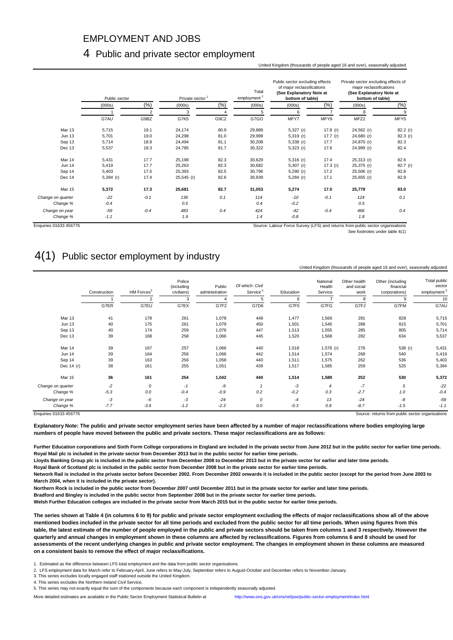### EMPLOYMENT AND JOBS

#### 4 Public and private sector employment

#### United Kingdom (thousands of people aged 16 and over), seasonally adjusted

|                               | Private sector<br>Public sector |         |            | Total<br>employment <sup>2</sup> | Public sector excluding effects<br>of major reclassifications<br>(See Explanatory Note at<br>bottom of table) |                 | Private sector excluding effects of<br>major reclassifications<br>(See Explanatory Note at<br>bottom of table) |              |            |
|-------------------------------|---------------------------------|---------|------------|----------------------------------|---------------------------------------------------------------------------------------------------------------|-----------------|----------------------------------------------------------------------------------------------------------------|--------------|------------|
|                               | (000s)                          | $(\% )$ | (000s)     | (%)                              | (000s)                                                                                                        | (000s)          | $(\%)$                                                                                                         | (000s)       | (% )       |
|                               |                                 |         | 3          |                                  | 5                                                                                                             | 6               |                                                                                                                | 8            | 9          |
|                               | G7AU                            | G9BZ    | G7K5       | G9C2                             | G7GO                                                                                                          | MFY7            | MFY9                                                                                                           | MFZ2         | MFY5       |
| Mar 13                        | 5,715                           | 19.1    | 24,174     | 80.9                             | 29,889                                                                                                        | $5,327$ (r)     | 17.8 $(r)$                                                                                                     | 24,562 (r)   | 82.2(r)    |
| <b>Jun 13</b>                 | 5,701                           | 19.0    | 24,298     | 81.0                             | 29,999                                                                                                        | $5,319$ (r)     | 17.7 $(r)$                                                                                                     | 24,680 (r)   | 82.3 $(r)$ |
| Sep 13                        | 5,714                           | 18.9    | 24,494     | 81.1                             | 30,208                                                                                                        | $5,338$ (r)     | 17.7                                                                                                           | 24,870 (r)   | 82.3       |
| Dec 13                        | 5,537                           | 18.3    | 24,785     | 81.7                             | 30,322                                                                                                        | $5,323$ (r)     | 17.6                                                                                                           | 24,999 (r)   | 82.4       |
| Mar 14                        | 5,431                           | 17.7    | 25,198     | 82.3                             | 30,629                                                                                                        | $5,316$ (r)     | 17.4                                                                                                           | $25,313$ (r) | 82.6       |
| <b>Jun 14</b>                 | 5,419                           | 17.7    | 25,263     | 82.3                             | 30,682                                                                                                        | $5,307$ (r)     | 17.3 $(r)$                                                                                                     | 25,375 (r)   | 82.7 (r)   |
| Sep 14                        | 5,403                           | 17.5    | 25,393     | 82.5                             | 30,796                                                                                                        | $5,290$ (r)     | 17.2                                                                                                           | $25,506$ (r) | 82.8       |
| Dec 14                        | $5,394$ (r)                     | 17.4    | 25,545 (r) | 82.6                             | 30,939                                                                                                        | $5,284$ (r)     | 17.1                                                                                                           | $25,655$ (r) | 82.9       |
| Mar 15                        | 5,372                           | 17.3    | 25,681     | 82.7                             | 31,053                                                                                                        | 5,274           | 17.0                                                                                                           | 25,779       | 83.0       |
| Change on quarter<br>Change % | $-22$<br>$-0.4$                 | $-0.1$  | 136<br>0.5 | 0.1                              | 114<br>0.4                                                                                                    | $-10$<br>$-0.2$ | $-0.1$                                                                                                         | 124<br>0.5   | 0.1        |
| Change on year                | $-59$                           | $-0.4$  | 483        | 0.4                              | 424                                                                                                           | $-42$           | $-0.4$                                                                                                         | 466          | 0.4        |
| Change %                      | $-1.1$                          |         | 1.9        |                                  | 1.4                                                                                                           | $-0.8$          |                                                                                                                | 1.8          |            |

Enquiries 01633 456776 Source: Labour Force Survey (LFS) and returns from public sector organisations

See footnotes under table 4(1)

### 4(1) Public sector employment by industry

#### United Kingdom (thousands of people aged 16 and over), seasonally adjusted

|        | HM Forces <sup>3</sup> | (including<br>civilians) | Public<br>administration | Of which: Civil<br>Service <sup>4</sup> | Education | National<br>Health<br>Service | Other health<br>and social<br>work | Other (including<br>financial<br>corporations) | Total public<br>sector<br>employment <sup>5</sup> |
|--------|------------------------|--------------------------|--------------------------|-----------------------------------------|-----------|-------------------------------|------------------------------------|------------------------------------------------|---------------------------------------------------|
|        | 2                      | 3                        |                          | 5                                       | 6         |                               | 8                                  | a                                              | 10                                                |
| G7ER   | G7EU                   | G7EX                     | G7F2                     | G7D6                                    | G7F5      | G7FG                          | G7FJ                               | G7FM                                           | G7AU                                              |
| 41     | 178                    | 261                      | 1,078                    | 449                                     | 1,477     | 1,566                         | 291                                | 828                                            | 5,715                                             |
| 40     | 175                    | 261                      | 1,079                    | 450                                     | 1,501     | 1,545                         | 288                                | 815                                            | 5,701                                             |
| 40     | 174                    | 259                      | 1,076                    | 447                                     | 1,513     | 1,555                         | 285                                | 805                                            | 5,714                                             |
| 39     | 168                    | 258                      | 1,066                    | 445                                     | 1,520     | 1,568                         | 282                                | 634                                            | 5,537                                             |
| 39     | 167                    | 257                      | 1,066                    | 440                                     | 1,518     | $1,576$ (r)                   | 276                                | 538 (r)                                        | 5,431                                             |
| 39     | 164                    | 256                      | 1,066                    | 442                                     | 1,514     | 1,574                         | 268                                | 540                                            | 5,419                                             |
| 39     | 163                    | 256                      | 1,058                    | 440                                     | 1,511     | 1,575                         | 262                                | 536                                            | 5,403                                             |
| 38     | 161                    | 255                      | 1,051                    | 439                                     | 1,517     | 1,585                         | 259                                | 525                                            | 5,394                                             |
| 36     | 161                    | 254                      | 1,042                    | 440                                     | 1,514     | 1,589                         | 252                                | 530                                            | 5,372                                             |
| $-2$   | 0                      | $-1$                     | -9                       |                                         | $-3$      | $\overline{4}$                | $-7$                               | 5                                              | $-22$                                             |
| $-5.3$ | 0.0                    | $-0.4$                   | $-0.9$                   | 0.2                                     | $-0.2$    | 0.3                           | $-2.7$                             | 1.0                                            | $-0.4$                                            |
| -3     | -6                     | -3                       | $-24$                    | 0                                       | $-4$      | 13                            | $-24$                              | -8                                             | $-59$                                             |
| $-7.7$ | $-3.6$                 | $-1.2$                   | $-2.3$                   | 0.0                                     | $-0.3$    | 0.8                           | $-8.7$                             | $-1.5$                                         | $-1.1$                                            |
|        |                        |                          |                          |                                         |           |                               |                                    |                                                | Source: returns from public sector organisations  |

**Explanatory Note: The public and private sector employment series have been affected by a number of major reclassifications where bodies employing large numbers of people have moved between the public and private sectors. These major reclassifications are as follows:**

**Further Education corporations and Sixth Form College corporations in England are included in the private sector from June 2012 but in the public sector for earlier time periods. Royal Mail plc is included in the private sector from December 2013 but in the public sector for earlier time periods.** 

**Lloyds Banking Group plc is included in the public sector from December 2008 to December 2013 but in the private sector for earlier and later time periods.**

**Royal Bank of Scotland plc is included in the public sector from December 2008 but in the private sector for earlier time periods.**

**Network Rail is included in the private sector before December 2002. From December 2002 onwards it is included in the public sector (except for the period from June 2003 to March 2004, when it is included in the private sector).**

**Northern Rock is included in the public sector from December 2007 until December 2011 but in the private sector for earlier and later time periods.**

**Bradford and Bingley is included in the public sector from September 2008 but in the private sector for earlier time periods.**

**Welsh Further Education colleges are included in the private sector from March 2015 but in the public sector for earlier time periods.**

**The series shown at Table 4 (in columns 6 to 9) for public and private sector employment excluding the effects of major reclassifications show all of the above mentioned bodies included in the private sector for all time periods and excluded from the public sector for all time periods. When using figures from this table, the latest estimate of the number of people employed in the public and private sectors should be taken from columns 1 and 3 respectively. However the quarterly and annual changes in employment shown in these columns are affected by reclassifications. Figures from columns 6 and 8 should be used for assessments of the recent underlying changes in public and private sector employment. The changes in employment shown in these columns are measured on a consistent basis to remove the effect of major reclassifications.** 

1. Estimated as the difference between LFS total employment and the data from public sector organisations.

2. LFS employment data for March refer to February-April, June refers to May-July, September refers to August-October and December refers to November-January.

3. This series excludes locally engaged staff stationed outside the United Kingdom.

4. This series excludes the Northern Ireland Civil Service.

More detailed estimates are available in the Public Sector Employment Statistical Bulletin at <http://www.ons.gov.uk/ons/rel/pse/public-sector-employment/index.html>

<sup>5.</sup> This series may not exactly equal the sum of the components because each component is independently seasonally adjusted.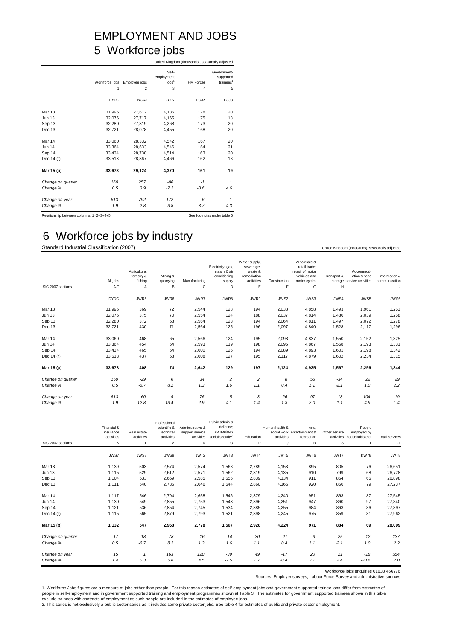## EMPLOYMENT AND JOBS 5 Workforce jobs

|                   |                |                |                                          | United Kingdom (thousands), seasonally adjusted |                                                   |  |  |  |
|-------------------|----------------|----------------|------------------------------------------|-------------------------------------------------|---------------------------------------------------|--|--|--|
|                   | Workforce jobs | Employee jobs  | Self-<br>employment<br>jobs <sup>1</sup> | <b>HM Forces</b>                                | Government-<br>supported<br>trainees <sup>1</sup> |  |  |  |
|                   | 1              | $\mathfrak{p}$ | 3                                        | 4                                               | 5                                                 |  |  |  |
|                   | <b>DYDC</b>    | <b>BCAJ</b>    | <b>DYZN</b>                              | <b>LOJX</b>                                     | LOJU                                              |  |  |  |
| <b>Mar 13</b>     | 31,996         | 27,612         | 4,186                                    | 178                                             | 20                                                |  |  |  |
| <b>Jun 13</b>     | 32,076         | 27,717         | 4,165                                    | 175                                             | 18                                                |  |  |  |
| Sep 13            | 32.280         | 27.819         | 4.268                                    | 173                                             | 20                                                |  |  |  |
| Dec 13            | 32,721         | 28,078         | 4,455                                    | 168                                             | 20                                                |  |  |  |
| Mar 14            | 33,060         | 28,332         | 4,542                                    | 167                                             | 20                                                |  |  |  |
| <b>Jun 14</b>     | 33.364         | 28.633         | 4.546                                    | 164                                             | 21                                                |  |  |  |
| Sep 14            | 33,434         | 28,738         | 4,514                                    | 163                                             | 20                                                |  |  |  |
| Dec 14 (r)        | 33,513         | 28,867         | 4,466                                    | 162                                             | 18                                                |  |  |  |
| Mar 15 (p)        | 33,673         | 29,124         | 4,370                                    | 161                                             | 19                                                |  |  |  |
| Change on quarter | 160            | 257            | $-96$                                    | $-1$                                            | $\mathbf{1}$                                      |  |  |  |
| Change %          | 0.5            | 0.9            | $-2.2$                                   | $-0.6$                                          | 4.6                                               |  |  |  |
| Change on year    | 613            | 792            | $-172$                                   | -6                                              | -1                                                |  |  |  |
| Change %          | 1.9            | 2.8            | $-3.8$                                   | $-3.7$                                          | $-4.3$                                            |  |  |  |

Relationship between columns: 1=2+3+4+5 See footnotes under table 6

### 6 Workforce jobs by industry

Standard Industrial Classification (2007) United Kingdom (thousands), seasonally adjusted

|                   | All jobs    | Agriculture,<br>forestry &<br>fishing | Mining &<br>quarrying | Manufacturing | Electricity, gas,<br>steam & air<br>conditioning<br>supply | Water supply,<br>sewerage,<br>waste &<br>remediation<br>activities | Construction | Wholesale &<br>retail trade:<br>repair of motor<br>vehicles and<br>motor cycles | Transport & | Accommod-<br>ation & food<br>storage service activities | Information &<br>communication |
|-------------------|-------------|---------------------------------------|-----------------------|---------------|------------------------------------------------------------|--------------------------------------------------------------------|--------------|---------------------------------------------------------------------------------|-------------|---------------------------------------------------------|--------------------------------|
| SIC 2007 sections | $A-T$       | $\overline{A}$                        | в                     | C             | D                                                          | E                                                                  | E            | G                                                                               | H           |                                                         |                                |
|                   | <b>DYDC</b> | JWR5                                  | JWR6                  | JWR7          | JWR8                                                       | JWR9                                                               | JWS2         | JWS3                                                                            | JWS4        | JWS5                                                    | JWS6                           |
| Mar 13            | 31,996      | 369                                   | 72                    | 2,544         | 128                                                        | 194                                                                | 2,038        | 4,858                                                                           | 1,493       | 1,961                                                   | 1,263                          |
| <b>Jun 13</b>     | 32,076      | 375                                   | 70                    | 2,554         | 124                                                        | 188                                                                | 2,037        | 4,814                                                                           | 1,486       | 2,039                                                   | 1,268                          |
| Sep 13            | 32,280      | 372                                   | 68                    | 2,564         | 123                                                        | 194                                                                | 2,064        | 4,811                                                                           | 1,497       | 2,072                                                   | 1,278                          |
| Dec 13            | 32,721      | 430                                   | 71                    | 2,564         | 125                                                        | 196                                                                | 2,097        | 4,840                                                                           | 1,528       | 2,117                                                   | 1,296                          |
| Mar 14            | 33,060      | 468                                   | 65                    | 2,566         | 124                                                        | 195                                                                | 2,098        | 4,837                                                                           | 1,550       | 2,152                                                   | 1,325                          |
| Jun 14            | 33,364      | 454                                   | 64                    | 2,593         | 119                                                        | 198                                                                | 2,096        | 4,867                                                                           | 1,568       | 2,193                                                   | 1,331                          |
| Sep 14            | 33,434      | 465                                   | 64                    | 2,600         | 125                                                        | 194                                                                | 2,089        | 4,893                                                                           | 1,601       | 2,198                                                   | 1,342                          |
| Dec 14 (r)        | 33,513      | 437                                   | 68                    | 2,608         | 127                                                        | 195                                                                | 2,117        | 4,879                                                                           | 1,602       | 2,234                                                   | 1,315                          |
| Mar 15 (p)        | 33,673      | 408                                   | 74                    | 2,642         | 129                                                        | 197                                                                | 2,124        | 4,935                                                                           | 1,567       | 2,256                                                   | 1,344                          |
| Change on quarter | 160         | $-29$                                 | 6                     | 34            | 2                                                          | $\overline{\mathbf{c}}$                                            | 8            | 55                                                                              | $-34$       | 22                                                      | 29                             |
| Change %          | 0.5         | $-6.7$                                | 8.2                   | 1.3           | 1.6                                                        | 1.1                                                                | 0.4          | 1.1                                                                             | $-2.1$      | 1.0                                                     | 2.2                            |
| Change on year    | 613         | $-60$                                 | 9                     | 76            | 5                                                          | 3                                                                  | 26           | 97                                                                              | 18          | 104                                                     | 19                             |
| Change %          | 1.9         | $-12.8$                               | 13.4                  | 2.9           | 4.1                                                        | 1.4                                                                | 1.3          | 2.0                                                                             | 1.1         | 4.9                                                     | 1.4                            |

| Financial &<br>insurance<br>activities | Real estate<br>activities | Professional<br>scientific &<br>technical<br>activities | Administrative &<br>support service<br>activities | Public admin &<br>defence:<br>compulsory<br>social security <sup>2</sup> | Education |                 | Arts.<br>recreation                                 | Other service                      | People<br>employed by | <b>Total services</b>                    |
|----------------------------------------|---------------------------|---------------------------------------------------------|---------------------------------------------------|--------------------------------------------------------------------------|-----------|-----------------|-----------------------------------------------------|------------------------------------|-----------------------|------------------------------------------|
| K                                      |                           | м                                                       | N                                                 | O                                                                        | P         |                 | R                                                   | s                                  | T                     | $G-T$                                    |
| JWS7                                   | JWS8                      | JWS9                                                    | JWT2                                              | JWT3                                                                     | JWT4      | JWT5            | JWT6                                                | JWT7                               | <b>KW78</b>           | JWT8                                     |
| 1,139                                  | 503                       | 2,574                                                   | 2,574                                             | 1,568                                                                    | 2,789     |                 | 895                                                 | 805                                | 76                    | 26,651                                   |
| 1,115                                  | 529                       | 2,612                                                   | 2,571                                             | 1,562                                                                    | 2,819     | 4,135           | 910                                                 | 799                                | 68                    | 26,728                                   |
| 1,104                                  | 533                       | 2,659                                                   | 2,585                                             | 1,555                                                                    | 2,839     | 4,134           | 911                                                 | 854                                | 65                    | 26,898                                   |
| 1,111                                  | 540                       | 2,735                                                   | 2,646                                             | 1,544                                                                    | 2,860     | 4,165           | 920                                                 | 856                                | 79                    | 27,237                                   |
| 1,117                                  | 546                       | 2,794                                                   | 2,658                                             | 1,546                                                                    | 2,879     |                 | 951                                                 | 863                                | 87                    | 27,545                                   |
| 1,130                                  | 549                       | 2,855                                                   | 2,753                                             | 1,543                                                                    | 2,896     | 4,251           | 947                                                 | 860                                | 97                    | 27,840                                   |
| 1,121                                  | 536                       | 2,854                                                   | 2,745                                             | 1,534                                                                    | 2,885     | 4,255           | 984                                                 | 863                                | 86                    | 27,897                                   |
| 1,115                                  | 565                       | 2,879                                                   | 2,793                                             | 1,521                                                                    | 2,898     | 4,245           | 975                                                 | 859                                | 81                    | 27,962                                   |
| 1,132                                  | 547                       | 2,958                                                   | 2,778                                             | 1,507                                                                    | 2,928     | 4,224           | 971                                                 | 884                                | 69                    | 28,099                                   |
| 17                                     | $-18$                     | 78                                                      | $-16$                                             | $-14$                                                                    | 30        | $-21$           | -3                                                  | 25                                 | $-12$                 | 137                                      |
| 0.5                                    | $-6.7$                    | 8.2                                                     | 1.3                                               | 1.6                                                                      | 1.1       | 0.4             | 1.1                                                 | $-2.1$                             | 1.0                   | 2.2                                      |
| 15<br>1.4                              |                           | 163                                                     | 120<br>4.5                                        | $-39$                                                                    | 49<br>1.7 | $-17$<br>$-0.4$ | 20                                                  | 21                                 | $-18$                 | 554<br>2.0                               |
|                                        |                           | 0.3                                                     | 5.8                                               |                                                                          | $-2.5$    |                 | Human health &<br>activities<br>Q<br>4,153<br>4,240 | social work entertainment &<br>2.1 | 2.4                   | activities<br>households etc.<br>$-20.6$ |

Workforce jobs enquiries 01633 456776 Sources: Employer surveys, Labour Force Survey and administrative sources

1. Workforce Jobs figures are a measure of jobs rather than people. For this reason estimates of self-employment jobs and government supported trainee jobs differ from estimates of<br>people in self-employment and in governme exclude trainees with contracts of employment as such people are included in the estimates of employee jobs.<br>2. This series is not exclusively a public sector series as it includes some private sector jobs. See table 4 for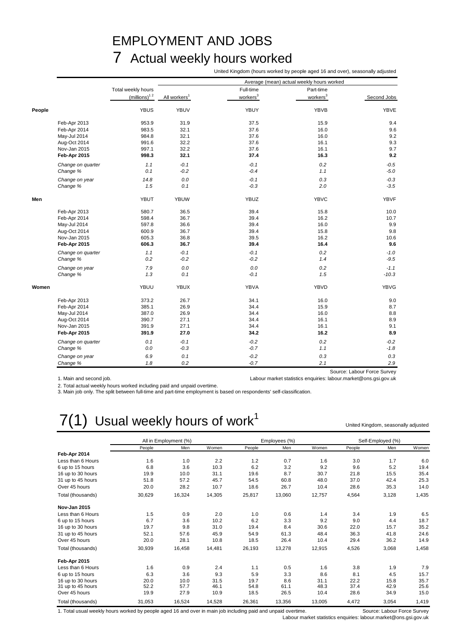## EMPLOYMENT AND JOBS 7 Actual weekly hours worked

United Kingdom (hours worked by people aged 16 and over), seasonally adjusted

|        |                   |                          |                          |                      | Average (mean) actual weekly hours worked |             |
|--------|-------------------|--------------------------|--------------------------|----------------------|-------------------------------------------|-------------|
|        |                   | Total weekly hours       |                          | Full-time            | Part-time                                 |             |
|        |                   | (millions) <sup>12</sup> | All workers <sup>1</sup> | workers <sup>3</sup> | workers <sup>3</sup>                      | Second Jobs |
| People |                   | <b>YBUS</b>              | <b>YBUV</b>              | YBUY                 | YBVB                                      | <b>YBVE</b> |
|        | Feb-Apr 2013      | 953.9                    | 31.9                     | 37.5                 | 15.9                                      | 9.4         |
|        | Feb-Apr 2014      | 983.5                    | 32.1                     | 37.6                 | 16.0                                      | 9.6         |
|        | May-Jul 2014      | 984.8                    | 32.1                     | 37.6                 | 16.0                                      | 9.2         |
|        | Aug-Oct 2014      | 991.6                    | 32.2                     | 37.6                 | 16.1                                      | 9.3         |
|        | Nov-Jan 2015      | 997.1                    | 32.2                     | 37.6                 | 16.1                                      | 9.7         |
|        | Feb-Apr 2015      | 998.3                    | 32.1                     | 37.4                 | 16.3                                      | 9.2         |
|        | Change on quarter | 1.1                      | $-0.1$                   | $-0.1$               | 0.2                                       | $-0.5$      |
|        | Change %          | 0.1                      | $-0.2$                   | $-0.4$               | 1.1                                       | $-5.0$      |
|        | Change on year    | 14.8                     | 0.0                      | $-0.1$               | 0.3                                       | $-0.3$      |
|        | Change %          | 1.5                      | 0.1                      | $-0.3$               | 2.0                                       | $-3.5$      |
| Men    |                   | YBUT                     | <b>YBUW</b>              | YBUZ                 | <b>YBVC</b>                               | <b>YBVF</b> |
|        | Feb-Apr 2013      | 580.7                    | 36.5                     | 39.4                 | 15.8                                      | 10.0        |
|        | Feb-Apr 2014      | 598.4                    | 36.7                     | 39.4                 | 16.2                                      | 10.7        |
|        | May-Jul 2014      | 597.8                    | 36.6                     | 39.4                 | 16.0                                      | 9.9         |
|        | Aug-Oct 2014      | 600.9                    | 36.7                     | 39.4                 | 15.8                                      | 9.8         |
|        | Nov-Jan 2015      | 605.3                    | 36.8                     | 39.5                 | 16.2                                      | 10.6        |
|        | Feb-Apr 2015      | 606.3                    | 36.7                     | 39.4                 | 16.4                                      | 9.6         |
|        | Change on quarter | 1.1                      | $-0.1$                   | $-0.1$               | 0.2                                       | $-1.0$      |
|        | Change %          | 0.2                      | $-0.2$                   | $-0.2$               | 1.4                                       | $-9.5$      |
|        | Change on year    | 7.9                      | 0.0                      | 0.0                  | 0.2                                       | $-1.1$      |
|        | Change %          | 1.3                      | 0.1                      | $-0.1$               | 1.5                                       | $-10.3$     |
| Women  |                   | YBUU                     | <b>YBUX</b>              | YBVA                 | YBVD                                      | <b>YBVG</b> |
|        | Feb-Apr 2013      | 373.2                    | 26.7                     | 34.1                 | 16.0                                      | 9.0         |
|        | Feb-Apr 2014      | 385.1                    | 26.9                     | 34.4                 | 15.9                                      | 8.7         |
|        | May-Jul 2014      | 387.0                    | 26.9                     | 34.4                 | 16.0                                      | 8.8         |
|        | Aug-Oct 2014      | 390.7                    | 27.1                     | 34.4                 | 16.1                                      | 8.9         |
|        | Nov-Jan 2015      | 391.9                    | 27.1                     | 34.4                 | 16.1                                      | 9.1         |
|        | Feb-Apr 2015      | 391.9                    | 27.0                     | 34.2                 | 16.2                                      | 8.9         |
|        | Change on quarter | 0.1                      | $-0.1$                   | $-0.2$               | 0.2                                       | $-0.2$      |
|        | Change %          | 0.0                      | $-0.3$                   | $-0.7$               | 1.1                                       | $-1.8$      |
|        | Change on year    | 6.9                      | 0.1                      | $-0.2$               | 0.3                                       | 0.3         |
|        | Change %          | 1.8                      | 0.2                      | $-0.7$               | 2.1                                       | 2.9         |

1. Main and second job. Labour market statistics enquiries: labour.market@ons.gsi.gov.uk

2. Total actual weekly hours worked including paid and unpaid overtime.

3. Main job only. The split between full-time and part-time employment is based on respondents' self-classification.

# $7(1)$  Usual weekly hours of work<sup>1</sup>

United Kingdom, seasonally adjusted

|                     |        | All in Employment (%) |        |        | Employees (%) |        |        | Self-Employed (%) |       |
|---------------------|--------|-----------------------|--------|--------|---------------|--------|--------|-------------------|-------|
|                     | People | Men                   | Women  | People | Men           | Women  | People | Men               | Women |
| Feb-Apr 2014        |        |                       |        |        |               |        |        |                   |       |
| Less than 6 Hours   | 1.6    | 1.0                   | 2.2    | 1.2    | 0.7           | 1.6    | 3.0    | 1.7               | 6.0   |
| 6 up to 15 hours    | 6.8    | 3.6                   | 10.3   | 6.2    | 3.2           | 9.2    | 9.6    | 5.2               | 19.4  |
| 16 up to 30 hours   | 19.9   | 10.0                  | 31.1   | 19.6   | 8.7           | 30.7   | 21.8   | 15.5              | 35.4  |
| 31 up to 45 hours   | 51.8   | 57.2                  | 45.7   | 54.5   | 60.8          | 48.0   | 37.0   | 42.4              | 25.3  |
| Over 45 hours       | 20.0   | 28.2                  | 10.7   | 18.6   | 26.7          | 10.4   | 28.6   | 35.3              | 14.0  |
| Total (thousands)   | 30,629 | 16,324                | 14,305 | 25,817 | 13,060        | 12,757 | 4,564  | 3,128             | 1,435 |
| <b>Nov-Jan 2015</b> |        |                       |        |        |               |        |        |                   |       |
| Less than 6 Hours   | 1.5    | 0.9                   | 2.0    | 1.0    | 0.6           | 1.4    | 3.4    | 1.9               | 6.5   |
| 6 up to 15 hours    | 6.7    | 3.6                   | 10.2   | 6.2    | 3.3           | 9.2    | 9.0    | 4.4               | 18.7  |
| 16 up to 30 hours   | 19.7   | 9.8                   | 31.0   | 19.4   | 8.4           | 30.6   | 22.0   | 15.7              | 35.2  |
| 31 up to 45 hours   | 52.1   | 57.6                  | 45.9   | 54.9   | 61.3          | 48.4   | 36.3   | 41.8              | 24.6  |
| Over 45 hours       | 20.0   | 28.1                  | 10.8   | 18.5   | 26.4          | 10.4   | 29.4   | 36.2              | 14.9  |
| Total (thousands)   | 30,939 | 16,458                | 14,481 | 26,193 | 13,278        | 12,915 | 4,526  | 3,068             | 1,458 |
| Feb-Apr 2015        |        |                       |        |        |               |        |        |                   |       |
| Less than 6 Hours   | 1.6    | 0.9                   | 2.4    | 1.1    | 0.5           | 1.6    | 3.8    | 1.9               | 7.9   |
| 6 up to 15 hours    | 6.3    | 3.6                   | 9.3    | 5.9    | 3.3           | 8.6    | 8.1    | 4.5               | 15.7  |
| 16 up to 30 hours   | 20.0   | 10.0                  | 31.5   | 19.7   | 8.6           | 31.1   | 22.2   | 15.8              | 35.7  |
| 31 up to 45 hours   | 52.2   | 57.7                  | 46.1   | 54.8   | 61.1          | 48.3   | 37.4   | 42.9              | 25.6  |
| Over 45 hours       | 19.9   | 27.9                  | 10.9   | 18.5   | 26.5          | 10.4   | 28.6   | 34.9              | 15.0  |
| Total (thousands)   | 31,053 | 16,524                | 14,528 | 26,361 | 13,356        | 13,005 | 4,472  | 3,054             | 1,419 |

1. Total usual weekly hours worked by people aged 16 and over in main job including paid and unpaid overtime. Source: Labour Force Survey

Labour market statistics enquiries: labour.market@ons.gsi.gov.uk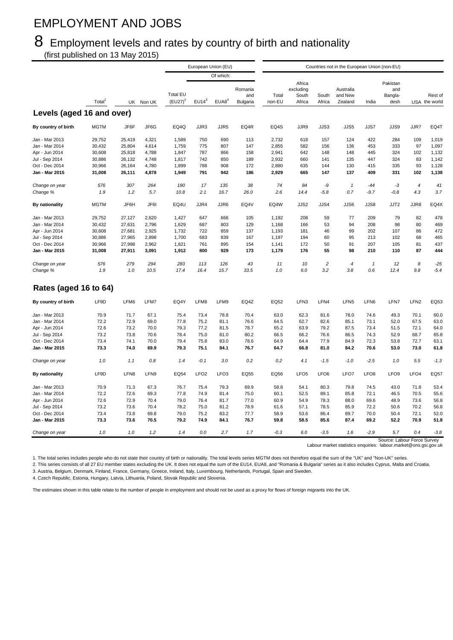## EMPLOYMENT AND JOBS

## 8 Employment levels and rates by country of birth and nationality

(first published on 13 May 2015)

|                                  |                    |                  |                |                               |                  | European Union (EU) |                            |                 |                                        |                  | Countries not in the European Union (non-EU) |                  |                                    |                  |                          |
|----------------------------------|--------------------|------------------|----------------|-------------------------------|------------------|---------------------|----------------------------|-----------------|----------------------------------------|------------------|----------------------------------------------|------------------|------------------------------------|------------------|--------------------------|
|                                  |                    |                  |                |                               |                  | Of which:           |                            |                 |                                        |                  |                                              |                  |                                    |                  |                          |
|                                  | Total <sup>'</sup> |                  | UK Non UK      | <b>Total EU</b><br>$(EU27)^2$ | $EU14^3$         | EUAB <sup>4</sup>   | Romania<br>and<br>Bulgaria | Total<br>non-EU | Africa<br>excluding<br>South<br>Africa | South<br>Africa  | Australia<br>and New<br>Zealand              | India            | Pakistan<br>and<br>Bangla-<br>desh |                  | Rest of<br>USA the world |
| Levels (aged 16 and over)        |                    |                  |                |                               |                  |                     |                            |                 |                                        |                  |                                              |                  |                                    |                  |                          |
| By country of birth              | <b>MGTM</b>        | JF6F             | JF6G           | EQ4Q                          | JJR3             | JJR5                | EQ4R                       | EQ4S            | JJR9                                   | JJS3             | JJS5                                         | JJS7             | JJS9                               | JJR7             | EQ4T                     |
| Jan - Mar 2013                   | 29,752             | 25,419           | 4,321          | 1,589                         | 750              | 690                 | 113                        | 2,732           | 618                                    | 157              | 124                                          | 422              | 284                                | 109              | 1,019                    |
| Jan - Mar 2014                   | 30,432             | 25,804           | 4,614          | 1,759                         | 775              | 807                 | 147                        | 2,855           | 582                                    | 156              | 136                                          | 453              | 333                                | 97               | 1,097                    |
| Apr - Jun 2014                   | 30,608             | 25,818           | 4,788          | 1,847                         | 787              | 866                 | 158                        | 2,941           | 642                                    | 148              | 148                                          | 445              | 324                                | 102              | 1,132                    |
|                                  |                    |                  |                | 1,817                         | 742              | 850                 | 189                        |                 | 660                                    | 141              | 135                                          | 447              | 324                                | 83               |                          |
| Jul - Sep 2014                   | 30,886<br>30,966   | 26,132           | 4,748<br>4,780 | 1,899                         |                  | 908                 | 172                        | 2,932<br>2,880  | 635                                    | 144              | 130                                          |                  | 335                                | 93               | 1,142<br>1,128           |
| Oct - Dec 2014<br>Jan - Mar 2015 | 31,008             | 26,164<br>26,111 | 4,878          | 1,949                         | 788<br>791       | 942                 | 186                        | 2,929           | 665                                    | 147              | 137                                          | 415<br>409       | 331                                | 102              | 1,138                    |
| Change on year                   | 576                | 307              | 264            | 190                           | 17               | 135                 | 38                         | 74              | 84                                     | -9               | $\boldsymbol{\mathcal{I}}$                   | $-44$            | $-3$                               | $\boldsymbol{4}$ | 41                       |
| Change %                         | 1.9                | 1.2              | 5.7            | 10.8                          | 2.1              | 16.7                | 26.0                       | 2.6             | 14.4                                   | $-5.8$           | 0.7                                          | $-9.7$           | $-0.8$                             | 4.3              | 3.7                      |
| By nationality                   | <b>MGTM</b>        | JF6H             | JF6I           | EQ4U                          | JJR4             | JJR6                | EQ4V                       | EQ4W            | JJS2                                   | JJS4             | JJS6                                         | JJS8             | JJT2                               | JJR8             | EQ4X                     |
| Jan - Mar 2013                   | 29,752             | 27,127           | 2,620          | 1,427                         | 647              | 666                 | 105                        | 1,192           | 208                                    | 59               | 77                                           | 209              | 79                                 | 82               | 478                      |
| Jan - Mar 2014                   | 30,432             | 27,631           | 2,796          | 1,629                         | 687              | 803                 | 129                        | 1,168           | 166                                    | 53               | 94                                           | 208              | 98                                 | 80               | 469                      |
| Apr - Jun 2014                   | 30,608             | 27,681           | 2,925          | 1,732                         | 722              | 859                 | 137                        | 1,193           | 181                                    | 46               | 99                                           | 202              | 107                                | 86               | 472                      |
| Jul - Sep 2014                   | 30,886             | 27,965           | 2,898          | 1,700                         | 683              | 839                 | 167                        | 1,197           | 194                                    | 60               | 95                                           | 213              | 102                                | 68               | 465                      |
| Oct - Dec 2014                   | 30,966             | 27,998           | 2,962          | 1,821                         | 761              | 895                 | 154                        | 1,141           | 172                                    | 50               | 91                                           | 207              | 105                                | 81               | 437                      |
| Jan - Mar 2015                   | 31,008             | 27,911           | 3,091          | 1,912                         | 800              | 929                 | 173                        | 1,179           | 176                                    | 55               | 98                                           | 210              | 110                                | 87               | 444                      |
| Change on year                   | 576                | 279              | 294            | 283                           | 113              | 126                 | 43                         | 11              | 10                                     | $\overline{c}$   | 4                                            | $\mathbf{1}$     | 12                                 | 8                | $-25$                    |
| Change %                         | 1.9                | 1.0              | 10.5           | 17.4                          | 16.4             | 15.7                | 33.5                       | 1.0             | 6.0                                    | 3.2              | 3.8                                          | 0.6              | 12.4                               | 9.8              | $-5.4$                   |
| Rates (aged 16 to 64)            |                    |                  |                |                               |                  |                     |                            |                 |                                        |                  |                                              |                  |                                    |                  |                          |
| By country of birth              | LF9D               | LFM6             | LFM7           | EQ4Y                          | LFM8             | LFM9                | EQ4Z                       | EQ52            | LFN3                                   | LFN4             | LFN <sub>5</sub>                             | LFN6             | LFN7                               | LFN <sub>2</sub> | EQ53                     |
| Jan - Mar 2013                   | 70.9               | 71.7             | 67.1           | 75.4                          | 73.4             | 78.8                | 70.4                       | 63.0            | 62.3                                   | 81.6             | 78.0                                         | 74.6             | 49.3                               | 70.1             | 60.0                     |
| Jan - Mar 2014                   | 72.2               | 72.9             | 69.0           | 77.8                          | 75.2             | 81.1                | 76.6                       | 64.5            | 62.7                                   | 82.6             | 85.1                                         | 73.1             | 52.0                               | 67.5             | 63.0                     |
| Apr - Jun 2014                   | 72.6               | 73.2             | 70.0           | 79.3                          | 77.2             | 81.5                | 78.7                       | 65.2            | 63.9                                   | 79.2             | 87.5                                         | 73.4             | 51.5                               | 72.1             | 64.0                     |
| Jul - Sep 2014                   | 73.2               | 73.8             | 70.6           | 78.4                          | 75.0             | 81.0                | 80.2                       | 66.5            | 66.2                                   | 76.6             | 86.5                                         | 74.3             | 52.9                               | 68.7             | 65.8                     |
| Oct - Dec 2014                   | 73.4               | 74.1             | 70.0           | 79.4                          | 75.8             | 83.0                | 78.6                       | 64.9            | 64.4                                   | 77.9             | 84.9                                         | 72.3             | 53.8                               | 72.7             | 63.1                     |
| Jan - Mar 2015                   | 73.3               | 74.0             | 69.9           | 79.3                          | 75.1             | 84.1                | 76.7                       | 64.7            | 66.8                                   | 81.0             | 84.2                                         | 70.6             | 53.0                               | 73.0             | 61.8                     |
| Change on year                   | 1.0                | 1.1              | 0.8            | 1.4                           | $-0.1$           | 3.0                 | 0.2                        | 0.2             | 4.1                                    | $-1.5$           | $-1.0$                                       | $-2.5$           | 1.0                                | 5.5              | $-1.3$                   |
| By nationality                   | LF9D               | LFN8             | LFN9           | EQ54                          | LFO <sub>2</sub> | LFO <sub>3</sub>    | EQ55                       | EQ56            | LFO <sub>5</sub>                       | LFO <sub>6</sub> | LFO7                                         | LFO <sub>8</sub> | LFO <sub>9</sub>                   | LFO <sub>4</sub> | EQ57                     |
| Jan - Mar 2013                   | 70.9               | 71.3             | 67.3           | 76.7                          | 75.4             | 79.3                | 69.9                       | 58.8            | 54.1                                   | 80.3             | 79.8                                         | 74.5             | 43.0                               | 71.8             | 53.4                     |
| Jan - Mar 2014                   | 72.2               | 72.6             | 69.3           | 77.8                          | 74.9             | 81.4                | 75.0                       | 60.1            | 52.5                                   | 89.1             | 85.8                                         | 72.1             | 46.5                               | 70.5             | 55.6                     |
| Apr - Jun 2014                   | 72.6               | 72.9             | 70.4           | 79.0                          | 76.4             | 81.7                | 77.0                       | 60.9            | 54.9                                   | 78.3             | 88.0                                         | 69.6             | 48.9                               | 73.6             | 56.8                     |
| Jul - Sep 2014                   | 73.2               | 73.6             | 70.4           | 78.2                          | 75.0             | 81.2                | 78.9                       | 61.6            | 57.1                                   | 78.5             | 85.9                                         | 72.2             | 50.6                               | 70.2             | 56.8                     |
| Oct - Dec 2014                   | 73.4               | 73.8             | 69.8           | 79.0                          | 75.2             | 83.2                | 77.7                       | 58.9            | 53.6                                   | 86.4             | 89.7                                         | 70.0             | 50.4                               | 72.1             | 52.0                     |
| Jan - Mar 2015                   | 73.3               | 73.6             | 70.5           | 79.2                          | 74.9             | 84.1                | 76.7                       | 59.8            | 58.5                                   | 85.6             | 87.4                                         | 69.2             | 52.2                               | 70.9             | 51.8                     |
| Change on year                   | 1.0                | 1.0              | 1.2            | 1.4                           | 0.0              | 2.7                 | 1.7                        | $-0.3$          | 6.0                                    | $-3.5$           | 1.6                                          | $-2.9$           | 5.7<br>$C_{01}$                    | 0.4<br>obour For | $-3.8$<br>$C_{11}$       |

Source: [L](mailto:labour.market@ons.gsi.gov.uk)abour Force Survey<br>Labour market statistics enquiries: labour.market@ons.gsi.gov.uk

1. The total series includes people who do not state their country of birth or nationality. The total levels series MGTM does not therefore equal the sum of the "UK" and "Non-UK" series.

2. This series consists of all 27 EU member states excluding the UK. It does not equal the sum of the EU14, EUA8, and "Romania & Bulgaria" series as it also includes Cyprus, Malta and Croatia.

3. Austria, Belgium, Denmark, Finland, France, Germany, Greece, Ireland, Italy, Luxembourg, Netherlands, Portugal, Spain and Sweden.

4. Czech Republic, Estonia, Hungary, Latvia, Lithuania, Poland, Slovak Republic and Slovenia.

The estimates shown in this table relate to the number of people in employment and should not be used as a proxy for flows of foreign migrants into the UK.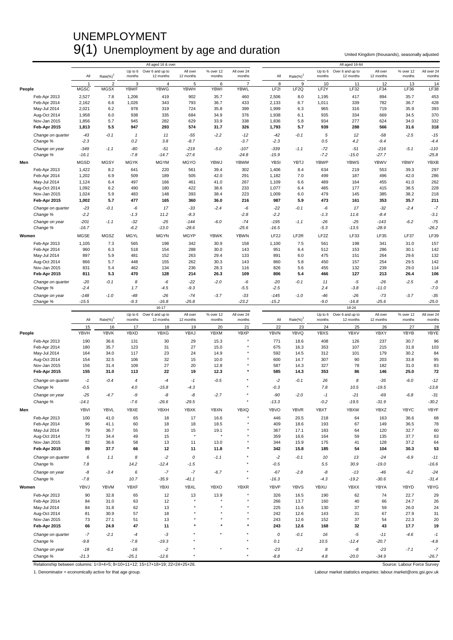### UNEMPLOYMENT 9(1) Unemployment by age and duration United Kingdom (thousands), seasonally adjusted

|        |                              |             |                      |              | All aged 16 & over                    |                       |                     |                       |                   |                  |                   | All aged 16-64                |                       |                     |                       |
|--------|------------------------------|-------------|----------------------|--------------|---------------------------------------|-----------------------|---------------------|-----------------------|-------------------|------------------|-------------------|-------------------------------|-----------------------|---------------------|-----------------------|
|        |                              | All         | $Rate(\%)^{\dagger}$ | months       | Up to 6 Over 6 and up to<br>12 months | All over<br>12 months | % over 12<br>months | All over 24<br>months | All               | $Rate(\%)^1$     | Up to 6<br>months | Over 6 and up to<br>12 months | All over<br>12 months | % over 12<br>months | All over 24<br>months |
|        |                              | -1          | $\overline{2}$       | 3            | $\overline{4}$                        | 5                     | 6                   | $\overline{7}$        | 8                 | 9                | 10                | 11                            | 12                    | 13                  | 14                    |
| People |                              | <b>MGSC</b> | <b>MGSX</b>          | <b>YBWF</b>  | <b>YBWG</b>                           | <b>YBWH</b>           | <b>YBWI</b>         | <b>YBWL</b>           | LF <sub>2</sub> I | LF <sub>2Q</sub> | LF <sub>2</sub> Y | LF32                          | LF34                  | LF36                | <b>LF38</b>           |
|        | Feb-Apr 2013                 | 2,527       | 7.8                  | 1,206        | 419                                   | 902                   | 35.7                | 460                   | 2,506             | 8.0              | 1,195             | 417                           | 894                   | 35.7                | 453                   |
|        | Feb-Apr 2014                 | 2,162       | 6.6                  | 1,026        | 343                                   | 793                   | 36.7                | 433                   | 2,133             | 6.7              | 1,011             | 339                           | 782                   | 36.7                | 428                   |
|        | May-Jul 2014                 | 2,021       | 6.2                  | 978          | 319                                   | 724                   | 35.8                | 399                   | 1,999             | 6.3              | 965               | 316                           | 719                   | 35.9                | 393                   |
|        | Aug-Oct 2014                 | 1,958       | 6.0                  | 938          | 335                                   | 684                   | 34.9                | 376                   | 1,938             | 6.1              | 935               | 334                           | 669                   | 34.5                | 370                   |
|        | Nov-Jan 2015                 | 1,856       | 5.7                  | 945          | 282                                   | 629                   | 33.9                | 338                   | 1,836             | 5.8              | 934               | 277                           | 624                   | 34.0                | 332                   |
|        | Feb-Apr 2015                 | 1,813       | 5.5                  | 947          | 293                                   | 574                   | 31.7                | 326                   | 1,793             | 5.7              | 939               | 288                           | 566                   | 31.6                | 318                   |
|        | Change on quarter            | $-43$       | $-0.1$               | $\mathbf{1}$ | 11                                    | $-55$                 | $-2.2$              | $-12$                 | $-42$             | $-0.1$           | $\sqrt{5}$        | 12                            | $-58$                 | $-2.5$              | $-15$                 |
|        | Change %                     | $-2.3$      |                      | 0.2          | 3.8                                   | $-8.7$                |                     | $-3.7$                | $-2.3$            |                  | 0.5               | 4.2                           | $-9.4$                |                     | $-4.4$                |
|        | Change on year               | $-349$      | $-1.1$               | $-80$        | $-51$                                 | $-219$                | $-5.0$              | $-107$                | $-339$            | $-1.1$           | $-72$             | $-51$                         | $-216$                | $-5.1$              | $-110$                |
|        | Change %                     | $-16.1$     |                      | $-7.8$       | $-14.7$                               | $-27.6$               |                     | $-24.8$               | $-15.9$           |                  | $-7.2$            | $-15.0$                       | $-27.7$               |                     | $-25.8$               |
| Men    |                              | <b>MGSD</b> | <b>MGSY</b>          | <b>MGYK</b>  | <b>MGYM</b>                           | <b>MGYO</b>           | YBWJ                | <b>YBWM</b>           | <b>YBSI</b>       | <b>YBTJ</b>      | <b>YBWP</b>       | <b>YBWS</b>                   | <b>YBWV</b>           | <b>YBWY</b>         | <b>YBXB</b>           |
|        | Feb-Apr 2013                 | 1,422       | 8.2                  | 641          | 220                                   | 561                   | 39.4                | 302                   | 1,406             | 8.4              | 634               | 219                           | 553                   | 39.3                | 297                   |
|        | Feb-Apr 2014                 | 1,202       | 6.9                  | 509          | 189                                   | 505                   | 42.0                | 291                   | 1,182             | 7.0              | 499               | 187                           | 496                   | 42.0                | 286                   |
|        | May-Jul 2014                 | 1,124       | 6.4                  | 497          | 166                                   | 461                   | 41.0                | 267                   | 1,109             | 6.6              | 489               | 164                           | 455                   | 41.0                | 262                   |
|        | Aug-Oct 2014                 | 1,092       | 6.2                  | 490          | 180                                   | 422                   | 38.6                | 233                   | 1,077             | 6.4              | 485               | 177                           | 415                   | 38.5                | 228                   |
|        | Nov-Jan 2015                 | 1,024       | 5.9                  | 483          | 148                                   | 393                   | 38.4                | 223<br>216            | 1,009             | 6.0              | 479<br>473        | 145                           | 385                   | 38.2                | 218<br>211            |
|        | Feb-Apr 2015                 | 1,002       | 5.7                  | 477          | 165                                   | 360                   | 36.0                |                       | 987               | 5.9              |                   | 161                           | 353                   | 35.7                |                       |
|        | Change on quarter            | $-23$       | $-0.1$               | -6           | 17                                    | $-33$                 | $-2.4$              | $-6$                  | $-22$             | $-0.1$           | -6                | 17                            | $-32$                 | $-2.4$              | $-7$                  |
|        | Change %                     | $-2.2$      |                      | $-1.3$       | 11.2                                  | $-8.3$                |                     | $-2.8$                | $-2.2$            |                  | $-1.3$            | 11.6                          | $-8.4$                |                     | $-3.1$                |
|        | Change on year               | $-201$      | $-1.1$               | $-32$        | $-25$                                 | $-144$                | $-6.0$              | $-74$                 | $-195$            | $-1.1$           | $-26$             | $-25$                         | $-143$                | $-6.2$              | $-75$                 |
|        | Change %                     | $-16.7$     |                      | $-6.2$       | $-13.0$                               | $-28.6$               |                     | $-25.6$               | $-16.5$           |                  | $-5.3$            | $-13.5$                       | $-28.9$               |                     | $-26.2$               |
| Women  |                              | <b>MGSE</b> | MGSZ                 | <b>MGYL</b>  | <b>MGYN</b>                           | <b>MGYP</b>           | <b>YBWK</b>         | <b>YBWN</b>           | LF <sub>2</sub> J | LF2R             | LF <sub>2</sub> Z | LF33                          | <b>LF35</b>           | <b>LF37</b>         | LF39                  |
|        | Feb-Apr 2013                 | 1,105       | 7.3                  | 565          | 198                                   | 342                   | 30.9                | 158                   | 1,100             | 7.5              | 561               | 198                           | 341                   | 31.0                | 157                   |
|        | Feb-Apr 2014                 | 960         | 6.3                  | 518          | 154                                   | 288                   | 30.0                | 143                   | 951               | 6.4              | 512               | 153                           | 286                   | 30.1                | 142                   |
|        | May-Jul 2014                 | 897         | 5.9                  | 481          | 152                                   | 263                   | 29.4                | 133                   | 891               | 6.0              | 475               | 151                           | 264                   | 29.6                | 132                   |
|        | Aug-Oct 2014                 | 866         | 5.7                  | 448          | 155                                   | 262                   | 30.3                | 143                   | 860               | 5.8              | 450               | 157                           | 254                   | 29.5                | 142                   |
|        | Nov-Jan 2015                 | 831         | 5.4                  | 462          | 134                                   | 236                   | 28.3                | 116                   | 826               | 5.6              | 455               | 132                           | 239                   | 29.0                | 114                   |
|        | Feb-Apr 2015                 | 811         | 5.3                  | 470          | 128                                   | 214                   | 26.3                | 109                   | 806               | 5.4              | 466               | 127                           | 213                   | 26.4                | 106                   |
|        | Change on quarter            | $-20$       | $-0.1$               | 8            | -6                                    | $-22$                 | $-2.0$              | -6                    | $-20$             | $-0.1$           | 11                | -5                            | $-26$                 | $-2.5$              | -8                    |
|        | Change %                     | $-2.4$      |                      | 1.7          | $-4.5$                                | $-9.3$                |                     | $-5.5$                | $-2.5$            |                  | 2.4               | $-3.8$                        | $-11.0$               |                     | $-7.0$                |
|        | Change on year               | $-148$      | $-1.0$               | $-48$        | $-26$                                 | $-74$                 | $-3.7$              | $-33$                 | $-145$            | $-1.0$           | $-46$             | $-26$                         | $-73$                 | $-3.7$              | $-35$                 |
|        | Change %                     | $-15.5$     |                      | $-9.3$       | $-16.8$                               | $-25.8$               |                     | $-23.2$               | $-15.2$           |                  | $-9.0$            | $-16.8$                       | $-25.6$               |                     | $-25.0$               |
|        |                              |             |                      |              | 16-17                                 |                       |                     |                       |                   |                  |                   | 18-24                         |                       |                     |                       |
|        |                              |             |                      |              |                                       |                       |                     |                       |                   |                  |                   |                               |                       |                     |                       |
|        |                              |             |                      |              | Up to 6 Over 6 and up to              | All over              | % over 12           | All over 24           |                   |                  | Up to 6           | Over 6 and up to              | All over              | % over 12           | All over 24           |
|        |                              | All         | $Rate(\%)$           | months       | 12 months                             | 12 months             | months              | months                | $\mathsf{All}$    | Rate(%)          | months            | 12 months                     | 12 months             | months              | months                |
|        |                              | 15          | 16                   | 17           | 18                                    | 19                    | 20                  | 21                    | 22                | 23               | 24                | 25                            | 26                    | 27                  | 28                    |
| People |                              | YBVH        | <b>YBVK</b>          | <b>YBXD</b>  | <b>YBXG</b>                           | <b>YBXJ</b>           | <b>YBXM</b>         | YBXP                  | <b>YBVN</b>       | <b>YBVQ</b>      | <b>YBXS</b>       | <b>YBXV</b>                   | <b>YBXY</b>           | <b>YBYB</b>         | YBYE                  |
|        | Feb-Apr 2013                 | 190         | 36.6                 | 131          | 30                                    | 29                    | 15.3                |                       | 771               | 18.6             | 408               | 126                           | 237                   | 30.7                | 96                    |
|        | Feb-Apr 2014                 | 180         | 35.7                 | 123          | 31                                    | 27                    | 15.0                |                       | 675               | 16.3             | 353               | 107                           | 215                   | 31.8                | 103                   |
|        | May-Jul 2014                 | 164         | 34.0                 | 117          | 23                                    | 24                    | 14.9                |                       | 592               | 14.5             | 312               | 101                           | 179                   | 30.2                | 84                    |
|        | Aug-Oct 2014<br>Nov-Jan 2015 | 154<br>156  | 32.5<br>31.4         | 106<br>109   | 32<br>27                              | 15<br>20              | 10.0<br>12.8        |                       | 600<br>587        | 14.7<br>14.3     | 307<br>327        | 90<br>78                      | 203<br>182            | 33.8<br>31.0        | 95<br>83              |
|        | Feb-Apr 2015                 | 155         | 31.0                 | 113          | 22                                    | 19                    | 12.3                | $\star$               | 585               | 14.3             | 353               | 86                            | 146                   | 25.0                | 72                    |
|        |                              |             |                      |              |                                       |                       |                     |                       |                   |                  |                   |                               |                       |                     |                       |
|        | Change on quarter            | $-1$        | $-0.4$               | 4            | $-4$                                  | $-1$                  | $-0.5$              |                       | $-2$              | $-0.1$           | 26                | 8                             | $-35$                 | $-6.0$              | $-12$                 |
|        | Change %                     | $-0.5$      |                      | 4.0          | $-15.8$                               | $-4.3$                |                     |                       | $-0.3$            |                  | 7.8               | 10.5                          | $-19.5$               |                     | $-13.8$               |
|        | Change on year               | $-25$       | $-4.7$               | -9           | -8                                    | -8                    | $-2.7$              |                       | $-90$             | $-2.0$           | $-1$              | $-21$                         | $-69$                 | $-6.8$              | $-31$                 |
|        | Change %                     | $-14.1$     |                      | $-7.6$       | $-26.6$                               | $-29.5$               |                     |                       | $-13.3$           |                  | $-0.2$            | $-19.5$                       | $-31.9$               |                     | $-30.2$               |
| Men    |                              | <b>YBVI</b> | <b>YBVL</b>          | <b>YBXE</b>  | YBXH                                  | <b>YBXK</b>           | <b>YBXN</b>         | <b>YBXQ</b>           | <b>YBVO</b>       | <b>YBVR</b>      | <b>YBXT</b>       | <b>YBXW</b>                   | YBXZ                  | <b>YBYC</b>         | YBYF                  |
|        | Feb-Apr 2013                 | 100         | 41.0                 | 65           | 18                                    | 17                    | 16.6                |                       | 446               | 20.5             | 218               | 64                            | 163                   | 36.6                | 68                    |
|        | Feb-Apr 2014                 | 96          | 41.1                 | 60           | 18                                    | 18                    | 18.5                | ٠                     | 409               | 18.6             | 193               | 67                            | 149                   | 36.5                | 78                    |
|        | May-Jul 2014                 | 79          | 36.7                 | 55           | 10                                    | 15                    | 19.1                |                       | 367               | 17.1             | 183               | 64                            | 120                   | 32.7                | 60                    |
|        | Aug-Oct 2014                 | 73          | 34.4                 | 49           | 15                                    |                       |                     |                       | 359               | 16.6             | 164               | 59                            | 135                   | 37.7                | 63                    |
|        | Nov-Jan 2015                 | 82          | 36.6                 | 58           | 13                                    | 11                    | 13.0                |                       | 344               | 15.9             | 175               | 41                            | 128                   | 37.2                | 64                    |
|        | Feb-Apr 2015                 | 89          | 37.7                 | 66           | 12                                    | 11                    | 11.8                |                       | 342               | 15.8             | 185               | 54                            | 104                   | 30.3                | 53                    |
|        | Change on quarter            | 6           | 1.1                  | 8            | $-2$                                  | 0                     | $-1.1$              |                       | $-2$              | $-0.1$           | 10                | 13                            | $-24$                 | $-6.9$              | $-11$                 |
|        | Change %                     | 7.8         |                      | 14.2         | $-12.4$                               | $-1.5$                |                     | $\star$               | $-0.5$            |                  | 5.5               | 30.9                          | $-19.0$               |                     | $-16.6$               |
|        | Change on year               | -8          | $-3.4$               | 6            | $-7$                                  | $\mathbf{-7}$         | $-6.7$              | $\star$               | $-67$             | $-2.8$           | -8                | $-13$                         | $-46$                 | $-6.2$              | $-24$                 |
|        |                              |             |                      |              |                                       |                       |                     | $\star$               |                   |                  |                   |                               |                       |                     |                       |
|        | Change %                     | $-7.8$      |                      | 10.7         | $-35.9$                               | $-41.1$               |                     |                       | $-16.3$           |                  | $-4.3$            | $-19.2$                       | $-30.6$               |                     | $-31.4$               |
| Women  |                              | YBVJ        | YBVM                 | <b>YBXF</b>  | <b>YBXI</b>                           | <b>YBXL</b>           | YBXO                | <b>YBXR</b>           | <b>YBVP</b>       | <b>YBVS</b>      | <b>YBXU</b>       | <b>YBXX</b>                   | YBYA                  | YBYD                | <b>YBYG</b>           |
|        | Feb-Apr 2013                 | 90          | 32.8                 | 65           | 12                                    | 13                    | 13.9                |                       | 326               | 16.5             | 190               | 62                            | 74                    | 22.7                | 29                    |
|        | Feb-Apr 2014                 | 84          | 31.0                 | 63           | 12                                    |                       |                     |                       | 266               | 13.7             | 160               | 40                            | 66                    | 24.7                | 26                    |
|        | May-Jul 2014                 | 84          | 31.8                 | 62           | 13                                    |                       |                     |                       | 225               | 11.6             | 130               | 37                            | 59                    | 26.0                | 24                    |
|        | Aug-Oct 2014                 | 81          | 30.9                 | 57           | 18                                    |                       |                     |                       | 242               | 12.6             | 143               | 31                            | 67                    | 27.9                | 31                    |
|        | Nov-Jan 2015                 | 73          | 27.1                 | 51           | 13                                    |                       |                     |                       | 243               | 12.6             | 152               | 37                            | 54                    | 22.3                | 20                    |
|        | Feb-Apr 2015                 | 66          | 24.9                 | 47           | 11                                    |                       |                     |                       | 243               | 12.6             | 168               | 32                            | 43                    | 17.7                | 19                    |
|        | Change on quarter            | $-7$        | $-2.1$               | $-4$         | $-3$                                  |                       |                     |                       | 0                 | $-0.1$           | 16                | $-5$                          | $-11$                 | $-4.6$              | $-1$                  |
|        | Change %                     | $-9.8$      |                      | $-7.8$       | $-19.3$                               |                       |                     |                       | 0.1               |                  | 10.5              | $-12.4$                       | $-20.7$               |                     | -4.8                  |
|        | Change on year               | $-18$       | $-6.1$               | $-16$        | $-2$<br>$-12.6$                       |                       |                     | $\star$<br>$\star$    | $-23$<br>$-8.8$   | $-1.2$           | 8<br>4.8          | -8                            | $-23$                 | $-7.1$              | -7                    |

Relationship between columns: 1=3+4+5; 8=10+11+12; 15=17+18+19; 22=24+25+26. Source: Labour Force Survey<br>1. Denominator = economically active for that age group.<br>1. Denominator = economically active for that age group.

1. Denominator = economically active for that age group. Labour market statistics enquiries: labour.market@ons.gsi.gov.uk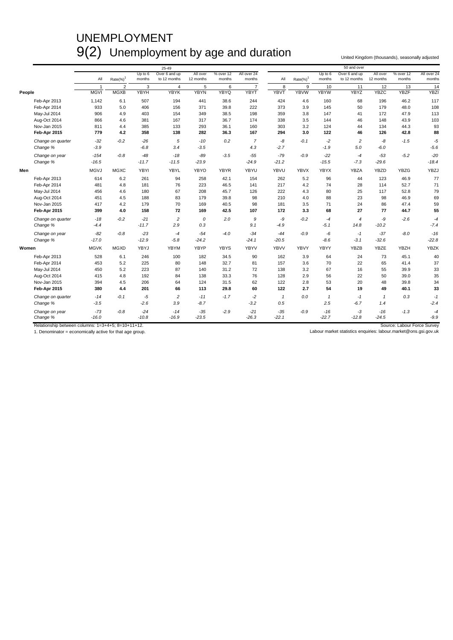## UNEMPLOYMENT 9(2) Unemployment by age and duration United Kingdom (thousands), seasonally adjusted

|                   |             |                |                   | 25-49                         |                       |                     |                       |              |                         |                     | 50 and over                   |                       |                     |                       |
|-------------------|-------------|----------------|-------------------|-------------------------------|-----------------------|---------------------|-----------------------|--------------|-------------------------|---------------------|-------------------------------|-----------------------|---------------------|-----------------------|
|                   | All         | $Rate(\%)^1$   | Up to 6<br>months | Over 6 and up<br>to 12 months | All over<br>12 months | % over 12<br>months | All over 24<br>months | All          | $Rate(\%)$ <sup>1</sup> | Up to $6$<br>months | Over 6 and up<br>to 12 months | All over<br>12 months | % over 12<br>months | All over 24<br>months |
|                   | -1          | $\overline{2}$ | 3                 | $\overline{4}$                | 5                     | 6                   | $\overline{7}$        | 8            | 9                       | 10                  | 11                            | 12                    | 13                  | 14                    |
| People            | <b>MGVI</b> | <b>MGXB</b>    | <b>YBYH</b>       | <b>YBYK</b>                   | <b>YBYN</b>           | YBYQ                | <b>YBYT</b>           | <b>YBVT</b>  | <b>YBVW</b>             | <b>YBYW</b>         | <b>YBYZ</b>                   | <b>YBZC</b>           | <b>YBZF</b>         | <b>YBZI</b>           |
| Feb-Apr 2013      | 1,142       | 6.1            | 507               | 194                           | 441                   | 38.6                | 244                   | 424          | 4.6                     | 160                 | 68                            | 196                   | 46.2                | 117                   |
| Feb-Apr 2014      | 933         | 5.0            | 406               | 156                           | 371                   | 39.8                | 222                   | 373          | 3.9                     | 145                 | 50                            | 179                   | 48.0                | 108                   |
| May-Jul 2014      | 906         | 4.9            | 403               | 154                           | 349                   | 38.5                | 198                   | 359          | 3.8                     | 147                 | 41                            | 172                   | 47.9                | 113                   |
| Aug-Oct 2014      | 866         | 4.6            | 381               | 167                           | 317                   | 36.7                | 174                   | 338          | 3.5                     | 144                 | 46                            | 148                   | 43.9                | 103                   |
| Nov-Jan 2015      | 811         | 4.4            | 385               | 133                           | 293                   | 36.1                | 160                   | 303          | 3.2                     | 124                 | 44                            | 134                   | 44.3                | 93                    |
| Feb-Apr 2015      | 779         | 4.2            | 358               | 138                           | 282                   | 36.3                | 167                   | 294          | 3.0                     | 122                 | 46                            | 126                   | 42.8                | 88                    |
| Change on quarter | $-32$       | $-0.2$         | $-26$             | $\sqrt{5}$                    | $-10$                 | 0.2                 | $\overline{7}$        | -8           | $-0.1$                  | $-2$                | $\overline{c}$                | -8                    | $-1.5$              | $-5$                  |
| Change %          | $-3.9$      |                | $-6.8$            | 3.4                           | $-3.5$                |                     | 4.3                   | $-2.7$       |                         | $-1.9$              | 5.0                           | $-6.0$                |                     | $-5.6$                |
| Change on year    | $-154$      | $-0.8$         | $-48$             | $-18$                         | $-89$                 | $-3.5$              | $-55$                 | $-79$        | $-0.9$                  | $-22$               | $-4$                          | $-53$                 | $-5.2$              | $-20$                 |
| Change %          | $-16.5$     |                | $-11.7$           | $-11.5$                       | $-23.9$               |                     | $-24.9$               | $-21.2$      |                         | $-15.5$             | $-7.3$                        | $-29.6$               |                     | $-18.4$               |
| Men               | <b>MGVJ</b> | <b>MGXC</b>    | YBYI              | YBYL                          | YBYO                  | <b>YBYR</b>         | YBYU                  | YBVU         | <b>YBVX</b>             | <b>YBYX</b>         | YBZA                          | <b>YBZD</b>           | <b>YBZG</b>         | YBZJ                  |
| Feb-Apr 2013      | 614         | 6.2            | 261               | 94                            | 258                   | 42.1                | 154                   | 262          | 5.2                     | 96                  | 44                            | 123                   | 46.9                | 77                    |
| Feb-Apr 2014      | 481         | 4.8            | 181               | 76                            | 223                   | 46.5                | 141                   | 217          | 4.2                     | 74                  | 28                            | 114                   | 52.7                | 71                    |
| May-Jul 2014      | 456         | 4.6            | 180               | 67                            | 208                   | 45.7                | 126                   | 222          | 4.3                     | 80                  | 25                            | 117                   | 52.8                | 79                    |
| Aug-Oct 2014      | 451         | 4.5            | 188               | 83                            | 179                   | 39.8                | 98                    | 210          | 4.0                     | 88                  | 23                            | 98                    | 46.9                | 69                    |
| Nov-Jan 2015      | 417         | 4.2            | 179               | 70                            | 169                   | 40.5                | 98                    | 181          | 3.5                     | 71                  | 24                            | 86                    | 47.4                | 59                    |
| Feb-Apr 2015      | 399         | 4.0            | 158               | 72                            | 169                   | 42.5                | 107                   | 172          | 3.3                     | 68                  | 27                            | 77                    | 44.7                | 55                    |
| Change on quarter | $-18$       | $-0.2$         | $-21$             | $\overline{c}$                | 0                     | 2.0                 | 9                     | -9           | $-0.2$                  | $-4$                | $\overline{4}$                | -9                    | $-2.6$              | $-4$                  |
| Change %          | $-4.4$      |                | $-11.7$           | 2.9                           | 0.3                   |                     | 9.1                   | $-4.9$       |                         | $-5.1$              | 14.8                          | $-10.2$               |                     | $-7.4$                |
| Change on year    | $-82$       | $-0.8$         | $-23$             | -4                            | $-54$                 | $-4.0$              | $-34$                 | $-44$        | $-0.9$                  | $-6$                | $-1$                          | $-37$                 | $-8.0$              | $-16$                 |
| Change %          | $-17.0$     |                | $-12.9$           | $-5.8$                        | $-24.2$               |                     | $-24.1$               | $-20.5$      |                         | $-8.6$              | $-3.1$                        | $-32.6$               |                     | $-22.8$               |
| Women             | <b>MGVK</b> | <b>MGXD</b>    | YBYJ              | YBYM                          | YBYP                  | <b>YBYS</b>         | <b>YBYV</b>           | <b>YBVV</b>  | YBVY                    | YBYY                | <b>YBZB</b>                   | YBZE                  | <b>YBZH</b>         | <b>YBZK</b>           |
| Feb-Apr 2013      | 528         | 6.1            | 246               | 100                           | 182                   | 34.5                | 90                    | 162          | 3.9                     | 64                  | 24                            | 73                    | 45.1                | 40                    |
| Feb-Apr 2014      | 453         | 5.2            | 225               | 80                            | 148                   | 32.7                | 81                    | 157          | 3.6                     | 70                  | 22                            | 65                    | 41.4                | 37                    |
| May-Jul 2014      | 450         | 5.2            | 223               | 87                            | 140                   | 31.2                | 72                    | 138          | 3.2                     | 67                  | 16                            | 55                    | 39.9                | 33                    |
| Aug-Oct 2014      | 415         | 4.8            | 192               | 84                            | 138                   | 33.3                | 76                    | 128          | 2.9                     | 56                  | 22                            | 50                    | 39.0                | 35                    |
| Nov-Jan 2015      | 394         | 4.5            | 206               | 64                            | 124                   | 31.5                | 62                    | 122          | 2.8                     | 53                  | 20                            | 48                    | 39.8                | 34                    |
| Feb-Apr 2015      | 380         | 4.4            | 201               | 66                            | 113                   | 29.8                | 60                    | 122          | 2.7                     | 54                  | 19                            | 49                    | 40.1                | 33                    |
| Change on quarter | $-14$       | $-0.1$         | $-5$              | $\overline{c}$                | $-11$                 | $-1.7$              | $-2$                  | $\mathbf{1}$ | 0.0                     | $\mathbf{1}$        | $-1$                          | $\mathbf{1}$          | 0.3                 | $-1$                  |
| Change %          | $-3.5$      |                | $-2.6$            | 3.9                           | $-8.7$                |                     | $-3.2$                | 0.5          |                         | 2.5                 | $-6.7$                        | 1.4                   |                     | $-2.4$                |
| Change on year    | $-73$       | $-0.8$         | $-24$             | $-14$                         | $-35$                 | $-2.9$              | $-21$                 | $-35$        | $-0.9$                  | $-16$               | $-3$                          | $-16$                 | $-1.3$              | $-4$                  |
| Change %          | $-16.0$     |                | $-10.8$           | $-16.9$                       | $-23.5$               |                     | $-26.3$               | $-22.1$      |                         | $-22.7$             | $-12.8$                       | $-24.5$               |                     | $-9.9$                |

Relationship between columns: 1=3+4+5; 8=10+11+12.<br>1. Denominator = economically active for that age group. Nabour Market statistics enquiries: labour market statistics enquiries: labour market@ons.gsi.gov.uk<br>1. Denominato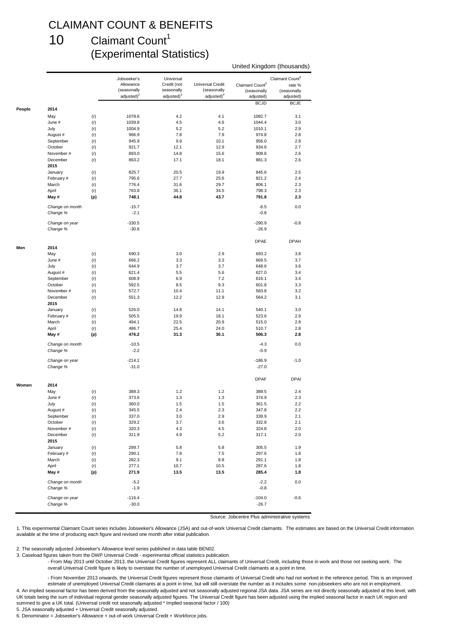### CLAIMANT COUNT & BENEFITS

#### 10 Claimant Count<sup>1</sup> (Experimental Statistics)

#### United Kingdom (thousands)

|        |                 |     | Jobseeker's   | Universal              |                  |                             | Claimant Count <sup>6</sup> |
|--------|-----------------|-----|---------------|------------------------|------------------|-----------------------------|-----------------------------|
|        |                 |     | Allowance     | Credit (not            | Universal Credit | Claimant Count <sup>5</sup> | rate %                      |
|        |                 |     | (seasonally   | seasonally             | (seasonally      | (seasonally                 | (seasonally                 |
|        |                 |     | $adiusted)^2$ | adjusted) <sup>3</sup> | $adjusted)^4$    | adjusted)                   | adjusted)                   |
|        |                 |     |               |                        |                  | <b>BCJD</b>                 | <b>BCJE</b>                 |
| People | 2014            |     |               |                        |                  |                             |                             |
|        | May             | (r) | 1078.6        | 4.2                    | 4.1              | 1082.7                      | 3.1                         |
|        | June #          | (r) | 1039.8        | 4.5                    | 4.6              | 1044.4                      | 3.0                         |
|        | July            | (r) | 1004.9        | 5.2                    | 5.2              | 1010.1                      | 2.9                         |
|        | August #        | (r) | 966.9         | 7.8                    | 7.9              | 974.8                       | 2.8                         |
|        | September       | (r) | 945.9         | 9.9                    | 10.1             | 956.0                       | 2.8                         |
|        | October         | (r) | 921.7         | 12.1                   | 12.9             | 934.6                       | 2.7                         |
|        | November#       | (r) | 893.0         | 14.8                   | 15.6             | 908.6                       | 2.6                         |
|        | December        | (r) | 863.2         | 17.1                   | 18.1             | 881.3                       | 2.6                         |
|        | 2015            |     |               |                        |                  |                             |                             |
|        | January         | (r) | 825.7         | 20.5                   | 19.9             | 845.6                       | 2.5                         |
|        | February #      | (r) | 795.6         | 27.7                   | 25.6             | 821.2                       | 2.4                         |
|        | March           | (r) | 776.4         | 31.6                   | 29.7             | 806.1                       | 2.3                         |
|        | April           | (r) | 763.8         | 36.1                   | 34.5             | 798.3                       | 2.3                         |
|        | May #           | (p) | 748.1         | 44.8                   | 43.7             | 791.8                       | 2.3                         |
|        |                 |     |               |                        |                  |                             |                             |
|        | Change on month |     | $-15.7$       |                        |                  | $-6.5$                      | 0.0                         |
|        | Change %        |     | $-2.1$        |                        |                  | $-0.8$                      |                             |
|        | Change on year  |     | $-330.5$      |                        |                  | $-290.9$                    | $-0.8$                      |
|        | Change %        |     | $-30.6$       |                        |                  | $-26.9$                     |                             |
|        |                 |     |               |                        |                  |                             |                             |
|        |                 |     |               |                        |                  | <b>DPAE</b>                 | <b>DPAH</b>                 |
| Men    | 2014            |     |               |                        |                  |                             |                             |
|        | May             | (r) | 690.3         | 3.0                    | 2.9              | 693.2                       | 3.8                         |
|        | June #          | (r) | 666.2         | 3.3                    | 3.3              | 669.5                       | 3.7                         |
|        | July            | (r) | 644.9         | 3.7                    | 3.7              | 648.6                       | 3.6                         |
|        | August #        | (r) | 621.4         | 5.5                    | 5.6              | 627.0                       | 3.4                         |
|        | September       | (r) | 608.9         | 6.9                    | 7.2              | 616.1                       | 3.4                         |
|        |                 |     |               |                        |                  |                             |                             |
|        | October         | (r) | 592.5         | 8.5                    | 9.3              | 601.8                       | 3.3                         |
|        | November #      | (r) | 572.7         | 10.4                   | 11.1             | 583.8                       | 3.2                         |
|        | December        | (r) | 551.3         | 12.2                   | 12.9             | 564.2                       | 3.1                         |
|        | 2015            |     |               |                        |                  |                             |                             |
|        | January         | (r) | 526.0         | 14.8                   | 14.1             | 540.1                       | 3.0                         |
|        | February #      | (r) | 505.5         | 19.9                   | 18.1             | 523.6                       | 2.9                         |
|        | March           | (r) | 494.1         | 22.5                   | 20.9             | 515.0                       | 2.8                         |
|        | April           | (r) | 486.7         | 25.4                   | 24.0             | 510.7                       | 2.8                         |
|        | May #           | (p) | 476.2         | 31.3                   | 30.1             | 506.3                       | 2.8                         |
|        | Change on month |     | $-10.5$       |                        |                  | $-4.3$                      | 0.0                         |
|        | Change %        |     | $-2.2$        |                        |                  | $-0.9$                      |                             |
|        |                 |     |               |                        |                  |                             |                             |
|        | Change on year  |     | $-214.1$      |                        |                  | $-186.9$                    | $-1.0$                      |
|        | Change %        |     | $-31.0$       |                        |                  | $-27.0$                     |                             |
|        |                 |     |               |                        |                  |                             |                             |
|        |                 |     |               |                        |                  | <b>DPAF</b>                 | <b>DPAI</b>                 |
| Women  | 2014            |     |               |                        |                  |                             |                             |
|        | May             | (r) | 388.3         | 1.2                    | 1.2              | 389.5                       | 2.4                         |
|        | June #          | (r) | 373.6         | 1.3                    | 1.3              | 374.9                       | 2.3                         |
|        | July            | (r) | 360.0         | 1.5                    | 1.5              | 361.5                       | 2.2                         |
|        | August #        | (r) | 345.5         | 2.4                    | 2.3              | 347.8                       | 2.2                         |
|        | September       | (r) | 337.0         | 3.0                    | 2.9              | 339.9                       | 2.1                         |
|        | October         | (r) | 329.2         | 3.7                    | 3.6              | 332.8                       | 2.1                         |
|        | November #      | (r) | 320.3         | 4.3                    | 4.5              | 324.8                       | 2.0                         |
|        | December        | (r) | 311.9         | 4.9                    | $5.2\,$          | 317.1                       | 2.0                         |
|        | 2015            |     |               |                        |                  |                             |                             |
|        | January         | (r) | 299.7         | 5.8                    | 5.8              | 305.5                       | 1.9                         |
|        | February #      | (r) | 290.1         | 7.8                    | $7.5\,$          | 297.6                       | 1.8                         |
|        | March           | (r) | 282.3         | 9.1                    | 8.8              | 291.1                       | 1.8                         |
|        | April           | (r) | 277.1         | 10.7                   | 10.5             | 287.6                       | 1.8                         |
|        | May #           |     | 271.9         | 13.5                   | 13.5             | 285.4                       | 1.8                         |
|        |                 | (p) |               |                        |                  |                             |                             |
|        | Change on month |     | $-5.2$        |                        |                  | $-2.2$                      | 0.0                         |
|        | Change %        |     | $-1.9$        |                        |                  | $-0.8$                      |                             |
|        |                 |     |               |                        |                  |                             |                             |
|        | Change on year  |     | $-116.4$      |                        |                  | $-104.0$                    | $-0.6$                      |
|        | Change %        |     | $-30.0$       |                        |                  | $-26.7$                     |                             |
|        |                 |     |               |                        |                  |                             |                             |

Source: Jobcentre Plus administrative systems

1. This experimental Claimant Count series includes Jobseeker's Allowance (JSA) and out-of-work Universal Credit claimants. The estimates are based on the Universal Credit information available at the time of producing each figure and revised one month after initial publication.

2. The seasonally adjusted Jobseeker's Allowance level series published in data table BEN02.

3. Caseload figures taken from the DWP Universal Credit - experimental official statistics publication.

- From May 2013 until October 2013, the Universal Credit figures represent ALL claimants of Universal Credit, including those in work and those not seeking work. The overall Universal Credit figure is likely to overstate the number of unemployed Universal Credit claimants at a point in time.

4. An implied seasonal factor has been derived from the seasonally adjusted and not seasonally adjusted regional JSA data. JSA series are not directly seasonally adjusted at this level, with UK totals being the sum of individual regional gender seasonally adjusted figures. The Universal Credit figure has been adjusted using the implied seasonal factor in each UK region and summed to give a UK total. (Universal credit not seasonally adjusted \* Implied seasonal factor / 100) - From November 2013 onwards, the Universal Credit figures represent those claimants of Universal Credit who had not worked in the reference period. This is an improved estimate of unemployed Universal Credit claimants at a point in time, but will still overstate the number as it includes some non-jobseekers who are not in employment.

5. JSA seasonally adjusted + Universal Credit seasonally adjusted.

6. Denominator = Jobseeker's Allowance + out-of-work Universal Credit + Workforce jobs.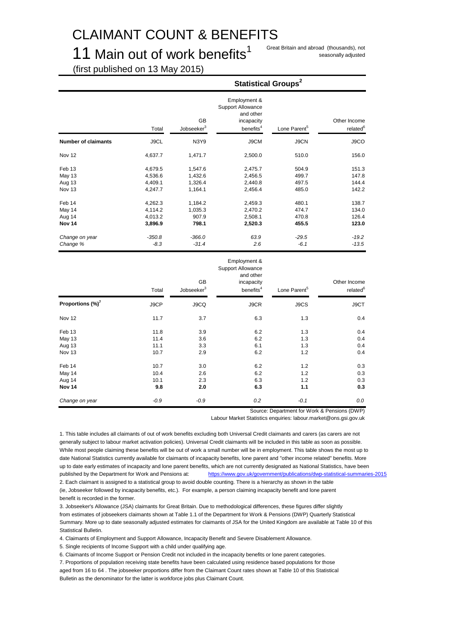## CLAIMANT COUNT & BENEFITS

11 Main out of work benefits<sup>1</sup> Great Britain and abroad (thousands), not

seasonally adjusted

(first published on 13 May 2015)

|                                                 |                                          |                                          | <b>Statistical Groups<sup>2</sup></b>                                                        |                                  |                                      |
|-------------------------------------------------|------------------------------------------|------------------------------------------|----------------------------------------------------------------------------------------------|----------------------------------|--------------------------------------|
|                                                 | Total                                    | <b>GB</b><br>Jobseeker <sup>3</sup>      | Employment &<br><b>Support Allowance</b><br>and other<br>incapacity<br>benefits <sup>4</sup> | Lone Parent <sup>5</sup>         | Other Income<br>related <sup>6</sup> |
| <b>Number of claimants</b>                      | J9CL                                     | N3Y9                                     | J9CM                                                                                         | J9CN                             | J9CO                                 |
| Nov 12                                          | 4,637.7                                  | 1,471.7                                  | 2,500.0                                                                                      | 510.0                            | 156.0                                |
| Feb 13<br><b>May 13</b><br>Aug 13<br>Nov 13     | 4,679.5<br>4,536.6<br>4,409.1<br>4,247.7 | 1,547.6<br>1,432.6<br>1,326.4<br>1,164.1 | 2,475.7<br>2,456.5<br>2,440.8<br>2,456.4                                                     | 504.9<br>499.7<br>497.5<br>485.0 | 151.3<br>147.8<br>144.4<br>142.2     |
| Feb 14<br>May 14<br>Aug 14<br>Nov <sub>14</sub> | 4,262.3<br>4,114.2<br>4,013.2<br>3,896.9 | 1,184.2<br>1,035.3<br>907.9<br>798.1     | 2,459.3<br>2,470.2<br>2,508.1<br>2,520.3                                                     | 480.1<br>474.7<br>470.8<br>455.5 | 138.7<br>134.0<br>126.4<br>123.0     |
| Change on year<br>Change %                      | $-350.8$<br>$-8.3$                       | $-366.0$<br>$-31.4$                      | 63.9<br>2.6                                                                                  | $-29.5$<br>$-6.1$                | $-19.2$<br>$-13.5$                   |

|                              | Total  | GB<br>Jobseeker <sup>3</sup> | Employment &<br>Support Allowance<br>and other<br>incapacity<br>benefits <sup>4</sup> | Lone Parent <sup>5</sup> | Other Income<br>related <sup>6</sup> |
|------------------------------|--------|------------------------------|---------------------------------------------------------------------------------------|--------------------------|--------------------------------------|
| Proportions (%) <sup>7</sup> | J9CP   | J9CQ                         | J9CR                                                                                  | J9CS                     | J9CT                                 |
| Nov 12                       | 11.7   | 3.7                          | 6.3                                                                                   | 1.3                      | 0.4                                  |
| Feb 13                       | 11.8   | 3.9                          | 6.2                                                                                   | 1.3                      | 0.4                                  |
| May 13                       | 11.4   | 3.6                          | 6.2                                                                                   | 1.3                      | 0.4                                  |
| Aug 13                       | 11.1   | 3.3                          | 6.1                                                                                   | 1.3                      | 0.4                                  |
| Nov 13                       | 10.7   | 2.9                          | 6.2                                                                                   | $1.2$                    | 0.4                                  |
| Feb 14                       | 10.7   | 3.0                          | 6.2                                                                                   | 1.2                      | 0.3                                  |
| May 14                       | 10.4   | 2.6                          | 6.2                                                                                   | 1.2                      | 0.3                                  |
| Aug 14                       | 10.1   | 2.3                          | 6.3                                                                                   | 1.2                      | 0.3                                  |
| Nov <sub>14</sub>            | 9.8    | 2.0                          | 6.3                                                                                   | 1.1                      | 0.3                                  |
| Change on year               | $-0.9$ | $-0.9$                       | 0.2                                                                                   | $-0.1$                   | 0.0                                  |

Source: Department for Work & Pensions (DWP)

Labour Market Statistics enquiries: labour.market@ons.gsi.gov.uk

1. This table includes all claimants of out of work benefits excluding both Universal Credit claimants and carers (as carers are not generally subject to labour market activation policies). Universal Credit claimants will be included in this table as soon as possible. While most people claiming these benefits will be out of work a small number will be in employment. This table shows the most up to date National Statistics currently available for claimants of incapacity benefits, lone parent and "other income related" benefits. More up to date early estimates of incapacity and lone parent benefits, which are not currently designated as National Statistics, have been published by the Department for Work and Pensions at: <https://www.gov.uk/government/publications/dwp-statistical-summaries-2015> 2. Each claimant is assigned to a statistical group to avoid double counting. There is a hierarchy as shown in the table

(ie, Jobseeker followed by incapacity benefits, etc.). For example, a person claiming incapacity benefit and lone parent benefit is recorded in the former.

3. Jobseeker's Allowance (JSA) claimants for Great Britain. Due to methodological differences, these figures differ slightly from estimates of jobseekers claimants shown at Table 1.1 of the Department for Work & Pensions (DWP) Quarterly Statistical Summary. More up to date seasonally adjusted estimates for claimants of JSA for the United Kingdom are available at Table 10 of this Statistical Bulletin.

4. Claimants of Employment and Support Allowance, Incapacity Benefit and Severe Disablement Allowance.

5. Single recipients of Income Support with a child under qualifying age.

6. Claimants of Income Support or Pension Credit not included in the incapacity benefits or lone parent categories.

7. Proportions of population receiving state benefits have been calculated using residence based populations for those aged from 16 to 64 . The jobseeker proportions differ from the Claimant Count rates shown at Table 10 of this Statistical Bulletin as the denominator for the latter is workforce jobs plus Claimant Count.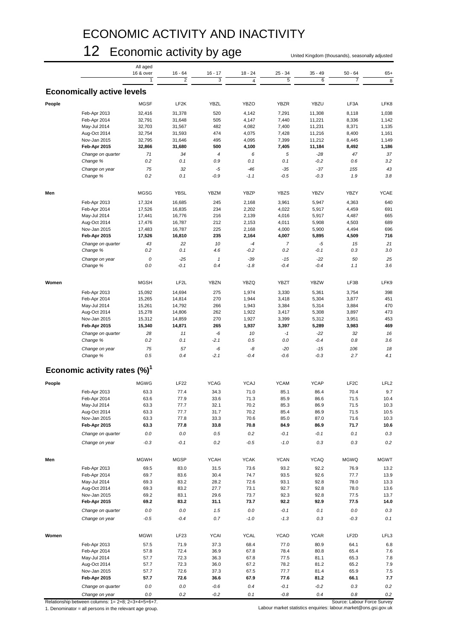## ECONOMIC ACTIVITY AND INACTIVITY

### 12 Economic activity by age United Kingdom (thousands), seasonally adjusted

|        |                                          | All aged    |                   |              |                         |                |                 |                   |                  |
|--------|------------------------------------------|-------------|-------------------|--------------|-------------------------|----------------|-----------------|-------------------|------------------|
|        |                                          | 16 & over   | $16 - 64$         | $16 - 17$    | $18 - 24$               | $25 - 34$      | $35 - 49$       | $50 - 64$         | $65+$            |
|        |                                          |             | $\overline{2}$    | 3            | $\overline{\mathbf{4}}$ | 5              | $6\overline{6}$ | $\overline{7}$    | 8                |
|        |                                          |             |                   |              |                         |                |                 |                   |                  |
|        | <b>Economically active levels</b>        |             |                   |              |                         |                |                 |                   |                  |
|        |                                          |             |                   |              |                         |                |                 |                   |                  |
| People |                                          | <b>MGSF</b> | LF <sub>2</sub> K | <b>YBZL</b>  | <b>YBZO</b>             | <b>YBZR</b>    | <b>YBZU</b>     | LF3A              | LFK8             |
|        | Feb-Apr 2013                             | 32,416      | 31,378            | 520          | 4,142                   | 7,291          | 11,308          | 8,118             | 1,038            |
|        | Feb-Apr 2014                             | 32,791      | 31,648            | 505          | 4,147                   | 7,440          | 11,221          | 8,336             | 1,142            |
|        | May-Jul 2014                             | 32,703      | 31,567            | 482          | 4,082                   | 7,400          | 11,231          | 8,371             | 1,135            |
|        | Aug-Oct 2014                             | 32,754      | 31,593            | 474          | 4,075                   | 7,428          | 11,216          | 8,400             | 1,161            |
|        |                                          |             |                   |              |                         |                |                 |                   |                  |
|        | Nov-Jan 2015                             | 32,795      | 31,646            | 495          | 4,095                   | 7,399          | 11,212          | 8,445             | 1,149            |
|        | Feb-Apr 2015                             | 32,866      | 31,680            | 500          | 4,100                   | 7,405          | 11,184          | 8,492             | 1,186            |
|        | Change on quarter                        | 71          | 34                | $\pmb{4}$    | 6                       | 5              | $-28$           | 47                | 37               |
|        | Change %                                 | 0.2         | 0.1               | 0.9          | 0.1                     | 0.1            | $-0.2$          | 0.6               | 3.2              |
|        | Change on year                           | 75          | 32                | $-5$         | $-46$                   | $-35$          | $-37$           | 155               | 43               |
|        |                                          | 0.2         | 0.1               | $-0.9$       | $-1.1$                  | $-0.5$         | $-0.3$          | 1.9               | 3.8              |
|        | Change %                                 |             |                   |              |                         |                |                 |                   |                  |
|        |                                          |             |                   |              |                         |                |                 |                   |                  |
| Men    |                                          | <b>MGSG</b> | <b>YBSL</b>       | <b>YBZM</b>  | YBZP                    | <b>YBZS</b>    | <b>YBZV</b>     | YBZY              | <b>YCAE</b>      |
|        |                                          |             |                   |              |                         |                |                 |                   |                  |
|        | Feb-Apr 2013                             | 17,324      | 16,685            | 245          | 2,168                   | 3,961          | 5,947           | 4,363             | 640              |
|        | Feb-Apr 2014                             | 17,526      | 16,835            | 234          | 2,202                   | 4,022          | 5,917           | 4,459             | 691              |
|        | May-Jul 2014                             | 17,441      | 16,776            | 216          | 2,139                   | 4,016          | 5,917           | 4,487             | 665              |
|        | Aug-Oct 2014                             | 17,476      | 16,787            | 212          | 2,153                   | 4,011          | 5,908           | 4,503             | 689              |
|        | Nov-Jan 2015                             | 17,483      | 16,787            | 225          | 2,168                   | 4,000          | 5,900           | 4,494             | 696              |
|        | Feb-Apr 2015                             | 17,526      | 16,810            | 235          | 2,164                   | 4,007          | 5,895           | 4,509             | 716              |
|        |                                          |             |                   |              |                         |                |                 |                   |                  |
|        | Change on quarter                        | 43          | 22                | 10           | $-4$                    | $\overline{7}$ | $-5$            | 15                | 21               |
|        | Change %                                 | 0.2         | 0.1               | 4.6          | $-0.2$                  | 0.2            | $-0.1$          | 0.3               | 3.0              |
|        | Change on year                           | 0           | $-25$             | $\mathbf{1}$ | $-39$                   | $-15$          | $-22$           | 50                | 25               |
|        | Change %                                 | 0.0         | $-0.1$            | 0.4          | $-1.8$                  | $-0.4$         | $-0.4$          | 1.1               | 3.6              |
|        |                                          |             |                   |              |                         |                |                 |                   |                  |
|        |                                          |             |                   |              |                         |                |                 |                   |                  |
| Women  |                                          | <b>MGSH</b> | LF <sub>2</sub> L | <b>YBZN</b>  | YBZQ                    | <b>YBZT</b>    | <b>YBZW</b>     | LF3B              | LFK9             |
|        |                                          |             |                   |              |                         |                |                 |                   |                  |
|        | Feb-Apr 2013                             | 15,092      | 14,694            | 275          | 1,974                   | 3,330          | 5,361           | 3,754             | 398              |
|        | Feb-Apr 2014                             | 15,265      | 14,814            | 270          | 1,944                   | 3,418          | 5,304           | 3,877             | 451              |
|        | May-Jul 2014                             | 15,261      | 14,792            | 266          | 1,943                   | 3,384          | 5,314           | 3,884             | 470              |
|        | Aug-Oct 2014                             | 15,278      | 14,806            | 262          | 1,922                   | 3,417          | 5,308           | 3,897             | 473              |
|        | Nov-Jan 2015                             | 15,312      | 14,859            | 270          | 1,927                   | 3,399          | 5,312           | 3,951             | 453              |
|        | Feb-Apr 2015                             | 15,340      | 14,871            | 265          | 1,937                   | 3,397          | 5,289           | 3,983             | 469              |
|        |                                          |             |                   |              |                         |                |                 |                   |                  |
|        | Change on quarter                        | 28          | 11                | -6           | 10                      | $-1$           | $-22$           | 32                | 16               |
|        | Change %                                 | 0.2         | 0.1               | $-2.1$       | 0.5                     | 0.0            | $-0.4$          | 0.8               | 3.6              |
|        | Change on year                           | 75          | 57                | -6           | -8                      | $-20$          | $-15$           | 106               | 18               |
|        | Change %                                 | 0.5         | 0.4               | $-2.1$       | $-0.4$                  | $-0.6$         | $-0.3$          | 2.7               | 4.1              |
|        |                                          |             |                   |              |                         |                |                 |                   |                  |
|        | Economic activity rates (%) <sup>1</sup> |             |                   |              |                         |                |                 |                   |                  |
|        |                                          |             |                   |              |                         |                |                 |                   |                  |
|        |                                          | <b>MGWG</b> | <b>LF22</b>       | <b>YCAG</b>  | <b>YCAJ</b>             | <b>YCAM</b>    | <b>YCAP</b>     | LF <sub>2</sub> C |                  |
| People |                                          |             |                   |              |                         |                |                 |                   | LFL <sub>2</sub> |
|        | Feb-Apr 2013                             | 63.3        | 77.4              | 34.3         | 71.0                    | 85.1           | 86.4            | 70.4              | 9.7              |
|        | Feb-Apr 2014                             | 63.6        | 77.9              | 33.6         | 71.3                    | 85.9           | 86.6            | 71.5              | 10.4             |
|        | May-Jul 2014                             | 63.3        | 77.7              | 32.1         | 70.2                    | 85.3           | 86.9            | 71.5              | 10.3             |
|        | Aug-Oct 2014                             | 63.3        | 77.7              | 31.7         | 70.2                    | 85.4           | 86.9            | 71.5              | 10.5             |
|        | Nov-Jan 2015                             | 63.3        | 77.8              | 33.3         | 70.6                    | 85.0           | 87.0            | 71.6              | 10.3             |
|        | Feb-Apr 2015                             | 63.3        | 77.8              | 33.8         | 70.8                    | 84.9           | 86.9            | 71.7              | 10.6             |
|        |                                          |             |                   |              |                         |                |                 |                   |                  |
|        | Change on quarter                        | $0.0\,$     | $0.0\,$           | 0.5          | 0.2                     | $-0.1$         | $-0.1$          | 0.1               | $0.3\,$          |
|        | Change on year                           | $-0.3$      | $-0.1$            | 0.2          | $-0.5$                  | $-1.0$         | 0.3             | 0.3               | $0.2\,$          |
|        |                                          |             |                   |              |                         |                |                 |                   |                  |
|        |                                          |             |                   |              |                         |                |                 |                   |                  |
| Men    |                                          | <b>MGWH</b> | <b>MGSP</b>       | <b>YCAH</b>  | <b>YCAK</b>             | <b>YCAN</b>    | <b>YCAQ</b>     | <b>MGWQ</b>       | <b>MGWT</b>      |
|        | Feb-Apr 2013                             | 69.5        | 83.0              | 31.5         | 73.6                    | 93.2           | 92.2            | 76.9              | 13.2             |
|        |                                          |             |                   |              |                         |                |                 |                   |                  |
|        | Feb-Apr 2014                             | 69.7        | 83.6              | 30.4         | 74.7                    | 93.5           | 92.6            | 77.7              | 13.9             |
|        | May-Jul 2014                             | 69.3        | 83.2              | 28.2         | 72.6                    | 93.1           | 92.8            | 78.0              | 13.3             |
|        | Aug-Oct 2014                             | 69.3        | 83.2              | 27.7         | 73.1                    | 92.7           | 92.8            | 78.0              | 13.6             |
|        | Nov-Jan 2015                             | 69.2        | 83.1              | 29.6         | 73.7                    | 92.3           | 92.8            | 77.5              | 13.7             |
|        | Feb-Apr 2015                             | 69.2        | 83.2              | 31.1         | 73.7                    | 92.2           | 92.9            | 77.5              | 14.0             |
|        | Change on quarter                        | $0.0$       | $0.0\,$           | 1.5          | $0.0\,$                 | $-0.1$         | 0.1             | $0.0\,$           | $0.3\,$          |
|        |                                          |             |                   |              |                         |                |                 |                   |                  |
|        | Change on year                           | $-0.5$      | $-0.4$            | 0.7          | $-1.0$                  | $-1.3$         | 0.3             | $-0.3$            | 0.1              |
|        |                                          |             |                   |              |                         |                |                 |                   |                  |
|        |                                          | <b>MGWI</b> |                   |              |                         |                |                 |                   |                  |
| Women  |                                          |             | LF23              | <b>YCAI</b>  | <b>YCAL</b>             | <b>YCAO</b>    | <b>YCAR</b>     | LF2D              | LFL3             |
|        | Feb-Apr 2013                             | 57.5        | 71.9              | 37.3         | 68.4                    | 77.0           | 80.9            | 64.1              | 6.8              |
|        | Feb-Apr 2014                             | 57.8        | 72.4              | 36.9         | 67.8                    | 78.4           | 80.8            | 65.4              | $7.6\,$          |
|        | May-Jul 2014                             | 57.7        | 72.3              | 36.3         | 67.8                    | 77.5           | 81.1            | 65.3              | 7.8              |
|        | Aug-Oct 2014                             | 57.7        | 72.3              | 36.0         | 67.2                    | 78.2           | 81.2            | 65.2              | 7.9              |
|        | Nov-Jan 2015                             | 57.7        | 72.6              | 37.3         | 67.5                    | 77.7           | 81.4            | 65.9              | 7.5              |
|        | Feb-Apr 2015                             | 57.7        | 72.6              | 36.6         | 67.9                    | 77.6           | 81.2            | 66.1              | 7.7              |
|        |                                          |             |                   |              |                         |                |                 |                   |                  |
|        | Change on quarter                        | $0.0\,$     | $0.0\,$           | $-0.6$       | 0.4                     | $-0.1$         | $-0.2$          | 0.3               | $0.2\,$          |
|        | Change on year                           | $0.0\,$     | 0.2               | $-0.2$       | 0.1                     | $-0.8$         | 0.4             | 0.8               | $0.2\,$          |

Relationship between columns: 1= 2+8; 2=3+4+5+6+7.

Source: Labour Force Survey 1. Denominator = all persons in the relevant age group. Labour market statistics enquiries: labour.market@ons.gsi.gov.uk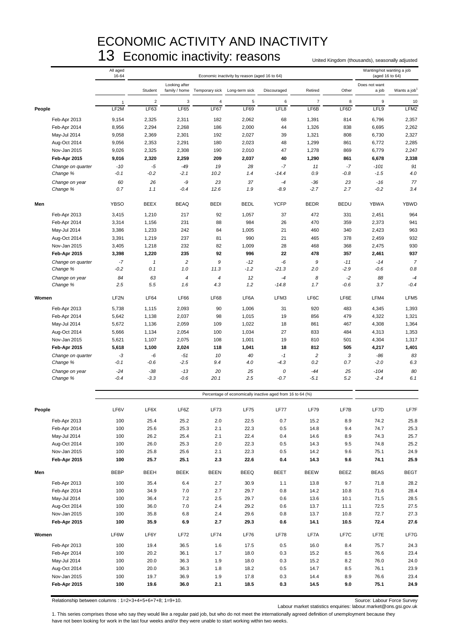## ECONOMIC ACTIVITY AND INACTIVITY 13 Economic inactivity: reasons United Kingdom (thousands), seasonally adjusted

|        |                               | All aged<br>16-64<br>Economic inactivity by reason (aged 16 to 64) |                     |                 |                                             |                                                            |                 |                                |               | Wanting/not wanting a job<br>(aged 16 to 64) |                          |
|--------|-------------------------------|--------------------------------------------------------------------|---------------------|-----------------|---------------------------------------------|------------------------------------------------------------|-----------------|--------------------------------|---------------|----------------------------------------------|--------------------------|
|        |                               |                                                                    | Student             | Looking after   | family / home Temporary sick Long-term sick |                                                            | Discouraged     | Retired                        | Other         | Does not want<br>a job                       | Wants a job <sup>1</sup> |
|        |                               | -1                                                                 | $\overline{2}$      | 3               | 4                                           | 5                                                          | 6               | $\overline{7}$                 | 8             | $\boldsymbol{9}$                             | 10                       |
| People |                               | LF2M                                                               | LF63                | <b>LF65</b>     | <b>LF67</b>                                 | <b>LF69</b>                                                | LFL8            | LF6B                           | LF6D          | LFL9                                         | LFM2                     |
|        | Feb-Apr 2013                  | 9,154                                                              | 2,325               | 2,311           | 182                                         | 2,062                                                      | 68              | 1,391                          | 814           | 6,796                                        | 2,357                    |
|        | Feb-Apr 2014                  | 8,956                                                              | 2,294               | 2,268           | 186                                         | 2,000                                                      | 44              | 1,326                          | 838           | 6,695                                        | 2,262                    |
|        | May-Jul 2014                  | 9,058                                                              | 2,369               | 2,301           | 192                                         | 2,027                                                      | 39              | 1,321                          | 808           | 6,730                                        | 2,327                    |
|        | Aug-Oct 2014                  | 9,056                                                              | 2,353               | 2,291           | 180                                         | 2,023                                                      | 48              | 1,299                          | 861           | 6,772                                        | 2,285                    |
|        | Nov-Jan 2015                  | 9,026                                                              | 2,325               | 2,308           | 190                                         | 2,010                                                      | 47              | 1,278                          | 869           | 6,779                                        | 2,247                    |
|        | Feb-Apr 2015                  | 9,016                                                              | 2,320               | 2,259           | 209                                         | 2,037                                                      | 40              | 1,290                          | 861           | 6,678                                        | 2,338                    |
|        | Change on quarter             | $-10$                                                              | -5                  | -49             | 19                                          | 28                                                         | $-7$            | 11                             | $-7$          | $-101$                                       | 91                       |
|        | Change %                      | $-0.1$                                                             | $-0.2$              | $-2.1$          | 10.2                                        | 1.4                                                        | $-14.4$         | 0.9                            | -0.8          | $-1.5$                                       | 4.0                      |
|        | Change on year<br>Change %    | 60<br>0.7                                                          | 26<br>1.1           | -9<br>$-0.4$    | 23<br>12.6                                  | 37<br>1.9                                                  | $-4$<br>$-8.9$  | $-36$<br>$-2.7$                | 23<br>2.7     | $-16$<br>$-0.2$                              | 77<br>3.4                |
| Men    |                               | <b>YBSO</b>                                                        | <b>BEEX</b>         | <b>BEAQ</b>     | <b>BEDI</b>                                 | <b>BEDL</b>                                                | <b>YCFP</b>     | <b>BEDR</b>                    | <b>BEDU</b>   | <b>YBWA</b>                                  | <b>YBWD</b>              |
|        | Feb-Apr 2013                  | 3,415                                                              | 1,210               | 217             | 92                                          | 1,057                                                      | 37              | 472                            | 331           | 2,451                                        | 964                      |
|        | Feb-Apr 2014                  | 3,314                                                              | 1,156               | 231             | 88                                          | 984                                                        | 26              | 470                            | 359           | 2,373                                        | 941                      |
|        | May-Jul 2014                  | 3,386                                                              | 1,233               | 242             | 84                                          | 1,005                                                      | 21              | 460                            | 340           | 2,423                                        | 963                      |
|        | Aug-Oct 2014                  | 3,391                                                              | 1,219               | 237             | 81                                          | 990                                                        | 21              | 465                            | 378           | 2,459                                        | 932                      |
|        | Nov-Jan 2015                  | 3,405                                                              | 1,218               | 232             | 82                                          | 1,009                                                      | 28              | 468                            | 368           | 2,475                                        | 930                      |
|        | Feb-Apr 2015                  | 3,398                                                              | 1,220               | 235             | 92                                          | 996                                                        | 22              | 478                            | 357           | 2,461                                        | 937                      |
|        | Change on quarter<br>Change % | $-7$<br>$-0.2$                                                     | $\mathbf{1}$<br>0.1 | 2<br>1.0        | 9<br>11.3                                   | $-12$<br>$-1.2$                                            | -6<br>$-21.3$   | 9<br>2.0                       | $-11$<br>-2.9 | $-14$<br>$-0.6$                              | $\overline{7}$<br>0.8    |
|        |                               | 84                                                                 | 63                  | $\overline{4}$  | $\overline{4}$                              | 12                                                         |                 | 8                              | $-2$          | 88                                           |                          |
|        | Change on year<br>Change %    | 2.5                                                                | 5.5                 | 1.6             | 4.3                                         | 1.2                                                        | $-4$<br>$-14.8$ | 1.7                            | $-0.6$        | 3.7                                          | $-4$<br>$-0.4$           |
| Women  |                               | LF <sub>2N</sub>                                                   | <b>LF64</b>         | <b>LF66</b>     | <b>LF68</b>                                 | LF6A                                                       | LFM3            | LF6C                           | LF6E          | LFM4                                         | LFM <sub>5</sub>         |
|        | Feb-Apr 2013                  | 5,738                                                              | 1,115               | 2,093           | 90                                          | 1,006                                                      | 31              | 920                            | 483           | 4,345                                        | 1,393                    |
|        | Feb-Apr 2014                  | 5,642                                                              | 1,138               | 2,037           | 98                                          | 1,015                                                      | 19              | 856                            | 479           | 4,322                                        | 1,321                    |
|        | May-Jul 2014                  | 5,672                                                              | 1,136               | 2,059           | 109                                         | 1,022                                                      | 18              | 861                            | 467           | 4,308                                        | 1,364                    |
|        | Aug-Oct 2014                  | 5,666                                                              | 1,134               | 2,054           | 100                                         | 1,034                                                      | 27              | 833                            | 484           | 4,313                                        | 1,353                    |
|        | Nov-Jan 2015                  | 5,621                                                              | 1,107               | 2,075           | 108                                         | 1,001                                                      | 19              | 810                            | 501           | 4,304                                        | 1,317                    |
|        | Feb-Apr 2015                  | 5,618                                                              | 1,100               | 2,024           | 118                                         | 1,041                                                      | 18              | 812                            | 505           | 4,217                                        | 1,401                    |
|        | Change on quarter<br>Change % | -3<br>$-0.1$                                                       | -6<br>-0.6          | $-51$<br>$-2.5$ | 10<br>9.4                                   | 40<br>4.0                                                  | $-1$<br>$-4.3$  | $\overline{\mathbf{c}}$<br>0.2 | 3<br>0.7      | -86<br>$-2.0$                                | 83<br>6.3                |
|        |                               |                                                                    |                     |                 |                                             |                                                            |                 |                                |               |                                              |                          |
|        | Change on year<br>Change %    | $-24$<br>$-0.4$                                                    | $-38$<br>$-3.3$     | $-13$<br>$-0.6$ | 20<br>20.1                                  | 25<br>2.5                                                  | 0<br>$-0.7$     | $-44$<br>$-5.1$                | 25<br>5.2     | $-104$<br>$-2.4$                             | 80<br>6.1                |
|        |                               |                                                                    |                     |                 |                                             | Percentage of economically inactive aged from 16 to 64 (%) |                 |                                |               |                                              |                          |
| People |                               | LF6V                                                               | LF6X                | LF6Z            | LF73                                        | <b>LF75</b>                                                | LF77            | LF79                           | LF7B          | LF7D                                         | LF7F                     |
|        | Feb-Apr 2013                  | 100                                                                | 25.4                | 25.2            | 2.0                                         | 22.5                                                       | 0.7             | 15.2                           | 8.9           | 74.2                                         | 25.8                     |
|        | Feb-Apr 2014                  | 100                                                                | 25.6                | 25.3            | 2.1                                         | 22.3                                                       | 0.5             | 14.8                           | 9.4           | 74.7                                         | 25.3                     |
|        | May-Jul 2014                  | 100                                                                | 26.2                | 25.4            | 2.1                                         | 22.4                                                       | 0.4             | 14.6                           | 8.9           | 74.3                                         | 25.7                     |
|        | Aug-Oct 2014                  | 100                                                                | 26.0                | 25.3            | 2.0                                         | 22.3                                                       | 0.5             | 14.3                           | 9.5           | 74.8                                         | 25.2                     |
|        | Nov-Jan 2015                  | 100                                                                | 25.8                | 25.6            | 2.1                                         | 22.3                                                       | 0.5             | 14.2                           | 9.6           | 75.1                                         | 24.9                     |
|        | Feb-Apr 2015                  | 100                                                                | 25.7                | 25.1            | 2.3                                         | 22.6                                                       | 0.4             | 14.3                           | 9.6           | 74.1                                         | 25.9                     |
| Men    |                               | <b>BEBP</b>                                                        | BEEH                | <b>BEEK</b>     | <b>BEEN</b>                                 | BEEQ                                                       | BEET            | <b>BEEW</b>                    | BEEZ          | BEAS                                         | <b>BEGT</b>              |
|        | Feb-Apr 2013                  | 100                                                                | 35.4                | 6.4             | 2.7                                         | 30.9                                                       | 1.1             | 13.8                           | 9.7           | 71.8                                         | 28.2                     |
|        | Feb-Apr 2014                  | 100                                                                | 34.9                | 7.0             | 2.7                                         | 29.7                                                       | 0.8             | 14.2                           | 10.8          | 71.6                                         | 28.4                     |
|        | May-Jul 2014                  | 100                                                                | 36.4                | 7.2             | 2.5                                         | 29.7                                                       | 0.6             | 13.6                           | 10.1          | 71.5                                         | 28.5                     |
|        | Aug-Oct 2014                  | 100                                                                | 36.0                | 7.0             | 2.4                                         | 29.2                                                       | 0.6             | 13.7                           | 11.1          | 72.5                                         | 27.5                     |
|        | Nov-Jan 2015                  | 100                                                                | 35.8                | 6.8             | 2.4                                         | 29.6                                                       | 0.8             | 13.7                           | 10.8          | 72.7                                         | 27.3                     |
|        | Feb-Apr 2015                  | 100                                                                | 35.9                | 6.9             | 2.7                                         | 29.3                                                       | 0.6             | 14.1                           | 10.5          | 72.4                                         | 27.6                     |
| Women  |                               | LF6W                                                               | LF6Y                | LF72            | <b>LF74</b>                                 | LF76                                                       | LF78            | LF7A                           | LF7C          | LF7E                                         | LF7G                     |
|        | Feb-Apr 2013                  | 100                                                                | 19.4                | 36.5            | 1.6                                         | 17.5                                                       | 0.5             | 16.0                           | 8.4           | 75.7                                         | 24.3                     |
|        | Feb-Apr 2014                  | 100                                                                | 20.2                | 36.1            | 1.7                                         | 18.0                                                       | 0.3             | 15.2                           | 8.5           | 76.6                                         | 23.4                     |
|        | May-Jul 2014                  | 100                                                                | 20.0                | 36.3            | 1.9                                         | 18.0                                                       | 0.3             | 15.2                           | 8.2           | 76.0                                         | 24.0                     |
|        | Aug-Oct 2014                  | 100                                                                | 20.0                | 36.3            | 1.8                                         | 18.2                                                       | 0.5             | 14.7                           | 8.5           | 76.1                                         | 23.9                     |
|        | Nov-Jan 2015<br>Feb-Apr 2015  | 100<br>100                                                         | 19.7<br>19.6        | 36.9<br>36.0    | 1.9<br>2.1                                  | 17.8<br>18.5                                               | 0.3<br>0.3      | 14.4<br>14.5                   | 8.9<br>9.0    | 76.6<br>75.1                                 | 23.4<br>24.9             |

Relationship between columns : 1=2+3+4+5+6+7+8; 1=9+10. Source: Labour Force Survey

Labour market statistics enquiries: labour.market@ons.gsi.gov.uk

1. This series comprises those who say they would like a regular paid job, but who do not meet the internationally agreed definition of unemployment because they have not been looking for work in the last four weeks and/or they were unable to start working within two weeks.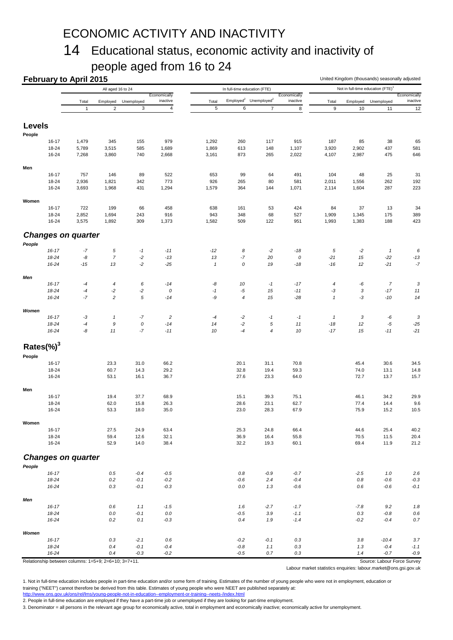## ECONOMIC ACTIVITY AND INACTIVITY

## 14 Educational status, economic activity and inactivity of people aged from 16 to 24

|                |                | <b>February to April 2015</b><br>All aged 16 to 24   |                        |                           |                         |                    |                              |                                               | United Kingdom (thousands) seasonally adjusted<br>Not in full-time education (FTE) <sup>1</sup> |                  |          |                             |               |
|----------------|----------------|------------------------------------------------------|------------------------|---------------------------|-------------------------|--------------------|------------------------------|-----------------------------------------------|-------------------------------------------------------------------------------------------------|------------------|----------|-----------------------------|---------------|
|                |                |                                                      |                        |                           | Economically            |                    | In full-time education (FTE) |                                               | Economically                                                                                    |                  |          |                             | Economically  |
|                |                | Total                                                | Employed               | Unemployed                | inactive                | Total              |                              | Employed <sup>2</sup> Unemployed <sup>2</sup> | inactive                                                                                        | Total            | Employed | Unemployed                  | inactive      |
|                |                | $\mathbf{1}$                                         | $\sqrt{2}$             | $\ensuremath{\mathsf{3}}$ | $\overline{\mathbf{4}}$ | 5                  | 6                            | $\overline{7}$                                | $\bf 8$                                                                                         | $\boldsymbol{9}$ | 10       | 11                          | 12            |
| <b>Levels</b>  |                |                                                      |                        |                           |                         |                    |                              |                                               |                                                                                                 |                  |          |                             |               |
| People         |                |                                                      |                        |                           |                         |                    |                              |                                               |                                                                                                 |                  |          |                             |               |
|                | $16 - 17$      | 1,479                                                | 345                    | 155                       | 979                     | 1,292              | 260                          | 117                                           | 915                                                                                             | 187              | 85       | 38                          | 65            |
|                | 18-24          | 5,789                                                | 3,515                  | 585                       | 1,689                   | 1,869              | 613                          | 148                                           | 1,107                                                                                           | 3,920            | 2,902    | 437                         | 581           |
|                | 16-24          | 7,268                                                | 3,860                  | 740                       | 2,668                   | 3,161              | 873                          | 265                                           | 2,022                                                                                           | 4,107            | 2,987    | 475                         | 646           |
| Men            |                |                                                      |                        |                           |                         |                    |                              |                                               |                                                                                                 |                  |          |                             |               |
|                | $16 - 17$      | 757                                                  | 146                    | 89                        | 522                     | 653                | 99                           | 64                                            | 491                                                                                             | 104              | 48       | 25                          | 31            |
|                | 18-24          | 2,936                                                | 1,821                  | 342                       | 773                     | 926                | 265                          | 80                                            | 581                                                                                             | 2,011            | 1,556    | 262                         | 192           |
|                | 16-24          | 3,693                                                | 1,968                  | 431                       | 1,294                   | 1,579              | 364                          | 144                                           | 1,071                                                                                           | 2,114            | 1,604    | 287                         | 223           |
| Women          |                |                                                      |                        |                           |                         |                    |                              |                                               |                                                                                                 |                  |          |                             |               |
|                | 16-17          | 722                                                  | 199                    | 66                        | 458                     | 638                | 161                          | 53                                            | 424                                                                                             | 84               | 37       | 13                          | 34            |
|                | 18-24          | 2,852                                                | 1,694                  | 243                       | 916                     | 943                | 348                          | 68                                            | 527                                                                                             | 1,909            | 1,345    | 175                         | 389           |
|                | 16-24          | 3,575                                                | 1,892                  | 309                       | 1,373                   | 1,582              | 509                          | 122                                           | 951                                                                                             | 1,993            | 1,383    | 188                         | 423           |
|                |                | <b>Changes on quarter</b>                            |                        |                           |                         |                    |                              |                                               |                                                                                                 |                  |          |                             |               |
| People         |                |                                                      |                        |                           |                         |                    |                              |                                               |                                                                                                 |                  |          |                             |               |
|                | $16 - 17$      | $-7$                                                 | 5                      | $-1$                      | $-11$                   | $-12$              | 8                            | $-2$                                          | $-18$                                                                                           | 5                | $-2$     | $\mathbf{1}$                | 6             |
|                | 18-24<br>16-24 | -8<br>$-15$                                          | $\boldsymbol{7}$<br>13 | $-2$<br>$-2$              | $-13$<br>$-25$          | 13<br>$\mathbf{1}$ | $-7$<br>0                    | 20<br>19                                      | 0<br>$-18$                                                                                      | $-21$<br>$-16$   | 15<br>12 | $-22$<br>$-21$              | $-13$<br>$-7$ |
|                |                |                                                      |                        |                           |                         |                    |                              |                                               |                                                                                                 |                  |          |                             |               |
| Men            |                |                                                      |                        |                           |                         |                    |                              |                                               |                                                                                                 |                  |          |                             |               |
|                | $16 - 17$      | $-4$                                                 | 4                      | 6                         | $-14$                   | -8                 | 10                           | $-1$                                          | $-17$                                                                                           | 4                | -6       | $\overline{7}$              | 3             |
|                | 18-24          | $-4$                                                 | $-2$                   | $-2$                      | 0                       | $-1$               | $-5$                         | 15                                            | $-11$                                                                                           | $-3$             | 3        | $-17$                       | 11            |
|                | 16-24          | $-7$                                                 | $\overline{c}$         | 5                         | $-14$                   | -9                 | $\boldsymbol{4}$             | 15                                            | $-28$                                                                                           | $\mathbf{1}$     | -3       | $-10$                       | 14            |
| Women          |                |                                                      |                        |                           |                         |                    |                              |                                               |                                                                                                 |                  |          |                             |               |
|                | $16 - 17$      | $-3$                                                 | $\mathbf{1}$           | $-7$                      | $\overline{c}$          | -4                 | $-2$                         | $-1$                                          | $-1$                                                                                            | $\mathbf{1}$     | 3        | -6                          | 3             |
|                | 18-24          | $-4$                                                 | 9                      | $\cal O$                  | $-14$                   | 14                 | $-2$                         | 5                                             | 11                                                                                              | $-18$            | 12       | $-5$                        | $-25$         |
|                | 16-24          | -8                                                   | 11                     | $-7$                      | $-11$                   | 10                 | $-4$                         | $\overline{4}$                                | 10                                                                                              | $-17$            | 15       | $-11$                       | $-21$         |
| Rates $(\%)^3$ |                |                                                      |                        |                           |                         |                    |                              |                                               |                                                                                                 |                  |          |                             |               |
| People         |                |                                                      |                        |                           |                         |                    |                              |                                               |                                                                                                 |                  |          |                             |               |
|                | $16 - 17$      |                                                      | 23.3                   | 31.0                      | 66.2                    |                    | 20.1                         | 31.1                                          | 70.8                                                                                            |                  | 45.4     | 30.6                        | 34.5          |
|                | 18-24          |                                                      | 60.7                   | 14.3                      | 29.2                    |                    | 32.8                         | 19.4                                          | 59.3                                                                                            |                  | 74.0     | 13.1                        | 14.8          |
|                | 16-24          |                                                      | 53.1                   | 16.1                      | 36.7                    |                    | 27.6                         | 23.3                                          | 64.0                                                                                            |                  | 72.7     | 13.7                        | 15.7          |
| Men            |                |                                                      |                        |                           |                         |                    |                              |                                               |                                                                                                 |                  |          |                             |               |
|                | 16-17          |                                                      | 19.4                   | 37.7                      | 68.9                    |                    | 15.1                         | 39.3                                          | 75.1                                                                                            |                  | 46.1     | 34.2                        | 29.9          |
|                | 18-24          |                                                      | 62.0                   | 15.8                      | 26.3                    |                    | 28.6                         | 23.1                                          | 62.7                                                                                            |                  | 77.4     | 14.4                        | 9.6           |
|                | 16-24          |                                                      | 53.3                   | 18.0                      | 35.0                    |                    | 23.0                         | 28.3                                          | 67.9                                                                                            |                  | 75.9     | 15.2                        | 10.5          |
| Women          |                |                                                      |                        |                           |                         |                    |                              |                                               |                                                                                                 |                  |          |                             |               |
|                | 16-17          |                                                      | 27.5                   | 24.9                      | 63.4                    |                    | 25.3                         | 24.8                                          | 66.4                                                                                            |                  | 44.6     | 25.4                        | 40.2          |
|                | 18-24          |                                                      | 59.4                   | 12.6                      | 32.1                    |                    | 36.9                         | 16.4                                          | 55.8                                                                                            |                  | 70.5     | 11.5                        | 20.4          |
|                | 16-24          |                                                      | 52.9                   | 14.0                      | 38.4                    |                    | 32.2                         | 19.3                                          | 60.1                                                                                            |                  | 69.4     | 11.9                        | 21.2          |
|                |                | <b>Changes on quarter</b>                            |                        |                           |                         |                    |                              |                                               |                                                                                                 |                  |          |                             |               |
| People         |                |                                                      |                        |                           |                         |                    |                              |                                               |                                                                                                 |                  |          |                             |               |
|                | $16 - 17$      |                                                      | 0.5                    | -0.4                      | $-0.5$                  |                    | 0.8                          | $-0.9$                                        | $-0.7$                                                                                          |                  | $-2.5$   | 1.0                         | 2.6           |
|                | 18-24          |                                                      | 0.2                    | $-0.1$                    | $-0.2$                  |                    | $-0.6$                       | 2.4                                           | $-0.4$                                                                                          |                  | $0.8\,$  | $-0.6$                      | $-0.3$        |
|                | 16-24          |                                                      | 0.3                    | $-0.1$                    | $-0.3$                  |                    | 0.0                          | 1.3                                           | $-0.6$                                                                                          |                  | 0.6      | $-0.6$                      | $-0.1$        |
| Men            |                |                                                      |                        |                           |                         |                    |                              |                                               |                                                                                                 |                  |          |                             |               |
|                | $16 - 17$      |                                                      | 0.6                    | 1.1                       | $-1.5$                  |                    | 1.6                          | $-2.7$                                        | $-1.7$                                                                                          |                  | $-7.8$   | 9.2                         | 1.8           |
|                | 18-24          |                                                      | 0.0                    | $-0.1$                    | $0.0\,$                 |                    | $-0.5$                       | 3.9                                           | $-1.1$                                                                                          |                  | $0.3\,$  | $-0.8$                      | 0.6           |
|                | 16-24          |                                                      | 0.2                    | 0.1                       | $-0.3$                  |                    | 0.4                          | 1.9                                           | $-1.4$                                                                                          |                  | $-0.2$   | $-0.4$                      | 0.7           |
|                |                |                                                      |                        |                           |                         |                    |                              |                                               |                                                                                                 |                  |          |                             |               |
| Women          | $16 - 17$      |                                                      | 0.3                    | $-2.1$                    | 0.6                     |                    | $-0.2$                       | $-0.1$                                        | 0.3                                                                                             |                  | 3.8      | $-10.4$                     | 3.7           |
|                | 18-24          |                                                      | 0.4                    | $-0.1$                    | $-0.4$                  |                    | $-0.8$                       | 1.1                                           | 0.3                                                                                             |                  | 1.3      | $-0.4$                      | $-1.1$        |
|                | 16-24          |                                                      | 0.4                    | $-0.3$                    | $-0.2$                  |                    | $-0.5$                       | 0.7                                           | 0.3                                                                                             |                  | 1.4      | $-0.7$                      | $-0.9$        |
|                |                | Relationship between columns: 1=5+9; 2=6+10; 3=7+11. |                        |                           |                         |                    |                              |                                               |                                                                                                 |                  |          | Source: Labour Force Survey |               |

Labour market statistics enquiries: labour.market@ons.gsi.gov.uk

1. Not in full-time education includes people in part-time education and/or some form of training. Estimates of the number of young people who were not in employment, education or training ("NEET") cannot therefore be derived from this table. Estimates of young people who were NEET are published separately at: <http://www.ons.gov.uk/ons/rel/lms/young-people-not-in-education--employment-or-training--neets-/index.html>

2. People in full-time education are employed if they have a part-time job or unemployed if they are looking for part-time employment.

3. Denominator = all persons in the relevant age group for economically active, total in employment and economically inactive; economically active for unemployment.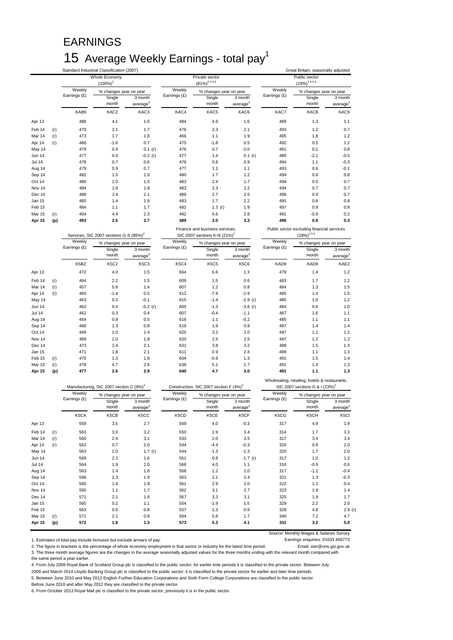## EARNINGS 15 Average Weekly Earnings - total pay<sup>1</sup>

|                   |     |              | Standard Industrial Classification (2007)           |                                 |              |                                                                            |                                 |                  | Great Britain, seasonally adjusted                                                          |                                 |
|-------------------|-----|--------------|-----------------------------------------------------|---------------------------------|--------------|----------------------------------------------------------------------------|---------------------------------|------------------|---------------------------------------------------------------------------------------------|---------------------------------|
|                   |     |              | Whole Economy                                       |                                 |              | Private sector                                                             |                                 |                  | Public sector                                                                               |                                 |
|                   |     |              | $(100\%)^2$                                         |                                 |              | $(81\%)^{2456}$                                                            |                                 |                  | $(19\%)^{2456}$                                                                             |                                 |
|                   |     | Weekly       | % changes year on year                              |                                 | Weekly       | % changes year on year                                                     |                                 | Weekly           | % changes year on year                                                                      |                                 |
|                   |     | Earnings (£) | Single<br>month                                     | 3 month<br>average <sup>3</sup> | Earnings (£) | Single<br>month                                                            | 3 month<br>average <sup>3</sup> | Earnings (£)     | Single<br>month                                                                             | 3 month<br>average <sup>3</sup> |
|                   |     | KAB9         | KAC <sub>2</sub>                                    | KAC3                            | KAC4         | KAC5                                                                       | KAC6                            | KAC7             | KAC8                                                                                        | KAC9                            |
| Apr 13            |     | 488          | 4.1                                                 | 1.6                             | 484          | 4.9                                                                        | 1.6                             | 489              | 1.3                                                                                         | 1.1                             |
| Feb 14            | (r) | 479          | 2.1                                                 | 1.7                             | 476          | 2.3                                                                        | 2.1                             | 493              | 1.2                                                                                         | 0.7                             |
| Mar 14            | (r) | 473          | 1.7                                                 | 1.8                             | 466          | 1.1                                                                        | 1.9                             | 495              | 1.8                                                                                         | 1.2                             |
| Apr 14            | (r) | 480          | $-1.6$                                              | 0.7                             | 475          | $-1.8$                                                                     | 0.5                             | 492              | 0.5                                                                                         | 1.2                             |
| May 14            |     | 479          | 0.4                                                 | 0.1(r)                          | 476          | 0.7                                                                        | 0.0                             | 491              | 0.1                                                                                         | 0.8                             |
| Jun 14            |     | 477          | 0.6                                                 | $-0.2(r)$                       | 477          | 1.4                                                                        | 0.1 (r)                         | 480              | $-2.1$                                                                                      | $-0.5$                          |
| Jul 14            |     | 478          | 0.7                                                 | 0.6                             | 476          | 0.8                                                                        | 0.9                             | 494              | 1.1                                                                                         | $-0.3$                          |
| Aug 14            |     | 479          | 0.9                                                 | 0.7                             | 477          | 1.1                                                                        | 1.1                             | 493              | 0.6                                                                                         | $-0.1$                          |
| Sep 14            |     | 482          | 1.5                                                 | 1.0                             | 480          | 1.7                                                                        | 1.2                             | 494              | 0.8                                                                                         | 0.8                             |
| Oct 14            |     | 485          | 2.0                                                 | 1.5                             | 483          | 2.4                                                                        | 1.7                             | 494              | 0.5                                                                                         | 0.7                             |
| Nov 14            |     | 484          | 1.9                                                 | 1.8                             | 482          | 2.3                                                                        | 2.2                             | 494              | 0.7                                                                                         | 0.7                             |
| Dec 14            |     | 488          | 2.4                                                 | 2.1                             | 486          | 2.7                                                                        | 2.5                             | 496              | 0.9                                                                                         | 0.7                             |
| Jan 15            |     | 485          | 1.4                                                 | 1.9                             | 483          | 1.7                                                                        | 2.2                             | 495              | 0.6                                                                                         | 0.8                             |
| Feb 15            |     | 484          | 1.1                                                 | 1.7                             | 482          | 1.3(r)                                                                     | 1.9                             | 497              | 0.9                                                                                         | 0.8                             |
| Mar 15            | (r) | 494          | 4.4                                                 | 2.3                             | 492          | 5.6                                                                        | 2.8                             | 491              | $-0.9$                                                                                      | 0.2                             |
| Apr 15            | (p) | 493          | 2.6                                                 | 2.7                             | 489          | 3.0                                                                        | 3.3                             | 496              | 0.9                                                                                         | 0.3                             |
|                   |     |              | Services, SIC 2007 sections G-S (85%) <sup>2</sup>  |                                 |              | Finance and business services,<br>SIC 2007 sections K-N (21%) <sup>2</sup> |                                 |                  | Public sector excluding financial services<br>$(18\%)^{256}$                                |                                 |
|                   |     | Weekly       | % changes year on year                              |                                 | Weekly       | % changes year on year                                                     |                                 | Weekly           | % changes year on year                                                                      |                                 |
|                   |     | Earnings (£) | Single                                              | 3 month                         | Earnings (£) | Single                                                                     | 3 month                         | Earnings (£)     | Single                                                                                      | 3 month                         |
|                   |     |              | month                                               | average <sup>3</sup>            |              | month                                                                      | average <sup>3</sup>            |                  | month                                                                                       | average <sup>3</sup>            |
|                   |     | K5BZ         | <b>K5C2</b>                                         | K5C3                            | K5C4         | <b>K5C5</b>                                                                | K5C6                            | KAD <sub>8</sub> | KAD9                                                                                        | KAE2                            |
| Apr 13            |     | 472          | 4.0                                                 | 1.5                             | 664          | 6.6                                                                        | 1.3                             | 479              | 1.4                                                                                         | 1.2                             |
| Feb <sub>14</sub> | (r) | 464          | 2.2                                                 | 1.5                             | 609          | 1.5                                                                        | 0.6                             | 483              | 1.7                                                                                         | 1.2                             |
| Mar 14            | (r) | 457          | 0.9                                                 | 1.4                             | 607          | 1.2                                                                        | 0.8                             | 484              | 1.3                                                                                         | 1.5                             |
| Apr 14            | (r) | 465          | $-1.4$                                              | 0.5                             | 612          | $-7.9$                                                                     | $-1.9$                          | 485              | 1.4                                                                                         | 1.5                             |
| May 14            |     | 463          | 0.3                                                 | $-0.1$                          | 615          | $-1.4$                                                                     | $-2.9(r)$                       | 485              | 1.0                                                                                         | 1.2                             |
| Jun 14            |     | 462          | 0.4                                                 | $-0.2(r)$                       | 605          | $-1.3$                                                                     | $-3.6$ (r)                      | 484              | 0.6                                                                                         | 1.0                             |
| Jul 14            |     | 462          | 0.3                                                 | 0.4                             | 607          | $-0.4$                                                                     | $-1.1$                          | 487              | 1.6                                                                                         | 1.1                             |
| Aug 14            |     | 464          | 0.8                                                 | 0.5                             | 616          | 1.1                                                                        | $-0.2$                          | 485              | 1.1                                                                                         | 1.1                             |
| Sep 14            |     | 466          | 1.3                                                 | 0.8                             | 619          | 1.9                                                                        | 0.9                             | 487              | 1.4                                                                                         | 1.4                             |
| Oct 14            |     | 469          | 2.0                                                 | 1.4                             | 625          | 3.2                                                                        | 2.0                             | 487              | 1.1                                                                                         | 1.2                             |
| Nov 14            |     | 469          | 2.0                                                 | 1.8                             | 620          | 2.5                                                                        | 2.5                             | 487              | 1.2                                                                                         | 1.2                             |
| Dec 14            |     | 473          | 2.4                                                 | 2.1                             | 631          | 3.8                                                                        | 3.2                             | 489              | 1.5                                                                                         | 1.3                             |
| Jan 15            |     | 471          | 1.8                                                 | 2.1                             | 611          | 0.9                                                                        | 2.4                             | 489              | 1.1                                                                                         | 1.3                             |
| Feb 15            | (r) | 470          | 1.3                                                 | 1.9                             | 604          | $-0.9$                                                                     | 1.3                             | 491              | 1.5                                                                                         | 1.4                             |
| Mar 15            | (r) | 478          | 4.7                                                 | 2.6                             | 638          | 5.1                                                                        | 1.7                             | 491              | 1.4                                                                                         | 1.3                             |
| Apr 15            | (p) | 477          | 2.6                                                 | 2.9                             | 640          | 4.7                                                                        | 3.0                             | 491              | 1.1                                                                                         | 1.3                             |
|                   |     |              | Manufacturing, SIC 2007 section C (9%) <sup>2</sup> |                                 |              | Construction, SIC 2007 section F (4%) <sup>2</sup>                         |                                 |                  | Wholesaling, retailing, hotels & restaurants,<br>SIC 2007 sections G & I (23%) <sup>2</sup> |                                 |

|               |     |              | $m$ anuracturing, $50C$ 2007 section $C$ (9%) |                                 | CONSTRUCTION, SIC ZUUT SECTION F (4%) |                        |                                 | SIL ZUUT SECTIONS U & I (23%) |                        |                                 |
|---------------|-----|--------------|-----------------------------------------------|---------------------------------|---------------------------------------|------------------------|---------------------------------|-------------------------------|------------------------|---------------------------------|
|               |     | Weekly       | % changes year on year                        |                                 | Weekly                                | % changes year on year |                                 | Weekly                        | % changes year on year |                                 |
|               |     | Earnings (£) | Single<br>month                               | 3 month<br>average <sup>3</sup> | Earnings (£)                          | Single<br>month        | 3 month<br>average <sup>3</sup> | Earnings (£)                  | Single<br>month        | 3 month<br>average <sup>3</sup> |
|               |     | K5CA         | K5CB                                          | K5CC                            | K5CD                                  | K5CE                   | K5CF                            | K5CG                          | K5CH                   | K5CI                            |
| Apr 13        |     | 558          | 3.5                                           | 2.7                             | 569                                   | 4.0                    | $-0.3$                          | 317                           | 4.9                    | 1.9                             |
| Feb 14        | (r) | 563          | 3.0                                           | 3.2                             | 550                                   | 1.9                    | 3.4                             | 314                           | 1.7                    | 3.3                             |
| Mar 14        | (r) | 560          | 2.4                                           | 3.1                             | 533                                   | 2.0                    | 3.5                             | 317                           | 3.4                    | 3.4                             |
| Apr 14        | (r) | 562          | 0.7                                           | 2.0                             | 544                                   | $-4.4$                 | $-0.3$                          | 320                           | 0.9                    | 2.0                             |
| May 14        |     | 563          | 2.0                                           | 1.7 $(r)$                       | 544                                   | $-1.3$                 | $-1.3$                          | 320                           | 1.7                    | 2.0                             |
| <b>Jun 14</b> |     | 568          | 2.2                                           | 1.6                             | 551                                   | 0.8                    | $-1.7(r)$                       | 317                           | 1.0                    | 1.2                             |
| <b>Jul 14</b> |     | 564          | 1.9                                           | 2.0                             | 568                                   | 4.0                    | 1.1                             | 316                           | $-0.9$                 | 0.6                             |
| Aug 14        |     | 563          | 1.4                                           | 1.8                             | 558                                   | 1.2                    | 2.0                             | 317                           | $-1.2$                 | $-0.4$                          |
| Sep 14        |     | 566          | 2.3                                           | 1.9                             | 563                                   | 2.1                    | 2.4                             | 321                           | 1.3                    | $-0.3$                          |
| Oct 14        |     | 565          | 1.6                                           | 1.8                             | 561                                   | 2.9                    | 2.0                             | 322                           | 1.1                    | 0.4                             |
| Nov 14        |     | 565          | 1.1                                           | 1.7                             | 562                                   | 3.1                    | 2.7                             | 323                           | 1.9                    | 1.4                             |
| Dec 14        |     | 571          | 2.1                                           | 1.6                             | 567                                   | 3.3                    | 3.1                             | 325                           | 1.9                    | 1.7                             |
| Jan 15        |     | 565          | 0.2                                           | 1.1                             | 554                                   | $-1.9$                 | 1.5                             | 329                           | 2.2                    | 2.0                             |
| Feb 15        |     | 563          | 0.0                                           | 0.8                             | 557                                   | 1.3                    | 0.9                             | 329                           | 4.8                    | 2.9(r)                          |
| Mar 15        | (r) | 571          | 2.1                                           | 0.8                             | 564                                   | 5.8                    | 1.7                             | 340                           | 7.2                    | 4.7                             |
| Apr 15        | (p) | 572          | 1.8                                           | 1.3                             | 573                                   | 5.3                    | 4.1                             | 331                           | 3.2                    | 5.0                             |

Source: Monthly Wages & Salaries Survey

1. Estimates of total pay include bonuses but exclude arrears of pay.<br>2. The figure in brackets is the percentage of whole economy employment in that sector or industry for the latest time period. [Smail: ster@ons.gsi.gov. 2. The figure in brackets is the percentage of whole economy employment in that sector or industry for the latest time period. 3. The three month average figures are the changes in the average seasonally adjusted values for the three months ending with the relevant month compared with the same period a year earlier.

4. From July 2009 Royal Bank of Scotland Group plc is classified to the public sector; for earlier time periods it is classified to the private sector. Between July

2009 and March 2014 Lloyds Banking Group plc is classified to the public sector; it is classified to the private sector for earlier and later time periods.

5. Between June 2010 and May 2012 English Further Education Corporations and Sixth Form College Corporations are classified to the public sector.

Before June 2010 and after May 2012 they are classified to the private sector.

6. From October 2013 Royal Mail plc is classified to the private sector; previously it is in the public sector.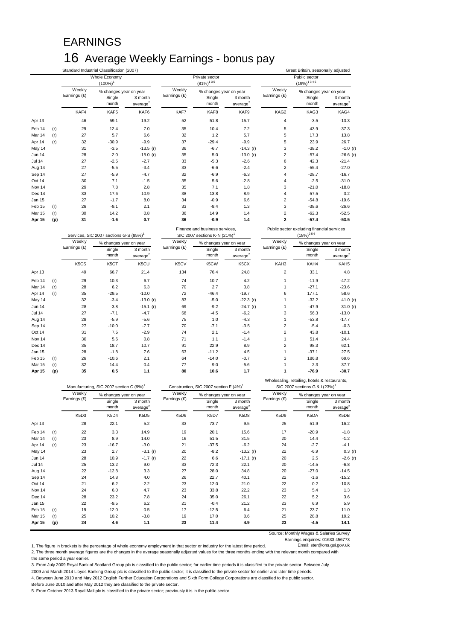## EARNINGS 16 Average Weekly Earnings - bonus pay

|               |     |              | Standard Industrial Classification (2007) |                      |              |                                                                            |                      | Great Britain, seasonally adjusted |                                                                |                      |
|---------------|-----|--------------|-------------------------------------------|----------------------|--------------|----------------------------------------------------------------------------|----------------------|------------------------------------|----------------------------------------------------------------|----------------------|
|               |     |              | Whole Economy                             |                      |              | Private sector                                                             |                      |                                    | Public sector                                                  |                      |
|               |     |              | $(100\%)^1$                               |                      |              | $(81\%)^{135}$                                                             |                      |                                    | $(19\%)^{1345}$                                                |                      |
|               |     | Weekly       | % changes year on year                    |                      | Weekly       | % changes year on year                                                     |                      | Weekly                             | % changes year on year                                         |                      |
|               |     | Earnings (£) | Single                                    | 3 month              | Earnings (£) | Single                                                                     | 3 month              | Earnings (£)                       | Single                                                         | 3 month              |
|               |     |              | month                                     | average <sup>2</sup> |              | month                                                                      | average <sup>2</sup> |                                    | month                                                          | average <sup>2</sup> |
|               |     | KAF4         | KAF5                                      | KAF6                 | KAF7         | KAF8                                                                       | KAF9                 | KAG2                               | KAG3                                                           | KAG4                 |
| Apr 13        |     | 46           | 59.1                                      | 19.2                 | 52           | 51.8                                                                       | 15.7                 | $\overline{\mathbf{4}}$            | $-3.5$                                                         | $-13.3$              |
| Feb 14        | (r) | 29           | 12.4                                      | 7.0                  | 35           | 10.4                                                                       | 7.2                  | 5                                  | 43.9                                                           | $-37.3$              |
| Mar 14        | (r) | 27           | 5.7                                       | 6.6                  | 32           | 1.2                                                                        | 5.7                  | 5                                  | 17.3                                                           | 13.8                 |
| Apr 14        | (r) | 32           | $-30.9$                                   | $-9.9$               | 37           | $-29.4$                                                                    | $-9.9$               | 5                                  | 23.9                                                           | 26.7                 |
| May 14        |     | 31           | $-3.5$                                    | $-13.5$ (r)          | 36           | $-6.7$                                                                     | $-14.3$ (r)          | 3                                  | $-38.2$                                                        | $-1.0$ (r)           |
| Jun 14        |     | 28           | $-2.0$                                    | $-15.0$ (r)          | 35           | 5.0                                                                        | $-13.0$ (r)          | $\overline{2}$                     | $-57.4$                                                        | $-26.6$ (r)          |
| <b>Jul 14</b> |     | 27           | $-2.5$                                    | $-2.7$               | 33           | $-5.3$                                                                     | $-2.6$               | 6                                  | 42.3                                                           | $-21.4$              |
| Aug 14        |     | 27           | $-5.5$                                    | $-3.4$               | 33           | $-6.6$                                                                     | $-2.4$               | $\overline{2}$                     | $-55.4$                                                        | $-27.0$              |
| Sep 14        |     | 27           | $-5.9$                                    | $-4.7$               | 32           | $-6.9$                                                                     | $-6.3$               | $\overline{4}$                     | $-28.7$                                                        | $-16.7$              |
| Oct 14        |     | 30           | 7.1                                       | $-1.5$               | 35           | 5.6                                                                        | $-2.8$               | $\overline{4}$                     | $-2.5$                                                         | $-31.0$              |
| Nov 14        |     | 29           | 7.8                                       | 2.8                  | 35           | 7.1                                                                        | 1.8                  | 3                                  | $-21.0$                                                        | $-18.8$              |
| Dec 14        |     | 33           | 17.6                                      | 10.9                 | 38           | 13.8                                                                       | 8.9                  | $\overline{4}$                     | 57.5                                                           | 3.2                  |
| Jan 15        |     | 27           | $-1.7$                                    | 8.0                  | 34           | $-0.9$                                                                     | 6.6                  | $\mathbf 2$                        | $-54.8$                                                        | $-19.6$              |
| Feb 15        | (r) | 26           | $-9.1$                                    | 2.1                  | 33           | $-8.4$                                                                     | 1.3                  | 3                                  | $-38.6$                                                        | $-26.6$              |
| Mar 15        | (r) | 30           | 14.2                                      | 0.8                  | 36           | 14.9                                                                       | 1.4                  | $\sqrt{2}$                         | $-62.3$                                                        | $-52.5$              |
| Apr 15        | (p) | 31           | $-1.6$                                    | 0.7                  | 36           | $-0.9$                                                                     | 1.4                  | $\overline{\mathbf{2}}$            | $-57.4$                                                        | $-53.5$              |
|               |     |              |                                           |                      |              |                                                                            |                      |                                    |                                                                |                      |
|               |     |              | Services, SIC 2007 sections G-S (85%)     |                      |              | Finance and business services,<br>SIC 2007 sections K-N (21%) <sup>1</sup> |                      |                                    | Public sector excluding financial services<br>$(18\%)^{2.5.6}$ |                      |
|               |     | Weekly       | % changes year on year                    |                      | Weekly       | % changes year on year                                                     |                      | Weekly                             | % changes year on year                                         |                      |
|               |     | Earnings (£) | Single                                    | 3 month              | Earnings (£) | Single                                                                     | 3 month              | Earnings (£)                       | Single                                                         | 3 month              |
|               |     |              | month                                     | average <sup>2</sup> |              | month                                                                      | average <sup>2</sup> |                                    | month                                                          | average <sup>2</sup> |
|               |     | K5CS         | K5CT                                      | K5CU                 | K5CV         | K5CW                                                                       | K5CX                 | KAH3                               | KAH4                                                           | KAH5                 |
| Apr 13        |     | 49           | 66.7                                      | 21.4                 | 134          | 76.4                                                                       | 24.8                 | $\overline{2}$                     | 33.1                                                           | 4.8                  |
| Feb 14        | (r) | 29           | 10.3                                      | 6.7                  | 74           | 10.7                                                                       | 4.2                  | $\mathbf{1}$                       | $-11.9$                                                        | $-47.2$              |
| Mar 14        | (r) | 28           | 6.2                                       | 6.3                  | 70           | 2.7                                                                        | 3.8                  | $\mathbf{1}$                       | $-27.1$                                                        | $-23.6$              |
| Apr 14        | (r) | 35           | $-29.5$                                   | $-10.0$              | 72           | $-46.4$                                                                    | $-19.7$              | 6                                  | 177.1                                                          | 58.6                 |
| May 14        |     | 32           | $-3.4$                                    | $-13.0$ (r)          | 83           | $-5.0$                                                                     | $-22.3$ (r)          | $\mathbf{1}$                       | $-32.2$                                                        | 41.0 (r)             |
| Jun 14        |     | 28           | $-3.8$                                    | $-15.1 (r)$          | 69           | $-9.2$                                                                     | $-24.7$ (r)          | $\mathbf{1}$                       | $-47.9$                                                        | 31.0 (r)             |
| <b>Jul 14</b> |     | 27           | $-7.1$                                    | $-4.7$               | 68           | $-4.5$                                                                     | $-6.2$               | 3                                  | 56.3                                                           | $-13.0$              |
| Aug 14        |     | 28           | $-5.9$                                    | $-5.6$               | 75           | 1.0                                                                        | $-4.3$               | $\mathbf{1}$                       | $-53.8$                                                        | $-17.7$              |
| Sep 14        |     | 27           | $-10.0$                                   | $-7.7$               | 70           | $-7.1$                                                                     | $-3.5$               | $\overline{2}$                     | $-5.4$                                                         | $-0.3$               |
| Oct 14        |     | 31           | 7.5                                       | $-2.9$               | 74           | 2.1                                                                        | $-1.4$               | $\overline{c}$                     | 43.8                                                           | $-10.1$              |
| Nov 14        |     | 30           | 5.6                                       | 0.8                  | 71           | 1.1                                                                        | $-1.4$               | $\mathbf{1}$                       | 51.4                                                           | 24.4                 |
| Dec 14        |     | 35           | 18.7                                      | 10.7                 | 91           | 22.9                                                                       | 8.9                  | $\overline{2}$                     | 98.3                                                           | 62.1                 |
| Jan 15        |     | 28           | $-1.8$                                    | 7.6                  | 63           | $-11.2$                                                                    | 4.5                  | $\mathbf{1}$                       | $-37.1$                                                        | 27.5                 |
| Feb 15        | (r) | 26           | $-10.6$                                   | 2.1                  | 64           | $-14.0$                                                                    | $-0.7$               | 3                                  | 186.8                                                          | 69.6                 |
| Mar 15        | (r) | 32           | 14.4                                      | 0.4                  | 77           | 9.0                                                                        | $-5.6$               | $\mathbf{1}$                       | 2.3                                                            | 37.7                 |

|                   |     |              | Manufacturing, SIC 2007 section C (9%) <sup>1</sup> |                                 | Construction, SIC 2007 section F (4%) <sup>1</sup> |                        |                                 | SIC 2007 sections G & I (23%) <sup>1</sup> |                        |                                 |
|-------------------|-----|--------------|-----------------------------------------------------|---------------------------------|----------------------------------------------------|------------------------|---------------------------------|--------------------------------------------|------------------------|---------------------------------|
|                   |     | Weekly       | % changes year on year                              |                                 | Weekly                                             | % changes year on year |                                 | Weekly                                     | % changes year on year |                                 |
|                   |     | Earnings (£) | Single<br>month                                     | 3 month<br>average <sup>2</sup> | Earnings (£)                                       | Single<br>month        | 3 month<br>average <sup>2</sup> | Earnings (£)                               | Single<br>month        | 3 month<br>average <sup>2</sup> |
|                   |     | K5D3         | K5D4                                                | K5D5                            | K5D6                                               | K5D7                   | K5D8                            | K5D9                                       | K5DA                   | K5DB                            |
| Apr 13            |     | 28           | 22.1                                                | 5.2                             | 33                                                 | 73.7                   | 9.5                             | 25                                         | 51.9                   | 16.2                            |
| Feb <sub>14</sub> | (r) | 22           | 3.3                                                 | 14.9                            | 19                                                 | 20.1                   | 15.6                            | 17                                         | $-20.9$                | $-1.8$                          |
| Mar 14            | (r) | 23           | 8.9                                                 | 14.0                            | 16                                                 | 51.5                   | 31.5                            | 20                                         | 14.4                   | $-1.2$                          |
| Apr 14            | (r) | 23           | $-16.7$                                             | $-3.0$                          | 21                                                 | $-37.5$                | $-6.2$                          | 24                                         | $-2.7$                 | $-4.1$                          |
| May 14            |     | 23           | 2.7                                                 | $-3.1(r)$                       | 20                                                 | $-8.2$                 | $-13.2(r)$                      | 22                                         | $-6.9$                 | 0.3(r)                          |
| <b>Jun 14</b>     |     | 28           | 10.9                                                | $-1.7$ (r)                      | 22                                                 | 6.6                    | $-17.1 (r)$                     | 20                                         | 2.5                    | $-2.6$ (r)                      |
| <b>Jul 14</b>     |     | 25           | 13.2                                                | 9.0                             | 33                                                 | 72.3                   | 22.1                            | 20                                         | $-14.5$                | $-6.8$                          |
| Aug 14            |     | 22           | $-12.8$                                             | 3.3                             | 27                                                 | 28.0                   | 34.8                            | 20                                         | $-27.0$                | $-14.5$                         |
| Sep 14            |     | 24           | 14.8                                                | 4.0                             | 26                                                 | 22.7                   | 40.1                            | 22                                         | $-1.6$                 | $-15.2$                         |
| Oct 14            |     | 21           | $-6.2$                                              | $-2.2$                          | 23                                                 | 12.0                   | 21.0                            | 22                                         | 0.2                    | $-10.8$                         |
| Nov 14            |     | 24           | 6.0                                                 | 4.7                             | 23                                                 | 33.8                   | 22.2                            | 23                                         | 5.4                    | 1.3                             |
| Dec 14            |     | 28           | 23.2                                                | 7.8                             | 24                                                 | 35.0                   | 26.1                            | 22                                         | 5.2                    | 3.6                             |
| Jan 15            |     | 22           | $-9.5$                                              | 6.2                             | 21                                                 | $-0.4$                 | 21.2                            | 23                                         | 6.9                    | 5.9                             |
| Feb 15            | (r) | 19           | $-12.0$                                             | 0.5                             | 17                                                 | $-12.5$                | 6.4                             | 21                                         | 23.7                   | 11.0                            |
| Mar 15            | (r) | 25           | 10.2                                                | $-3.8$                          | 19                                                 | 17.0                   | 0.6                             | 25                                         | 28.8                   | 19.2                            |
| Apr 15            | (p) | 24           | 4.6                                                 | 1.1                             | 23                                                 | 11.4                   | 4.9                             | 23                                         | $-4.5$                 | 14.1                            |

Source: Monthly Wages & Salaries Survey

Wholesaling, retailing, hotels & restaurants,

Earnings enquiries: 01633 456773<br>Email: ster@ons.gsi.gov.uk 1. The figure in brackets is the percentage of whole economy employment in that sector or industry for the latest time period. 2. The three month average figures are the changes in the average seasonally adjusted values for the three months ending with the relevant month compared with

the same period a year earlier. 3. From July 2009 Royal Bank of Scotland Group plc is classified to the public sector; for earlier time periods it is classified to the private sector. Between July

2009 and March 2014 Lloyds Banking Group plc is classified to the public sector; it is classified to the private sector for earlier and later time periods.

4. Between June 2010 and May 2012 English Further Education Corporations and Sixth Form College Corporations are classified to the public sector.

Before June 2010 and after May 2012 they are classified to the private sector.

5. From October 2013 Royal Mail plc is classified to the private sector; previously it is in the public sector.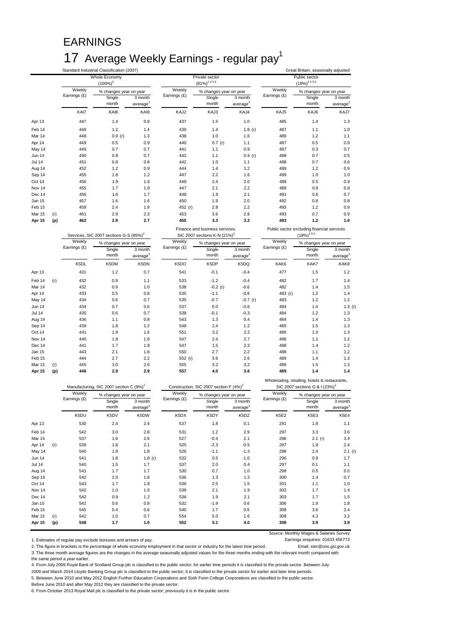## EARNINGS 17 Average Weekly Earnings - regular pay<sup>1</sup>

|               |     |              | Whole Economy<br>$(100\%)^2$                        |                                 |              | Private sector<br>$(81\%)^{2.4.5.6}$                                       |                                 |              | Public sector<br>$(19\%)^{2.4.5.6}$                                                         |                                 |
|---------------|-----|--------------|-----------------------------------------------------|---------------------------------|--------------|----------------------------------------------------------------------------|---------------------------------|--------------|---------------------------------------------------------------------------------------------|---------------------------------|
|               |     | Weekly       |                                                     |                                 | Weekly       |                                                                            |                                 | Weekly       |                                                                                             |                                 |
|               |     | Earnings (£) | % changes year on year<br>Single                    | 3 month                         | Earnings (£) | % changes year on year<br>Single                                           | 3 month                         | Earnings (£) | % changes year on year<br>Single                                                            | 3 month                         |
|               |     |              | month                                               | average <sup>3</sup>            |              | month                                                                      | average                         |              | month                                                                                       | average <sup>3</sup>            |
|               |     | KAI7         | KAI8                                                | KAI9                            | KAJ2         | KAJ3                                                                       | KAJ4                            | KAJ5         | KAJ6                                                                                        | KAJ7                            |
| Apr 13        |     | 447          | 1.4                                                 | 0.9                             | 437          | 1.5                                                                        | 1.0                             | 485          | 1.4                                                                                         | 1.3                             |
| Feb 14        |     | 449          | 1.2                                                 | 1.4                             | 439          | 1.4                                                                        | 1.8(r)                          | 487          | 1.1                                                                                         | 1.0                             |
| Mar 14        |     | 448          | 0.9(r)                                              | 1.3                             | 438          | 1.0                                                                        | 1.6                             | 489          | 1.2                                                                                         | 1.1                             |
| Apr 14        |     | 449          | 0.5                                                 | 0.9                             | 440          | 0.7(r)                                                                     | 1.1                             | 487          | 0.5                                                                                         | 0.9                             |
| May 14        |     | 449          | 0.7                                                 | 0.7                             | 441          | 1.1                                                                        | 0.9                             | 487          | 0.3                                                                                         | 0.7                             |
| Jun 14        |     | 450          | 0.8                                                 | 0.7                             | 442          | 1.1                                                                        | 0.9(r)                          | 488          | 0.7                                                                                         | 0.5                             |
| <b>Jul 14</b> |     | 451          | 0.8                                                 | 0.8                             | 442          | 1.0                                                                        | 1.1                             | 488          | 0.7                                                                                         | 0.6                             |
| Aug 14        |     | 452          | 1.2                                                 | 0.9                             | 444          | 1.4                                                                        | 1.2                             | 489          | 1.2                                                                                         | 0.9                             |
| Sep 14        |     | 455          | 1.8                                                 | 1.2                             | 447          | 2.2                                                                        | 1.6                             | 489          | 1.0                                                                                         | 1.0                             |
| Oct 14        |     | 456          | 1.9                                                 | 1.6                             | 448          | 2.4                                                                        | 2.0                             | 489          | 0.5                                                                                         | 0.9                             |
| Nov 14        |     | 455          | 1.7                                                 | 1.8                             | 447          | 2.1                                                                        | 2.2                             | 489          | 0.8                                                                                         | 0.8                             |
| Dec 14        |     | 456          | 1.6                                                 | 1.7                             | 448          | 1.9                                                                        | 2.1                             | 491          | 0.6                                                                                         | 0.7                             |
| Jan 15        |     | 457          | 1.6                                                 | 1.6                             | 450          | 1.9                                                                        | 2.0                             | 492          | 0.8                                                                                         | 0.8                             |
| Feb 15        |     | 459          | 2.4                                                 | 1.9                             | 452 (r)      | 2.8                                                                        | 2.2                             | 493          | 1.2                                                                                         | 0.9                             |
| Mar 15        | (r) | 461          | 2.9                                                 | 2.3                             | 453          | 3.6                                                                        | 2.8                             | 493          | 0.7                                                                                         | 0.9                             |
| Apr 15        | (p) | 462          | 2.9                                                 | 2.7                             | 455          | 3.3                                                                        | 3.2                             | 493          | $1.2$                                                                                       | 1.0                             |
|               |     | Weekly       | Services, SIC 2007 sections G-S (85%) <sup>2</sup>  |                                 | Weekly       | Finance and business services,<br>SIC 2007 sections K-N (21%) <sup>2</sup> |                                 | Weekly       | Public sector excluding financial services<br>$(18\%)^{256}$                                |                                 |
|               |     | Earnings (£) | % changes year on year                              |                                 | Earnings (£) | % changes year on year                                                     |                                 | Earnings (£) | % changes year on year                                                                      |                                 |
|               |     |              | Single<br>month                                     | 3 month<br>average <sup>3</sup> |              | Single<br>month                                                            | 3 month<br>average <sup>3</sup> |              | Single<br>month                                                                             | 3 month<br>average <sup>3</sup> |
|               |     | K5DL         | K5DM                                                | K5DN                            | K5DO         | K5DP                                                                       | K5DQ                            | KAK6         | KAK7                                                                                        | KAK8                            |
| Apr 13        |     | 431          | 1.2                                                 | 0.7                             | 541          | $-0.1$                                                                     | $-0.4$                          | 477          | 1.5                                                                                         | 1.2                             |
| Feb 14        | (r) | 432          | 0.9                                                 | 1.1                             | 533          | $-1.2$                                                                     | $-0.4$                          | 482          | 1.7                                                                                         | 1.4                             |
| Mar 14        |     | 432          | 0.9                                                 | 1.0                             | 538          | $-0.2(r)$                                                                  | $-0.6$                          | 482          | 1.4                                                                                         | 1.5                             |
| Apr 14        |     | 433          | 0.5                                                 | 0.8                             | 535          | $-1.1$                                                                     | $-0.8$                          | 483 (r)      | 1.2                                                                                         | 1.4                             |
| May 14        |     | 434          | 0.6                                                 | 0.7                             | 535          | $-0.7$                                                                     | $-0.7(r)$                       | 483          | 1.2                                                                                         | 1.2                             |
| <b>Jun 14</b> |     | 434          | 0.7                                                 | 0.6                             | 537          | 0.0                                                                        | $-0.6$                          | 484          | 1.4                                                                                         | 1.3(r)                          |
| <b>Jul 14</b> |     | 435          | 0.6                                                 | 0.7                             | 538          | $-0.1$                                                                     | $-0.3$                          | 484          | 1.2                                                                                         | 1.3                             |
| Aug 14        |     | 436          | 1.1                                                 | 0.8                             | 543          | 1.3                                                                        | 0.4                             | 484          | 1.4                                                                                         | 1.3                             |
| Sep 14        |     | 439          | 1.8                                                 | 1.2                             | 548          | 2.4                                                                        | 1.2                             | 485          | 1.5                                                                                         | 1.3                             |
| Oct 14        |     | 441          | 1.9                                                 | 1.6                             | 551          | 3.2                                                                        | 2.3                             | 486          | 1.0                                                                                         | 1.3                             |
| Nov 14        |     | 440          | 1.8                                                 | 1.8                             | 547          | 2.4                                                                        | 2.7                             | 486          | 1.1                                                                                         | 1.2                             |
| Dec 14        |     | 441          | 1.7                                                 | 1.8                             | 547          | 1.5                                                                        | 2.3                             | 488          | 1.4                                                                                         | 1.2                             |
| Jan 15        |     | 443          | 2.1                                                 | 1.8                             | 550          | 2.7                                                                        | $2.2\,$                         | 488          | 1.1                                                                                         | 1.2                             |
| Feb 15        |     | 444          | 2.7                                                 | 2.2                             | 552 (r)      | 3.6                                                                        | 2.6                             | 489          | 1.4                                                                                         | 1.3                             |
| Mar 15        | (r) | 445          | 3.0                                                 | 2.6                             | 555          | 3.2                                                                        | 3.2                             | 489          | 1.5                                                                                         | 1.3                             |
| Apr 15        | (p) | 446          | 2.9                                                 | 2.9                             | 557          | 4.0                                                                        | 3.6                             | 489          | 1.4                                                                                         | 1.4                             |
|               |     |              | Manufacturing, SIC 2007 section C (9%) <sup>2</sup> |                                 |              | Construction, SIC 2007 section F (4%) <sup>2</sup>                         |                                 |              | Wholesaling, retailing, hotels & restaurants,<br>SIC 2007 sections G & I (23%) <sup>2</sup> |                                 |
|               |     | Weekly       | % changes year on year                              |                                 | Weekly       | % changes year on year                                                     |                                 | Weekly       | % changes year on year                                                                      |                                 |
|               |     | Earnings (£) | Single                                              | 3 month                         | Earnings (£) | Single                                                                     | 3 month                         | Earnings (£) | Single                                                                                      | 3 month                         |
|               |     |              |                                                     |                                 |              |                                                                            |                                 |              |                                                                                             |                                 |

|     |        |                 |                                 | $\cdots$               |                 |                                 |                        |                 |                                 |
|-----|--------|-----------------|---------------------------------|------------------------|-----------------|---------------------------------|------------------------|-----------------|---------------------------------|
|     | Weekly |                 |                                 | Weekly                 |                 |                                 | Weekly                 |                 |                                 |
|     |        | Single<br>month | 3 month<br>average <sup>3</sup> |                        | Single<br>month | 3 month<br>average <sup>3</sup> |                        | Single<br>month | 3 month<br>average <sup>3</sup> |
|     | K5DU   | K5DV            | K5DW                            | K5DX                   | K5DY            | K5DZ                            | <b>K5E2</b>            | K5E3            | K5E4                            |
|     | 530    | 2.4             | 2.4                             | 537                    | 1.8             | 0.1                             | 291                    | 1.8             | 1.1                             |
|     | 542    | 3.0             | 2.8                             | 531                    | 1.2             | 2.9                             | 297                    | 3.3             | 3.6                             |
|     | 537    | 1.6             | 2.6                             | 527                    | $-0.4$          | 2.1                             | 296                    | 2.1(r)          | 3.4                             |
| (r) | 539    | 1.8             | 2.1                             | 525                    | $-2.3$          | $-0.5$                          | 297                    | 1.9             | 2.4                             |
|     | 540    | 1.9             | 1.8                             | 526                    | $-1.1$          | $-1.3$                          | 298                    | 2.4             | 2.1(r)                          |
|     | 541    | 1.8             | 1.8 $(r)$                       | 532                    | 0.5             | $-1.0$                          | 296                    | 0.9             | 1.7                             |
|     | 540    | 1.5             | 1.7                             | 537                    | 2.0             | 0.4                             | 297                    | 0.1             | 1.1                             |
|     | 541    | 1.7             | 1.7                             | 530                    | 0.7             | 1.0                             | 298                    | 0.5             | 0.5                             |
|     | 542    | 2.0             | 1.8                             | 536                    | 1.3             | 1.3                             | 300                    | 1.4             | 0.7                             |
|     | 543    | 1.7             | 1.8                             | 536                    | 2.5             | 1.5                             | 301                    | 1.1             | 1.0                             |
|     | 542    | 1.0             | 1.6                             | 539                    | 2.1             | 1.9                             | 302                    | 1.7             | 1.4                             |
|     | 542    | 0.9             | 1.2                             | 536                    | 1.9             | 2.1                             | 303                    | 1.7             | 1.5                             |
|     | 542    | 0.6             | 0.8                             | 532                    | $-1.9$          | 0.6                             | 306                    | 1.9             | 1.8                             |
|     | 545    | 0.4             | 0.6                             | 540                    | 1.7             | 0.5                             | 308                    | 3.6             | 2.4                             |
| (r) | 542    | 1.0             | 0.7                             | 554                    | 5.0             | 1.6                             | 309                    | 4.3             | 3.2                             |
| (p) | 548    | 1.7             | 1.0                             | 552                    | 5.1             | 4.0                             | 308                    | 3.9             | 3.9                             |
|     |        | Earnings (£)    |                                 | % changes year on year | Earnings (£)    |                                 | % changes year on year | Earnings (£)    | % changes year on year          |

Source: Monthly Wages & Salaries Survey

1. Estimates of regular pay exclude bonuses and arrears of pay.<br>1. 2. The figure in brackets is the percentage of whole economy employment in that sector or industry for the latest time period. [199] 2. The figure in brackets is the percentage of whole economy employment in that sector or industry for the latest time period. 3. The three month average figures are the changes in the average seasonally adjusted values for the three months ending with the relevant month compared with the same period a year earlier.

4. From July 2009 Royal Bank of Scotland Group plc is classified to the public sector; for earlier time periods it is classified to the private sector. Between July

2009 and March 2014 Lloyds Banking Group plc is classified to the public sector; it is classified to the private sector for earlier and later time periods.

5. Between June 2010 and May 2012 English Further Education Corporations and Sixth Form College Corporations are classified to the public sector.

Before June 2010 and after May 2012 they are classified to the private sector.

6. From October 2013 Royal Mail plc is classified to the private sector; previously it is in the public sector.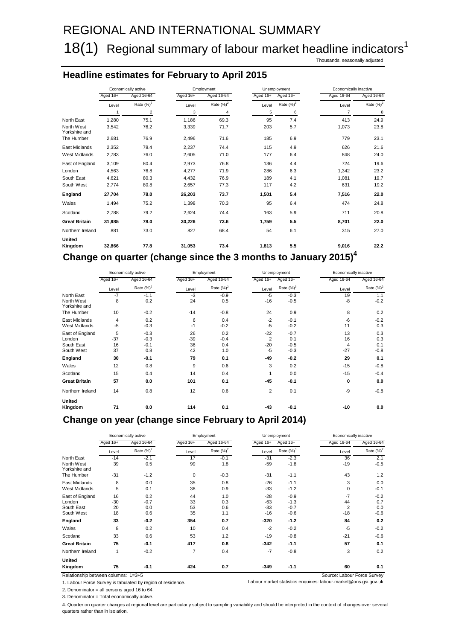## REGIONAL AND INTERNATIONAL SUMMARY

## 18(1) Regional summary of labour market headline indicators<sup>1</sup>

Thousands, seasonally adjusted

### **Headline estimates for February to April 2015**

|                             |              | Economically active |          | Employment        |          | Unemployment  | Economically inactive           |               |
|-----------------------------|--------------|---------------------|----------|-------------------|----------|---------------|---------------------------------|---------------|
|                             | Aged 16+     | Aged 16-64          | Aged 16+ | Aged 16-64        | Aged 16+ | Aged 16+      | Aged 16-64                      | Aged 16-64    |
|                             | Level        | Rate $(%)^2$        | Level    | Rate $(\%)^2$     | Level    | Rate $(\%)^3$ | Level                           | Rate $(\%)^2$ |
|                             | $\mathbf{1}$ | $\overline{2}$      | 3        | 4                 | 5        | 6             | $\overline{7}$                  | 8             |
| North East                  | 1,280        | 75.1                | 1,186    | 69.3              | 95       | 7.4           | 413                             | 24.9          |
| North West<br>Yorkshire and | 3,542        | 76.2                | 3,339    | 71.7              | 203      | 5.7           | 1,073                           | 23.8          |
| The Humber                  | 2,681        | 76.9                | 2,496    | 71.6              | 185      | 6.9           | 779                             | 23.1          |
| East Midlands               | 2,352        | 78.4                | 2,237    | 74.4              | 115      | 4.9           | 626                             | 21.6          |
| <b>West Midlands</b>        | 2,783        | 76.0                | 2,605    | 71.0              | 177      | 6.4           | 848                             | 24.0          |
| East of England             | 3,109        | 80.4                | 2,973    | 76.8              | 136      | 4.4           | 724                             | 19.6          |
| London                      | 4,563        | 76.8                | 4,277    | 71.9              | 286      | 6.3           | 1,342                           | 23.2          |
| South East                  | 4,621        | 80.3                | 4,432    | 76.9              | 189      | 4.1           | 1,081                           | 19.7          |
| South West                  | 2,774        | 80.8                | 2,657    | 77.3              | 117      | 4.2           | 631                             | 19.2          |
| England                     | 27,704       | 78.0                | 26,203   | 73.7              | 1,501    | 5.4           | 7,516                           | 22.0          |
| Wales                       | 1.494        | 75.2                | 1,398    | 70.3              | 95       | 6.4           | 474                             | 24.8          |
| Scotland                    | 2,788        | 79.2                | 2,624    | 74.4              | 163      | 5.9           | 711                             | 20.8          |
| <b>Great Britain</b>        | 31,985       | 78.0                | 30,226   | 73.6              | 1,759    | 5.5           | 8,701                           | 22.0          |
| Northern Ireland            | 881          | 73.0                | 827      | 68.4              | 54       | 6.1           | 315                             | 27.0          |
| <b>United</b><br>Kingdom    | 32,866       | 77.8                | 31,053   | 73.4              | 1.813    | 5.5           | 9,016                           | 22.2          |
| . .                         |              | . .                 |          | $\sim$ 0.1 $\sim$ |          |               | $\cdot$ $\cdot$ $\cdot$ $\cdot$ |               |

**Change on quarter (change since the 3 months to January 2015)4**

|                             |          | Economically active |          | Employment    |                | Unemployment  | Economically inactive |              |
|-----------------------------|----------|---------------------|----------|---------------|----------------|---------------|-----------------------|--------------|
|                             | Aged 16+ | Aged 16-64          | Aged 16+ | Aged 16-64    | Aged 16+       | Aged 16+      | Aged 16-64            | Aged 16-64   |
|                             | Level    | Rate $(\%)^2$       | Level    | Rate $(\%)^2$ | Level          | Rate $(\%)^3$ | Level                 | Rate $(%)^2$ |
| North East                  | $-7$     | $-1.1$              | $-3$     | $-0.9$        | $-5$           | $-0.3$        | 19                    | 1.1          |
| North West<br>Yorkshire and | 8        | 0.2                 | 24       | 0.5           | $-16$          | $-0.5$        | $-8$                  | $-0.2$       |
| The Humber                  | 10       | $-0.2$              | $-14$    | $-0.8$        | 24             | 0.9           | 8                     | 0.2          |
| East Midlands               | 4        | 0.2                 | 6        | 0.4           | $-2$           | $-0.1$        | $-6$                  | $-0.2$       |
| <b>West Midlands</b>        | $-5$     | $-0.3$              | $-1$     | $-0.2$        | $-5$           | $-0.2$        | 11                    | 0.3          |
| East of England             | 5        | $-0.3$              | 26       | 0.2           | $-22$          | $-0.7$        | 13                    | 0.3          |
| London                      | $-37$    | $-0.3$              | $-39$    | $-0.4$        | $\overline{2}$ | 0.1           | 16                    | 0.3          |
| South East                  | 16       | $-0.1$              | 36       | 0.4           | $-20$          | $-0.5$        | $\overline{4}$        | 0.1          |
| South West                  | 37       | 0.8                 | 42       | 1.0           | $-5$           | $-0.3$        | $-27$                 | $-0.8$       |
| England                     | 30       | $-0.1$              | 79       | 0.1           | -49            | $-0.2$        | 29                    | 0.1          |
| Wales                       | 12       | 0.8                 | 9        | 0.6           | 3              | 0.2           | $-15$                 | $-0.8$       |
| Scotland                    | 15       | 0.4                 | 14       | 0.4           | 1              | 0.0           | $-15$                 | $-0.4$       |
| <b>Great Britain</b>        | 57       | 0.0                 | 101      | 0.1           | $-45$          | $-0.1$        | 0                     | 0.0          |
| Northern Ireland            | 14       | 0.8                 | 12       | 0.6           | 2              | 0.1           | -9                    | $-0.8$       |
| United                      |          |                     |          |               |                |               |                       |              |
| Kingdom                     | 71       | 0.0                 | 114      | 0.1           | $-43$          | $-0.1$        | $-10$                 | 0.0          |

### **Change on year (change since February to April 2014)**

|                             |              | Economically active |                | Employment    |          | Unemployment  | Economically inactive |               |
|-----------------------------|--------------|---------------------|----------------|---------------|----------|---------------|-----------------------|---------------|
|                             | Aged 16+     | Aged 16-64          | Aged 16+       | Aged 16-64    | Aged 16+ | Aged 16+      | Aged 16-64            | Aged 16-64    |
|                             | Level        | Rate $(\%)^2$       | Level          | Rate $(\%)^2$ | Level    | Rate $(\%)^3$ | Level                 | Rate $(\%)^2$ |
| North East                  | $-14$        | $-2.1$              | 17             | $-0.1$        | $-31$    | $-2.3$        | 36                    | 2.1           |
| North West<br>Yorkshire and | 39           | 0.5                 | 99             | 1.8           | $-59$    | $-1.8$        | $-19$                 | $-0.5$        |
| The Humber                  | $-31$        | $-1.2$              | $\mathbf 0$    | $-0.3$        | $-31$    | $-1.1$        | 43                    | 1.2           |
| East Midlands               | 8            | 0.0                 | 35             | 0.8           | $-26$    | $-1.1$        | 3                     | 0.0           |
| <b>West Midlands</b>        | 5            | 0.1                 | 38             | 0.9           | $-33$    | $-1.2$        | $\mathbf 0$           | $-0.1$        |
| East of England             | 16           | 0.2                 | 44             | 1.0           | $-28$    | $-0.9$        | $-7$                  | $-0.2$        |
| London                      | $-30$        | $-0.7$              | 33             | 0.3           | $-63$    | $-1.3$        | 44                    | 0.7           |
| South East                  | 20           | 0.0                 | 53             | 0.6           | $-33$    | $-0.7$        | $\overline{2}$        | 0.0           |
| South West                  | 18           | 0.6                 | 35             | 1.1           | $-16$    | $-0.6$        | $-18$                 | $-0.6$        |
| England                     | 33           | $-0.2$              | 354            | 0.7           | $-320$   | $-1.2$        | 84                    | 0.2           |
| Wales                       | 8            | 0.2                 | 10             | 0.4           | $-2$     | $-0.2$        | $-5$                  | $-0.2$        |
| Scotland                    | 33           | 0.6                 | 53             | 1.2           | $-19$    | $-0.8$        | $-21$                 | $-0.6$        |
| <b>Great Britain</b>        | 75           | $-0.1$              | 417            | 0.8           | $-342$   | $-1.1$        | 57                    | 0.1           |
| Northern Ireland            | $\mathbf{1}$ | $-0.2$              | $\overline{7}$ | 0.4           | $-7$     | $-0.8$        | 3                     | 0.2           |
| <b>United</b>               |              |                     |                |               |          |               |                       |               |
| Kingdom                     | 75           | $-0.1$              | 424            | 0.7           | $-349$   | $-1.1$        | 60                    | 0.1           |

Relationship between columns:  $1=3+5$  Source: Labour Force Survey

1. Labour Force Survey is tabulated by region of residence. Labour market statistics enquiries: labour.market@ons.gsi.gov.uk

2. Denominator = all persons aged 16 to 64.

3. Denominator = Total economically active.

4. Quarter on quarter changes at regional level are particularly subject to sampling variability and should be interpreted in the context of changes over several quarters rather than in isolation.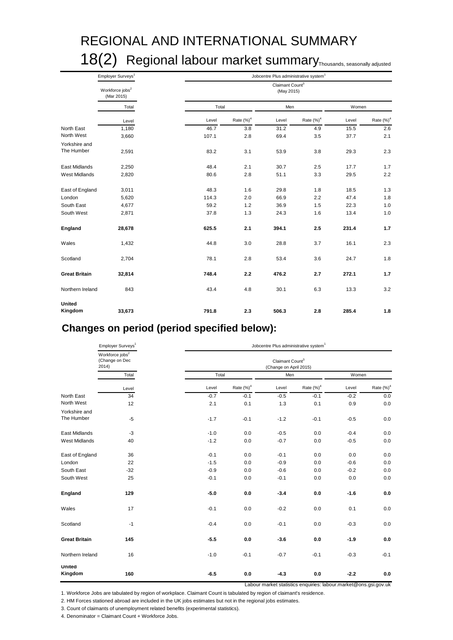# REGIONAL AND INTERNATIONAL SUMMARY 18(2) Regional labour market summary<sub>Thousands, seasonally adjusted</sub>

|                          | Employer Surveys <sup>1</sup>             |       |               | Jobcentre Plus administrative system <sup>1</sup> |               |       |               |
|--------------------------|-------------------------------------------|-------|---------------|---------------------------------------------------|---------------|-------|---------------|
|                          | Workforce jobs <sup>2</sup><br>(Mar 2015) |       |               | Claimant Count <sup>3</sup><br>(May 2015)         |               |       |               |
|                          | Total                                     |       | Total         | Men                                               |               | Women |               |
|                          | Level                                     | Level | Rate $(\%)^4$ | Level                                             | Rate $(\%)^4$ | Level | Rate $(\%)^4$ |
| North East               | 1,180                                     | 46.7  | 3.8           | 31.2                                              | 4.9           | 15.5  | 2.6           |
| North West               | 3,660                                     | 107.1 | 2.8           | 69.4                                              | 3.5           | 37.7  | 2.1           |
| Yorkshire and            |                                           |       |               |                                                   |               |       |               |
| The Humber               | 2,591                                     | 83.2  | 3.1           | 53.9                                              | 3.8           | 29.3  | 2.3           |
| East Midlands            | 2,250                                     | 48.4  | 2.1           | 30.7                                              | 2.5           | 17.7  | 1.7           |
| <b>West Midlands</b>     | 2,820                                     | 80.6  | 2.8           | 51.1                                              | 3.3           | 29.5  | 2.2           |
| East of England          | 3,011                                     | 48.3  | 1.6           | 29.8                                              | 1.8           | 18.5  | 1.3           |
| London                   | 5,620                                     | 114.3 | 2.0           | 66.9                                              | 2.2           | 47.4  | 1.8           |
| South East               | 4,677                                     | 59.2  | 1.2           | 36.9                                              | 1.5           | 22.3  | 1.0           |
| South West               | 2,871                                     | 37.8  | 1.3           | 24.3                                              | 1.6           | 13.4  | 1.0           |
| England                  | 28,678                                    | 625.5 | 2.1           | 394.1                                             | 2.5           | 231.4 | 1.7           |
| Wales                    | 1,432                                     | 44.8  | 3.0           | 28.8                                              | 3.7           | 16.1  | 2.3           |
| Scotland                 | 2,704                                     | 78.1  | 2.8           | 53.4                                              | 3.6           | 24.7  | 1.8           |
| <b>Great Britain</b>     | 32,814                                    | 748.4 | 2.2           | 476.2                                             | 2.7           | 272.1 | 1.7           |
| Northern Ireland         | 843                                       | 43.4  | 4.8           | 30.1                                              | 6.3           | 13.3  | 3.2           |
| <b>United</b><br>Kingdom | 33,673                                    | 791.8 | 2.3           | 506.3                                             | 2.8           | 285.4 | 1.8           |

### **Changes on period (period specified below):**

|                      | Employer Surveys <sup>1</sup>                          |        | Jobcentre Plus administrative system <sup>1</sup> |                                                       |                                                                         |        |             |  |  |  |  |
|----------------------|--------------------------------------------------------|--------|---------------------------------------------------|-------------------------------------------------------|-------------------------------------------------------------------------|--------|-------------|--|--|--|--|
|                      | Workforce jobs <sup>2</sup><br>(Change on Dec<br>2014) |        |                                                   | Claimant Count <sup>3</sup><br>(Change on April 2015) |                                                                         |        |             |  |  |  |  |
|                      | Total                                                  | Total  |                                                   | Men                                                   |                                                                         | Women  |             |  |  |  |  |
|                      | Level                                                  | Level  | Rate $(\%)^4$                                     | Level                                                 | Rate $(\%)^4$                                                           | Level  | Rate $(%)4$ |  |  |  |  |
| North East           | 34                                                     | $-0.7$ | $-0.1$                                            | $-0.5$                                                | $-0.1$                                                                  | $-0.2$ | 0.0         |  |  |  |  |
| North West           | 12                                                     | 2.1    | 0.1                                               | 1.3                                                   | 0.1                                                                     | 0.9    | $0.0\,$     |  |  |  |  |
| Yorkshire and        |                                                        |        |                                                   |                                                       |                                                                         |        |             |  |  |  |  |
| The Humber           | $-5$                                                   | $-1.7$ | $-0.1$                                            | $-1.2$                                                | $-0.1$                                                                  | $-0.5$ | 0.0         |  |  |  |  |
| East Midlands        | $-3$                                                   | $-1.0$ | 0.0                                               | $-0.5$                                                | 0.0                                                                     | $-0.4$ | 0.0         |  |  |  |  |
| <b>West Midlands</b> | 40                                                     | $-1.2$ | 0.0                                               | $-0.7$                                                | 0.0                                                                     | $-0.5$ | 0.0         |  |  |  |  |
| East of England      | 36                                                     | $-0.1$ | 0.0                                               | $-0.1$                                                | 0.0                                                                     | 0.0    | 0.0         |  |  |  |  |
| London               | 22                                                     | $-1.5$ | 0.0                                               | $-0.9$                                                | 0.0                                                                     | $-0.6$ | 0.0         |  |  |  |  |
| South East           | $-32$                                                  | $-0.9$ | 0.0                                               | $-0.6$                                                | 0.0                                                                     | $-0.2$ | 0.0         |  |  |  |  |
| South West           | 25                                                     | $-0.1$ | 0.0                                               | $-0.1$                                                | 0.0                                                                     | 0.0    | 0.0         |  |  |  |  |
| England              | 129                                                    | $-5.0$ | 0.0                                               | $-3.4$                                                | 0.0                                                                     | $-1.6$ | 0.0         |  |  |  |  |
| Wales                | 17                                                     | $-0.1$ | 0.0                                               | $-0.2$                                                | 0.0                                                                     | 0.1    | 0.0         |  |  |  |  |
| Scotland             | $-1$                                                   | $-0.4$ | 0.0                                               | $-0.1$                                                | 0.0                                                                     | $-0.3$ | 0.0         |  |  |  |  |
| <b>Great Britain</b> | 145                                                    | $-5.5$ | 0.0                                               | $-3.6$                                                | 0.0                                                                     | $-1.9$ | 0.0         |  |  |  |  |
| Northern Ireland     | 16                                                     | $-1.0$ | $-0.1$                                            | $-0.7$                                                | $-0.1$                                                                  | $-0.3$ | $-0.1$      |  |  |  |  |
| United<br>Kingdom    | 160                                                    | $-6.5$ | $0.0\,$                                           | $-4.3$                                                | 0.0<br>Labour market statistics enquiries: labour.market@ons.gsi.gov.uk | $-2.2$ | 0.0         |  |  |  |  |

1. Workforce Jobs are tabulated by region of workplace. Claimant Count is tabulated by region of claimant's residence.

2. HM Forces stationed abroad are included in the UK jobs estimates but not in the regional jobs estimates.

3. Count of claimants of unemployment related benefits (experimental statistics).

4. Denominator = Claimant Count + Workforce Jobs.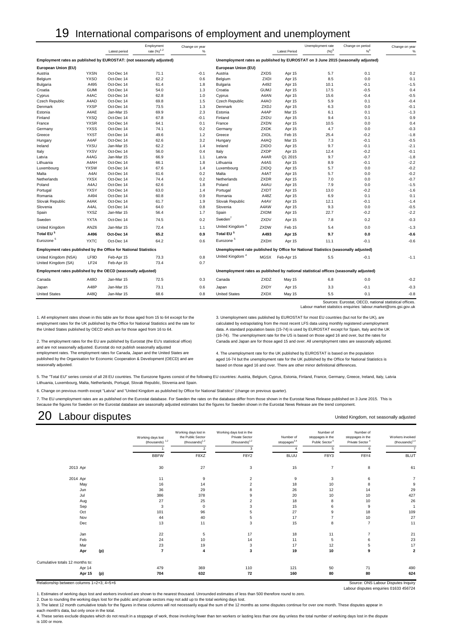### 19 International comparisons of employment and unemployment

|                                                                      |                            | Latest period            | Employment<br>rate (%) <sup>12</sup> | Change on year<br>$\%$ |                             |                     | <b>Latest Period</b> | Unemployment rate<br>$(\%)^3$                                                         | Change on period<br>$% ^{6}$                                                     | Change on year<br>$\%$ |
|----------------------------------------------------------------------|----------------------------|--------------------------|--------------------------------------|------------------------|-----------------------------|---------------------|----------------------|---------------------------------------------------------------------------------------|----------------------------------------------------------------------------------|------------------------|
|                                                                      |                            |                          |                                      |                        |                             |                     |                      |                                                                                       |                                                                                  |                        |
| Employment rates as published by EUROSTAT: (not seasonally adjusted) |                            |                          |                                      |                        |                             |                     |                      |                                                                                       | Unemployment rates as published by EUROSTAT on 3 June 2015 (seasonally adjusted) |                        |
| European Union (EU)                                                  |                            |                          |                                      |                        | European Union (EU)         |                     |                      |                                                                                       |                                                                                  |                        |
| Austria                                                              | <b>YXSN</b>                | Oct-Dec 14               | 71.1                                 | $-0.1$                 | Austria                     | <b>ZXDS</b>         | Apr 15               | 5.7                                                                                   | 0.1                                                                              | 0.2                    |
| Belgium                                                              | <b>YXSO</b>                | Oct-Dec 14               | 62.2                                 | 0.6                    | Belgium                     | ZXDI                | Apr 15               | 8.5                                                                                   | 0.0                                                                              | 0.1                    |
| Bulgaria                                                             | A495                       | Oct-Dec 14               | 61.4                                 | 1.8                    | Bulgaria                    | A492                | Apr 15               | 10.1                                                                                  | $-0.1$                                                                           | $-1.5$                 |
| Croatia                                                              | <b>GUMI</b>                | Oct-Dec 14               | 54.0                                 | 1.3                    | Croatia                     | <b>GUMJ</b>         | Apr 15               | 17.5                                                                                  | $-0.5$                                                                           | 0.4                    |
| Cyprus                                                               | A4AC                       | Oct-Dec 14               | 62.8                                 | 1.0                    | Cyprus                      | A4AN                | Apr 15               | 15.6                                                                                  | $-0.4$                                                                           | $-0.5$                 |
| <b>Czech Republic</b>                                                | A4AD                       | Oct-Dec 14               | 69.8                                 | 1.5                    | <b>Czech Republic</b>       | A4AO                | Apr 15               | 5.9                                                                                   | 0.1                                                                              | $-0.4$                 |
| Denmark                                                              | <b>YXSP</b>                | Oct-Dec 14               | 73.5                                 | 1.3                    | Denmark                     | ZXDJ<br>A4AP        | Apr 15               | 6.3                                                                                   | 0.0                                                                              | $-0.1$                 |
| Estonia                                                              | A4AE<br><b>YXSQ</b>        | Jan-Mar 15               | 69.9                                 | 2.3                    | Estonia                     |                     | <b>Mar 15</b>        | 6.1                                                                                   | 0.1                                                                              | $-1.3$                 |
| Finland                                                              | <b>YXSR</b>                | Oct-Dec 14<br>Oct-Dec 14 | 67.8<br>64.1                         | $-0.1$<br>0.1          | Finland                     | ZXDU<br>ZXDN        | Apr 15               | 9.4<br>10.5                                                                           | 0.1<br>0.0                                                                       | 0.9<br>0.4             |
| France                                                               |                            |                          |                                      |                        | France                      |                     | Apr 15               |                                                                                       |                                                                                  |                        |
| Germany                                                              | <b>YXSS</b><br><b>YXST</b> | Oct-Dec 14<br>Oct-Dec 14 | 74.1<br>49.6                         | 0.2                    | Germany<br>Greece           | <b>ZXDK</b><br>ZXDL | Apr 15<br>Feb 15     | 4.7<br>25.4                                                                           | 0.0<br>$-0.2$                                                                    | $-0.3$<br>$-1.8$       |
| Greece                                                               | A4AF                       |                          | 62.6                                 | 1.2<br>3.2             |                             | A4AQ                |                      | 7.3                                                                                   | $-0.1$                                                                           | $-0.5$                 |
| Hungary                                                              | <b>YXSU</b>                | Oct-Dec 14<br>Jan-Mar 15 | 62.2                                 | 1.4                    | Hungary<br>Ireland          | ZXDO                | Mar 15<br>Apr 15     | 9.7                                                                                   | $-0.1$                                                                           | $-2.1$                 |
| Ireland                                                              | <b>YXSV</b>                | Oct-Dec 14               | 56.0                                 | 0.4                    |                             | ZXDP                | Apr 15               | 12.4                                                                                  | $-0.2$                                                                           | $-0.1$                 |
| Italy                                                                | A4AG                       | Jan-Mar 15               | 66.9                                 | 1.1                    | Italy<br>Latvia             | A4AR                | Q1 2015              | 9.7                                                                                   | $-0.7$                                                                           | $-1.8$                 |
| Latvia<br>Lithuania                                                  | A4AH                       | Oct-Dec 14               | 66.1                                 | 1.8                    | Lithuania                   | A4AS                | Apr 15               | 8.9                                                                                   | $-0.1$                                                                           | $-2.2$                 |
| Luxembourg                                                           | <b>YXSW</b>                | Oct-Dec 14               | 67.6                                 | 1.4                    | Luxembourg                  | <b>ZXDQ</b>         | Apr 15               | 5.7                                                                                   | 0.0                                                                              | $-0.2$                 |
| Malta                                                                | A4AI                       | Oct-Dec 14               | 61.6                                 | 0.2                    | Malta                       | A4AT                | Apr 15               | 5.7                                                                                   | 0.0                                                                              | $-0.2$                 |
| Netherlands                                                          | <b>YXSX</b>                | Oct-Dec 14               | 74.4                                 | 0.2                    | Netherlands                 | ZXDR                | Apr 15               | 7.0                                                                                   | 0.0                                                                              | $-0.7$                 |
| Poland                                                               | A4AJ                       | Oct-Dec 14               | 62.6                                 | 1.8                    | Poland                      | A4AU                | Apr 15               | 7.9                                                                                   | 0.0                                                                              | $-1.5$                 |
| Portugal                                                             | <b>YXSY</b>                | Oct-Dec 14               | 63.0                                 | 1.4                    | Portugal                    | ZXDT                | Apr 15               | 13.0                                                                                  | $-0.2$                                                                           | $-1.6$                 |
| Romania                                                              | A494                       | Oct-Dec 14               | 60.8                                 | 0.9                    | Romania                     | A48Z                | Apr 15               | 6.9                                                                                   | 0.1                                                                              | 0.1                    |
| Slovak Republic                                                      | A4AK                       | Oct-Dec 14               | 61.7                                 | 1.9                    | Slovak Republic             | A4AV                | Apr 15               | 12.1                                                                                  | $-0.1$                                                                           | $-1.4$                 |
| Slovenia                                                             | A4AL                       | Oct-Dec 14               | 64.0                                 | 0.8                    | Slovenia                    | A4AW                | Apr 15               | 9.3                                                                                   | 0.0                                                                              | $-0.5$                 |
| Spain                                                                | <b>YXSZ</b>                | Jan-Mar 15               | 56.4                                 | 1.7                    | Spain                       | <b>ZXDM</b>         | Apr 15               | 22.7                                                                                  | $-0.2$                                                                           | $-2.2$                 |
| Sweden                                                               | <b>YXTA</b>                | Oct-Dec 14               | 74.5                                 | 0.2                    | Sweden <sup>'</sup>         | ZXDV                | Apr 15               | 7.8                                                                                   | 0.2                                                                              | $-0.3$                 |
| United Kingdom                                                       | ANZ6                       | Jan-Mar 15               | 72.4                                 | 1.1                    | United Kingdom <sup>4</sup> | ZXDW                | Feb 15               | 5.4                                                                                   | 0.0                                                                              | $-1.3$                 |
| Total EU <sup>5</sup>                                                | A496                       | Oct-Dec 14               | 65.2                                 | 0.9                    | Total EU <sup>5</sup>       | A493                | Apr 15               | 9.7                                                                                   | 0.0                                                                              | $-0.6$                 |
| Eurozone <sup>5</sup>                                                | <b>YXTC</b>                | Oct-Dec 14               | 64.2                                 | 0.6                    | Eurozone <sup>5</sup>       | ZXDH                | Apr 15               | 11.1                                                                                  | $-0.1$                                                                           | $-0.6$                 |
| Employment rates published by the Office for National Statistics     |                            |                          |                                      |                        |                             |                     |                      | Unemployment rate published by Office for National Statistics (seasonally adjusted)   |                                                                                  |                        |
| United Kingdom (NSA)                                                 | LF9D                       | Feb-Apr 15               | 73.3                                 | 0.8                    | United Kingdom <sup>4</sup> |                     | MGSX Feb-Apr 15      | 5.5                                                                                   | $-0.1$                                                                           | $-1.1$                 |
| United Kingdom (SA)                                                  | <b>LF24</b>                | Feb-Apr 15               | 73.4                                 | 0.7                    |                             |                     |                      |                                                                                       |                                                                                  |                        |
| Employment rates published by the OECD (seasonally adjusted)         |                            |                          |                                      |                        |                             |                     |                      | Unemployment rates as published by national statistical offices (seasonally adjusted) |                                                                                  |                        |
| Canada                                                               | A48O                       | Jan-Mar 15               | 72.5                                 | 0.3                    | Canada                      | ZXDZ                | May 15               | 6.8                                                                                   | 0.0                                                                              | $-0.2$                 |
| Japan                                                                | A48P                       | Jan-Mar 15               | 73.1                                 | 0.6                    | Japan                       | ZXDY                | Apr 15               | 3.3                                                                                   | $-0.1$                                                                           | $-0.3$                 |
| <b>United States</b>                                                 | A48Q                       | Jan-Mar 15               | 68.6                                 | 0.8                    | <b>United States</b>        | <b>ZXDX</b>         | May 15               | 5.5                                                                                   | 0.1                                                                              | $-0.8$                 |
|                                                                      |                            |                          |                                      |                        |                             |                     |                      |                                                                                       | Sources: Eurostat, OECD, national statistical offices.                           |                        |

Labour market statistics enquiries: labour.market@ons.gsi.gov.uk

1. All employment rates shown in this table are for those aged from 15 to 64 except for the 3. Unemployment rates published by EUROSTAT for most EU countries (but not for the UK), are

and are not seasonally adjusted. Eurostat do not publish seasonally adjusted<br>employment rates. The employment rates for Canada. Japan and the United States are employment rates. The employment rates for Canada, Japan and the United States are 4. The unemployment rate for the UK published by EUROSTAT is based on the population published by the Organisation for Economic Cooperation published by the Organisation for Economic Cooperation & Development (OECD) and are aged 16-74 but the unemployment rate for the UK published by the Office for National Statistics is<br>based on those aged 16 and over. There

employment rates for the UK published by the Office for National Statistics and the rate for calculated by extrapolating from the most recent LFS data using monthly registered unemployment the United States published by OE the United States published by OECD which are for those aged from 16 to 64. data. A standard population basis (15-74) is used by EUROSTAT except for Spain, Italy and the UK (16-74). The unemployment rate for the US is based on those aged 16 and over, but the rates for 2. The employment rates for the EU are published by Eurostat (the EU's statistical office) Canada and Japan are for those aged 15 and over. All unemployment rates are seasonally adjusted.

based on those aged 16 and over. There are other minor definitional differences.

5. The "Total EU" series consist of all 28 EU countries. The Eurozone figures consist of the following EU countries: Austria, Belgium, Cyprus, Estonia, Finland, France, Germany, Greece, Ireland, Italy, Latvia Lithuania, Luxembourg, Malta, Netherlands, Portugal, Slovak Republic, Slovenia and Spain.

6. Change on previous month except "Latvia" and "United Kingdom as published by Office for National Statistics" (change on previous quarter).

7. The EU unemployment rates are as published on the Eurostat database. For Sweden the rates on the database differ from those shown in the Eurostat News Release published on 3 June 2015. This is because the figures for Sweden on the Eurostat database are seasonally adjusted estimates but the figures for Sweden shown in the Eurostat News Release are the trend component.

### 20 Labour disputes

United Kingdom, not seasonally adjusted

Labour disputes enquiries 01633 456724

|                                 |               | Working days lost<br>(thousands) $1,2$ | Working days lost in<br>the Public Sector<br>$(housands)^{1,2}$ | Working days lost in the<br>Private Sector<br>$(housands)^{1,2}$ | Number of<br>stoppages $^{3,4}$ | Number of<br>stoppages in the<br>Public Sector <sup>4</sup> | Number of<br>stoppages in the<br>Private Sector <sup>4</sup> | Workers involved<br>$(housands)^{1,3}$ |
|---------------------------------|---------------|----------------------------------------|-----------------------------------------------------------------|------------------------------------------------------------------|---------------------------------|-------------------------------------------------------------|--------------------------------------------------------------|----------------------------------------|
|                                 |               |                                        | $\overline{2}$                                                  | 3                                                                |                                 | 5                                                           | 6                                                            | $\overline{7}$                         |
|                                 |               | <b>BBFW</b>                            | F8XZ                                                            | F8Y2                                                             | <b>BLUU</b>                     | F8Y3                                                        | F8Y4                                                         | <b>BLUT</b>                            |
| 2013 Apr                        |               | 30                                     | 27                                                              | 3                                                                | 15                              | $\overline{7}$                                              | 8                                                            | 61                                     |
| 2014 Apr                        |               | 11                                     | 9                                                               | 2                                                                | $\overline{9}$                  | 3                                                           | 6                                                            | $\overline{7}$                         |
|                                 | May           | 16                                     | 14                                                              | 2                                                                | 18                              | 10                                                          | 8                                                            | 9                                      |
| Jun                             |               | 36                                     | 29                                                              |                                                                  | 26                              | 12                                                          | 14                                                           | 29                                     |
| Jul                             |               | 386                                    | 378                                                             | 9                                                                | 20                              | 10                                                          | 10                                                           | 427                                    |
|                                 | Aug           | 27                                     | 25                                                              | $\overline{2}$                                                   | 18                              | 8                                                           | 10                                                           | 26                                     |
|                                 | Sep           | 3                                      | $\mathbf 0$                                                     |                                                                  | 15                              | 6                                                           | 9                                                            |                                        |
| Oct                             |               | 101                                    | 96                                                              | 5                                                                | 27                              | 9                                                           | 18                                                           | 109                                    |
| Nov                             |               | 44                                     | 40                                                              | 5                                                                | 17                              | 7                                                           | 10                                                           | 27                                     |
|                                 | Dec           | 13                                     | 11                                                              | 3                                                                | 15                              | 8                                                           | $\overline{7}$                                               | 11                                     |
| Jan                             |               | 22                                     | 5                                                               | 17                                                               | 18                              | 11                                                          | $\overline{7}$                                               | 21                                     |
| Feb                             |               | 24                                     | 10                                                              | 14                                                               | 11                              | 5                                                           | 6                                                            | 23                                     |
| Mar                             |               | 23                                     | 19                                                              | 3                                                                | 17                              | 12                                                          | 5                                                            | 17                                     |
| Apr                             | (p)           | $\overline{7}$                         | $\overline{\mathbf{4}}$                                         | 3                                                                | 19                              | 10                                                          | 9                                                            | $\overline{\mathbf{2}}$                |
| Cumulative totals 12 months to: |               |                                        |                                                                 |                                                                  |                                 |                                                             |                                                              |                                        |
|                                 | Apr 14        | 479                                    | 369                                                             | 110                                                              | 121                             | 50                                                          | 71                                                           | 490                                    |
|                                 | Apr 15<br>(p) | 704                                    | 632                                                             | 72                                                               | 160                             | 80                                                          | 80                                                           | 624                                    |

1. Estimates of working days lost and workers involved are shown to the nearest thousand. Unrounded estimates of less than 500 therefore round to zero.

2. Due to rounding the working days lost for the public and private sectors may not add up to the total working days lost. 3. The latest 12 month cumulative totals for the figures in these columns will not necessarily equal the sum of the 12 months as some disputes continue for over one month. These disputes appear in

each month's data, but only once in the total.

4. These series exclude disputes which do not result in a stoppage of work, those involving fewer than ten workers or lasting less than one day unless the total number of working days lost in the dispute is 100 or more.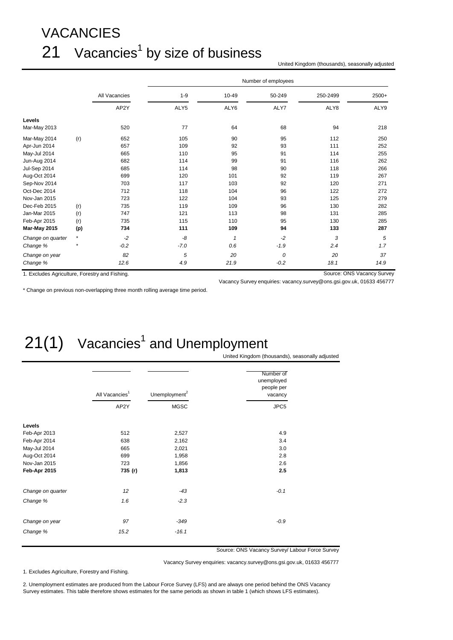# VACANCIES  $21$  Vacancies<sup>1</sup> by size of business

United Kingdom (thousands), seasonally adjusted

|                                                |         |               | Number of employees |              |        |          |                            |  |  |  |
|------------------------------------------------|---------|---------------|---------------------|--------------|--------|----------|----------------------------|--|--|--|
|                                                |         | All Vacancies | $1 - 9$             | 10-49        | 50-249 | 250-2499 | $2500+$                    |  |  |  |
|                                                |         | AP2Y          | ALY5                | ALY6         | ALY7   | ALY8     | ALY9                       |  |  |  |
| Levels                                         |         |               |                     |              |        |          |                            |  |  |  |
| Mar-May 2013                                   |         | 520           | 77                  | 64           | 68     | 94       | 218                        |  |  |  |
| Mar-May 2014                                   | (r)     | 652           | 105                 | 90           | 95     | 112      | 250                        |  |  |  |
| Apr-Jun 2014                                   |         | 657           | 109                 | 92           | 93     | 111      | 252                        |  |  |  |
| May-Jul 2014                                   |         | 665           | 110                 | 95           | 91     | 114      | 255                        |  |  |  |
| Jun-Aug 2014                                   |         | 682           | 114                 | 99           | 91     | 116      | 262                        |  |  |  |
| Jul-Sep 2014                                   |         | 685           | 114                 | 98           | 90     | 118      | 266                        |  |  |  |
| Aug-Oct 2014                                   |         | 699           | 120                 | 101          | 92     | 119      | 267                        |  |  |  |
| Sep-Nov 2014                                   |         | 703           | 117                 | 103          | 92     | 120      | 271                        |  |  |  |
| Oct-Dec 2014                                   |         | 712           | 118                 | 104          | 96     | 122      | 272                        |  |  |  |
| Nov-Jan 2015                                   |         | 723           | 122                 | 104          | 93     | 125      | 279                        |  |  |  |
| Dec-Feb 2015                                   | (r)     | 735           | 119                 | 109          | 96     | 130      | 282                        |  |  |  |
| Jan-Mar 2015                                   | (r)     | 747           | 121                 | 113          | 98     | 131      | 285                        |  |  |  |
| Feb-Apr 2015                                   | (r)     | 735           | 115                 | 110          | 95     | 130      | 285                        |  |  |  |
| <b>Mar-May 2015</b>                            | (p)     | 734           | 111                 | 109          | 94     | 133      | 287                        |  |  |  |
| Change on quarter                              | $\star$ | $-2$          | -8                  | $\mathbf{1}$ | $-2$   | 3        | 5                          |  |  |  |
| Change %                                       |         | $-0.2$        | $-7.0$              | 0.6          | $-1.9$ | 2.4      | 1.7                        |  |  |  |
| Change on year                                 |         | 82            | 5                   | 20           | 0      | 20       | 37                         |  |  |  |
| Change %                                       |         | 12.6          | 4.9                 | 21.9         | $-0.2$ | 18.1     | 14.9                       |  |  |  |
| 1. Excludes Agriculture, Forestry and Fishing. |         |               |                     |              |        |          | Source: ONS Vacancy Survey |  |  |  |

\* Change on previous non-overlapping three month rolling average time period.

Vacancy Survey enquiries: vacancy.survey@ons.gsi.gov.uk, 01633 456777

# $21(1)$  Vacancies<sup>1</sup> and Unemployment

United Kingdom (thousands), seasonally adjusted

|                   | All Vacancies <sup>1</sup> | Unemployment <sup>2</sup> | Number of<br>unemployed<br>people per<br>vacancy |  |  |
|-------------------|----------------------------|---------------------------|--------------------------------------------------|--|--|
|                   | AP2Y                       | <b>MGSC</b>               | JPC5                                             |  |  |
| Levels            |                            |                           |                                                  |  |  |
| Feb-Apr 2013      | 512                        | 2,527                     | 4.9                                              |  |  |
| Feb-Apr 2014      | 638                        | 2,162                     | 3.4                                              |  |  |
| May-Jul 2014      | 665                        | 2,021                     | 3.0                                              |  |  |
| Aug-Oct 2014      | 699                        | 1,958                     | 2.8                                              |  |  |
| Nov-Jan 2015      | 723                        | 1,856                     | 2.6                                              |  |  |
| Feb-Apr 2015      | 735 (r)                    | 1,813                     | 2.5                                              |  |  |
| Change on quarter | 12                         | $-43$                     | $-0.1$                                           |  |  |
| Change %          | 1.6                        | $-2.3$                    |                                                  |  |  |
| Change on year    | 97                         | $-349$                    | $-0.9$                                           |  |  |
| Change %          | 15.2                       | $-16.1$                   |                                                  |  |  |

Source: ONS Vacancy Survey/ Labour Force Survey

Vacancy Survey enquiries: vacancy.survey@ons.gsi.gov.uk, 01633 456777

1. Excludes Agriculture, Forestry and Fishing.

2. Unemployment estimates are produced from the Labour Force Survey (LFS) and are always one period behind the ONS Vacancy Survey estimates. This table therefore shows estimates for the same periods as shown in table 1 (which shows LFS estimates).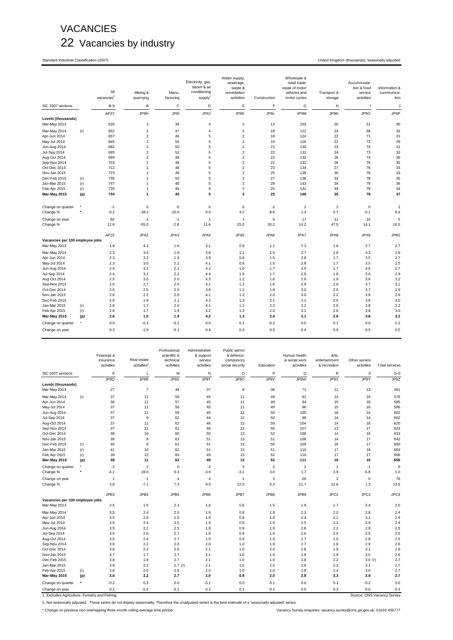### VACANCIES 22 Vacancies by industry

Standard Industrial Classification (2007) United Kingdom (thousands), seasonally adjusted

|                                 |     | All<br>vacancies | Mining &<br>quarrying        | Manu-<br>facturing | Electricity, gas,<br>steam & air<br>conditioning<br>supply <sup>2</sup> | Water supply,<br>sewerage,<br>waste &<br>remediation<br>activities | Construction | Wholesale &<br>retail trade;<br>repair of motor<br>vehicles and<br>motor cycles | Transport &<br>storage | Accommoda-<br>tion & food<br>service<br>activities | Information &<br>communica-<br>tion |
|---------------------------------|-----|------------------|------------------------------|--------------------|-------------------------------------------------------------------------|--------------------------------------------------------------------|--------------|---------------------------------------------------------------------------------|------------------------|----------------------------------------------------|-------------------------------------|
| SIC 2007 sections               |     | $B-S$            | B                            | $\mathsf C$        | D                                                                       | E                                                                  | F            | G                                                                               | н                      | п                                                  | J                                   |
|                                 |     | AP2Y             | JP9H                         | JP91               | JP9J                                                                    | JP9K                                                               | JP9L         | JP9M                                                                            | JP9N                   | JP9O                                               | JP9P                                |
| Levels (thousands)              |     |                  |                              |                    |                                                                         |                                                                    |              |                                                                                 |                        |                                                    |                                     |
| Mar-May 2013                    |     | 520              | 3                            | 38                 | 4                                                                       | $\overline{c}$                                                     | 13           | 103                                                                             | 20                     | 51                                                 | 30                                  |
| Mar-May 2014                    | (r) | 652              | $\overline{2}$               | 47                 | 4                                                                       | $\overline{\mathbf{c}}$                                            | 19           | 122                                                                             | 24                     | 68                                                 | 32                                  |
| Apr-Jun 2014                    |     | 657              | $\overline{2}$               | 46                 | 5                                                                       | $\overline{c}$                                                     | 18           | 124                                                                             | 22                     | 71                                                 | 31                                  |
| May-Jul 2014                    |     | 665              | $\overline{2}$               | 50                 | 5                                                                       | $\overline{\mathbf{c}}$                                            | 19           | 126                                                                             | 22                     | 72                                                 | 29                                  |
| Jun-Aug 2014                    |     | 682              | $\overline{2}$               | 50                 | 5                                                                       | $\overline{c}$                                                     | 21           | 130                                                                             | 23                     | 74                                                 | 31                                  |
| Jul-Sep 2014                    |     | 685              | $\overline{2}$               | 52                 | 5                                                                       | $\overline{\mathbf{c}}$                                            | 22           | 131                                                                             | 24                     | 73                                                 | 33                                  |
| Aug-Oct 2014                    |     | 699              | $\overline{2}$               | 48                 | 5                                                                       | $\overline{2}$                                                     | 22           | 132                                                                             | 26                     | 74                                                 | 36                                  |
| Sep-Nov 2014                    |     | 703              | $\overline{2}$               | 48                 | 5                                                                       | $\overline{\mathbf{c}}$                                            | 22           | 132                                                                             | 26                     | 76                                                 | 35                                  |
| Oct-Dec 2014                    |     | 712              | $\overline{2}$               | 48                 | 5                                                                       | $\overline{\mathbf{c}}$                                            | 23           | 134                                                                             | 27                     | 76                                                 | 33                                  |
| Nov-Jan 2015                    |     | 723              | $\mathbf{1}$                 | 48                 | 5                                                                       | $\overline{\mathbf{c}}$                                            | 25           | 136                                                                             | 30                     | 78                                                 | 33                                  |
| Dec-Feb 2015                    | (r) | 735              | $\mathbf{1}$                 | 50                 | 5                                                                       | $\overline{\mathbf{c}}$                                            | 27           | 138                                                                             | 33                     | 78                                                 | 35                                  |
| Jan-Mar 2015                    | (r) | 747<br>735       | $\mathbf{1}$<br>$\mathbf{1}$ | 48<br>46           | 5<br>5                                                                  | $\overline{\mathbf{c}}$<br>$\overline{\mathbf{c}}$                 | 28<br>25     | 143<br>141                                                                      | 34<br>34               | 78<br>78                                           | 36                                  |
| Feb-Apr 2015<br>Mar-May 2015    | (r) | 734              | $\mathbf{1}$                 | 45                 | 5                                                                       | 3                                                                  | 25           | 140                                                                             | 35                     | 78                                                 | 34<br>37                            |
|                                 | (p) |                  |                              |                    |                                                                         |                                                                    |              |                                                                                 |                        |                                                    |                                     |
| Change on quarter               | ٠   | $-2$             | $\mathbf 0$                  | $-5$               | 0                                                                       | $\mathsf 0$                                                        | $-2$         | $\sqrt{2}$                                                                      | $\sqrt{2}$             | $\mathbf 0$                                        | $\overline{a}$                      |
| Change %                        |     | $-0.2$           | $-18.2$                      | $-10.0$            | 0.0                                                                     | 4.2                                                                | $-8.6$       | 1.4                                                                             | 5.7                    | $-0.1$                                             | 6.4                                 |
| Change on year                  |     | 82               | $-1$                         | $-1$               | $\overline{1}$                                                          | $\overline{1}$                                                     | 6            | 17                                                                              | 11                     | 10                                                 | 5                                   |
| Change %                        |     | 12.6             | $-55.0$                      | $-2.8$             | 11.6                                                                    | 25.0                                                               | 30.2         | 14.2                                                                            | 47.5                   | 14.1                                               | 16.5                                |
|                                 |     | AP2Z             | JPA2                         | JPA3               | JPA4                                                                    | JPA5                                                               | JPA6         | JPA7                                                                            | JPA8                   | JPA9                                               | JPB <sub>2</sub>                    |
| Vacancies per 100 employee jobs |     |                  |                              |                    |                                                                         |                                                                    |              |                                                                                 |                        |                                                    |                                     |
| Mar-May 2013                    |     | 1.9              | 4.1                          | 1.6                | 3.1                                                                     | 0.9                                                                | 1.1          | 2.3                                                                             | 1.6                    | 2.7                                                | 2.7                                 |
| Mar-May 2014                    |     | 2.3              | 3.4                          | 1.9                | 3.8                                                                     | 1.1                                                                | 1.5          | 2.7                                                                             | 1.8                    | 3.3                                                | 2.8                                 |
| Apr-Jun 2014                    |     | 2.3              | 3.2                          | 1.9                | 3.9                                                                     | 0.8                                                                | 1.5          | 2.8                                                                             | 1.7                    | 3.5                                                | 2.7                                 |
| May-Jul 2014                    |     | 2.3              | 3.0                          | 2.1                | 4.1                                                                     | 0.9                                                                | 1.5          | 2.8                                                                             | 1.7                    | 3.5                                                | 2.5                                 |
| Jun-Aug 2014                    |     | 2.4              | 3.2                          | 2.1                | 4.2                                                                     | 1.0                                                                | 1.7          | 2.9                                                                             | 1.7                    | 3.6                                                | 2.7                                 |
| Jul-Sep 2014                    |     | 2.4              | 3.2                          | 2.2                | 4.4                                                                     | 1.0                                                                | 1.7          | 2.9                                                                             | 1.8                    | 3.6                                                | 2.9                                 |
| Aug-Oct 2014                    |     | 2.5              | 3.0                          | 2.0                | 4.3                                                                     | 1.2                                                                | 1.8          | 2.9                                                                             | 1.9                    | 3.6                                                | 3.2                                 |
| Sep-Nov 2014                    |     | 2.5              | 2.7                          | 2.0                | 4.1                                                                     | 1.2                                                                | 1.8          | 2.9                                                                             | 2.0                    | 3.7                                                | 3.1                                 |
| Oct-Dec 2014                    |     | 2.5              | 2.5                          | 2.0                | 3.9                                                                     | 1.2                                                                | 1.8          | 3.0                                                                             | 2.0                    | 3.7                                                | 2.9                                 |
| Nov-Jan 2015                    |     | 2.6              | 2.2                          | 2.0                | 4.1                                                                     | 1.3                                                                | 2.0          | 3.0                                                                             | 2.2                    | 3.8                                                | 2.9                                 |
| Dec-Feb 2015                    |     | 2.6              | 1.9                          | 2.1                | 4.2                                                                     | 1.3                                                                | 2.1          | 3.1                                                                             | 2.5                    | 3.8                                                | 3.0                                 |
| Jan-Mar 2015                    | (r) | 2.6              | 1.7                          | 2.0                | 4.1                                                                     | 1.2                                                                | 2.2          | 3.2                                                                             | 2.6                    | 3.8                                                | 3.2                                 |
| Feb-Apr 2015                    | (r) | 2.6              | 1.7                          | 1.9                | 4.2                                                                     | 1.3                                                                | 2.0          | 3.1                                                                             | 2.6                    | 3.8                                                | 3.0                                 |
| Mar-May 2015                    | (p) | 2.6              | 1.5                          | 1.9                | 4.2                                                                     | $1.3$                                                              | 2.0          | 3.1                                                                             | 2.6                    | 3.8                                                | 3.2                                 |
| Change on quarter               |     | 0.0              | $-0.3$                       | $-0.2$             | 0.0                                                                     | 0.1                                                                | $-0.2$       | 0.0                                                                             | 0.1                    | 0.0                                                | 0.2                                 |
| Change on year                  |     | 0.3              | $-1.9$                       | $-0.1$             | 0.4                                                                     | 0.3                                                                | 0.5          | 0.4                                                                             | 0.9                    | 0.5                                                | 0.5                                 |

|                                                |            | Financial &<br>insurance<br>activities | Real estate<br>activities <sup>2</sup> | Professional<br>scientific &<br>technical<br>activities | Administrative<br>& support<br>service<br>activities | Public admin<br>& defence:<br>compulsory<br>social security | Education      | Human health<br>& social work<br>activities | Arts.<br>entertainment<br>& recreation | Other service<br>activities | <b>Total services</b>      |
|------------------------------------------------|------------|----------------------------------------|----------------------------------------|---------------------------------------------------------|------------------------------------------------------|-------------------------------------------------------------|----------------|---------------------------------------------|----------------------------------------|-----------------------------|----------------------------|
| SIC 2007 sections                              |            | Κ                                      | L                                      | M                                                       | N                                                    | O                                                           | P              | Q                                           | R                                      | S                           | G-S                        |
|                                                |            | JP9Q                                   | JP9R                                   | JP9S                                                    | JP9T                                                 | JP9U                                                        | JP9V           | JP9W                                        | JP9X                                   | JP9Y                        | JP9Z                       |
| Levels (thousands)                             |            |                                        |                                        |                                                         |                                                      |                                                             |                |                                             |                                        |                             |                            |
| Mar-May 2013                                   |            | 27                                     | $\overline{7}$                         | 46                                                      | 37                                                   | 8                                                           | 38             | 71                                          | 12                                     | 13                          | 461                        |
| Mar-May 2014                                   | (r)        | 37                                     | 11                                     | 58                                                      | 45                                                   | 11                                                          | 49             | 91                                          | 14                                     | 16                          | 578                        |
| Apr-Jun 2014                                   |            | 36                                     | 12                                     | 57                                                      | 45                                                   | 11                                                          | 49             | 94                                          | 15                                     | 18                          | 585                        |
| May-Jul 2014                                   |            | 37                                     | 11                                     | 58                                                      | 45                                                   | 11                                                          | 49             | 96                                          | 15                                     | 16                          | 588                        |
| Jun-Aug 2014                                   |            | 37                                     | 11                                     | 59                                                      | 45                                                   | 12                                                          | 50             | 100                                         | 16                                     | 16                          | 602                        |
| Jul-Sep 2014                                   |            | 37                                     | 9                                      | 62                                                      | 44                                                   | 12                                                          | 50             | 99                                          | 14                                     | 14                          | 602                        |
| Aug-Oct 2014                                   |            | 37                                     | 11                                     | 62                                                      | 46                                                   | 13                                                          | 50             | 104                                         | 14                                     | 16                          | 620                        |
| Sep-Nov 2014                                   |            | 37                                     | 11                                     | 61                                                      | 48                                                   | 13                                                          | 50             | 107                                         | 13                                     | 17                          | 624                        |
| Oct-Dec 2014<br>Nov-Jan 2015                   |            | 38                                     | 10<br>8                                | 60<br>63                                                | 50                                                   | 13<br>13                                                    | 52             | 108<br>108                                  | 14<br>14                               | 18<br>17                    | 633                        |
|                                                |            | 39<br>40                               | 9                                      | 62                                                      | 51<br>51                                             | 13                                                          | 51             |                                             |                                        |                             | 642<br>650                 |
| Dec-Feb 2015<br>Jan-Mar 2015                   | (r)<br>(r) | 41                                     | 10                                     | 62                                                      | 51                                                   | 13                                                          | 50<br>51       | 109<br>110                                  | 16<br>17                               | 17<br>18                    | 663                        |
| Feb-Apr 2015                                   | (r)        | 39                                     | 12                                     | 60                                                      | 49                                                   | 13                                                          | 52             | 110                                         | 17                                     | 17                          | 656                        |
| <b>Mar-May 2015</b>                            | (p)        | 38                                     | 11                                     | 62                                                      | 49                                                   | 13                                                          | 52             | 111                                         | 16                                     | 16                          | 656                        |
| Change on quarter                              | ٠          | $-2$                                   | $\overline{2}$                         | $\mathbf 0$                                             | $-2$                                                 | $\mathbf 0$                                                 | $\overline{2}$ | $\overline{2}$                              | $\overline{1}$                         | $-1$                        | 6                          |
| Change %                                       |            | $-4.1$                                 | 18.0                                   | 0.3                                                     | $-3.9$                                               | $-3.1$                                                      | 3.0            | 1.7                                         | 3.9                                    | $-5.8$                      | 1.0                        |
| Change on year                                 |            | $\overline{1}$                         | $-1$                                   | $\overline{4}$                                          | $\overline{4}$                                       | $\mathbf{1}$                                                | 3              | 20                                          | $\overline{\mathbf{c}}$                | $\mathbf 0$                 | 78                         |
| Change %                                       |            | 3.8                                    | $-7.1$                                 | 7.2                                                     | 9.9                                                  | 12.5                                                        | 5.3            | 21.7                                        | 12.6                                   | 1.3                         | 13.5                       |
|                                                |            | JPB3                                   | JPB4                                   | JPB5                                                    | JPB6                                                 | JPB7                                                        | JPB8           | JPB9                                        | JPC2                                   | JPC3                        | JPC4                       |
| Vacancies per 100 employee jobs                |            |                                        |                                        |                                                         |                                                      |                                                             |                |                                             |                                        |                             |                            |
| Mar-May 2013                                   |            | 2.5                                    | 1.5                                    | 2.1                                                     | 1.6                                                  | 0.6                                                         | 1.5            | 1.9                                         | 1.7                                    | 2.4                         | 2.0                        |
| Mar-May 2014                                   |            | 3.5                                    | 2.4                                    | 2.5                                                     | 1.9                                                  | 0.8                                                         | 1.9            | 2.3                                         | 2.0                                    | 2.8                         | 2.4                        |
| Apr-Jun 2014                                   |            | 3.5                                    | 2.6                                    | 2.5                                                     | 1.9                                                  | 0.8                                                         | 1.9            | 2.4                                         | 2.1                                    | 3.1                         | 2.4                        |
| May-Jul 2014                                   |            | 3.5                                    | 2.4                                    | 2.5                                                     | 1.9                                                  | 0.9                                                         | 1.9            | 2.5                                         | 2.2                                    | 2.9                         | 2.4                        |
| Jun-Aug 2014                                   |            | 3.5                                    | 2.2                                    | 2.5                                                     | 1.9                                                  | 0.9                                                         | 1.9            | 2.6                                         | 2.2                                    | 2.9                         | 2.5                        |
| <b>Jul-Sep 2014</b>                            |            | 3.5                                    | 2.0                                    | 2.7                                                     | 1.8                                                  | 0.9                                                         | 1.9            | 2.6                                         | 2.0                                    | 2.5                         | 2.5                        |
| Aug-Oct 2014                                   |            | 3.5                                    | 2.4                                    | 2.7                                                     | 1.9                                                  | 0.9                                                         | 1.9            | 2.7                                         | 2.0                                    | 2.8                         | 2.5                        |
| Sep-Nov 2014                                   |            | 3.6                                    | 2.2                                    | 2.6                                                     | 2.0                                                  | 1.0                                                         | 1.9            | 2.7                                         | 1.8                                    | 2.9                         | 2.6                        |
| Oct-Dec 2014                                   |            | 3.6                                    | 2.2                                    | 2.6                                                     | 2.1                                                  | 1.0                                                         | 2.0            | 2.8                                         | 1.9                                    | 3.1                         | 2.6                        |
| Nov-Jan 2015<br>Dec-Feb 2015                   |            | 3.7<br>3.8                             | 1.7<br>1.9                             | 2.7<br>2.7                                              | 2.1<br>2.1                                           | 1.0<br>1.0                                                  | 1.9<br>1.9     | 2.8<br>2.8                                  | 1.9<br>2.2                             | 3.0<br>3.0(r)               | 2.6<br>2.7                 |
| Jan-Mar 2015                                   |            | 3.9                                    | 2.2                                    | 2.7(r)                                                  | 2.1                                                  | 1.0                                                         | 2.0            | 2.8                                         | 2.3                                    | 3.1                         | 2.7                        |
| Feb-Apr 2015                                   | (r)        | 3.8                                    | 2.5                                    | 2.6                                                     | 2.0                                                  | 1.0                                                         | 2.0            | 2.8                                         | 2.4                                    | 3.0                         | 2.7                        |
| Mar-May 2015                                   | (p)        | 3.6                                    | 2.2                                    | 2.7                                                     | 2.0                                                  | 0.9                                                         | 2.0            | 2.8                                         | 2.3                                    | 2.9                         | 2.7                        |
| Change on quarter                              | $\star$    | $-0.2$                                 | 0.3                                    | 0.0                                                     | $-0.1$                                               | 0.0                                                         | 0.1            | 0.0                                         | 0.1                                    | $-0.2$                      | 0.0                        |
|                                                |            |                                        |                                        |                                                         |                                                      |                                                             |                |                                             |                                        |                             |                            |
| Change on year                                 |            | 0.1                                    | $-0.2$                                 | 0.2                                                     | 0.2                                                  | 0.1                                                         | 0.1            | 0.5                                         | 0.3                                    | 0.0                         | 0.3                        |
| 1. Excludes Agriculture, Forestry and Fishing. |            |                                        |                                        |                                                         |                                                      |                                                             |                |                                             |                                        |                             | Source: ONS Vacancy Survey |

2. Not seasonally adjusted. These series do not display seasonality. Therefore the unadjusted series is the best estimate of a 'seasonally adjusted' series.

\* Change on previous non-overlapping three month rolling average time period. Vacancy Survey enquiries: vacancy.survey@ons.gsi.gov.uk, 01633 456777